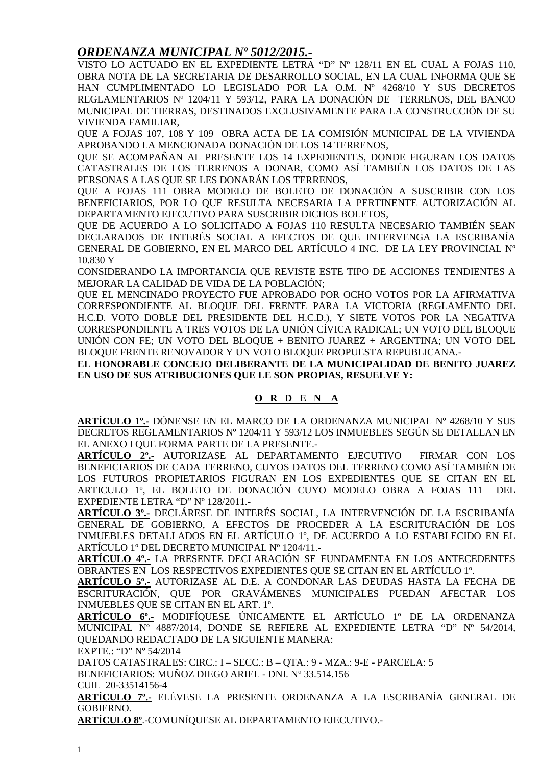#### *ORDENANZA MUNICIPAL Nº 5012/2015.-*

VISTO LO ACTUADO EN EL EXPEDIENTE LETRA "D" Nº 128/11 EN EL CUAL A FOJAS 110, OBRA NOTA DE LA SECRETARIA DE DESARROLLO SOCIAL, EN LA CUAL INFORMA QUE SE HAN CUMPLIMENTADO LO LEGISLADO POR LA O.M. Nº 4268/10 Y SUS DECRETOS REGLAMENTARIOS Nº 1204/11 Y 593/12, PARA LA DONACIÓN DE TERRENOS, DEL BANCO MUNICIPAL DE TIERRAS, DESTINADOS EXCLUSIVAMENTE PARA LA CONSTRUCCIÓN DE SU VIVIENDA FAMILIAR,

QUE A FOJAS 107, 108 Y 109 OBRA ACTA DE LA COMISIÓN MUNICIPAL DE LA VIVIENDA APROBANDO LA MENCIONADA DONACIÓN DE LOS 14 TERRENOS,

QUE SE ACOMPAÑAN AL PRESENTE LOS 14 EXPEDIENTES, DONDE FIGURAN LOS DATOS CATASTRALES DE LOS TERRENOS A DONAR, COMO ASÍ TAMBIÉN LOS DATOS DE LAS PERSONAS A LAS QUE SE LES DONARÁN LOS TERRENOS,

QUE A FOJAS 111 OBRA MODELO DE BOLETO DE DONACIÓN A SUSCRIBIR CON LOS BENEFICIARIOS, POR LO QUE RESULTA NECESARIA LA PERTINENTE AUTORIZACIÓN AL DEPARTAMENTO EJECUTIVO PARA SUSCRIBIR DICHOS BOLETOS,

QUE DE ACUERDO A LO SOLICITADO A FOJAS 110 RESULTA NECESARIO TAMBIÉN SEAN DECLARADOS DE INTERÉS SOCIAL A EFECTOS DE QUE INTERVENGA LA ESCRIBANÍA GENERAL DE GOBIERNO, EN EL MARCO DEL ARTÍCULO 4 INC. DE LA LEY PROVINCIAL Nº 10.830 Y

CONSIDERANDO LA IMPORTANCIA QUE REVISTE ESTE TIPO DE ACCIONES TENDIENTES A MEJORAR LA CALIDAD DE VIDA DE LA POBLACIÓN;

QUE EL MENCINADO PROYECTO FUE APROBADO POR OCHO VOTOS POR LA AFIRMATIVA CORRESPONDIENTE AL BLOQUE DEL FRENTE PARA LA VICTORIA (REGLAMENTO DEL H.C.D. VOTO DOBLE DEL PRESIDENTE DEL H.C.D.), Y SIETE VOTOS POR LA NEGATIVA CORRESPONDIENTE A TRES VOTOS DE LA UNIÓN CÍVICA RADICAL; UN VOTO DEL BLOQUE UNIÓN CON FE; UN VOTO DEL BLOQUE + BENITO JUAREZ + ARGENTINA; UN VOTO DEL BLOQUE FRENTE RENOVADOR Y UN VOTO BLOQUE PROPUESTA REPUBLICANA.-

**EL HONORABLE CONCEJO DELIBERANTE DE LA MUNICIPALIDAD DE BENITO JUAREZ EN USO DE SUS ATRIBUCIONES QUE LE SON PROPIAS, RESUELVE Y:** 

#### **O R D E N A**

**ARTÍCULO 1º.-** DÓNENSE EN EL MARCO DE LA ORDENANZA MUNICIPAL Nº 4268/10 Y SUS DECRETOS REGLAMENTARIOS Nº 1204/11 Y 593/12 LOS INMUEBLES SEGÚN SE DETALLAN EN EL ANEXO I QUE FORMA PARTE DE LA PRESENTE.-

**ARTÍCULO 2º.-** AUTORIZASE AL DEPARTAMENTO EJECUTIVO FIRMAR CON LOS BENEFICIARIOS DE CADA TERRENO, CUYOS DATOS DEL TERRENO COMO ASÍ TAMBIÉN DE LOS FUTUROS PROPIETARIOS FIGURAN EN LOS EXPEDIENTES QUE SE CITAN EN EL ARTICULO 1º, EL BOLETO DE DONACIÓN CUYO MODELO OBRA A FOJAS 111 DEL EXPEDIENTE LETRA "D" Nº 128/2011.-

**ARTÍCULO 3º.-** DECLÁRESE DE INTERÉS SOCIAL, LA INTERVENCIÓN DE LA ESCRIBANÍA GENERAL DE GOBIERNO, A EFECTOS DE PROCEDER A LA ESCRITURACIÓN DE LOS INMUEBLES DETALLADOS EN EL ARTÍCULO 1º, DE ACUERDO A LO ESTABLECIDO EN EL ARTÍCULO 1º DEL DECRETO MUNICIPAL Nº 1204/11.-

**ARTÍCULO 4º.-** LA PRESENTE DECLARACIÓN SE FUNDAMENTA EN LOS ANTECEDENTES OBRANTES EN LOS RESPECTIVOS EXPEDIENTES QUE SE CITAN EN EL ARTÍCULO 1º.

**ARTÍCULO 5º.-** AUTORIZASE AL D.E. A CONDONAR LAS DEUDAS HASTA LA FECHA DE ESCRITURACIÓN, QUE POR GRAVÁMENES MUNICIPALES PUEDAN AFECTAR LOS INMUEBLES QUE SE CITAN EN EL ART. 1º.

**ARTÍCULO 6º.-** MODIFÍQUESE ÚNICAMENTE EL ARTÍCULO 1º DE LA ORDENANZA MUNICIPAL Nº 4887/2014, DONDE SE REFIERE AL EXPEDIENTE LETRA "D" Nº 54/2014, QUEDANDO REDACTADO DE LA SIGUIENTE MANERA:

EXPTE.: "D" Nº 54/2014

DATOS CATASTRALES: CIRC.: I – SECC.: B – QTA.: 9 - MZA.: 9-E - PARCELA: 5

BENEFICIARIOS: MUÑOZ DIEGO ARIEL - DNI. Nº 33.514.156

CUIL 20-33514156-4

**ARTÍCULO 7º.-** ELÉVESE LA PRESENTE ORDENANZA A LA ESCRIBANÍA GENERAL DE GOBIERNO.

**ARTÍCULO 8º**.-COMUNÍQUESE AL DEPARTAMENTO EJECUTIVO.-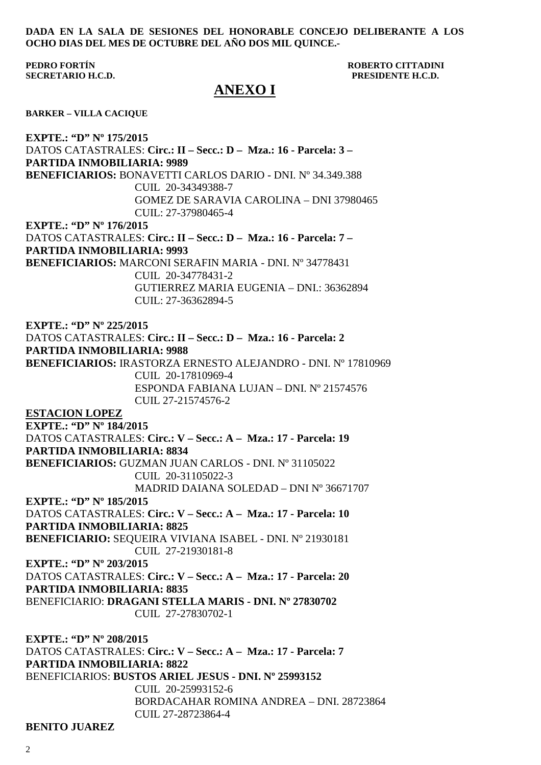#### **DADA EN LA SALA DE SESIONES DEL HONORABLE CONCEJO DELIBERANTE A LOS OCHO DIAS DEL MES DE OCTUBRE DEL AÑO DOS MIL QUINCE.-**

#### **PEDRO FORTÍN ROBERTO CITTADINI SECRETARIO H.C.D. PRESIDENTE H.C.D.**

#### **ANEXO I**

**BARKER – VILLA CACIQUE** 

**EXPTE.: "D" Nº 175/2015**  DATOS CATASTRALES: **Circ.: II – Secc.: D – Mza.: 16 - Parcela: 3 – PARTIDA INMOBILIARIA: 9989 BENEFICIARIOS:** BONAVETTI CARLOS DARIO - DNI. Nº 34.349.388 CUIL 20-34349388-7 GOMEZ DE SARAVIA CAROLINA – DNI 37980465 CUIL: 27-37980465-4 **EXPTE.: "D" Nº 176/2015** DATOS CATASTRALES: **Circ.: II – Secc.: D – Mza.: 16 - Parcela: 7 – PARTIDA INMOBILIARIA: 9993 BENEFICIARIOS:** MARCONI SERAFIN MARIA - DNI. Nº 34778431 CUIL 20-34778431-2 GUTIERREZ MARIA EUGENIA – DNI.: 36362894 CUIL: 27-36362894-5 **EXPTE.: "D" Nº 225/2015**  DATOS CATASTRALES: **Circ.: II – Secc.: D – Mza.: 16 - Parcela: 2 PARTIDA INMOBILIARIA: 9988 BENEFICIARIOS:** IRASTORZA ERNESTO ALEJANDRO - DNI. Nº 17810969 CUIL 20-17810969-4 ESPONDA FABIANA LUJAN – DNI. Nº 21574576 CUIL 27-21574576-2 **ESTACION LOPEZ EXPTE.: "D" Nº 184/2015**  DATOS CATASTRALES: **Circ.: V – Secc.: A – Mza.: 17 - Parcela: 19 PARTIDA INMOBILIARIA: 8834 BENEFICIARIOS:** GUZMAN JUAN CARLOS - DNI. Nº 31105022 CUIL 20-31105022-3 MADRID DAIANA SOLEDAD – DNI Nº 36671707 **EXPTE.: "D" Nº 185/2015**  DATOS CATASTRALES: **Circ.: V – Secc.: A – Mza.: 17 - Parcela: 10 PARTIDA INMOBILIARIA: 8825 BENEFICIARIO:** SEQUEIRA VIVIANA ISABEL - DNI. Nº 21930181 CUIL 27-21930181-8 **EXPTE.: "D" Nº 203/2015**  DATOS CATASTRALES: **Circ.: V – Secc.: A – Mza.: 17 - Parcela: 20 PARTIDA INMOBILIARIA: 8835**  BENEFICIARIO: **DRAGANI STELLA MARIS - DNI. Nº 27830702**  CUIL 27-27830702-1 **EXPTE.: "D" Nº 208/2015**  DATOS CATASTRALES: **Circ.: V – Secc.: A – Mza.: 17 - Parcela: 7 PARTIDA INMOBILIARIA: 8822**  BENEFICIARIOS: **BUSTOS ARIEL JESUS - DNI. Nº 25993152**  CUIL 20-25993152-6 BORDACAHAR ROMINA ANDREA – DNI. 28723864 CUIL 27-28723864-4

**BENITO JUAREZ**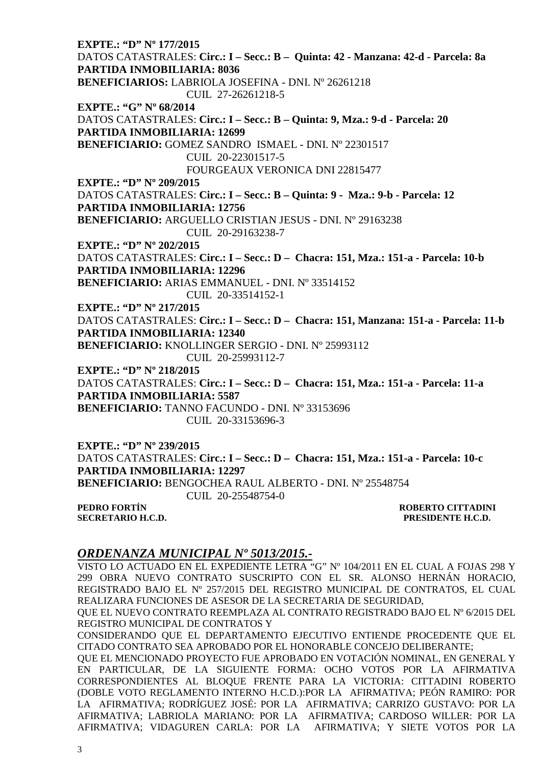**EXPTE.: "D" Nº 177/2015**  DATOS CATASTRALES: **Circ.: I – Secc.: B – Quinta: 42 - Manzana: 42-d - Parcela: 8a PARTIDA INMOBILIARIA: 8036 BENEFICIARIOS:** LABRIOLA JOSEFINA - DNI. Nº 26261218 CUIL 27-26261218-5 **EXPTE.: "G" Nº 68/2014**  DATOS CATASTRALES: **Circ.: I – Secc.: B – Quinta: 9, Mza.: 9-d - Parcela: 20 PARTIDA INMOBILIARIA: 12699 BENEFICIARIO:** GOMEZ SANDRO ISMAEL - DNI. Nº 22301517 CUIL 20-22301517-5 FOURGEAUX VERONICA DNI 22815477 **EXPTE.: "D" Nº 209/2015**  DATOS CATASTRALES: **Circ.: I – Secc.: B – Quinta: 9 - Mza.: 9-b - Parcela: 12 PARTIDA INMOBILIARIA: 12756 BENEFICIARIO:** ARGUELLO CRISTIAN JESUS - DNI. Nº 29163238 CUIL 20-29163238-7 **EXPTE.: "D" Nº 202/2015**  DATOS CATASTRALES: **Circ.: I – Secc.: D – Chacra: 151, Mza.: 151-a - Parcela: 10-b PARTIDA INMOBILIARIA: 12296 BENEFICIARIO:** ARIAS EMMANUEL - DNI. Nº 33514152 CUIL 20-33514152-1 **EXPTE.: "D" Nº 217/2015**  DATOS CATASTRALES: **Circ.: I – Secc.: D – Chacra: 151, Manzana: 151-a - Parcela: 11-b PARTIDA INMOBILIARIA: 12340 BENEFICIARIO:** KNOLLINGER SERGIO - DNI. Nº 25993112 CUIL 20-25993112-7 **EXPTE.: "D" Nº 218/2015**  DATOS CATASTRALES: **Circ.: I – Secc.: D – Chacra: 151, Mza.: 151-a - Parcela: 11-a PARTIDA INMOBILIARIA: 5587 BENEFICIARIO:** TANNO FACUNDO - DNI. Nº 33153696 CUIL 20-33153696-3 **EXPTE.: "D" Nº 239/2015**  DATOS CATASTRALES: **Circ.: I – Secc.: D – Chacra: 151, Mza.: 151-a - Parcela: 10-c PARTIDA INMOBILIARIA: 12297** 

**BENEFICIARIO:** BENGOCHEA RAUL ALBERTO - DNI. Nº 25548754 CUIL 20-25548754-0

**SECRETARIO H.C.D. PRESIDENTE H.C.D.** 

**PEDRO FORTÍN ROBERTO CITTADINI** 

#### *ORDENANZA MUNICIPAL Nº 5013/2015.-*

VISTO LO ACTUADO EN EL EXPEDIENTE LETRA "G" Nº 104/2011 EN EL CUAL A FOJAS 298 Y 299 OBRA NUEVO CONTRATO SUSCRIPTO CON EL SR. ALONSO HERNÁN HORACIO, REGISTRADO BAJO EL Nº 257/2015 DEL REGISTRO MUNICIPAL DE CONTRATOS, EL CUAL REALIZARA FUNCIONES DE ASESOR DE LA SECRETARIA DE SEGURIDAD,

QUE EL NUEVO CONTRATO REEMPLAZA AL CONTRATO REGISTRADO BAJO EL Nº 6/2015 DEL REGISTRO MUNICIPAL DE CONTRATOS Y

CONSIDERANDO QUE EL DEPARTAMENTO EJECUTIVO ENTIENDE PROCEDENTE QUE EL CITADO CONTRATO SEA APROBADO POR EL HONORABLE CONCEJO DELIBERANTE;

QUE EL MENCIONADO PROYECTO FUE APROBADO EN VOTACIÓN NOMINAL, EN GENERAL Y EN PARTICULAR, DE LA SIGUIENTE FORMA: OCHO VOTOS POR LA AFIRMATIVA CORRESPONDIENTES AL BLOQUE FRENTE PARA LA VICTORIA: CITTADINI ROBERTO (DOBLE VOTO REGLAMENTO INTERNO H.C.D.):POR LA AFIRMATIVA; PEÓN RAMIRO: POR LA AFIRMATIVA; RODRÍGUEZ JOSÉ: POR LA AFIRMATIVA; CARRIZO GUSTAVO: POR LA AFIRMATIVA; LABRIOLA MARIANO: POR LA AFIRMATIVA; CARDOSO WILLER: POR LA AFIRMATIVA; VIDAGUREN CARLA: POR LA AFIRMATIVA; Y SIETE VOTOS POR LA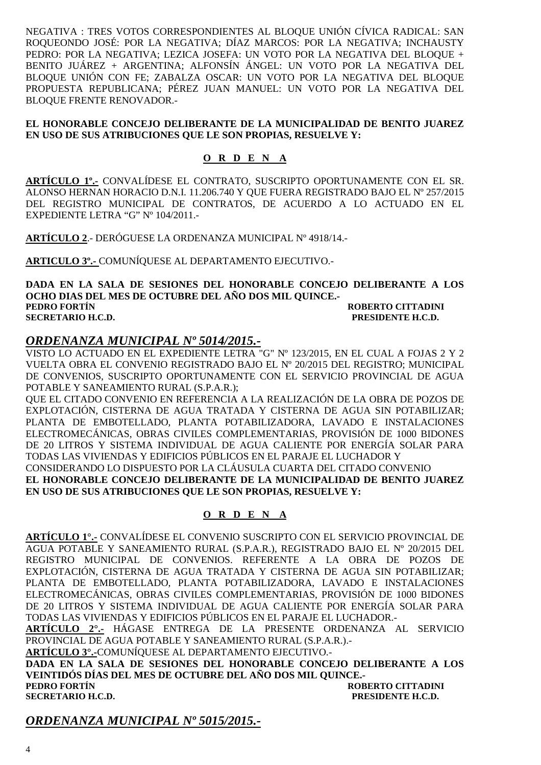NEGATIVA : TRES VOTOS CORRESPONDIENTES AL BLOQUE UNIÓN CÍVICA RADICAL: SAN ROQUEONDO JOSÉ: POR LA NEGATIVA; DÍAZ MARCOS: POR LA NEGATIVA; INCHAUSTY PEDRO: POR LA NEGATIVA; LEZICA JOSEFA: UN VOTO POR LA NEGATIVA DEL BLOQUE + BENITO JUÁREZ + ARGENTINA; ALFONSÍN ÁNGEL: UN VOTO POR LA NEGATIVA DEL BLOQUE UNIÓN CON FE; ZABALZA OSCAR: UN VOTO POR LA NEGATIVA DEL BLOQUE PROPUESTA REPUBLICANA; PÉREZ JUAN MANUEL: UN VOTO POR LA NEGATIVA DEL BLOQUE FRENTE RENOVADOR.-

#### **EL HONORABLE CONCEJO DELIBERANTE DE LA MUNICIPALIDAD DE BENITO JUAREZ EN USO DE SUS ATRIBUCIONES QUE LE SON PROPIAS, RESUELVE Y:**

#### **O R D E N A**

**ARTÍCULO 1º.-** CONVALÍDESE EL CONTRATO, SUSCRIPTO OPORTUNAMENTE CON EL SR. ALONSO HERNAN HORACIO D.N.I. 11.206.740 Y QUE FUERA REGISTRADO BAJO EL Nº 257/2015 DEL REGISTRO MUNICIPAL DE CONTRATOS, DE ACUERDO A LO ACTUADO EN EL EXPEDIENTE LETRA "G" Nº 104/2011.-

**ARTÍCULO 2**.- DERÓGUESE LA ORDENANZA MUNICIPAL Nº 4918/14.-

**ARTICULO 3º.-** COMUNÍQUESE AL DEPARTAMENTO EJECUTIVO.-

**DADA EN LA SALA DE SESIONES DEL HONORABLE CONCEJO DELIBERANTE A LOS OCHO DIAS DEL MES DE OCTUBRE DEL AÑO DOS MIL QUINCE.- PEDRO FORTÍN ROBERTO CITTADINI SECRETARIO H.C.D. PRESIDENTE H.C.D.** 

#### *ORDENANZA MUNICIPAL Nº 5014/2015.-*

VISTO LO ACTUADO EN EL EXPEDIENTE LETRA "G" Nº 123/2015, EN EL CUAL A FOJAS 2 Y 2 VUELTA OBRA EL CONVENIO REGISTRADO BAJO EL Nº 20/2015 DEL REGISTRO; MUNICIPAL DE CONVENIOS, SUSCRIPTO OPORTUNAMENTE CON EL SERVICIO PROVINCIAL DE AGUA POTABLE Y SANEAMIENTO RURAL (S.P.A.R.);

QUE EL CITADO CONVENIO EN REFERENCIA A LA REALIZACIÓN DE LA OBRA DE POZOS DE EXPLOTACIÓN, CISTERNA DE AGUA TRATADA Y CISTERNA DE AGUA SIN POTABILIZAR; PLANTA DE EMBOTELLADO, PLANTA POTABILIZADORA, LAVADO E INSTALACIONES ELECTROMECÁNICAS, OBRAS CIVILES COMPLEMENTARIAS, PROVISIÓN DE 1000 BIDONES DE 20 LITROS Y SISTEMA INDIVIDUAL DE AGUA CALIENTE POR ENERGÍA SOLAR PARA TODAS LAS VIVIENDAS Y EDIFICIOS PÚBLICOS EN EL PARAJE EL LUCHADOR Y CONSIDERANDO LO DISPUESTO POR LA CLÁUSULA CUARTA DEL CITADO CONVENIO **EL HONORABLE CONCEJO DELIBERANTE DE LA MUNICIPALIDAD DE BENITO JUAREZ EN USO DE SUS ATRIBUCIONES QUE LE SON PROPIAS, RESUELVE Y:** 

#### **O R D E N A**

**ARTÍCULO 1°.-** CONVALÍDESE EL CONVENIO SUSCRIPTO CON EL SERVICIO PROVINCIAL DE AGUA POTABLE Y SANEAMIENTO RURAL (S.P.A.R.), REGISTRADO BAJO EL Nº 20/2015 DEL REGISTRO MUNICIPAL DE CONVENIOS. REFERENTE A LA OBRA DE POZOS DE EXPLOTACIÓN, CISTERNA DE AGUA TRATADA Y CISTERNA DE AGUA SIN POTABILIZAR; PLANTA DE EMBOTELLADO, PLANTA POTABILIZADORA, LAVADO E INSTALACIONES ELECTROMECÁNICAS, OBRAS CIVILES COMPLEMENTARIAS, PROVISIÓN DE 1000 BIDONES DE 20 LITROS Y SISTEMA INDIVIDUAL DE AGUA CALIENTE POR ENERGÍA SOLAR PARA TODAS LAS VIVIENDAS Y EDIFICIOS PÚBLICOS EN EL PARAJE EL LUCHADOR.-

**ARTÍCULO 2°.-** HÁGASE ENTREGA DE LA PRESENTE ORDENANZA AL SERVICIO PROVINCIAL DE AGUA POTABLE Y SANEAMIENTO RURAL (S.P.A.R.).-

**ARTÍCULO 3°.-**COMUNÍQUESE AL DEPARTAMENTO EJECUTIVO.-

**DADA EN LA SALA DE SESIONES DEL HONORABLE CONCEJO DELIBERANTE A LOS VEINTIDÓS DÍAS DEL MES DE OCTUBRE DEL AÑO DOS MIL QUINCE.- PEDRO FORTÍN ROBERTO CITTADINI** 

**SECRETARIO H.C.D. PRESIDENTE H.C.D.** 

*ORDENANZA MUNICIPAL Nº 5015/2015.-*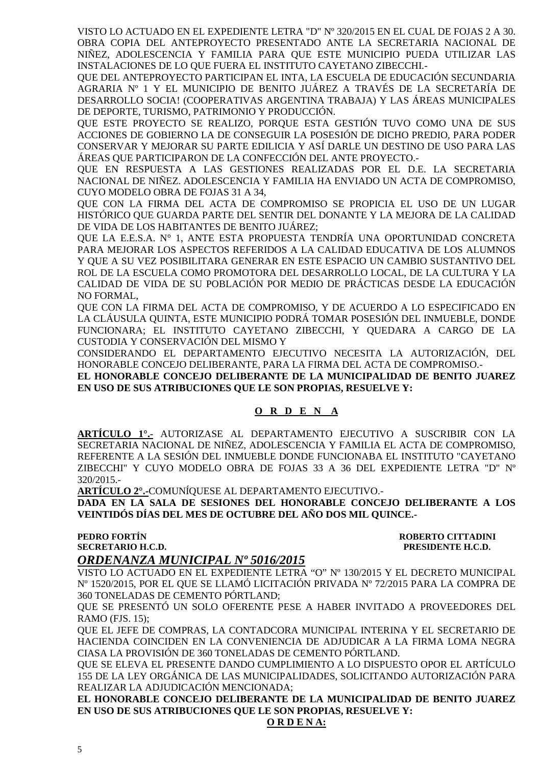VISTO LO ACTUADO EN EL EXPEDIENTE LETRA "D" Nº 320/2015 EN EL CUAL DE FOJAS 2 A 30. OBRA COPIA DEL ANTEPROYECTO PRESENTADO ANTE LA SECRETARIA NACIONAL DE NIÑEZ, ADOLESCENCIA Y FAMILIA PARA QUE ESTE MUNICIPIO PUEDA UTILIZAR LAS INSTALACIONES DE LO QUE FUERA EL INSTITUTO CAYETANO ZIBECCHI.-

QUE DEL ANTEPROYECTO PARTICIPAN EL INTA, LA ESCUELA DE EDUCACIÓN SECUNDARIA AGRARIA Nº 1 Y EL MUNICIPIO DE BENITO JUÁREZ A TRAVÉS DE LA SECRETARÍA DE DESARROLLO SOCIA! (COOPERATIVAS ARGENTINA TRABAJA) Y LAS ÁREAS MUNICIPALES DE DEPORTE, TURISMO, PATRIMONIO Y PRODUCCIÓN.

QUE ESTE PROYECTO SE REALIZO, PORQUE ESTA GESTIÓN TUVO COMO UNA DE SUS ACCIONES DE GOBIERNO LA DE CONSEGUIR LA POSESIÓN DE DICHO PREDIO, PARA PODER CONSERVAR Y MEJORAR SU PARTE EDILICIA Y ASÍ DARLE UN DESTINO DE USO PARA LAS ÁREAS QUE PARTICIPARON DE LA CONFECCIÓN DEL ANTE PROYECTO.-

QUE EN RESPUESTA A LAS GESTIONES REALIZADAS POR EL D.E. LA SECRETARIA NACIONAL DE NIÑEZ. ADOLESCENCIA Y FAMILIA HA ENVIADO UN ACTA DE COMPROMISO, CUYO MODELO OBRA DE FOJAS 31 A 34,

QUE CON LA FIRMA DEL ACTA DE COMPROMISO SE PROPICIA EL USO DE UN LUGAR HISTÓRICO QUE GUARDA PARTE DEL SENTIR DEL DONANTE Y LA MEJORA DE LA CALIDAD DE VIDA DE LOS HABITANTES DE BENITO JUÁREZ;

QUE LA E.E.S.A. N° 1, ANTE ESTA PROPUESTA TENDRÍA UNA OPORTUNIDAD CONCRETA PARA MEJORAR LOS ASPECTOS REFERIDOS A LA CALIDAD EDUCATIVA DE LOS ALUMNOS Y QUE A SU VEZ POSIBILITARA GENERAR EN ESTE ESPACIO UN CAMBIO SUSTANTIVO DEL ROL DE LA ESCUELA COMO PROMOTORA DEL DESARROLLO LOCAL, DE LA CULTURA Y LA CALIDAD DE VIDA DE SU POBLACIÓN POR MEDIO DE PRÁCTICAS DESDE LA EDUCACIÓN NO FORMAL,

QUE CON LA FIRMA DEL ACTA DE COMPROMISO, Y DE ACUERDO A LO ESPECIFICADO EN LA CLÁUSULA QUINTA, ESTE MUNICIPIO PODRÁ TOMAR POSESIÓN DEL INMUEBLE, DONDE FUNCIONARA; EL INSTITUTO CAYETANO ZIBECCHI, Y QUEDARA A CARGO DE LA CUSTODIA Y CONSERVACIÓN DEL MISMO Y

CONSIDERANDO EL DEPARTAMENTO EJECUTIVO NECESITA LA AUTORIZACIÓN, DEL HONORABLE CONCEJO DELIBERANTE, PARA LA FIRMA DEL ACTA DE COMPROMISO.-

**EL HONORABLE CONCEJO DELIBERANTE DE LA MUNICIPALIDAD DE BENITO JUAREZ EN USO DE SUS ATRIBUCIONES QUE LE SON PROPIAS, RESUELVE Y:** 

#### **O R D E N A**

**ARTÍCULO 1°.-** AUTORIZASE AL DEPARTAMENTO EJECUTIVO A SUSCRIBIR CON LA SECRETARIA NACIONAL DE NIÑEZ, ADOLESCENCIA Y FAMILIA EL ACTA DE COMPROMISO, REFERENTE A LA SESIÓN DEL INMUEBLE DONDE FUNCIONABA EL INSTITUTO "CAYETANO ZIBECCHI" Y CUYO MODELO OBRA DE FOJAS 33 A 36 DEL EXPEDIENTE LETRA "D" Nº 320/2015.-

**ARTÍCULO 2°.-**COMUNÍQUESE AL DEPARTAMENTO EJECUTIVO.-

**DADA EN LA SALA DE SESIONES DEL HONORABLE CONCEJO DELIBERANTE A LOS VEINTIDÓS DÍAS DEL MES DE OCTUBRE DEL AÑO DOS MIL QUINCE.-**

**PEDRO FORTÍN GUILLET E LOS ESTECUTADINI E LOS ESTECUTADINIAIS DE LOS ESTECUTADINIAIS DE LOS ESTECUTADINI SECRETARIO H.C.D. PRESIDENTE H.C.D.** 

*ORDENANZA MUNICIPAL Nº 5016/2015* 

VISTO LO ACTUADO EN EL EXPEDIENTE LETRA "O" Nº 130/2015 Y EL DECRETO MUNICIPAL Nº 1520/2015, POR EL QUE SE LLAMÓ LICITACIÓN PRIVADA Nº 72/2015 PARA LA COMPRA DE 360 TONELADAS DE CEMENTO PÓRTLAND;

QUE SE PRESENTÓ UN SOLO OFERENTE PESE A HABER INVITADO A PROVEEDORES DEL RAMO (FJS. 15);

QUE EL JEFE DE COMPRAS, LA CONTADCORA MUNICIPAL INTERINA Y EL SECRETARIO DE HACIENDA COINCIDEN EN LA CONVENIENCIA DE ADJUDICAR A LA FIRMA LOMA NEGRA CIASA LA PROVISIÓN DE 360 TONELADAS DE CEMENTO PÓRTLAND.

QUE SE ELEVA EL PRESENTE DANDO CUMPLIMIENTO A LO DISPUESTO OPOR EL ARTÍCULO 155 DE LA LEY ORGÁNICA DE LAS MUNICIPALIDADES, SOLICITANDO AUTORIZACIÓN PARA REALIZAR LA ADJUDICACIÓN MENCIONADA;

**EL HONORABLE CONCEJO DELIBERANTE DE LA MUNICIPALIDAD DE BENITO JUAREZ EN USO DE SUS ATRIBUCIONES QUE LE SON PROPIAS, RESUELVE Y:** 

**O R D E N A:**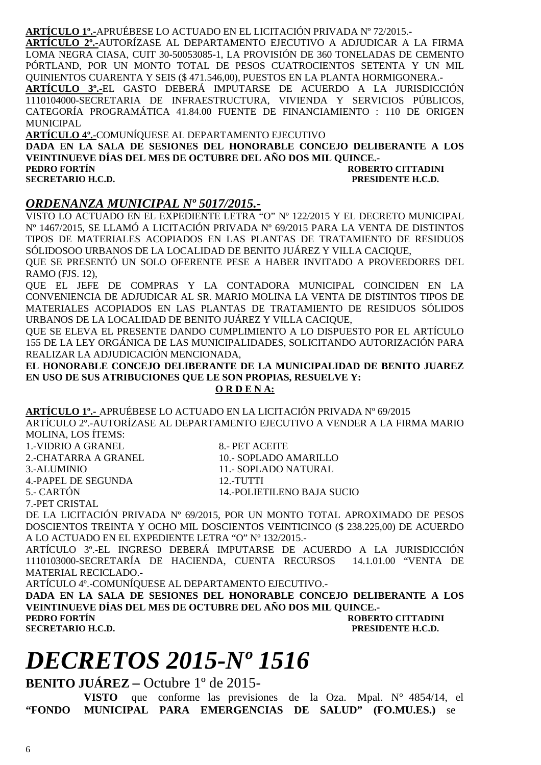#### **ARTÍCULO 1º.-**APRUÉBESE LO ACTUADO EN EL LICITACIÓN PRIVADA Nº 72/2015.-

**ARTÍCULO 2º.-**AUTORÍZASE AL DEPARTAMENTO EJECUTIVO A ADJUDICAR A LA FIRMA LOMA NEGRA CIASA, CUIT 30-50053085-1, LA PROVISIÓN DE 360 TONELADAS DE CEMENTO PÓRTLAND, POR UN MONTO TOTAL DE PESOS CUATROCIENTOS SETENTA Y UN MIL QUINIENTOS CUARENTA Y SEIS (\$ 471.546,00), PUESTOS EN LA PLANTA HORMIGONERA.- **ARTÍCULO 3º.-**EL GASTO DEBERÁ IMPUTARSE DE ACUERDO A LA JURISDICCIÓN

1110104000-SECRETARIA DE INFRAESTRUCTURA, VIVIENDA Y SERVICIOS PÚBLICOS, CATEGORÍA PROGRAMÁTICA 41.84.00 FUENTE DE FINANCIAMIENTO : 110 DE ORIGEN MUNICIPAL

**ARTÍCULO 4º.-**COMUNÍQUESE AL DEPARTAMENTO EJECUTIVO **DADA EN LA SALA DE SESIONES DEL HONORABLE CONCEJO DELIBERANTE A LOS VEINTINUEVE DÍAS DEL MES DE OCTUBRE DEL AÑO DOS MIL QUINCE.- PEDRO FORTÍN ROBERTO CITTADINI SECRETARIO H.C.D. PRESIDENTE H.C.D.** 

#### *ORDENANZA MUNICIPAL Nº 5017/2015.-*

VISTO LO ACTUADO EN EL EXPEDIENTE LETRA "O" Nº 122/2015 Y EL DECRETO MUNICIPAL Nº 1467/2015, SE LLAMÓ A LICITACIÓN PRIVADA Nº 69/2015 PARA LA VENTA DE DISTINTOS TIPOS DE MATERIALES ACOPIADOS EN LAS PLANTAS DE TRATAMIENTO DE RESIDUOS SÓLIDOSOO URBANOS DE LA LOCALIDAD DE BENITO JUÁREZ Y VILLA CACIQUE,

QUE SE PRESENTÓ UN SOLO OFERENTE PESE A HABER INVITADO A PROVEEDORES DEL RAMO (FJS. 12),

QUE EL JEFE DE COMPRAS Y LA CONTADORA MUNICIPAL COINCIDEN EN LA CONVENIENCIA DE ADJUDICAR AL SR. MARIO MOLINA LA VENTA DE DISTINTOS TIPOS DE MATERIALES ACOPIADOS EN LAS PLANTAS DE TRATAMIENTO DE RESIDUOS SÓLIDOS URBANOS DE LA LOCALIDAD DE BENITO JUÁREZ Y VILLA CACIQUE,

QUE SE ELEVA EL PRESENTE DANDO CUMPLIMIENTO A LO DISPUESTO POR EL ARTÍCULO 155 DE LA LEY ORGÁNICA DE LAS MUNICIPALIDADES, SOLICITANDO AUTORIZACIÓN PARA REALIZAR LA ADJUDICACIÓN MENCIONADA,

**EL HONORABLE CONCEJO DELIBERANTE DE LA MUNICIPALIDAD DE BENITO JUAREZ EN USO DE SUS ATRIBUCIONES QUE LE SON PROPIAS, RESUELVE Y:** 

#### **O R D E N A:**

**ARTÍCULO 1º.-** APRUÉBESE LO ACTUADO EN LA LICITACIÓN PRIVADA Nº 69/2015 ARTÍCULO 2º.-AUTORÍZASE AL DEPARTAMENTO EJECUTIVO A VENDER A LA FIRMA MARIO MOLINA, LOS ÍTEMS:  $VIDDIO$  A  $CD$  ANEL 8.00 PET ACEITE

| T.-VIDRIO A GRANEL   | $\delta$ .- PET AUELLE     |
|----------------------|----------------------------|
| 2.-CHATARRA A GRANEL | 10.- SOPLADO AMARILLO      |
| 3.-ALUMINIO          | 11.- SOPLADO NATURAL       |
| 4.-PAPEL DE SEGUNDA  | 12.-TUTTI                  |
| 5.- CARTÓN           | 14.-POLIETILENO BAJA SUCIO |
| 7 -PET CRISTAL       |                            |

DE LA LICITACIÓN PRIVADA Nº 69/2015, POR UN MONTO TOTAL APROXIMADO DE PESOS DOSCIENTOS TREINTA Y OCHO MIL DOSCIENTOS VEINTICINCO (\$ 238.225,00) DE ACUERDO A LO ACTUADO EN EL EXPEDIENTE LETRA "O" Nº 132/2015.-

ARTÍCULO 3º.-EL INGRESO DEBERÁ IMPUTARSE DE ACUERDO A LA JURISDICCIÓN 1110103000-SECRETARÍA DE HACIENDA, CUENTA RECURSOS 14.1.01.00 "VENTA DE MATERIAL RECICLADO.-

ARTÍCULO 4º.-COMUNÍQUESE AL DEPARTAMENTO EJECUTIVO.-

**DADA EN LA SALA DE SESIONES DEL HONORABLE CONCEJO DELIBERANTE A LOS VEINTINUEVE DÍAS DEL MES DE OCTUBRE DEL AÑO DOS MIL QUINCE.- PEDRO FORTÍN ROBERTO CITTADINI** 

**PRESIDENTE H.C.D.** 

# *DECRETOS 2015-Nº 1516*

**BENITO JUÁREZ –** Octubre 1º de 2015-

**VISTO** que conforme las previsiones de la Oza. Mpal. N° 4854/14, el **"FONDO MUNICIPAL PARA EMERGENCIAS DE SALUD" (FO.MU.ES.)** se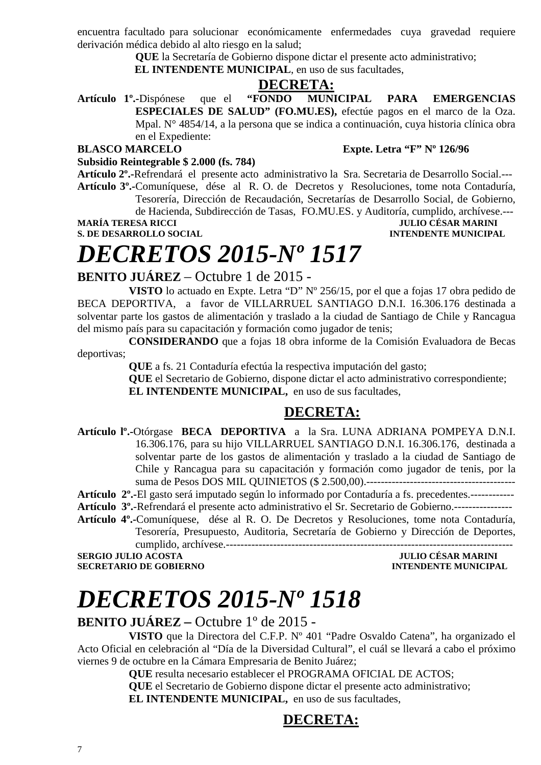encuentra facultado para solucionar económicamente enfermedades cuya gravedad requiere derivación médica debido al alto riesgo en la salud;

**QUE** la Secretaría de Gobierno dispone dictar el presente acto administrativo;

**EL INTENDENTE MUNICIPAL**, en uso de sus facultades,

#### **DECRETA:**

**Artículo 1º.-**Dispónese que el **"FONDO MUNICIPAL PARA EMERGENCIAS ESPECIALES DE SALUD" (FO.MU.ES),** efectúe pagos en el marco de la Oza. Mpal. N° 4854/14, a la persona que se indica a continuación, cuya historia clínica obra en el Expediente:

#### **BLASCO MARCELO Expte. Letra "F" Nº 126/96**

**Subsidio Reintegrable \$ 2.000 (fs. 784)** 

**Artículo 2º.-**Refrendará el presente acto administrativo la Sra. Secretaria de Desarrollo Social.--- **Artículo 3º.-**Comuníquese, dése al R. O. de Decretos y Resoluciones, tome nota Contaduría, Tesorería, Dirección de Recaudación, Secretarías de Desarrollo Social, de Gobierno,

de Hacienda, Subdirección de Tasas, FO.MU.ES. y Auditoría, cumplido, archívese.---<br>JULIO CÉSAR MARINI

**S. DE DESARROLLO SOCIAL** 

## **MULIO CÉSAR MARINI<br>INTENDENTE MUNICIPAL**

# *DECRETOS 2015-Nº 1517*

#### **BENITO JUÁREZ** – Octubre 1 de 2015 -

**VISTO** lo actuado en Expte. Letra "D" Nº 256/15, por el que a fojas 17 obra pedido de BECA DEPORTIVA, a favor de VILLARRUEL SANTIAGO D.N.I. 16.306.176 destinada a solventar parte los gastos de alimentación y traslado a la ciudad de Santiago de Chile y Rancagua del mismo país para su capacitación y formación como jugador de tenis;

**CONSIDERANDO** que a fojas 18 obra informe de la Comisión Evaluadora de Becas deportivas;

**QUE** a fs. 21 Contaduría efectúa la respectiva imputación del gasto;

**QUE** el Secretario de Gobierno, dispone dictar el acto administrativo correspondiente; **EL INTENDENTE MUNICIPAL,** en uso de sus facultades,

#### **DECRETA:**

**Artículo lº.-**Otórgase **BECA DEPORTIVA** a la Sra. LUNA ADRIANA POMPEYA D.N.I. 16.306.176, para su hijo VILLARRUEL SANTIAGO D.N.I. 16.306.176, destinada a solventar parte de los gastos de alimentación y traslado a la ciudad de Santiago de Chile y Rancagua para su capacitación y formación como jugador de tenis, por la suma de Pesos DOS MIL QUINIETOS (\$ 2.500,00).-----------------------------------------

**Artículo 2º.-**El gasto será imputado según lo informado por Contaduría a fs. precedentes.------------

**Artículo 3º.**-Refrendará el presente acto administrativo el Sr. Secretario de Gobierno.----------------

**Artículo 4º.-**Comuníquese, dése al R. O. De Decretos y Resoluciones, tome nota Contaduría, Tesorería, Presupuesto, Auditoria, Secretaría de Gobierno y Dirección de Deportes, cumplido, archívese.-------------------------------------------------------------------------------

**SERGIO JULIO ACOSTA JULIO CÉSAR MARINI** 

**SECRETARIO DE GOBIERNO INTENDENTE MUNICIPAL** 

# *DECRETOS 2015-Nº 1518*

### **BENITO JUÁREZ –** Octubre 1º de 2015 -

**VISTO** que la Directora del C.F.P. Nº 401 "Padre Osvaldo Catena", ha organizado el Acto Oficial en celebración al "Día de la Diversidad Cultural", el cuál se llevará a cabo el próximo viernes 9 de octubre en la Cámara Empresaria de Benito Juárez;

**QUE** resulta necesario establecer el PROGRAMA OFICIAL DE ACTOS;

**QUE** el Secretario de Gobierno dispone dictar el presente acto administrativo; **EL INTENDENTE MUNICIPAL,** en uso de sus facultades,

#### **DECRETA:**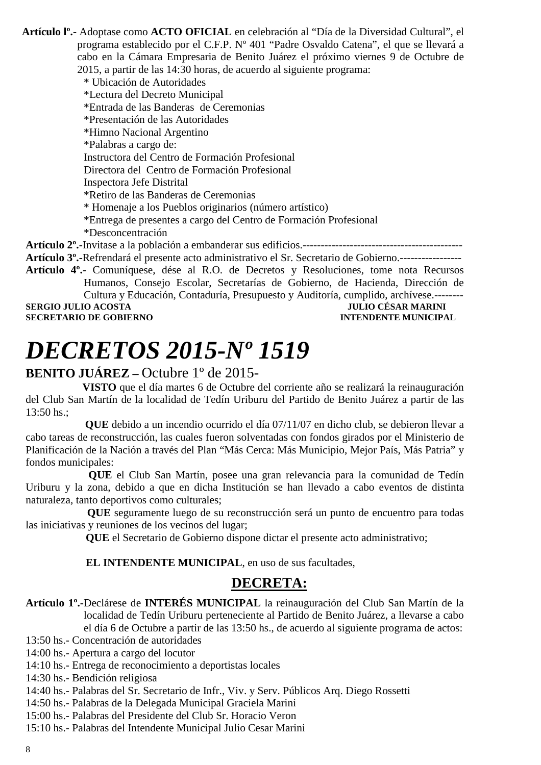**Artículo lº.-** Adoptase como **ACTO OFICIAL** en celebración al "Día de la Diversidad Cultural", el programa establecido por el C.F.P. Nº 401 "Padre Osvaldo Catena", el que se llevará a cabo en la Cámara Empresaria de Benito Juárez el próximo viernes 9 de Octubre de 2015, a partir de las 14:30 horas, de acuerdo al siguiente programa:

\* Ubicación de Autoridades \*Lectura del Decreto Municipal \*Entrada de las Banderas de Ceremonias \*Presentación de las Autoridades \*Himno Nacional Argentino \*Palabras a cargo de: Instructora del Centro de Formación Profesional Directora del Centro de Formación Profesional Inspectora Jefe Distrital \*Retiro de las Banderas de Ceremonias \* Homenaje a los Pueblos originarios (número artístico) \*Entrega de presentes a cargo del Centro de Formación Profesional \*Desconcentración **Artículo 2º.-**Invitase a la población a embanderar sus edificios.-------------------------------------------- **Artículo 3º.-**Refrendará el presente acto administrativo el Sr. Secretario de Gobierno.----------------- **Artículo 4º.-** Comuníquese, dése al R.O. de Decretos y Resoluciones, tome nota Recursos

Humanos, Consejo Escolar, Secretarías de Gobierno, de Hacienda, Dirección de Cultura y Educación, Contaduría, Presupuesto y Auditoría, cumplido, archívese.-------- **SERGIO JULIO ACOSTA DE CONFERNO DE CORTENO DE CORTENO DE CORTENO DE CORTENO DE CORTENO DE CORTENO DE CORTENO DE CORTENO DE CORTENO DE CORTENO DE CORTENO DE CORTENO DE CORTENO DE CORTENO DE CORTENO DE CORTENO DE CORTENO DE** 

**SECRETARIO DE GOBIERNO** 

# *DECRETOS 2015-Nº 1519*

#### **BENITO JUÁREZ –** Octubre 1º de 2015-

 **VISTO** que el día martes 6 de Octubre del corriente año se realizará la reinauguración del Club San Martín de la localidad de Tedín Uriburu del Partido de Benito Juárez a partir de las  $13:50$  hs.;

 **QUE** debido a un incendio ocurrido el día 07/11/07 en dicho club, se debieron llevar a cabo tareas de reconstrucción, las cuales fueron solventadas con fondos girados por el Ministerio de Planificación de la Nación a través del Plan "Más Cerca: Más Municipio, Mejor País, Más Patria" y fondos municipales:

 **QUE** el Club San Martín, posee una gran relevancia para la comunidad de Tedín Uriburu y la zona, debido a que en dicha Institución se han llevado a cabo eventos de distinta naturaleza, tanto deportivos como culturales;

**QUE** seguramente luego de su reconstrucción será un punto de encuentro para todas las iniciativas y reuniones de los vecinos del lugar;

 **QUE** el Secretario de Gobierno dispone dictar el presente acto administrativo;

 **EL INTENDENTE MUNICIPAL**, en uso de sus facultades,

#### **DECRETA:**

**Artículo 1º.-**Declárese de **INTERÉS MUNICIPAL** la reinauguración del Club San Martín de la localidad de Tedín Uriburu perteneciente al Partido de Benito Juárez, a llevarse a cabo el día 6 de Octubre a partir de las 13:50 hs., de acuerdo al siguiente programa de actos:

13:50 hs.- Concentración de autoridades

14:00 hs.- Apertura a cargo del locutor

14:10 hs.- Entrega de reconocimiento a deportistas locales

14:30 hs.- Bendición religiosa

14:40 hs.- Palabras del Sr. Secretario de Infr., Viv. y Serv. Públicos Arq. Diego Rossetti

14:50 hs.- Palabras de la Delegada Municipal Graciela Marini

15:00 hs.- Palabras del Presidente del Club Sr. Horacio Veron

15:10 hs.- Palabras del Intendente Municipal Julio Cesar Marini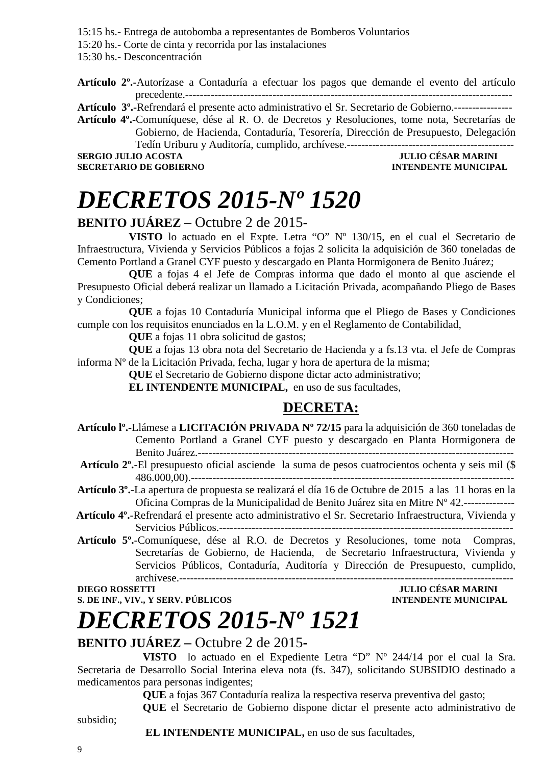15:15 hs.- Entrega de autobomba a representantes de Bomberos Voluntarios

15:20 hs.- Corte de cinta y recorrida por las instalaciones

15:30 hs.- Desconcentración

**Artículo 2º.-**Autorízase a Contaduría a efectuar los pagos que demande el evento del artículo precedente.------------------------------------------------------------------------------------------

**Artículo 3º.-**Refrendará el presente acto administrativo el Sr. Secretario de Gobierno.----------------

**Artículo 4º.-**Comuníquese, dése al R. O. de Decretos y Resoluciones, tome nota, Secretarías de Gobierno, de Hacienda, Contaduría, Tesorería, Dirección de Presupuesto, Delegación Tedín Uriburu y Auditoría, cumplido, archívese.----------------------------------------------

SERGIO JULIO ACOSTA JULIO CÉSAR MARINI<br>SECRETARIO DE GOBIERNO **ACOSTA DE SECRETARIO DE GOBIERNO** 

## **INTENDENTE MUNICIPAL**

# *DECRETOS 2015-Nº 1520*

#### **BENITO JUÁREZ** – Octubre 2 de 2015-

**VISTO** lo actuado en el Expte. Letra "O" Nº 130/15, en el cual el Secretario de Infraestructura, Vivienda y Servicios Públicos a fojas 2 solicita la adquisición de 360 toneladas de Cemento Portland a Granel CYF puesto y descargado en Planta Hormigonera de Benito Juárez;

**QUE** a fojas 4 el Jefe de Compras informa que dado el monto al que asciende el Presupuesto Oficial deberá realizar un llamado a Licitación Privada, acompañando Pliego de Bases y Condiciones;

**QUE** a fojas 10 Contaduría Municipal informa que el Pliego de Bases y Condiciones cumple con los requisitos enunciados en la L.O.M. y en el Reglamento de Contabilidad,

**QUE** a fojas 11 obra solicitud de gastos;

**QUE** a fojas 13 obra nota del Secretario de Hacienda y a fs.13 vta. el Jefe de Compras informa Nº de la Licitación Privada, fecha, lugar y hora de apertura de la misma;

**QUE** el Secretario de Gobierno dispone dictar acto administrativo;

**EL INTENDENTE MUNICIPAL,** en uso de sus facultades,

### **DECRETA:**

- **Artículo lº.-**Llámese a **LICITACIÓN PRIVADA Nº 72/15** para la adquisición de 360 toneladas de Cemento Portland a Granel CYF puesto y descargado en Planta Hormigonera de Benito Juárez.---------------------------------------------------------------------------------------
- **Artículo 2º.**-El presupuesto oficial asciende la suma de pesos cuatrocientos ochenta y seis mil (\$ 486.000,00).-----------------------------------------------------------------------------------------
- **Artículo 3º.**-La apertura de propuesta se realizará el día 16 de Octubre de 2015 a las 11 horas en la Oficina Compras de la Municipalidad de Benito Juárez sita en Mitre Nº 42.--------------
- **Artículo 4º.**-Refrendará el presente acto administrativo el Sr. Secretario Infraestructura, Vivienda y Servicios Públicos.---------------------------------------------------------------------------------
- **Artículo 5º.**-Comuníquese, dése al R.O. de Decretos y Resoluciones, tome nota Compras, Secretarías de Gobierno, de Hacienda, de Secretario Infraestructura, Vivienda y Servicios Públicos, Contaduría, Auditoría y Dirección de Presupuesto, cumplido, archívese.--------------------------------------------------------------------------------------------

**S. DE INF., VIV., Y SERV. PÚBLICOS INTENDENTE MUNICIPAL** 

## **DIEGO ROSSETTI JULIO CÉSAR MARINI**

# *DECRETOS 2015-Nº 1521*

#### **BENITO JUÁREZ –** Octubre 2 de 2015**-**

**VISTO** lo actuado en el Expediente Letra "D" Nº 244/14 por el cual la Sra. Secretaria de Desarrollo Social Interina eleva nota (fs. 347), solicitando SUBSIDIO destinado a medicamentos para personas indigentes;

**QUE** a fojas 367 Contaduría realiza la respectiva reserva preventiva del gasto;

**QUE** el Secretario de Gobierno dispone dictar el presente acto administrativo de

subsidio;

#### **EL INTENDENTE MUNICIPAL,** en uso de sus facultades,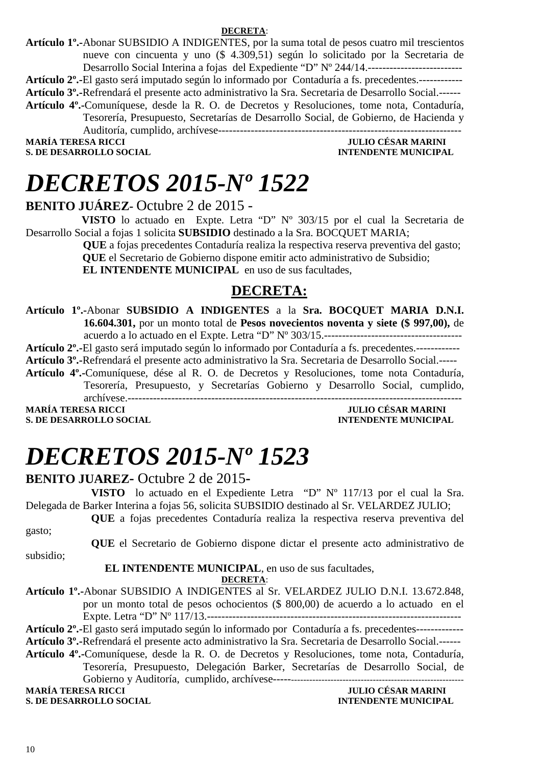**DECRETA**:

**Artículo 1º.-**Abonar SUBSIDIO A INDIGENTES, por la suma total de pesos cuatro mil trescientos nueve con cincuenta y uno (\$ 4.309,51) según lo solicitado por la Secretaria de Desarrollo Social Interina a fojas del Expediente "D" Nº 244/14.--------------------------

**Artículo 2º.-**El gasto será imputado según lo informado por Contaduría a fs. precedentes.------------

**Artículo 3º.-**Refrendará el presente acto administrativo la Sra. Secretaria de Desarrollo Social.------

**Artículo 4º.-**Comuníquese, desde la R. O. de Decretos y Resoluciones, tome nota, Contaduría, Tesorería, Presupuesto, Secretarías de Desarrollo Social, de Gobierno, de Hacienda y Auditoría, cumplido, archívese-------------------------------------------------------------------

**S. DE DESARROLLO SOCIAL** 

**MARÍA TERESA RICCI DE LOS ENFORMADORES DE DESAR MARINI S. DE DESARROLLO SOCIAL DE LOS ENFORMADORES DE LOS ENFORMADORES DE LOS ENFORMADORES DE LOS ENFORMADORES DE LOS ENFORMADORES DE LOS ENFORMADORES DE LOS ENFORMADORES DE** 

## *DECRETOS 2015-Nº 1522*

**BENITO JUÁREZ-** Octubre 2 de 2015 -

 **VISTO** lo actuado en Expte. Letra "D" Nº 303/15 por el cual la Secretaria de Desarrollo Social a fojas 1 solicita **SUBSIDIO** destinado a la Sra. BOCQUET MARIA;

> **QUE** a fojas precedentes Contaduría realiza la respectiva reserva preventiva del gasto;  **QUE** el Secretario de Gobierno dispone emitir acto administrativo de Subsidio; **EL INTENDENTE MUNICIPAL** en uso de sus facultades,

#### **DECRETA:**

**Artículo 1º.-**Abonar **SUBSIDIO A INDIGENTES** a la **Sra. BOCQUET MARIA D.N.I. 16.604.301,** por un monto total de **Pesos novecientos noventa y siete (\$ 997,00),** de

acuerdo a lo actuado en el Expte. Letra "D" Nº 303/15.--------------------------------------

**Artículo 2º.-**El gasto será imputado según lo informado por Contaduría a fs. precedentes.------------

**Artículo 3º.-**Refrendará el presente acto administrativo la Sra. Secretaria de Desarrollo Social.-----

**Artículo 4º.-**Comuníquese, dése al R. O. de Decretos y Resoluciones, tome nota Contaduría, Tesorería, Presupuesto, y Secretarías Gobierno y Desarrollo Social, cumplido,

archívese.-------------------------------------------------------------------------------------------- **MARÍA TERESA RICCI JULIO CÉSAR MARINI** 

**S. DE DESARROLLO SOCIAL DESARROLLO SOCIAL DESARROLLO SOCIAL DESARROLLO SOCIAL DESARROLLO SOCIAL DE SOCIAL DE SOCIAL DE SOCIAL DE SOCIAL DE SOCIAL DE SOCIAL DE SOCIAL DE SOCIAL DE SOCIAL DE SOCIAL DE SOCIAL DE SOCIAL DE SO** 

# *DECRETOS 2015-Nº 1523*

#### **BENITO JUAREZ-** Octubre 2 de 2015**-**

**VISTO** lo actuado en el Expediente Letra "D" Nº 117/13 por el cual la Sra. Delegada de Barker Interina a fojas 56, solicita SUBSIDIO destinado al Sr. VELARDEZ JULIO; **QUE** a fojas precedentes Contaduría realiza la respectiva reserva preventiva del

gasto;

subsidio;

**QUE** el Secretario de Gobierno dispone dictar el presente acto administrativo de

 **EL INTENDENTE MUNICIPAL**, en uso de sus facultades,

**DECRETA**:

**Artículo 1º.-**Abonar SUBSIDIO A INDIGENTES al Sr. VELARDEZ JULIO D.N.I. 13.672.848, por un monto total de pesos ochocientos (\$ 800,00) de acuerdo a lo actuado en el Expte. Letra "D" Nº 117/13.----------------------------------------------------------------------

**Artículo 2º.-**El gasto será imputado según lo informado por Contaduría a fs. precedentes------------- **Artículo 3º.-**Refrendará el presente acto administrativo la Sra. Secretaria de Desarrollo Social.------

**Artículo 4º.-**Comuníquese, desde la R. O. de Decretos y Resoluciones, tome nota, Contaduría, Tesorería, Presupuesto, Delegación Barker, Secretarías de Desarrollo Social, de Gobierno y Auditoría, cumplido, archívese--------------------------------------------------------------

**MARÍA TERESA RICCI JULIO CÉSAR MARINI** 

**S. DE DESARROLLO SOCIAL CONSUMING A LOCAL CONSUMING A LOCAL CONSUMING A LOCAL CONSUMING A LOCAL CONSUMING A LOCAL CONSUMING A LOCAL CONSUMING A LOCAL CONSUMING A LOCAL CONSUMING A LOCAL CONSUMING A LOCAL CONSUMING A LOCAL**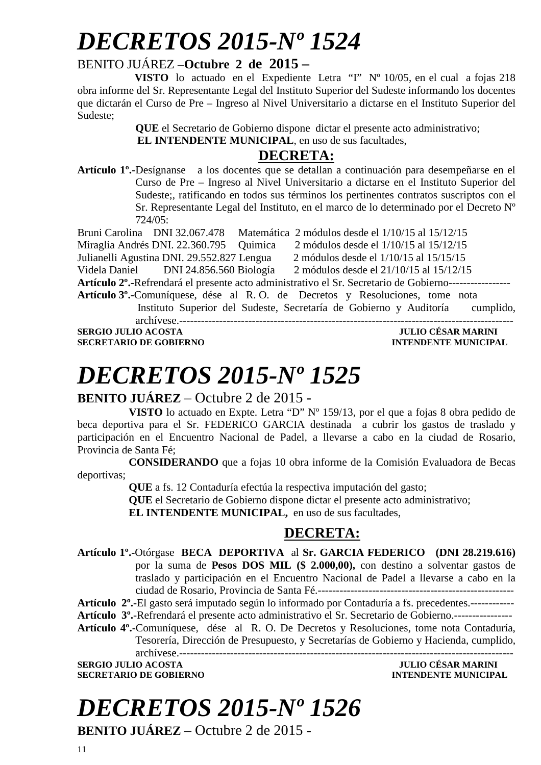# *DECRETOS 2015-Nº 1524*

#### BENITO JUÁREZ –**Octubre 2 de 2015 –**

 **VISTO** lo actuado en el Expediente Letra "I" Nº 10/05, en el cual a fojas 218 obra informe del Sr. Representante Legal del Instituto Superior del Sudeste informando los docentes que dictarán el Curso de Pre – Ingreso al Nivel Universitario a dictarse en el Instituto Superior del Sudeste;

**QUE** el Secretario de Gobierno dispone dictar el presente acto administrativo;

**EL INTENDENTE MUNICIPAL**, en uso de sus facultades,

#### **DECRETA:**

**Artículo 1º.-**Desígnanse a los docentes que se detallan a continuación para desempeñarse en el Curso de Pre – Ingreso al Nivel Universitario a dictarse en el Instituto Superior del Sudeste;, ratificando en todos sus términos los pertinentes contratos suscriptos con el Sr. Representante Legal del Instituto, en el marco de lo determinado por el Decreto Nº  $724/05$ 

|                                                                                                        | Bruni Carolina DNI 32.067.478              | Matemática 2 módulos desde el 1/10/15 al 15/12/15 |
|--------------------------------------------------------------------------------------------------------|--------------------------------------------|---------------------------------------------------|
|                                                                                                        | Miraglia Andrés DNI. 22.360.795 Quimica    | 2 módulos desde el $1/10/15$ al $15/12/15$        |
|                                                                                                        | Julianelli Agustina DNI. 29.552.827 Lengua | 2 módulos desde el 1/10/15 al 15/15/15            |
|                                                                                                        | Videla Daniel DNI 24.856.560 Biología      | 2 módulos desde el 21/10/15 al 15/12/15           |
| Artículo 2º.-Refrendará el presente acto administrativo el Sr. Secretario de Gobierno----------------- |                                            |                                                   |

**Artículo 3º.-**Comuníquese, dése al R. O. de Decretos y Resoluciones, tome nota Instituto Superior del Sudeste, Secretaría de Gobierno y Auditoría cumplido, archívese.--------------------------------------------------------------------------------------------

**SECRETARIO DE GOBIERNO INTENDENTE MUNICIPAL** 

**SERGIO JULIO ACOSTA JULIO CÉSAR MARINI** 

# *DECRETOS 2015-Nº 1525*

#### **BENITO JUÁREZ** – Octubre 2 de 2015 -

**VISTO** lo actuado en Expte. Letra "D" Nº 159/13, por el que a fojas 8 obra pedido de beca deportiva para el Sr. FEDERICO GARCIA destinada a cubrir los gastos de traslado y participación en el Encuentro Nacional de Padel, a llevarse a cabo en la ciudad de Rosario, Provincia de Santa Fé;

**CONSIDERANDO** que a fojas 10 obra informe de la Comisión Evaluadora de Becas deportivas;

**QUE** a fs. 12 Contaduría efectúa la respectiva imputación del gasto;

**QUE** el Secretario de Gobierno dispone dictar el presente acto administrativo;

**EL INTENDENTE MUNICIPAL,** en uso de sus facultades,

#### **DECRETA:**

**Artículo 1º.-**Otórgase **BECA DEPORTIVA** al **Sr. GARCIA FEDERICO (DNI 28.219.616)** por la suma de **Pesos DOS MIL (\$ 2.000,00),** con destino a solventar gastos de traslado y participación en el Encuentro Nacional de Padel a llevarse a cabo en la ciudad de Rosario, Provincia de Santa Fé.------------------------------------------------------

**Artículo 2º.-**El gasto será imputado según lo informado por Contaduría a fs. precedentes.------------

**Artículo 3º.**-Refrendará el presente acto administrativo el Sr. Secretario de Gobierno.----------------

**Artículo 4º.-**Comuníquese, dése al R. O. De Decretos y Resoluciones, tome nota Contaduría, Tesorería, Dirección de Presupuesto, y Secretarías de Gobierno y Hacienda, cumplido,

**SERGIO JULIO ACOSTA JULIO CÉSAR MARINI SECRETARIO DE GOBIERNO** 

archívese.--------------------------------------------------------------------------------------------

# *DECRETOS 2015-Nº 1526*

**BENITO JUÁREZ** – Octubre 2 de 2015 -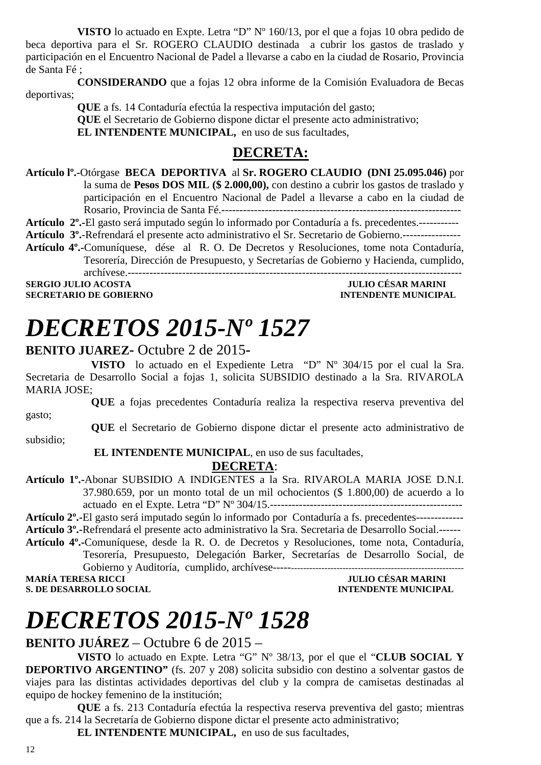**VISTO** lo actuado en Expte. Letra "D" Nº 160/13, por el que a fojas 10 obra pedido de beca deportiva para el Sr. ROGERO CLAUDIO destinada a cubrir los gastos de traslado y participación en el Encuentro Nacional de Padel a llevarse a cabo en la ciudad de Rosario, Provincia de Santa Fé ;

**CONSIDERANDO** que a fojas 12 obra informe de la Comisión Evaluadora de Becas deportivas;

**QUE** a fs. 14 Contaduría efectúa la respectiva imputación del gasto; **QUE** el Secretario de Gobierno dispone dictar el presente acto administrativo; **EL INTENDENTE MUNICIPAL,** en uso de sus facultades,

#### **DECRETA:**

**Artículo lº.-**Otórgase **BECA DEPORTIVA** al **Sr. ROGERO CLAUDIO (DNI 25.095.046)** por la suma de **Pesos DOS MIL (\$ 2.000,00),** con destino a cubrir los gastos de traslado y participación en el Encuentro Nacional de Padel a llevarse a cabo en la ciudad de Rosario, Provincia de Santa Fé.------------------------------------------------------------------

**Artículo 2º.-**El gasto será imputado según lo informado por Contaduría a fs. precedentes.-----------

**Artículo 3º.**-Refrendará el presente acto administrativo el Sr. Secretario de Gobierno.----------------

**Artículo 4º.-**Comuníquese, dése al R. O. De Decretos y Resoluciones, tome nota Contaduría, Tesorería, Dirección de Presupuesto, y Secretarías de Gobierno y Hacienda, cumplido, archívese.--------------------------------------------------------------------------------------------

**SERGIO JULIO ACOSTA JULIO CÉSAR MARINI A LORE DE LORE DE LORE DE LORE DE LORE DE LORE DE LORE DE LORE DE LORE D<br>INTENDENTE MUNICIPAL SECRETARIO DE GOBIERNO** 

# *DECRETOS 2015-Nº 1527*

#### **BENITO JUAREZ-** Octubre 2 de 2015**-**

**VISTO** lo actuado en el Expediente Letra "D" Nº 304/15 por el cual la Sra. Secretaria de Desarrollo Social a fojas 1, solicita SUBSIDIO destinado a la Sra. RIVAROLA MARIA JOSE;

**QUE** a fojas precedentes Contaduría realiza la respectiva reserva preventiva del gasto;

**QUE** el Secretario de Gobierno dispone dictar el presente acto administrativo de subsidio;

#### **EL INTENDENTE MUNICIPAL**, en uso de sus facultades,

#### **DECRETA**:

**Artículo 1º.-**Abonar SUBSIDIO A INDIGENTES a la Sra. RIVAROLA MARIA JOSE D.N.I. 37.980.659, por un monto total de un mil ochocientos (\$ 1.800,00) de acuerdo a lo actuado en el Expte. Letra "D" Nº 304/15.-----------------------------------------------------

**Artículo 2º.-**El gasto será imputado según lo informado por Contaduría a fs. precedentes------------- **Artículo 3º.-**Refrendará el presente acto administrativo la Sra. Secretaria de Desarrollo Social.------ **Artículo 4º.-**Comuníquese, desde la R. O. de Decretos y Resoluciones, tome nota, Contaduría,

Tesorería, Presupuesto, Delegación Barker, Secretarías de Desarrollo Social, de Gobierno y Auditoría, cumplido, archívese--------------------------------------------------------------

**S. DE DESARROLLO SOCIAL DESARROLLO SOCIAL DESARROLLO SOCIAL DESARROLLO SOCIAL DESARROLLO SOCIAL DE SOCIAL DE SOCIAL DE SOCIAL DE SOCIAL DE SOCIAL DE SOCIAL DE SOCIAL DE SOCIAL DE SOCIAL DE SOCIAL DE SOCIAL DE SOCIAL DE SO** 

**JULIO CÉSAR MARINI** 

# *DECRETOS 2015-Nº 1528*

#### **BENITO JUÁREZ** – Octubre 6 de 2015 –

**VISTO** lo actuado en Expte. Letra "G" Nº 38/13, por el que el "**CLUB SOCIAL Y DEPORTIVO ARGENTINO"** (fs. 207 y 208) solicita subsidio con destino a solventar gastos de viajes para las distintas actividades deportivas del club y la compra de camisetas destinadas al equipo de hockey femenino de la institución;

**QUE** a fs. 213 Contaduría efectúa la respectiva reserva preventiva del gasto; mientras que a fs. 214 la Secretaría de Gobierno dispone dictar el presente acto administrativo;

**EL INTENDENTE MUNICIPAL,** en uso de sus facultades,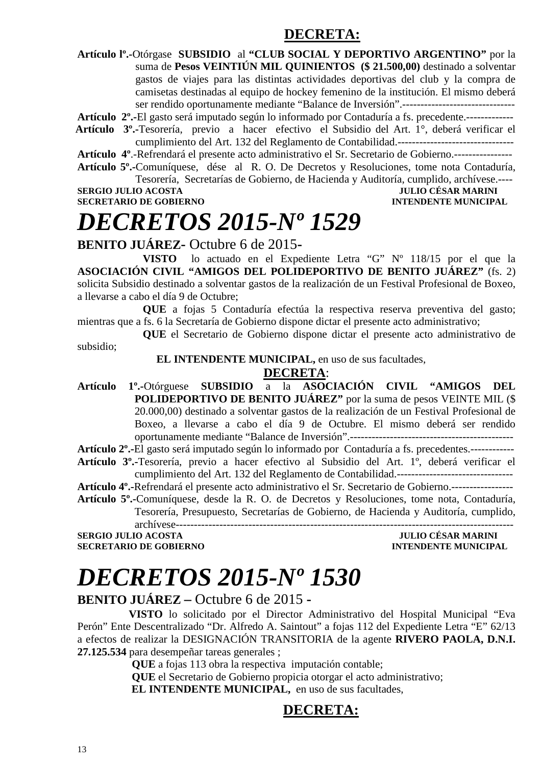#### **DECRETA:**

**Artículo lº.-**Otórgase **SUBSIDIO** al **"CLUB SOCIAL Y DEPORTIVO ARGENTINO"** por la suma de **Pesos VEINTIÚN MIL QUINIENTOS (\$ 21.500,00)** destinado a solventar gastos de viajes para las distintas actividades deportivas del club y la compra de camisetas destinadas al equipo de hockey femenino de la institución. El mismo deberá ser rendido oportunamente mediante "Balance de Inversión".-------------------------------

**Artículo 2º.-**El gasto será imputado según lo informado por Contaduría a fs. precedente.-------------

 **Artículo 3º.-**Tesorería, previo a hacer efectivo el Subsidio del Art. 1°, deberá verificar el cumplimiento del Art. 132 del Reglamento de Contabilidad.--------------------------------

**Artículo 4º**.-Refrendará el presente acto administrativo el Sr. Secretario de Gobierno.----------------

**Artículo 5º.-**Comuníquese, dése al R. O. De Decretos y Resoluciones, tome nota Contaduría, Tesorería, Secretarías de Gobierno, de Hacienda y Auditoría, cumplido, archívese.----

**SERGIO JULIO ACOSTA JULIO CÉSAR MARINI SECRETARIO DE GOBIERNO INTENDENTE MUNICIPAL** 

# *DECRETOS 2015-Nº 1529*

**BENITO JUÁREZ-** Octubre 6 de 2015**-** 

**VISTO** lo actuado en el Expediente Letra "G" Nº 118/15 por el que la **ASOCIACIÓN CIVIL "AMIGOS DEL POLIDEPORTIVO DE BENITO JUÁREZ"** (fs. 2) solicita Subsidio destinado a solventar gastos de la realización de un Festival Profesional de Boxeo, a llevarse a cabo el día 9 de Octubre;

**QUE** a fojas 5 Contaduría efectúa la respectiva reserva preventiva del gasto; mientras que a fs. 6 la Secretaría de Gobierno dispone dictar el presente acto administrativo;

**QUE** el Secretario de Gobierno dispone dictar el presente acto administrativo de subsidio;

 **EL INTENDENTE MUNICIPAL,** en uso de sus facultades,

#### **DECRETA**:

**Artículo 1º.-**Otórguese **SUBSIDIO** a la **ASOCIACIÓN CIVIL "AMIGOS DEL POLIDEPORTIVO DE BENITO JUÁREZ"** por la suma de pesos VEINTE MIL (\$ 20.000,00) destinado a solventar gastos de la realización de un Festival Profesional de Boxeo, a llevarse a cabo el día 9 de Octubre. El mismo deberá ser rendido oportunamente mediante "Balance de Inversión".---------------------------------------------

**Artículo 2º.-**El gasto será imputado según lo informado por Contaduría a fs. precedentes.------------

**Artículo 3º.-**Tesorería, previo a hacer efectivo al Subsidio del Art. 1º, deberá verificar el cumplimiento del Art. 132 del Reglamento de Contabilidad.--------------------------------

**Artículo 4º.-**Refrendará el presente acto administrativo el Sr. Secretario de Gobierno.-----------------

**Artículo 5º.-**Comuníquese, desde la R. O. de Decretos y Resoluciones, tome nota, Contaduría, Tesorería, Presupuesto, Secretarías de Gobierno, de Hacienda y Auditoría, cumplido,

archívese--------------------------------------------------------------------------------------------- **SERGIO JULIO ACOSTA SECRETARIO DE GOBIERNO INTENDENTE MUNICIPAL** 

# *DECRETOS 2015-Nº 1530*

**BENITO JUÁREZ –** Octubre 6 de 2015 **-** 

**VISTO** lo solicitado por el Director Administrativo del Hospital Municipal "Eva Perón" Ente Descentralizado "Dr. Alfredo A. Saintout" a fojas 112 del Expediente Letra "E" 62/13 a efectos de realizar la DESIGNACIÓN TRANSITORIA de la agente **RIVERO PAOLA, D.N.I. 27.125.534** para desempeñar tareas generales ;

 **QUE** a fojas 113 obra la respectiva imputación contable;

 **QUE** el Secretario de Gobierno propicia otorgar el acto administrativo;  **EL INTENDENTE MUNICIPAL,** en uso de sus facultades,

#### **DECRETA:**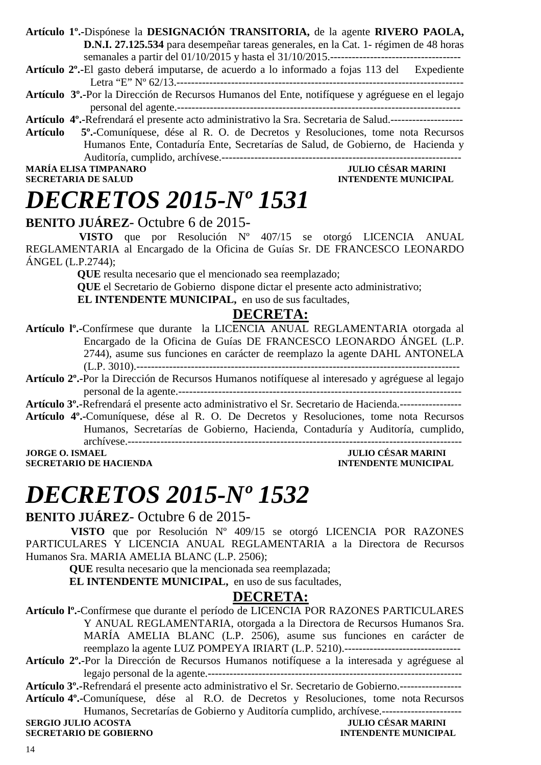**Artículo 1º.-**Dispónese la **DESIGNACIÓN TRANSITORIA,** de la agente **RIVERO PAOLA, D.N.I. 27.125.534** para desempeñar tareas generales, en la Cat. 1- régimen de 48 horas semanales a partir del 01/10/2015 y hasta el 31/10/2015.------------------------------------

- **Artículo 2º.-**El gasto deberá imputarse, de acuerdo a lo informado a fojas 113 del Expediente Letra "E" Nº 62/13.-------------------------------------------------------------------------------
- **Artículo 3º.-**Por la Dirección de Recursos Humanos del Ente, notifíquese y agréguese en el legajo personal del agente.------------------------------------------------------------------------------
- **Artículo 4º.-**Refrendará el presente acto administrativo la Sra. Secretaria de Salud.-------------------- **Artículo 5º.-**Comuníquese, dése al R. O. de Decretos y Resoluciones, tome nota Recursos Humanos Ente, Contaduría Ente, Secretarías de Salud, de Gobierno, de Hacienda y Auditoría, cumplido, archívese.------------------------------------------------------------------

**MARÍA ELISA TIMPANARO<br>SECRETARIA DE SALUD** 

**INTENDENTE MUNICIPAL** 

# *DECRETOS 2015-Nº 1531*

#### **BENITO JUÁREZ**- Octubre 6 de 2015-

 **VISTO** que por Resolución Nº 407/15 se otorgó LICENCIA ANUAL REGLAMENTARIA al Encargado de la Oficina de Guías Sr. DE FRANCESCO LEONARDO ÁNGEL (L.P.2744);

**QUE** resulta necesario que el mencionado sea reemplazado;

**QUE** el Secretario de Gobierno dispone dictar el presente acto administrativo;

**EL INTENDENTE MUNICIPAL,** en uso de sus facultades,

#### **DECRETA:**

- **Artículo lº.-**Confírmese que durante la LICENCIA ANUAL REGLAMENTARIA otorgada al Encargado de la Oficina de Guías DE FRANCESCO LEONARDO ÁNGEL (L.P. 2744), asume sus funciones en carácter de reemplazo la agente DAHL ANTONELA (L.P. 3010).-----------------------------------------------------------------------------------------
- **Artículo 2º.-**Por la Dirección de Recursos Humanos notifíquese al interesado y agréguese al legajo personal de la agente.------------------------------------------------------------------------------

**Artículo 3º.-**Refrendará el presente acto administrativo el Sr. Secretario de Hacienda.-----------------

**Artículo 4º.-**Comuníquese, dése al R. O. De Decretos y Resoluciones, tome nota Recursos Humanos, Secretarías de Gobierno, Hacienda, Contaduría y Auditoría, cumplido, archívese.--------------------------------------------------------------------------------------------

**SECRETARIO DE HACIENDA** 

**JULIO CÉSAR MARINI<br>INTENDENTE MUNICIPAL** 

# *DECRETOS 2015-Nº 1532*

#### **BENITO JUÁREZ**- Octubre 6 de 2015-

**VISTO** que por Resolución Nº 409/15 se otorgó LICENCIA POR RAZONES PARTICULARES Y LICENCIA ANUAL REGLAMENTARIA a la Directora de Recursos Humanos Sra. MARIA AMELIA BLANC (L.P. 2506);

 **QUE** resulta necesario que la mencionada sea reemplazada;

**EL INTENDENTE MUNICIPAL,** en uso de sus facultades,

#### **DECRETA:**

**Artículo lº.-**Confírmese que durante el período de LICENCIA POR RAZONES PARTICULARES Y ANUAL REGLAMENTARIA, otorgada a la Directora de Recursos Humanos Sra. MARÍA AMELIA BLANC (L.P. 2506), asume sus funciones en carácter de reemplazo la agente LUZ POMPEYA IRIART (L.P. 5210).-------------------------------- **Artículo 2º.-**Por la Dirección de Recursos Humanos notifíquese a la interesada y agréguese al

legajo personal de la agente.----------------------------------------------------------------------

**Artículo 3º.-**Refrendará el presente acto administrativo el Sr. Secretario de Gobierno.-----------------

**Artículo 4º.-**Comuníquese, dése al R.O. de Decretos y Resoluciones, tome nota Recursos Humanos, Secretarías de Gobierno y Auditoría cumplido, archívese.----------------------

### **SECRETARIO DE GOBIERNO**

**SERGIO ACCESAR MARINI<br>INTENDENTE MUNICIPAL**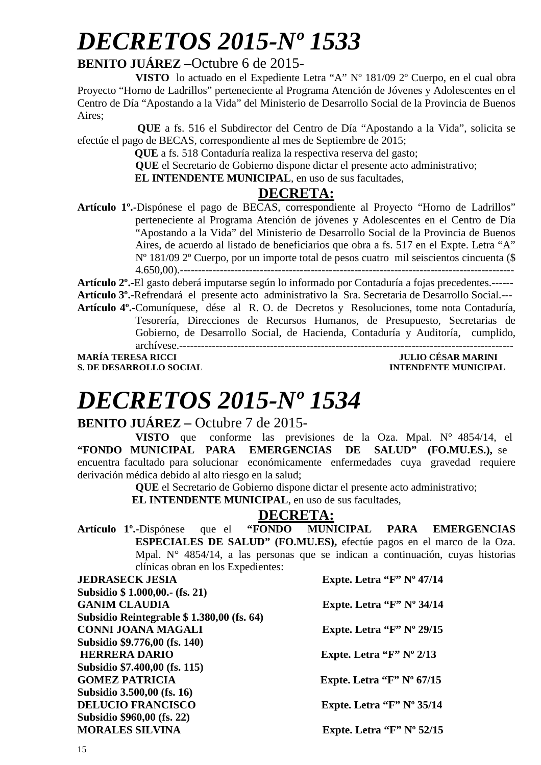# *DECRETOS 2015-Nº 1533*

#### **BENITO JUÁREZ –**Octubre 6 de 2015-

**VISTO** lo actuado en el Expediente Letra "A" Nº 181/09 2º Cuerpo, en el cual obra Proyecto "Horno de Ladrillos" perteneciente al Programa Atención de Jóvenes y Adolescentes en el Centro de Día "Apostando a la Vida" del Ministerio de Desarrollo Social de la Provincia de Buenos Aires;

 **QUE** a fs. 516 el Subdirector del Centro de Día "Apostando a la Vida", solicita se efectúe el pago de BECAS, correspondiente al mes de Septiembre de 2015;

 **QUE** a fs. 518 Contaduría realiza la respectiva reserva del gasto;

**QUE** el Secretario de Gobierno dispone dictar el presente acto administrativo;

**EL INTENDENTE MUNICIPAL**, en uso de sus facultades,

#### **DECRETA:**

**Artículo 1º.-**Dispónese el pago de BECAS, correspondiente al Proyecto "Horno de Ladrillos" perteneciente al Programa Atención de jóvenes y Adolescentes en el Centro de Día "Apostando a la Vida" del Ministerio de Desarrollo Social de la Provincia de Buenos Aires, de acuerdo al listado de beneficiarios que obra a fs. 517 en el Expte. Letra "A" Nº 181/09 2º Cuerpo, por un importe total de pesos cuatro mil seiscientos cincuenta (\$ 4.650,00).--------------------------------------------------------------------------------------------

**Artículo 2º.-**El gasto deberá imputarse según lo informado por Contaduría a fojas precedentes.------

**Artículo 3º.-**Refrendará el presente acto administrativo la Sra. Secretaria de Desarrollo Social.---

**Artículo 4º.-**Comuníquese, dése al R. O. de Decretos y Resoluciones, tome nota Contaduría, Tesorería, Direcciones de Recursos Humanos, de Presupuesto, Secretarias de Gobierno, de Desarrollo Social, de Hacienda, Contaduría y Auditoría, cumplido, archívese.--------------------------------------------------------------------------------------------

**MARÍA TERESA RICCI DE EN ENTRE EN ENTRE EN ENTRE EN ENTRE EN ENTRE EN ENTRE EN ENTRE EN ENTRE EN EN EN EN ENC S. DE DESARROLLO SOCIAL DESARROLLO SOCIAL DESARROLLO SOCIAL DESARROLLO SOCIAL DESARROLLO SOCIAL DE LA PERSONAL DE LA PERSONAL DE LA PERSONAL DE LA PERSONAL DE LA PERSONAL DE LA PERSONAL DE LA PERSONAL DE LA PERSONAL DE LA** 

# *DECRETOS 2015-Nº 1534*

#### **BENITO JUÁREZ –** Octubre 7 de 2015-

**VISTO** que conforme las previsiones de la Oza. Mpal. N° 4854/14, el **"FONDO MUNICIPAL PARA EMERGENCIAS DE SALUD" (FO.MU.ES.),** se encuentra facultado para solucionar económicamente enfermedades cuya gravedad requiere derivación médica debido al alto riesgo en la salud;

**QUE** el Secretario de Gobierno dispone dictar el presente acto administrativo;

 **EL INTENDENTE MUNICIPAL**, en uso de sus facultades,

#### **DECRETA:**

**Artículo 1º.-**Dispónese que el **"FONDO MUNICIPAL PARA EMERGENCIAS ESPECIALES DE SALUD" (FO.MU.ES),** efectúe pagos en el marco de la Oza. Mpal. N° 4854/14, a las personas que se indican a continuación, cuyas historias clínicas obran en los Expedientes:

| <b>JEDRASECK JESIA</b>                    | Expte. Letra " $F$ " N° 47/14      |
|-------------------------------------------|------------------------------------|
| Subsidio \$ 1.000,00. (fs. 21)            |                                    |
| <b>GANIM CLAUDIA</b>                      | Expte. Letra "F" $N^{\circ}$ 34/14 |
| Subsidio Reintegrable \$1.380,00 (fs. 64) |                                    |
| <b>CONNI JOANA MAGALI</b>                 | Expte. Letra "F" $N^{\circ}$ 29/15 |
| Subsidio \$9.776,00 (fs. 140)             |                                    |
| <b>HERRERA DARIO</b>                      | Expte. Letra " $F$ " N° 2/13       |
| Subsidio \$7.400,00 (fs. 115)             |                                    |
| <b>GOMEZ PATRICIA</b>                     | Expte. Letra "F" $N^{\circ}$ 67/15 |
| Subsidio 3.500,00 (fs. 16)                |                                    |
| <b>DELUCIO FRANCISCO</b>                  | Expte. Letra "F" $N^{\circ}$ 35/14 |
| Subsidio \$960,00 (fs. 22)                |                                    |
| <b>MORALES SILVINA</b>                    | Expte. Letra "F" $N^{\circ}$ 52/15 |
|                                           |                                    |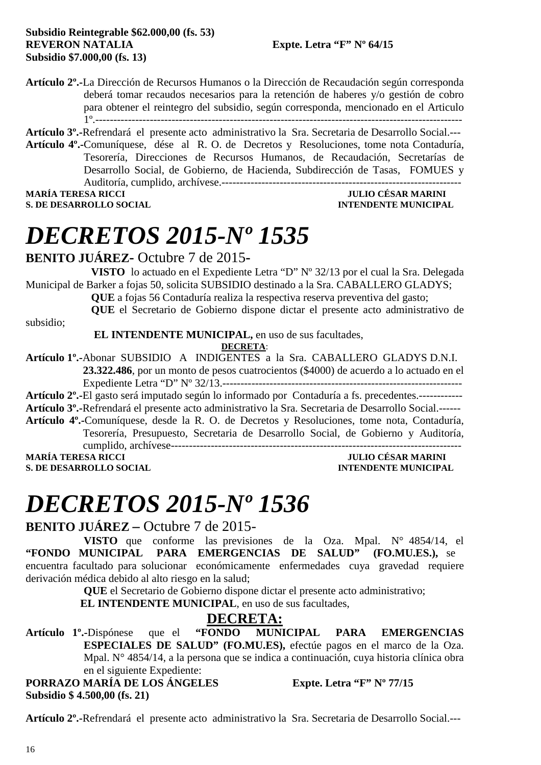**Artículo 2º.-**La Dirección de Recursos Humanos o la Dirección de Recaudación según corresponda deberá tomar recaudos necesarios para la retención de haberes y/o gestión de cobro para obtener el reintegro del subsidio, según corresponda, mencionado en el Articulo 1º.-----------------------------------------------------------------------------------------------------

**Artículo 3º.-**Refrendará el presente acto administrativo la Sra. Secretaria de Desarrollo Social.--- **Artículo 4º.-**Comuníquese, dése al R. O. de Decretos y Resoluciones, tome nota Contaduría,

Tesorería, Direcciones de Recursos Humanos, de Recaudación, Secretarías de Desarrollo Social, de Gobierno, de Hacienda, Subdirección de Tasas, FOMUES y Auditoría, cumplido, archívese.------------------------------------------------------------------

**S. DE DESARROLLO SOCIAL** 

## **MULIO CÉSAR MARINI<br>INTENDENTE MUNICIPAL**

# *DECRETOS 2015-Nº 1535*

**BENITO JUÁREZ-** Octubre 7 de 2015**-** 

**VISTO** lo actuado en el Expediente Letra "D" Nº 32/13 por el cual la Sra. Delegada Municipal de Barker a fojas 50, solicita SUBSIDIO destinado a la Sra. CABALLERO GLADYS;

**QUE** a fojas 56 Contaduría realiza la respectiva reserva preventiva del gasto;

**QUE** el Secretario de Gobierno dispone dictar el presente acto administrativo de

subsidio;

 **EL INTENDENTE MUNICIPAL,** en uso de sus facultades,

**DECRETA**:

**Artículo 1º.-**Abonar SUBSIDIO A INDIGENTES a la Sra. CABALLERO GLADYS D.N.I. **23.322.486**, por un monto de pesos cuatrocientos (\$4000) de acuerdo a lo actuado en el Expediente Letra "D" Nº 32/13.------------------------------------------------------------------

**Artículo 2º.-**El gasto será imputado según lo informado por Contaduría a fs. precedentes.------------

- **Artículo 3º.-**Refrendará el presente acto administrativo la Sra. Secretaria de Desarrollo Social.------
- **Artículo 4º.-**Comuníquese, desde la R. O. de Decretos y Resoluciones, tome nota, Contaduría, Tesorería, Presupuesto, Secretaria de Desarrollo Social, de Gobierno y Auditoría, cumplido, archívese--------------------------------------------------------------------------------

**S. DE DESARROLLO SOCIAL** 

**MULIO CÉSAR MARINI<br>INTENDENTE MUNICIPAL** 

# *DECRETOS 2015-Nº 1536*

**BENITO JUÁREZ –** Octubre 7 de 2015-

**VISTO** que conforme las previsiones de la Oza. Mpal. N° 4854/14, el **"FONDO MUNICIPAL PARA EMERGENCIAS DE SALUD" (FO.MU.ES.),** se encuentra facultado para solucionar económicamente enfermedades cuya gravedad requiere derivación médica debido al alto riesgo en la salud;

**QUE** el Secretario de Gobierno dispone dictar el presente acto administrativo;

 **EL INTENDENTE MUNICIPAL**, en uso de sus facultades,

#### **DECRETA:**

**Artículo 1º.-**Dispónese que el **"FONDO MUNICIPAL PARA EMERGENCIAS ESPECIALES DE SALUD" (FO.MU.ES),** efectúe pagos en el marco de la Oza. Mpal. N° 4854/14, a la persona que se indica a continuación, cuya historia clínica obra en el siguiente Expediente: **PORRAZO MARÍA DE LOS ÁNGELES** Expte. Letra "F" Nº 77/15

**Subsidio \$ 4.500,00 (fs. 21)** 

**Artículo 2º.-**Refrendará el presente acto administrativo la Sra. Secretaria de Desarrollo Social.---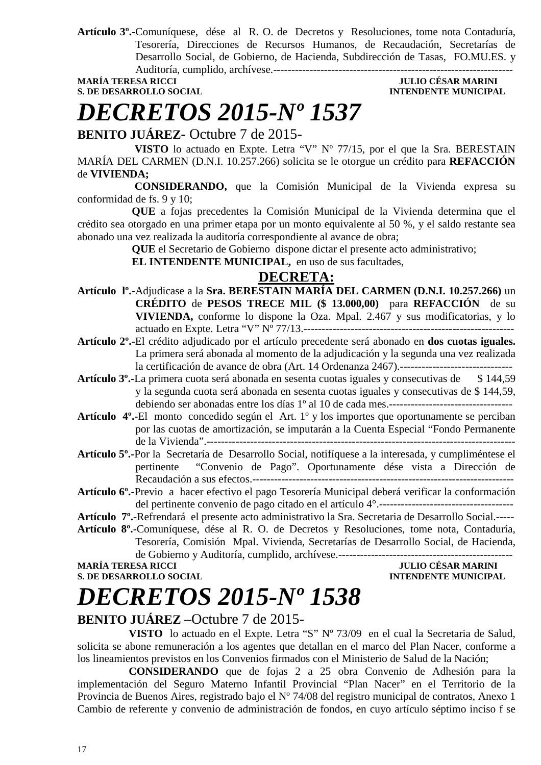**Artículo 3º.-**Comuníquese, dése al R. O. de Decretos y Resoluciones, tome nota Contaduría, Tesorería, Direcciones de Recursos Humanos, de Recaudación, Secretarías de Desarrollo Social, de Gobierno, de Hacienda, Subdirección de Tasas, FO.MU.ES. y Auditoría, cumplido, archívese.------------------------------------------------------------------

### **S. DE DESARROLLO SOCIAL DESARROLLO SOCIAL DESARROLLO SOCIAL DESARROLLO SOCIAL DESARROLLO SOCIAL DE LA PERIODICIPAL DE LA PERIODICIPAL DE LA PERIODICIPAL DE LA PERIODICIPAL DE LA PERIODICIPAL DE LA PERIODICIPAL DE LA PERIO**

### **JULIO CÉSAR MARINI**

# *DECRETOS 2015-Nº 1537*

**BENITO JUÁREZ-** Octubre 7 de 2015-

 **VISTO** lo actuado en Expte. Letra "V" Nº 77/15, por el que la Sra. BERESTAIN MARÍA DEL CARMEN (D.N.I. 10.257.266) solicita se le otorgue un crédito para **REFACCIÓN** de **VIVIENDA;** 

 **CONSIDERANDO,** que la Comisión Municipal de la Vivienda expresa su conformidad de fs. 9 y 10;

 **QUE** a fojas precedentes la Comisión Municipal de la Vivienda determina que el crédito sea otorgado en una primer etapa por un monto equivalente al 50 %, y el saldo restante sea abonado una vez realizada la auditoría correspondiente al avance de obra;

**QUE** el Secretario de Gobierno dispone dictar el presente acto administrativo;

 **EL INTENDENTE MUNICIPAL,** en uso de sus facultades,

#### **DECRETA:**

- **Artículo lº.-**Adjudicase a la **Sra. BERESTAIN MARÍA DEL CARMEN (D.N.I. 10.257.266)** un **CRÉDITO** de **PESOS TRECE MIL (\$ 13.000,00)** para **REFACCIÓN** de su **VIVIENDA,** conforme lo dispone la Oza. Mpal. 2.467 y sus modificatorias, y lo actuado en Expte. Letra "V" Nº 77/13.----------------------------------------------------------
- **Artículo 2º.-**El crédito adjudicado por el artículo precedente será abonado en **dos cuotas iguales.** La primera será abonada al momento de la adjudicación y la segunda una vez realizada la certificación de avance de obra (Art. 14 Ordenanza 2467).-------------------------------
- **Artículo 3º.-**La primera cuota será abonada en sesenta cuotas iguales y consecutivas de \$ 144,59 y la segunda cuota será abonada en sesenta cuotas iguales y consecutivas de \$ 144,59, debiendo ser abonadas entre los días 1º al 10 de cada mes.----------------------------------
- **Artículo 4º.-**El monto concedido según el Art. 1º y los importes que oportunamente se perciban por las cuotas de amortización, se imputarán a la Cuenta Especial "Fondo Permanente de la Vivienda".-------------------------------------------------------------------------------------
- **Artículo 5º.-**Por la Secretaría de Desarrollo Social, notifíquese a la interesada, y cumpliméntese el pertinente "Convenio de Pago". Oportunamente dése vista a Dirección de Recaudación a sus efectos.------------------------------------------------------------------------
- **Artículo 6º.-**Previo a hacer efectivo el pago Tesorería Municipal deberá verificar la conformación del pertinente convenio de pago citado en el artículo 4°.-------------------------------------
- **Artículo 7º.**-Refrendará el presente acto administrativo la Sra. Secretaria de Desarrollo Social.-----
- **Artículo 8º.-**Comuníquese, dése al R. O. de Decretos y Resoluciones, tome nota, Contaduría, Tesorería, Comisión Mpal. Vivienda, Secretarías de Desarrollo Social, de Hacienda,

de Gobierno y Auditoría, cumplido, archívese.------------------------------------------------

### **MARÍA TERESA RICCI**

### **S. DE DESARROLLO SOCIAL DESARROLLO SOCIAL DESARROLLO SOCIAL DESARROLLO SOCIAL DESARROLLO SOCIAL DE LA PERSONAL DE LA PERSONAL DE LA PERSONAL DE LA PERSONAL DE LA PERSONAL DE LA PERSONAL DE LA PERSONAL DE LA PERSONAL DE LA**

## *DECRETOS 2015-Nº 1538*

#### **BENITO JUÁREZ** –Octubre 7 de 2015-

**VISTO** lo actuado en el Expte. Letra "S" Nº 73/09 en el cual la Secretaria de Salud, solicita se abone remuneración a los agentes que detallan en el marco del Plan Nacer, conforme a los lineamientos previstos en los Convenios firmados con el Ministerio de Salud de la Nación;

**CONSIDERANDO** que de fojas 2 a 25 obra Convenio de Adhesión para la implementación del Seguro Materno Infantil Provincial "Plan Nacer" en el Territorio de la Provincia de Buenos Aires, registrado bajo el Nº 74/08 del registro municipal de contratos, Anexo 1 Cambio de referente y convenio de administración de fondos, en cuyo artículo séptimo inciso f se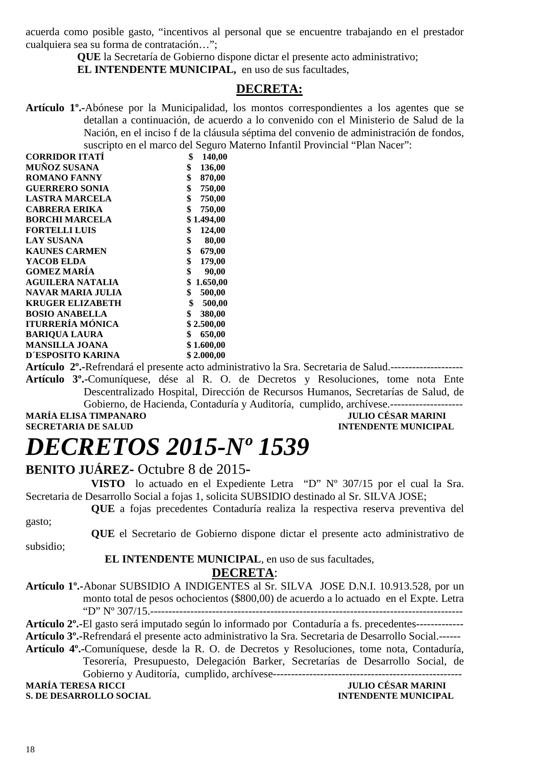acuerda como posible gasto, "incentivos al personal que se encuentre trabajando en el prestador cualquiera sea su forma de contratación…";

> **QUE** la Secretaría de Gobierno dispone dictar el presente acto administrativo; **EL INTENDENTE MUNICIPAL,** en uso de sus facultades.

#### **DECRETA:**

**Artículo 1º.-**Abónese por la Municipalidad, los montos correspondientes a los agentes que se detallan a continuación, de acuerdo a lo convenido con el Ministerio de Salud de la Nación, en el inciso f de la cláusula séptima del convenio de administración de fondos, suscripto en el marco del Seguro Materno Infantil Provincial "Plan Nacer":

| <b>CORRIDOR ITATÍ</b>   | \$<br>140,00   |
|-------------------------|----------------|
| MUÑOZ SUSANA            | \$<br>136,00   |
| <b>ROMANO FANNY</b>     | \$<br>870,00   |
| <b>GUERRERO SONIA</b>   | \$<br>750,00   |
| <b>LASTRA MARCELA</b>   | \$<br>750,00   |
| <b>CABRERA ERIKA</b>    | \$<br>750,00   |
| <b>BORCHI MARCELA</b>   | 1.494,00<br>\$ |
| <b>FORTELLI LUIS</b>    | \$<br>124,00   |
| <b>LAY SUSANA</b>       | \$<br>80,00    |
| <b>KAUNES CARMEN</b>    | \$<br>679,00   |
| YACOB ELDA              | \$<br>179,00   |
| <b>GOMEZ MARÍA</b>      | \$<br>90,00    |
| <b>AGUILERA NATALIA</b> | \$<br>1.650,00 |
| NAVAR MARIA JULIA       | \$<br>500,00   |
| <b>KRUGER ELIZABETH</b> | 500,00<br>\$   |
| <b>BOSIO ANABELLA</b>   | \$<br>380,00   |
| ITURRERÍA MÓNICA        | \$2.500,00     |
| <b>BARIQUA LAURA</b>    | \$<br>650,00   |
| <b>MANSILLA JOANA</b>   | \$1.600,00     |
| D'ESPOSITO KARINA       | \$2.000,00     |
|                         |                |

**Artículo 2º.-**Refrendará el presente acto administrativo la Sra. Secretaria de Salud.-------------------- **Artículo 3º.-**Comuníquese, dése al R. O. de Decretos y Resoluciones, tome nota Ente Descentralizado Hospital, Dirección de Recursos Humanos, Secretarías de Salud, de

Gobierno, de Hacienda, Contaduría y Auditoría, cumplido, archívese.-------------------- **MARÍA ELISA TIMPANARO JULIO CÉSAR MARINI A LOS ELISA DE SALUDE DE LOS ELISA DE SALUDE DE LOS ELISA DE SALUDE DE LOS ELISA DE SALUDE DE LOS ELISA DE SALUDE DE LOS ELISA DE SALUDE DE LOS ELISA DE LOS ELISA DE SALUDE DE LOS** 

**INTENDENTE MUNICIPAL** 

# *DECRETOS 2015-Nº 1539*

#### **BENITO JUÁREZ-** Octubre 8 de 2015**-**

**VISTO** lo actuado en el Expediente Letra "D" Nº 307/15 por el cual la Sra. Secretaria de Desarrollo Social a fojas 1, solicita SUBSIDIO destinado al Sr. SILVA JOSE;

**QUE** a fojas precedentes Contaduría realiza la respectiva reserva preventiva del gasto;

**QUE** el Secretario de Gobierno dispone dictar el presente acto administrativo de subsidio;

#### **EL INTENDENTE MUNICIPAL**, en uso de sus facultades,

#### **DECRETA**:

**Artículo 1º.-**Abonar SUBSIDIO A INDIGENTES al Sr. SILVA JOSE D.N.I. 10.913.528, por un monto total de pesos ochocientos (\$800,00) de acuerdo a lo actuado en el Expte. Letra "D" Nº 307/15.--------------------------------------------------------------------------------------

**Artículo 2º.-**El gasto será imputado según lo informado por Contaduría a fs. precedentes-------------

- **Artículo 3º.-**Refrendará el presente acto administrativo la Sra. Secretaria de Desarrollo Social.------
- **Artículo 4º.-**Comuníquese, desde la R. O. de Decretos y Resoluciones, tome nota, Contaduría, Tesorería, Presupuesto, Delegación Barker, Secretarías de Desarrollo Social, de Gobierno y Auditoría, cumplido, archívese---------------------------------------------------- **MARÍA TERESA RICCI JULIO CÉSAR MARINI**

**S. DE DESARROLLO SOCIAL DESARROLLO SOCIAL DESARROLLO SOCIAL DESARROLLO SOCIAL DESARROLLO SOCIAL DE LA PERSONAL DE LA PERSONAL DE LA PERSONAL DE LA PERSONAL DE LA PERSONAL DE LA PERSONAL DE LA PERSONAL DE LA PERSONAL DE LA**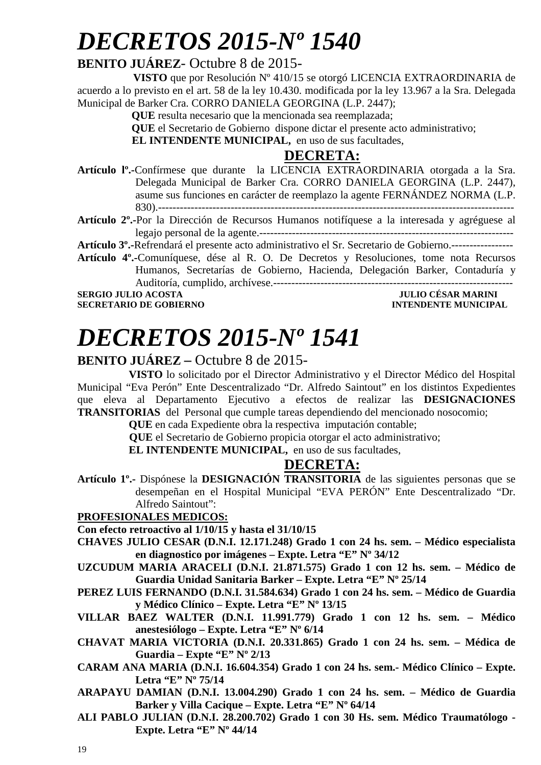# *DECRETOS 2015-Nº 1540*

### **BENITO JUÁREZ**- Octubre 8 de 2015-

 **VISTO** que por Resolución Nº 410/15 se otorgó LICENCIA EXTRAORDINARIA de acuerdo a lo previsto en el art. 58 de la ley 10.430. modificada por la ley 13.967 a la Sra. Delegada Municipal de Barker Cra. CORRO DANIELA GEORGINA (L.P. 2447);

 **QUE** resulta necesario que la mencionada sea reemplazada;

 **QUE** el Secretario de Gobierno dispone dictar el presente acto administrativo;

**EL INTENDENTE MUNICIPAL,** en uso de sus facultades,

#### **DECRETA:**

**Artículo lº.-**Confírmese que durante la LICENCIA EXTRAORDINARIA otorgada a la Sra. Delegada Municipal de Barker Cra. CORRO DANIELA GEORGINA (L.P. 2447), asume sus funciones en carácter de reemplazo la agente FERNÁNDEZ NORMA (L.P. 830).--------------------------------------------------------------------------------------------------

**Artículo 2º.-**Por la Dirección de Recursos Humanos notifíquese a la interesada y agréguese al legajo personal de la agente.----------------------------------------------------------------------

**Artículo 3º.-**Refrendará el presente acto administrativo el Sr. Secretario de Gobierno.-----------------

**Artículo 4º.-**Comuníquese, dése al R. O. De Decretos y Resoluciones, tome nota Recursos Humanos, Secretarías de Gobierno, Hacienda, Delegación Barker, Contaduría y Auditoría, cumplido, archívese.------------------------------------------------------------------

**SECRETARIO DE GOBIERNO** 

## **SULIO CÉSAR MARINI<br>INTENDENTE MUNICIPAL**

# *DECRETOS 2015-Nº 1541*

#### **BENITO JUÁREZ –** Octubre 8 de 2015-

**VISTO** lo solicitado por el Director Administrativo y el Director Médico del Hospital Municipal "Eva Perón" Ente Descentralizado "Dr. Alfredo Saintout" en los distintos Expedientes que eleva al Departamento Ejecutivo a efectos de realizar las **DESIGNACIONES TRANSITORIAS** del Personal que cumple tareas dependiendo del mencionado nosocomio;

**QUE** en cada Expediente obra la respectiva imputación contable;

 **QUE** el Secretario de Gobierno propicia otorgar el acto administrativo;

**EL INTENDENTE MUNICIPAL,** en uso de sus facultades,

#### **DECRETA:**

**Artículo 1º.-** Dispónese la **DESIGNACIÓN TRANSITORIA** de las siguientes personas que se desempeñan en el Hospital Municipal "EVA PERÓN" Ente Descentralizado "Dr. Alfredo Saintout":

#### **PROFESIONALES MEDICOS:**

**Con efecto retroactivo al 1/10/15 y hasta el 31/10/15** 

- **CHAVES JULIO CESAR (D.N.I. 12.171.248) Grado 1 con 24 hs. sem. Médico especialista en diagnostico por imágenes – Expte. Letra "E" Nº 34/12**
- **UZCUDUM MARIA ARACELI (D.N.I. 21.871.575) Grado 1 con 12 hs. sem. Médico de Guardia Unidad Sanitaria Barker – Expte. Letra "E" Nº 25/14**
- **PEREZ LUIS FERNANDO (D.N.I. 31.584.634) Grado 1 con 24 hs. sem. Médico de Guardia y Médico Clínico – Expte. Letra "E" Nº 13/15**
- **VILLAR BAEZ WALTER (D.N.I. 11.991.779) Grado 1 con 12 hs. sem. Médico anestesiólogo – Expte. Letra "E" Nº 6/14**
- **CHAVAT MARIA VICTORIA (D.N.I. 20.331.865) Grado 1 con 24 hs. sem. Médica de Guardia – Expte "E" Nº 2/13**
- **CARAM ANA MARIA (D.N.I. 16.604.354) Grado 1 con 24 hs. sem.- Médico Clínico Expte. Letra "E" Nº 75/14**
- **ARAPAYU DAMIAN (D.N.I. 13.004.290) Grado 1 con 24 hs. sem. Médico de Guardia Barker y Villa Cacique – Expte. Letra "E" Nº 64/14**
- **ALI PABLO JULIAN (D.N.I. 28.200.702) Grado 1 con 30 Hs. sem. Médico Traumatólogo Expte. Letra "E" Nº 44/14**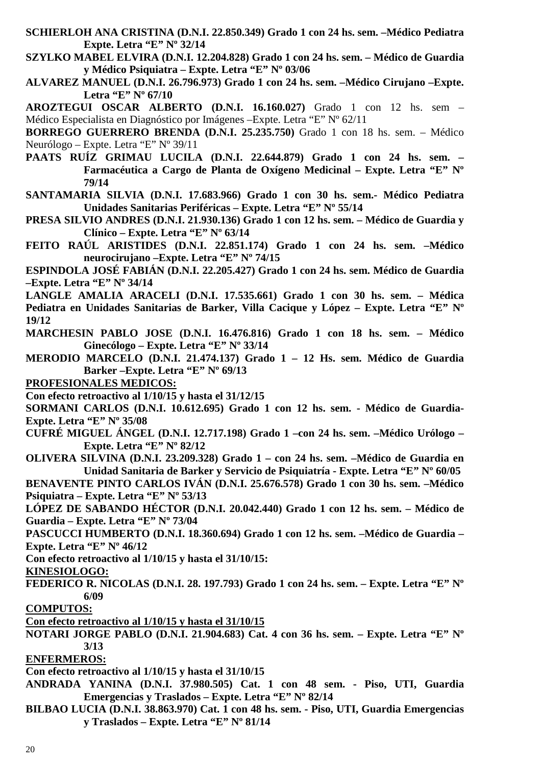- **SCHIERLOH ANA CRISTINA (D.N.I. 22.850.349) Grado 1 con 24 hs. sem. –Médico Pediatra Expte. Letra "E" Nº 32/14**
- **SZYLKO MABEL ELVIRA (D.N.I. 12.204.828) Grado 1 con 24 hs. sem. Médico de Guardia y Médico Psiquiatra – Expte. Letra "E" Nº 03/06**
- **ALVAREZ MANUEL (D.N.I. 26.796.973) Grado 1 con 24 hs. sem. –Médico Cirujano –Expte. Letra "E" Nº 67/10**

**AROZTEGUI OSCAR ALBERTO (D.N.I. 16.160.027)** Grado 1 con 12 hs. sem – Médico Especialista en Diagnóstico por Imágenes –Expte. Letra "E" Nº 62/11

**BORREGO GUERRERO BRENDA (D.N.I. 25.235.750)** Grado 1 con 18 hs. sem. – Médico Neurólogo – Expte. Letra "E" Nº 39/11

- **PAATS RUÍZ GRIMAU LUCILA (D.N.I. 22.644.879) Grado 1 con 24 hs. sem. Farmacéutica a Cargo de Planta de Oxígeno Medicinal – Expte. Letra "E" Nº 79/14**
- **SANTAMARIA SILVIA (D.N.I. 17.683.966) Grado 1 con 30 hs. sem.- Médico Pediatra Unidades Sanitarias Periféricas – Expte. Letra "E" Nº 55/14**
- **PRESA SILVIO ANDRES (D.N.I. 21.930.136) Grado 1 con 12 hs. sem. Médico de Guardia y Clínico – Expte. Letra "E" Nº 63/14**
- **FEITO RAÚL ARISTIDES (D.N.I. 22.851.174) Grado 1 con 24 hs. sem. –Médico neurocirujano –Expte. Letra "E" Nº 74/15**

**ESPINDOLA JOSÉ FABIÁN (D.N.I. 22.205.427) Grado 1 con 24 hs. sem. Médico de Guardia –Expte. Letra "E" Nº 34/14** 

**LANGLE AMALIA ARACELI (D.N.I. 17.535.661) Grado 1 con 30 hs. sem. – Médica Pediatra en Unidades Sanitarias de Barker, Villa Cacique y López – Expte. Letra "E" Nº 19/12** 

- **MARCHESIN PABLO JOSE (D.N.I. 16.476.816) Grado 1 con 18 hs. sem. Médico Ginecólogo – Expte. Letra "E" Nº 33/14**
- **MERODIO MARCELO (D.N.I. 21.474.137) Grado 1 12 Hs. sem. Médico de Guardia Barker –Expte. Letra "E" Nº 69/13**
- **PROFESIONALES MEDICOS:**

**Con efecto retroactivo al 1/10/15 y hasta el 31/12/15**

**SORMANI CARLOS (D.N.I. 10.612.695) Grado 1 con 12 hs. sem. - Médico de Guardia-Expte. Letra "E" Nº 35/08** 

- **CUFRÉ MIGUEL ÁNGEL (D.N.I. 12.717.198) Grado 1 –con 24 hs. sem. –Médico Urólogo Expte. Letra "E" Nº 82/12**
- **OLIVERA SILVINA (D.N.I. 23.209.328) Grado 1 con 24 hs. sem. –Médico de Guardia en Unidad Sanitaria de Barker y Servicio de Psiquiatría - Expte. Letra "E" Nº 60/05**

**BENAVENTE PINTO CARLOS IVÁN (D.N.I. 25.676.578) Grado 1 con 30 hs. sem. –Médico Psiquiatra – Expte. Letra "E" Nº 53/13** 

**LÓPEZ DE SABANDO HÉCTOR (D.N.I. 20.042.440) Grado 1 con 12 hs. sem. – Médico de Guardia – Expte. Letra "E" Nº 73/04** 

**PASCUCCI HUMBERTO (D.N.I. 18.360.694) Grado 1 con 12 hs. sem. –Médico de Guardia – Expte. Letra "E" Nº 46/12** 

**Con efecto retroactivo al 1/10/15 y hasta el 31/10/15:** 

**KINESIOLOGO:** 

- **FEDERICO R. NICOLAS (D.N.I. 28. 197.793) Grado 1 con 24 hs. sem. Expte. Letra "E" Nº 6/09**
- **COMPUTOS:**

**Con efecto retroactivo al 1/10/15 y hasta el 31/10/15** 

**NOTARI JORGE PABLO (D.N.I. 21.904.683) Cat. 4 con 36 hs. sem. – Expte. Letra "E" Nº 3/13** 

**ENFERMEROS:** 

**Con efecto retroactivo al 1/10/15 y hasta el 31/10/15** 

- **ANDRADA YANINA (D.N.I. 37.980.505) Cat. 1 con 48 sem. Piso, UTI, Guardia Emergencias y Traslados – Expte. Letra "E" Nº 82/14**
- **BILBAO LUCIA (D.N.I. 38.863.970) Cat. 1 con 48 hs. sem. Piso, UTI, Guardia Emergencias y Traslados – Expte. Letra "E" Nº 81/14**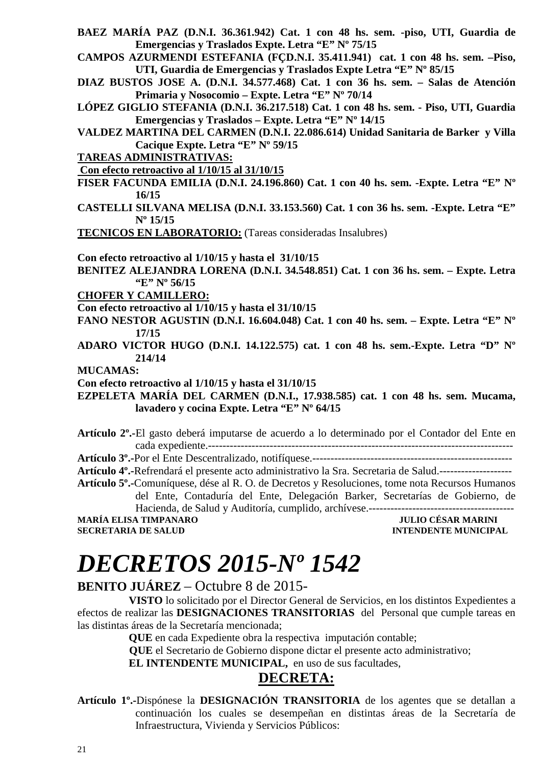- **BAEZ MARÍA PAZ (D.N.I. 36.361.942) Cat. 1 con 48 hs. sem. -piso, UTI, Guardia de Emergencias y Traslados Expte. Letra "E" Nº 75/15**
- **CAMPOS AZURMENDI ESTEFANIA (FÇD.N.I. 35.411.941) cat. 1 con 48 hs. sem. –Piso, UTI, Guardia de Emergencias y Traslados Expte Letra "E" Nº 85/15**
- **DIAZ BUSTOS JOSE A. (D.N.I. 34.577.468) Cat. 1 con 36 hs. sem. Salas de Atención Primaria y Nosocomio – Expte. Letra "E" Nº 70/14**
- **LÓPEZ GIGLIO STEFANIA (D.N.I. 36.217.518) Cat. 1 con 48 hs. sem. Piso, UTI, Guardia Emergencias y Traslados – Expte. Letra "E" Nº 14/15**
- **VALDEZ MARTINA DEL CARMEN (D.N.I. 22.086.614) Unidad Sanitaria de Barker y Villa Cacique Expte. Letra "E" Nº 59/15**
- **TAREAS ADMINISTRATIVAS:**

 **Con efecto retroactivo al 1/10/15 al 31/10/15** 

- **FISER FACUNDA EMILIA (D.N.I. 24.196.860) Cat. 1 con 40 hs. sem. -Expte. Letra "E" Nº 16/15**
- **CASTELLI SILVANA MELISA (D.N.I. 33.153.560) Cat. 1 con 36 hs. sem. -Expte. Letra "E" Nº 15/15**

**TECNICOS EN LABORATORIO:** (Tareas consideradas Insalubres)

**Con efecto retroactivo al 1/10/15 y hasta el 31/10/15** 

**BENITEZ ALEJANDRA LORENA (D.N.I. 34.548.851) Cat. 1 con 36 hs. sem. – Expte. Letra "E" Nº 56/15** 

**CHOFER Y CAMILLERO:** 

**Con efecto retroactivo al 1/10/15 y hasta el 31/10/15** 

- **FANO NESTOR AGUSTIN (D.N.I. 16.604.048) Cat. 1 con 40 hs. sem. Expte. Letra "E" Nº 17/15**
- **ADARO VICTOR HUGO (D.N.I. 14.122.575) cat. 1 con 48 hs. sem.-Expte. Letra "D" Nº 214/14**
- **MUCAMAS:**

**Con efecto retroactivo al 1/10/15 y hasta el 31/10/15** 

**EZPELETA MARÍA DEL CARMEN (D.N.I., 17.938.585) cat. 1 con 48 hs. sem. Mucama, lavadero y cocina Expte. Letra "E" Nº 64/15** 

**Artículo 2º.-**El gasto deberá imputarse de acuerdo a lo determinado por el Contador del Ente en cada expediente.------------------------------------------------------------------------------------

**Artículo 3º.-**Por el Ente Descentralizado, notifíquese.-------------------------------------------------------

**Artículo 4º.-**Refrendará el presente acto administrativo la Sra. Secretaria de Salud.--------------------

**Artículo 5º.-**Comuníquese, dése al R. O. de Decretos y Resoluciones, tome nota Recursos Humanos del Ente, Contaduría del Ente, Delegación Barker, Secretarías de Gobierno, de Hacienda, de Salud y Auditoría, cumplido, archívese.----------------------------------------

**MARÍA ELISA TIMPANARO JULIO CÉSAR MARINI SECRETARIA DE SALUD INTENDENTE MUNICIPAL** 

# *DECRETOS 2015-Nº 1542*

#### **BENITO JUÁREZ** – Octubre 8 de 2015-

**VISTO** lo solicitado por el Director General de Servicios, en los distintos Expedientes a efectos de realizar las **DESIGNACIONES TRANSITORIAS** del Personal que cumple tareas en las distintas áreas de la Secretaría mencionada;

**QUE** en cada Expediente obra la respectiva imputación contable;

 **QUE** el Secretario de Gobierno dispone dictar el presente acto administrativo;

**EL INTENDENTE MUNICIPAL,** en uso de sus facultades,

#### **DECRETA:**

**Artículo 1º.-**Dispónese la **DESIGNACIÓN TRANSITORIA** de los agentes que se detallan a continuación los cuales se desempeñan en distintas áreas de la Secretaría de Infraestructura, Vivienda y Servicios Públicos: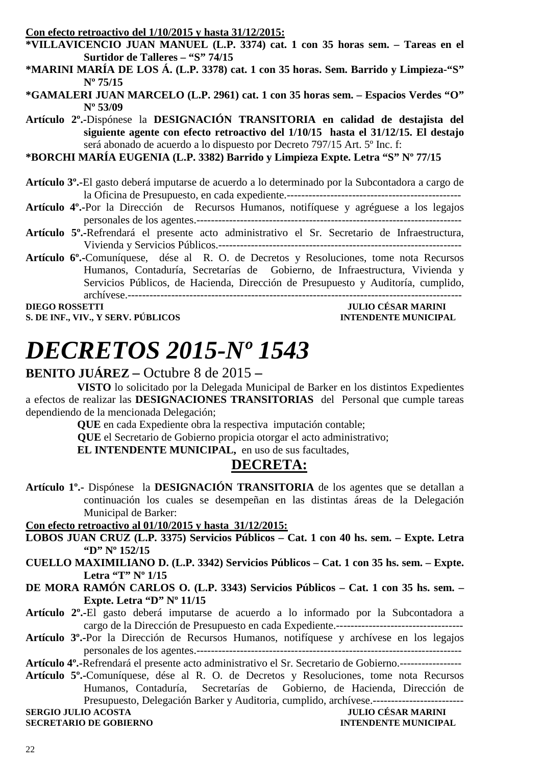| Con efecto retroactivo del 1/10/2015 y hasta 31/12/2015:                                                       |
|----------------------------------------------------------------------------------------------------------------|
| *VILLAVICENCIO JUAN MANUEL (L.P. 3374) cat. 1 con 35 horas sem. - Tareas en el                                 |
| Surtidor de Talleres - "S" 74/15                                                                               |
| *MARINI MARÍA DE LOS Á. (L.P. 3378) cat. 1 con 35 horas. Sem. Barrido y Limpieza-"S"                           |
| $N^{\circ} 75/15$                                                                                              |
| *GAMALERI JUAN MARCELO (L.P. 2961) cat. 1 con 35 horas sem. – Espacios Verdes "O"                              |
| $N^{\circ}$ 53/09                                                                                              |
| Artículo 2 <sup>°</sup> .-Dispónese la DESIGNACIÓN TRANSITORIA en calidad de destajista del                    |
| siguiente agente con efecto retroactivo del 1/10/15 hasta el 31/12/15. El destajo                              |
| será abonado de acuerdo a lo dispuesto por Decreto 797/15 Art. 5° Inc. f:                                      |
| *BORCHI MARÍA EUGENIA (L.P. 3382) Barrido y Limpieza Expte. Letra "S" Nº 77/15                                 |
|                                                                                                                |
| Artículo 3 <sup>°</sup> .-El gasto deberá imputarse de acuerdo a lo determinado por la Subcontadora a cargo de |
|                                                                                                                |
| Artículo 4º.-Por la Dirección de Recursos Humanos, notifíquese y agréguese a los legajos                       |
|                                                                                                                |
| Artículo 5º.-Refrendará el presente acto administrativo el Sr. Secretario de Infraestructura,                  |
|                                                                                                                |
| Artículo 6º.-Comuníquese, dése al R. O. de Decretos y Resoluciones, tome nota Recursos                         |
| Humanos, Contaduría, Secretarías de Gobierno, de Infraestructura, Vivienda y                                   |
| Servicios Públicos, de Hacienda, Dirección de Presupuesto y Auditoría, cumplido,                               |
|                                                                                                                |
| <b>JULIO CÉSAR MARINI</b><br><b>DIEGO ROSSETTI</b>                                                             |
| S. DE INF., VIV., Y SERV. PÚBLICOS<br><b>INTENDENTE MUNICIPAL</b>                                              |
|                                                                                                                |

# *DECRETOS 2015-Nº 1543*

#### **BENITO JUÁREZ –** Octubre 8 de 2015 **–**

**VISTO** lo solicitado por la Delegada Municipal de Barker en los distintos Expedientes a efectos de realizar las **DESIGNACIONES TRANSITORIAS** del Personal que cumple tareas dependiendo de la mencionada Delegación;

**QUE** en cada Expediente obra la respectiva imputación contable;

 **QUE** el Secretario de Gobierno propicia otorgar el acto administrativo;

**EL INTENDENTE MUNICIPAL,** en uso de sus facultades,

#### **DECRETA:**

**Artículo 1º.-** Dispónese la **DESIGNACIÓN TRANSITORIA** de los agentes que se detallan a continuación los cuales se desempeñan en las distintas áreas de la Delegación Municipal de Barker:

**Con efecto retroactivo al 01/10/2015 y hasta 31/12/2015:** 

- **LOBOS JUAN CRUZ (L.P. 3375) Servicios Públicos Cat. 1 con 40 hs. sem. Expte. Letra "D" Nº 152/15**
- **CUELLO MAXIMILIANO D. (L.P. 3342) Servicios Públicos Cat. 1 con 35 hs. sem. Expte. Letra "T" Nº 1/15**
- **DE MORA RAMÓN CARLOS O. (L.P. 3343) Servicios Públicos Cat. 1 con 35 hs. sem. Expte. Letra "D" Nº 11/15**
- **Artículo 2º.-**El gasto deberá imputarse de acuerdo a lo informado por la Subcontadora a cargo de la Dirección de Presupuesto en cada Expediente.-----------------------------------
- **Artículo 3º.-**Por la Dirección de Recursos Humanos, notifíquese y archívese en los legajos personales de los agentes.-------------------------------------------------------------------------

**Artículo 4º.-**Refrendará el presente acto administrativo el Sr. Secretario de Gobierno.-----------------

**Artículo 5º.-**Comuníquese, dése al R. O. de Decretos y Resoluciones, tome nota Recursos Humanos, Contaduría, Secretarías de Gobierno, de Hacienda, Dirección de Presupuesto, Delegación Barker y Auditoria, cumplido, archívese.-------------------------

**SERGIO JULIO ACOSTA** 

**SECRETARIO DE GOBIERNO INTENDENTE MUNICIPAL**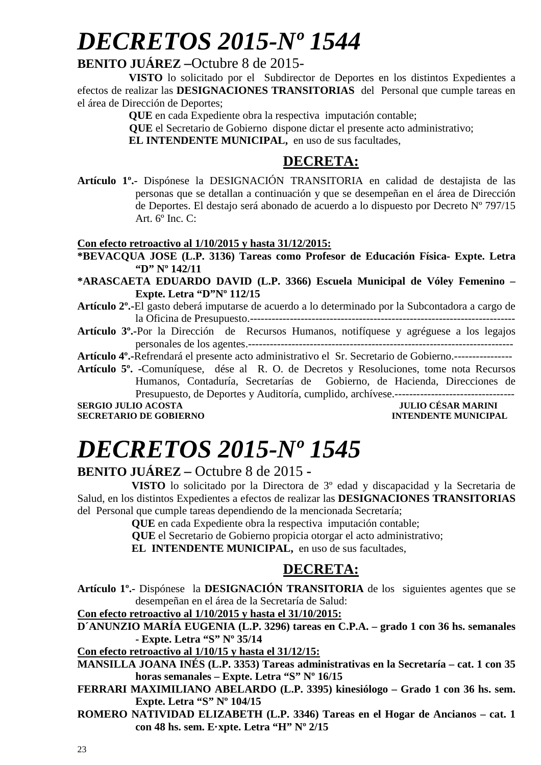# *DECRETOS 2015-Nº 1544*

#### **BENITO JUÁREZ –**Octubre 8 de 2015-

**VISTO** lo solicitado por el Subdirector de Deportes en los distintos Expedientes a efectos de realizar las **DESIGNACIONES TRANSITORIAS** del Personal que cumple tareas en el área de Dirección de Deportes;

**QUE** en cada Expediente obra la respectiva imputación contable;

 **QUE** el Secretario de Gobierno dispone dictar el presente acto administrativo;

**EL INTENDENTE MUNICIPAL,** en uso de sus facultades,

### **DECRETA:**

**Artículo 1º.-** Dispónese la DESIGNACIÓN TRANSITORIA en calidad de destajista de las personas que se detallan a continuación y que se desempeñan en el área de Dirección de Deportes. El destajo será abonado de acuerdo a lo dispuesto por Decreto Nº 797/15 Art.  $6^{\circ}$  Inc. C:

#### **Con efecto retroactivo al 1/10/2015 y hasta 31/12/2015:**

**\*BEVACQUA JOSE (L.P. 3136) Tareas como Profesor de Educación Física- Expte. Letra "D" Nº 142/11** 

**\*ARASCAETA EDUARDO DAVID (L.P. 3366) Escuela Municipal de Vóley Femenino – Expte. Letra "D"Nº 112/15** 

**Artículo 2º.-**El gasto deberá imputarse de acuerdo a lo determinado por la Subcontadora a cargo de la Oficina de Presupuesto.-------------------------------------------------------------------------

**Artículo 3º.-**Por la Dirección de Recursos Humanos, notifíquese y agréguese a los legajos personales de los agentes.-------------------------------------------------------------------------

**Artículo 4º.-**Refrendará el presente acto administrativo el Sr. Secretario de Gobierno.----------------

**Artículo 5º. -**Comuníquese, dése al R. O. de Decretos y Resoluciones, tome nota Recursos Humanos, Contaduría, Secretarías de Gobierno, de Hacienda, Direcciones de Presupuesto, de Deportes y Auditoría, cumplido, archívese.---------------------------------

**SERGIO JULIO ACOSTA SECRETARIO DE GOBIERNO INTENDENTE MUNICIPAL** 

# *DECRETOS 2015-Nº 1545*

#### **BENITO JUÁREZ –** Octubre 8 de 2015 **-**

 **VISTO** lo solicitado por la Directora de 3º edad y discapacidad y la Secretaria de Salud, en los distintos Expedientes a efectos de realizar las **DESIGNACIONES TRANSITORIAS** del Personal que cumple tareas dependiendo de la mencionada Secretaría;

 **QUE** en cada Expediente obra la respectiva imputación contable;

 **QUE** el Secretario de Gobierno propicia otorgar el acto administrativo;

 **EL INTENDENTE MUNICIPAL,** en uso de sus facultades,

### **DECRETA:**

**Artículo 1º.-** Dispónese la **DESIGNACIÓN TRANSITORIA** de los siguientes agentes que se desempeñan en el área de la Secretaría de Salud:

**Con efecto retroactivo al 1/10/2015 y hasta el 31/10/2015:** 

**D´ANUNZIO MARÍA EUGENIA (L.P. 3296) tareas en C.P.A. – grado 1 con 36 hs. semanales - Expte. Letra "S" Nº 35/14** 

**Con efecto retroactivo al 1/10/15 y hasta el 31/12/15:** 

**MANSILLA JOANA INÉS (L.P. 3353) Tareas administrativas en la Secretaría – cat. 1 con 35 horas semanales – Expte. Letra "S" Nº 16/15** 

**FERRARI MAXIMILIANO ABELARDO (L.P. 3395) kinesiólogo – Grado 1 con 36 hs. sem. Expte. Letra "S" Nº 104/15** 

**ROMERO NATIVIDAD ELIZABETH (L.P. 3346) Tareas en el Hogar de Ancianos – cat. 1 con 48 hs. sem. E·xpte. Letra "H" Nº 2/15**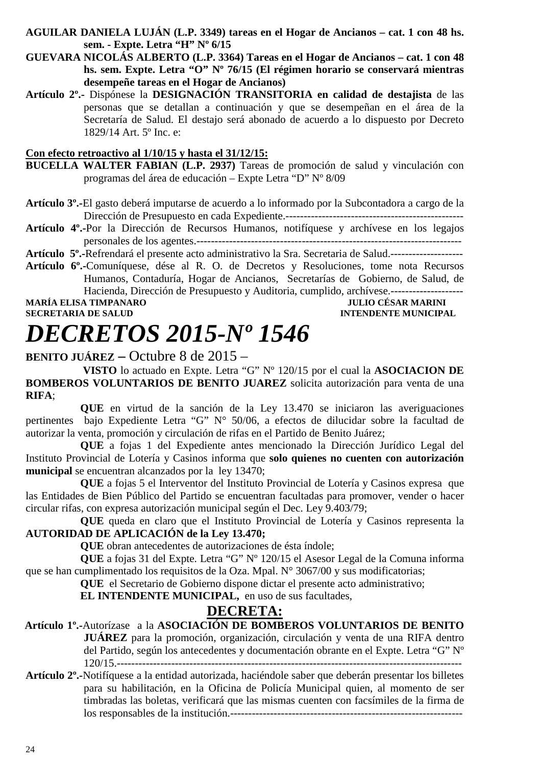- **AGUILAR DANIELA LUJÁN (L.P. 3349) tareas en el Hogar de Ancianos cat. 1 con 48 hs. sem. - Expte. Letra "H" Nº 6/15**
- **GUEVARA NICOLÁS ALBERTO (L.P. 3364) Tareas en el Hogar de Ancianos cat. 1 con 48 hs. sem. Expte. Letra "O" Nº 76/15 (El régimen horario se conservará mientras desempeñe tareas en el Hogar de Ancianos)**
- **Artículo 2º.-** Dispónese la **DESIGNACIÓN TRANSITORIA en calidad de destajista** de las personas que se detallan a continuación y que se desempeñan en el área de la Secretaría de Salud. El destajo será abonado de acuerdo a lo dispuesto por Decreto 1829/14 Art. 5º Inc. e:

#### **Con efecto retroactivo al 1/10/15 y hasta el 31/12/15:**

- **BUCELLA WALTER FABIAN (L.P. 2937)** Tareas de promoción de salud y vinculación con programas del área de educación – Expte Letra "D" Nº 8/09
- **Artículo 3º.-**El gasto deberá imputarse de acuerdo a lo informado por la Subcontadora a cargo de la Dirección de Presupuesto en cada Expediente.-------------------------------------------------
- **Artículo 4º.-**Por la Dirección de Recursos Humanos, notifíquese y archívese en los legajos personales de los agentes.-------------------------------------------------------------------------
- **Artículo 5º.-**Refrendará el presente acto administrativo la Sra. Secretaria de Salud.--------------------
- **Artículo 6º.-**Comuníquese, dése al R. O. de Decretos y Resoluciones, tome nota Recursos Humanos, Contaduría, Hogar de Ancianos, Secretarías de Gobierno, de Salud, de Hacienda, Dirección de Presupuesto y Auditoria, cumplido, archívese.-------------------- **MARÍA ELISA TIMPANARO**

### **SECRETARIA DE SALUD INTENDENTE MUNICIPAL**

# *DECRETOS 2015-Nº 1546*

#### **BENITO JUÁREZ –** Octubre 8 de 2015 –

 **VISTO** lo actuado en Expte. Letra "G" Nº 120/15 por el cual la **ASOCIACION DE BOMBEROS VOLUNTARIOS DE BENITO JUAREZ** solicita autorización para venta de una **RIFA**;

 **QUE** en virtud de la sanción de la Ley 13.470 se iniciaron las averiguaciones pertinentes bajo Expediente Letra "G" N° 50/06, a efectos de dilucidar sobre la facultad de autorizar la venta, promoción y circulación de rifas en el Partido de Benito Juárez;

 **QUE** a fojas 1 del Expediente antes mencionado la Dirección Jurídico Legal del Instituto Provincial de Lotería y Casinos informa que **solo quienes no cuenten con autorización municipal** se encuentran alcanzados por la ley 13470;

 **QUE** a fojas 5 el Interventor del Instituto Provincial de Lotería y Casinos expresa que las Entidades de Bien Público del Partido se encuentran facultadas para promover, vender o hacer circular rifas, con expresa autorización municipal según el Dec. Ley 9.403/79;

 **QUE** queda en claro que el Instituto Provincial de Lotería y Casinos representa la **AUTORIDAD DE APLICACIÓN de la Ley 13.470;** 

 **QUE** obran antecedentes de autorizaciones de ésta índole;

 **QUE** a fojas 31 del Expte. Letra "G" Nº 120/15 el Asesor Legal de la Comuna informa que se han cumplimentado los requisitos de la Oza. Mpal. N° 3067/00 y sus modificatorias;

 **QUE** el Secretario de Gobierno dispone dictar el presente acto administrativo;

 **EL INTENDENTE MUNICIPAL,** en uso de sus facultades,

#### **DECRETA:**

- **Artículo 1º.-**Autorízase a la **ASOCIACIÓN DE BOMBEROS VOLUNTARIOS DE BENITO JUÁREZ** para la promoción, organización, circulación y venta de una RIFA dentro del Partido, según los antecedentes y documentación obrante en el Expte. Letra "G" Nº 120/15.-----------------------------------------------------------------------------------------------
- **Artículo 2º.-**Notifíquese a la entidad autorizada, haciéndole saber que deberán presentar los billetes para su habilitación, en la Oficina de Policía Municipal quien, al momento de ser timbradas las boletas, verificará que las mismas cuenten con facsímiles de la firma de los responsables de la institución.----------------------------------------------------------------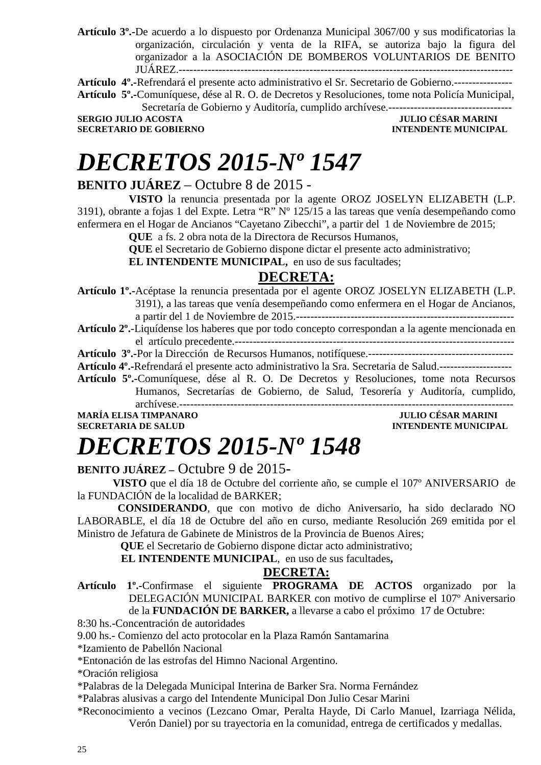**Artículo 3º.-**De acuerdo a lo dispuesto por Ordenanza Municipal 3067/00 y sus modificatorias la organización, circulación y venta de la RIFA, se autoriza bajo la figura del organizador a la ASOCIACIÓN DE BOMBEROS VOLUNTARIOS DE BENITO JUÁREZ.--------------------------------------------------------------------------------------------

**Artículo 4º.-**Refrendará el presente acto administrativo el Sr. Secretario de Gobierno.---------------- **Artículo 5º.-**Comuníquese, dése al R. O. de Decretos y Resoluciones, tome nota Policía Municipal,

Secretaría de Gobierno y Auditoría, cumplido archívese.---------------------------------- **SERGIO JULIO ACOSTA** 

**SECRETARIO DE GOBIERNO INTENDENTE MUNICIPAL** 

# *DECRETOS 2015-Nº 1547*

#### **BENITO JUÁREZ** – Octubre 8 de 2015 -

**VISTO** la renuncia presentada por la agente OROZ JOSELYN ELIZABETH (L.P. 3191), obrante a fojas 1 del Expte. Letra "R" Nº 125/15 a las tareas que venía desempeñando como enfermera en el Hogar de Ancianos "Cayetano Zibecchi", a partir del 1 de Noviembre de 2015;

**QUE** a fs. 2 obra nota de la Directora de Recursos Humanos,

**QUE** el Secretario de Gobierno dispone dictar el presente acto administrativo;

**EL INTENDENTE MUNICIPAL,** en uso de sus facultades;

#### **DECRETA:**

**Artículo 1º.-**Acéptase la renuncia presentada por el agente OROZ JOSELYN ELIZABETH (L.P. 3191), a las tareas que venía desempeñando como enfermera en el Hogar de Ancianos, a partir del 1 de Noviembre de 2015.------------------------------------------------------------

**Artículo 2º.**-Liquídense los haberes que por todo concepto correspondan a la agente mencionada en el artículo precedente.-----------------------------------------------------------------------------

**Artículo 3º.-**Por la Dirección de Recursos Humanos, notifíquese.----------------------------------------

**Artículo 4º.-**Refrendará el presente acto administrativo la Sra. Secretaria de Salud.--------------------

**Artículo 5º.-**Comuníquese, dése al R. O. De Decretos y Resoluciones, tome nota Recursos

Humanos, Secretarías de Gobierno, de Salud, Tesorería y Auditoría, cumplido, archívese.--------------------------------------------------------------------------------------------

**MARÍA ELISA TIMPANARO JULIO CÉSAR MARINI SECRETARIA DE SALUD INTENDENTE MUNICIPAL** 

# *DECRETOS 2015-Nº 1548*

#### **BENITO JUÁREZ –** Octubre 9 de 2015**-**

 **VISTO** que el día 18 de Octubre del corriente año, se cumple el 107º ANIVERSARIO de la FUNDACIÓN de la localidad de BARKER;

 **CONSIDERANDO**, que con motivo de dicho Aniversario, ha sido declarado NO LABORABLE, el día 18 de Octubre del año en curso, mediante Resolución 269 emitida por el Ministro de Jefatura de Gabinete de Ministros de la Provincia de Buenos Aires;

 **QUE** el Secretario de Gobierno dispone dictar acto administrativo;

 **EL INTENDENTE MUNICIPAL**, en uso de sus facultades**,** 

#### **DECRETA:**

**Artículo 1º.-**Confirmase el siguiente **PROGRAMA DE ACTOS** organizado por la DELEGACIÓN MUNICIPAL BARKER con motivo de cumplirse el 107º Aniversario de la **FUNDACIÓN DE BARKER,** a llevarse a cabo el próximo 17 de Octubre:

8:30 hs.-Concentración de autoridades

9.00 hs.- Comienzo del acto protocolar en la Plaza Ramón Santamarina

\*Izamiento de Pabellón Nacional

\*Entonación de las estrofas del Himno Nacional Argentino.

\*Oración religiosa

\*Palabras de la Delegada Municipal Interina de Barker Sra. Norma Fernández

\*Palabras alusivas a cargo del Intendente Municipal Don Julio Cesar Marini

\*Reconocimiento a vecinos (Lezcano Omar, Peralta Hayde, Di Carlo Manuel, Izarriaga Nélida, Verón Daniel) por su trayectoria en la comunidad, entrega de certificados y medallas.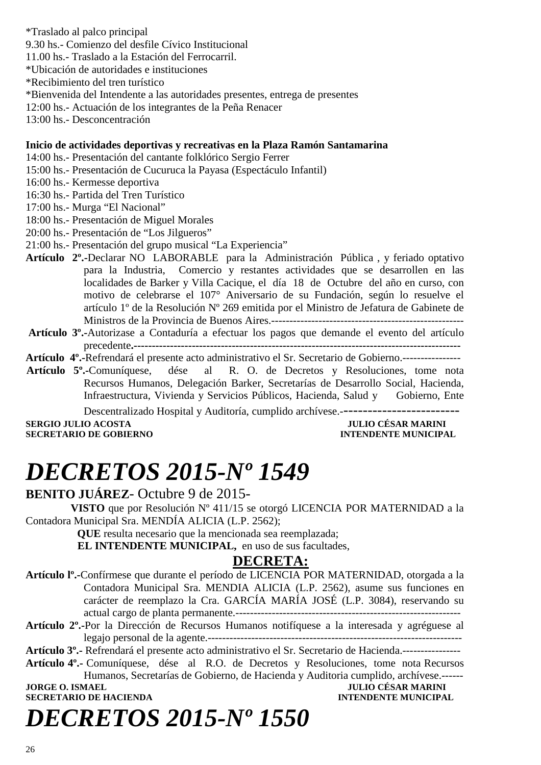- \*Traslado al palco principal
- 9.30 hs.- Comienzo del desfile Cívico Institucional
- 11.00 hs.- Traslado a la Estación del Ferrocarril.
- \*Ubicación de autoridades e instituciones
- \*Recibimiento del tren turístico
- \*Bienvenida del Intendente a las autoridades presentes, entrega de presentes
- 12:00 hs.- Actuación de los integrantes de la Peña Renacer
- 13:00 hs.- Desconcentración

#### **Inicio de actividades deportivas y recreativas en la Plaza Ramón Santamarina**

- 14:00 hs.- Presentación del cantante folklórico Sergio Ferrer
- 15:00 hs.- Presentación de Cucuruca la Payasa (Espectáculo Infantil)
- 16:00 hs.- Kermesse deportiva
- 16:30 hs.- Partida del Tren Turístico
- 17:00 hs.- Murga "El Nacional"
- 18:00 hs.- Presentación de Miguel Morales
- 20:00 hs.- Presentación de "Los Jilgueros"
- 21:00 hs.- Presentación del grupo musical "La Experiencia"
- **Artículo 2º.-**Declarar NO LABORABLE para la Administración Pública , y feriado optativo para la Industria, Comercio y restantes actividades que se desarrollen en las localidades de Barker y Villa Cacique, el día 18 de Octubre del año en curso, con motivo de celebrarse el 107° Aniversario de su Fundación, según lo resuelve el artículo 1º de la Resolución Nº 269 emitida por el Ministro de Jefatura de Gabinete de Ministros de la Provincia de Buenos Aires.-----------------------------------------------------
- **Artículo 3º.-**Autorizase a Contaduría a efectuar los pagos que demande el evento del artículo precedente**.------------------------------------------------------------------------------------------**
- **Artículo 4º.-**Refrendará el presente acto administrativo el Sr. Secretario de Gobierno.----------------
- **Artículo 5º.-**Comuníquese, dése al R. O. de Decretos y Resoluciones, tome nota Recursos Humanos, Delegación Barker, Secretarías de Desarrollo Social, Hacienda, Infraestructura, Vivienda y Servicios Públicos, Hacienda, Salud y Gobierno, Ente

Descentralizado Hospital y Auditoría, cumplido archívese.-------------------------

**SERGIO JULIO ACOSTA JULIO CÉSAR MARINI A LORE DE LORE DE LORE DE LORE DE LORE DE LORE DE LORE DE LORE DE LORE D<br>INTENDENTE MINICIPAL SECRETARIO DE GOBIERNO** 

# *DECRETOS 2015-Nº 1549*

#### **BENITO JUÁREZ**- Octubre 9 de 2015-

**VISTO** que por Resolución Nº 411/15 se otorgó LICENCIA POR MATERNIDAD a la Contadora Municipal Sra. MENDÍA ALICIA (L.P. 2562);

**QUE** resulta necesario que la mencionada sea reemplazada;

**EL INTENDENTE MUNICIPAL,** en uso de sus facultades,

#### **DECRETA:**

- **Artículo lº.-**Confírmese que durante el período de LICENCIA POR MATERNIDAD, otorgada a la Contadora Municipal Sra. MENDIA ALICIA (L.P. 2562), asume sus funciones en carácter de reemplazo la Cra. GARCÍA MARÍA JOSÉ (L.P. 3084), reservando su actual cargo de planta permanente.--------------------------------------------------------------
- **Artículo 2º.-**Por la Dirección de Recursos Humanos notifíquese a la interesada y agréguese al legajo personal de la agente.----------------------------------------------------------------------
- **Artículo 3º.-** Refrendará el presente acto administrativo el Sr. Secretario de Hacienda.----------------

**Artículo 4º.-** Comuníquese, dése al R.O. de Decretos y Resoluciones, tome nota Recursos Humanos, Secretarías de Gobierno, de Hacienda y Auditoria cumplido, archívese.------

**SECRETARIO DE HACIENDA INTENDENTE MUNICIPAL** 

**JORGE O. ISMAEL JULIO CÉSAR MARINI** 

# *DECRETOS 2015-Nº 1550*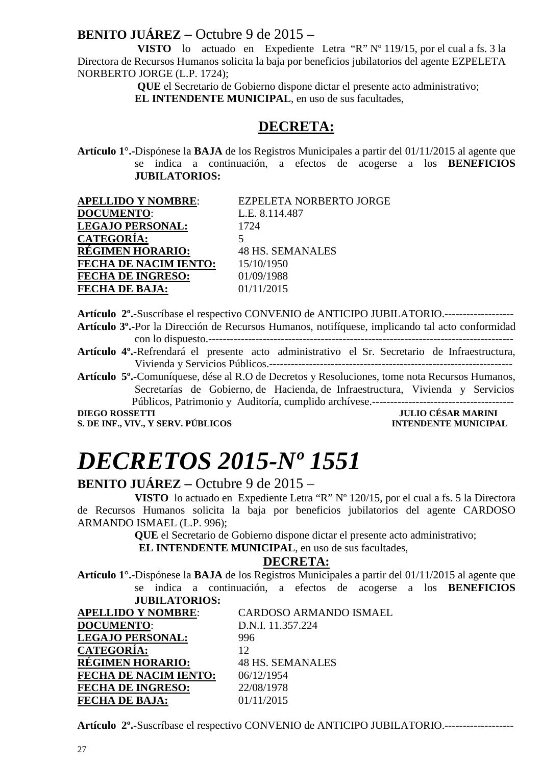### **BENITO JUÁREZ –** Octubre 9 de 2015 –

 **VISTO** lo actuado en Expediente Letra "R" Nº 119/15, por el cual a fs. 3 la Directora de Recursos Humanos solicita la baja por beneficios jubilatorios del agente EZPELETA NORBERTO JORGE (L.P. 1724);

**QUE** el Secretario de Gobierno dispone dictar el presente acto administrativo;

 **EL INTENDENTE MUNICIPAL**, en uso de sus facultades,

### **DECRETA:**

**Artículo 1°.-**Dispónese la **BAJA** de los Registros Municipales a partir del 01/11/2015 al agente que se indica a continuación, a efectos de acogerse a los **BENEFICIOS JUBILATORIOS:**

| <b>APELLIDO Y NOMBRE:</b>    | EZPELETA NORBERTO JORGE |
|------------------------------|-------------------------|
| <b>DOCUMENTO:</b>            | L.E. 8.114.487          |
| <b>LEGAJO PERSONAL:</b>      | 1724                    |
| <b>CATEGORÍA:</b>            |                         |
| <b>RÉGIMEN HORARIO:</b>      | <b>48 HS. SEMANALES</b> |
| <b>FECHA DE NACIM IENTO:</b> | 15/10/1950              |
| <b>FECHA DE INGRESO:</b>     | 01/09/1988              |
| <b>FECHA DE BAJA:</b>        | 01/11/2015              |

**Artículo 2º.-**Suscríbase el respectivo CONVENIO de ANTICIPO JUBILATORIO.------------------- **Artículo 3º.-**Por la Dirección de Recursos Humanos, notifíquese, implicando tal acto conformidad con lo dispuesto.------------------------------------------------------------------------------------

**Artículo 4º.-**Refrendará el presente acto administrativo el Sr. Secretario de Infraestructura, Vivienda y Servicios Públicos.-------------------------------------------------------------------

**Artículo 5º.-**Comuníquese, dése al R.O de Decretos y Resoluciones, tome nota Recursos Humanos, Secretarías de Gobierno, de Hacienda, de Infraestructura, Vivienda y Servicios Públicos, Patrimonio y Auditoría, cumplido archívese.---------------------------------------

**S. DE INF., VIV., Y SERV. PÚBLICOS** 

## **DIEGO DE SAR MARINI<br>INTENDENTE MUNICIPAL**

# *DECRETOS 2015-Nº 1551*

#### **BENITO JUÁREZ –** Octubre 9 de 2015 –

 **VISTO** lo actuado en Expediente Letra "R" Nº 120/15, por el cual a fs. 5 la Directora de Recursos Humanos solicita la baja por beneficios jubilatorios del agente CARDOSO ARMANDO ISMAEL (L.P. 996);

**QUE** el Secretario de Gobierno dispone dictar el presente acto administrativo;

 **EL INTENDENTE MUNICIPAL**, en uso de sus facultades,

#### **DECRETA:**

**Artículo 1°.-**Dispónese la **BAJA** de los Registros Municipales a partir del 01/11/2015 al agente que se indica a continuación, a efectos de acogerse a los **BENEFICIOS** 

| <b>JUBILATORIOS:</b>         |                               |
|------------------------------|-------------------------------|
| <b>APELLIDO Y NOMBRE:</b>    | <b>CARDOSO ARMANDO ISMAEL</b> |
| <b>DOCUMENTO:</b>            | D.N.I. 11.357.224             |
| <b>LEGAJO PERSONAL:</b>      | 996                           |
| <b>CATEGORÍA:</b>            | 12                            |
| <b>RÉGIMEN HORARIO:</b>      | <b>48 HS. SEMANALES</b>       |
| <b>FECHA DE NACIM IENTO:</b> | 06/12/1954                    |
| <b>FECHA DE INGRESO:</b>     | 22/08/1978                    |
| <b>FECHA DE BAJA:</b>        | 01/11/2015                    |

**Artículo 2º.-**Suscríbase el respectivo CONVENIO de ANTICIPO JUBILATORIO.-------------------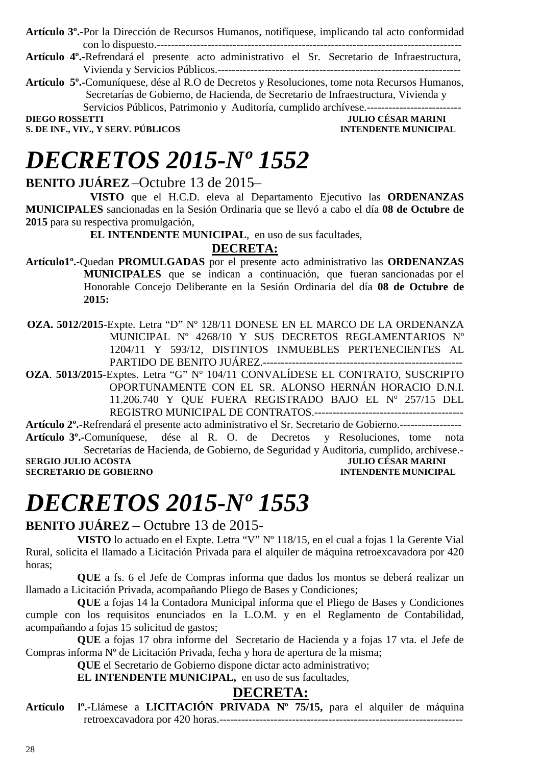**Artículo 3º.-**Por la Dirección de Recursos Humanos, notifíquese, implicando tal acto conformidad con lo dispuesto.------------------------------------------------------------------------------------

- **Artículo 4º.-**Refrendará el presente acto administrativo el Sr. Secretario de Infraestructura, Vivienda y Servicios Públicos.-------------------------------------------------------------------
- **Artículo 5º.-**Comuníquese, dése al R.O de Decretos y Resoluciones, tome nota Recursos Humanos, Secretarías de Gobierno, de Hacienda, de Secretario de Infraestructura, Vivienda y Servicios Públicos, Patrimonio y Auditoría, cumplido archívese.-------------------------

**DIEGO ROSSETTI DIEGO ROSSETTI DIEGO POSSETTI DIEGO POSSETTI DIEGO POSSETTI DIEGO POSSETTI DIEGO POSSETTI DIEGO POSSETTI DIEGO POSSETTI DIEGO POSSETTI DIEGO POSSETTI DIEGO POSSETTI DIEGO POSSETTI DIEGO POSSETTI DIEGO POSSE** 

**S. DE INF., VIV., Y SERV. PÚBLICOS INTENDENTE MUNICIPAL** 

# *DECRETOS 2015-Nº 1552*

#### **BENITO JUÁREZ** –Octubre 13 de 2015–

 **VISTO** que el H.C.D. eleva al Departamento Ejecutivo las **ORDENANZAS MUNICIPALES** sancionadas en la Sesión Ordinaria que se llevó a cabo el día **08 de Octubre de 2015** para su respectiva promulgación,

**EL INTENDENTE MUNICIPAL**, en uso de sus facultades,

#### **DECRETA:**

- **Artículo1º.-**Quedan **PROMULGADAS** por el presente acto administrativo las **ORDENANZAS MUNICIPALES** que se indican a continuación, que fueran sancionadas por el Honorable Concejo Deliberante en la Sesión Ordinaria del día **08 de Octubre de 2015:**
- **OZA. 5012/2015**-Expte. Letra "D" Nº 128/11 DONESE EN EL MARCO DE LA ORDENANZA MUNICIPAL Nº 4268/10 Y SUS DECRETOS REGLAMENTARIOS Nº 1204/11 Y 593/12, DISTINTOS INMUEBLES PERTENECIENTES AL PARTIDO DE BENITO JUÁREZ.-------------------------------------------------------

**OZA**. **5013/2015**-Exptes. Letra "G" Nº 104/11 CONVALÍDESE EL CONTRATO, SUSCRIPTO OPORTUNAMENTE CON EL SR. ALONSO HERNÁN HORACIO D.N.I. 11.206.740 Y QUE FUERA REGISTRADO BAJO EL Nº 257/15 DEL REGISTRO MUNICIPAL DE CONTRATOS.-----------------------------------------

**Artículo 2º.-**Refrendará el presente acto administrativo el Sr. Secretario de Gobierno.-----------------

**Artículo 3º.-**Comuníquese, dése al R. O. de Decretos y Resoluciones, tome nota Secretarías de Hacienda, de Gobierno, de Seguridad y Auditoría, cumplido, archívese.<br>JULIO CÉSAR MARINI **SERGIO JULIO ACOSTA SECRETARIO DE GOBIERNO INTENDENTE MUNICIPAL** 

# *DECRETOS 2015-Nº 1553*

#### **BENITO JUÁREZ** – Octubre 13 de 2015-

**VISTO** lo actuado en el Expte. Letra "V" Nº 118/15, en el cual a fojas 1 la Gerente Vial Rural, solicita el llamado a Licitación Privada para el alquiler de máquina retroexcavadora por 420 horas;

**QUE** a fs. 6 el Jefe de Compras informa que dados los montos se deberá realizar un llamado a Licitación Privada, acompañando Pliego de Bases y Condiciones;

**QUE** a fojas 14 la Contadora Municipal informa que el Pliego de Bases y Condiciones cumple con los requisitos enunciados en la L.O.M. y en el Reglamento de Contabilidad, acompañando a fojas 15 solicitud de gastos;

**QUE** a fojas 17 obra informe del Secretario de Hacienda y a fojas 17 vta. el Jefe de Compras informa Nº de Licitación Privada, fecha y hora de apertura de la misma;

**QUE** el Secretario de Gobierno dispone dictar acto administrativo;

**EL INTENDENTE MUNICIPAL,** en uso de sus facultades,

#### **DECRETA:**

**Artículo lº.-**Llámese a **LICITACIÓN PRIVADA Nº 75/15,** para el alquiler de máquina retroexcavadora por 420 horas.-------------------------------------------------------------------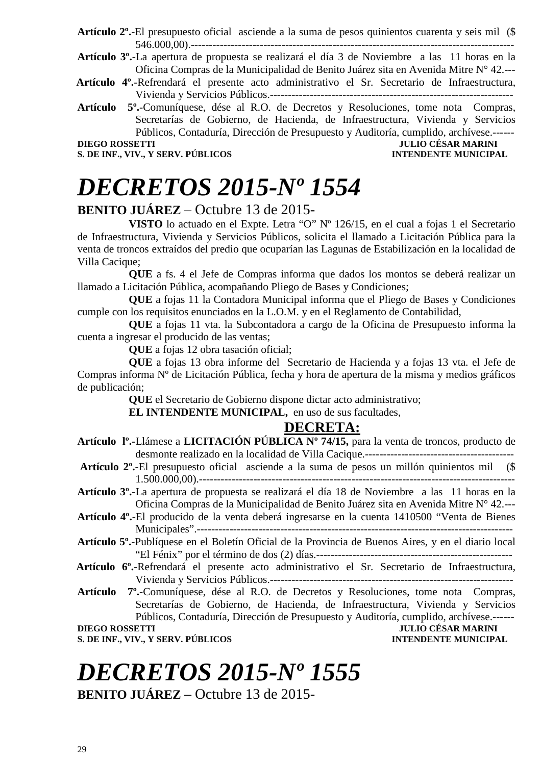- **Artículo 2º.**-El presupuesto oficial asciende a la suma de pesos quinientos cuarenta y seis mil (\$ 546.000,00).-----------------------------------------------------------------------------------------
- **Artículo 3º.**-La apertura de propuesta se realizará el día 3 de Noviembre a las 11 horas en la Oficina Compras de la Municipalidad de Benito Juárez sita en Avenida Mitre N° 42.---
- **Artículo 4º.**-Refrendará el presente acto administrativo el Sr. Secretario de Infraestructura, Vivienda y Servicios Públicos.-------------------------------------------------------------------
- **Artículo 5º.**-Comuníquese, dése al R.O. de Decretos y Resoluciones, tome nota Compras, Secretarías de Gobierno, de Hacienda, de Infraestructura, Vivienda y Servicios Públicos, Contaduría, Dirección de Presupuesto y Auditoría, cumplido, archívese.------

**S. DE INF., VIV., Y SERV. PÚBLICOS** 

### **DIEGO ROSSETTI JULIO CÉSAR MARINI**

# *DECRETOS 2015-Nº 1554*

#### **BENITO JUÁREZ** – Octubre 13 de 2015-

**VISTO** lo actuado en el Expte. Letra "O" Nº 126/15, en el cual a fojas 1 el Secretario de Infraestructura, Vivienda y Servicios Públicos, solicita el llamado a Licitación Pública para la venta de troncos extraídos del predio que ocuparían las Lagunas de Estabilización en la localidad de Villa Cacique;

**QUE** a fs. 4 el Jefe de Compras informa que dados los montos se deberá realizar un llamado a Licitación Pública, acompañando Pliego de Bases y Condiciones;

**QUE** a fojas 11 la Contadora Municipal informa que el Pliego de Bases y Condiciones cumple con los requisitos enunciados en la L.O.M. y en el Reglamento de Contabilidad,

**QUE** a fojas 11 vta. la Subcontadora a cargo de la Oficina de Presupuesto informa la cuenta a ingresar el producido de las ventas;

**QUE** a fojas 12 obra tasación oficial;

**QUE** a fojas 13 obra informe del Secretario de Hacienda y a fojas 13 vta. el Jefe de Compras informa Nº de Licitación Pública, fecha y hora de apertura de la misma y medios gráficos de publicación;

**QUE** el Secretario de Gobierno dispone dictar acto administrativo;

**EL INTENDENTE MUNICIPAL,** en uso de sus facultades,

#### **DECRETA:**

- **Artículo lº.-**Llámese a **LICITACIÓN PÚBLICA Nº 74/15,** para la venta de troncos, producto de desmonte realizado en la localidad de Villa Cacique.-----------------------------------------
- **Artículo 2º.**-El presupuesto oficial asciende a la suma de pesos un millón quinientos mil (\$ 1.500.000,00).---------------------------------------------------------------------------------------
- **Artículo 3º.**-La apertura de propuesta se realizará el día 18 de Noviembre a las 11 horas en la Oficina Compras de la Municipalidad de Benito Juárez sita en Avenida Mitre N° 42.---
- **Artículo 4º.**-El producido de la venta deberá ingresarse en la cuenta 1410500 "Venta de Bienes Municipales".---------------------------------------------------------------------------------------
- **Artículo 5º.**-Publíquese en el Boletín Oficial de la Provincia de Buenos Aires, y en el diario local "El Fénix" por el término de dos (2) días.------------------------------------------------------
- **Artículo 6º.**-Refrendará el presente acto administrativo el Sr. Secretario de Infraestructura, Vivienda y Servicios Públicos.-------------------------------------------------------------------
- **Artículo 7º.**-Comuníquese, dése al R.O. de Decretos y Resoluciones, tome nota Compras, Secretarías de Gobierno, de Hacienda, de Infraestructura, Vivienda y Servicios Públicos, Contaduría, Dirección de Presupuesto y Auditoría, cumplido, archívese.------ **DIEGO ROSSETTI JULIO CÉSAR MARINI**

**S. DE INF., VIV., Y SERV. PÚBLICOS INTENDENTE MUNICIPAL** 

# *DECRETOS 2015-Nº 1555*

**BENITO JUÁREZ** – Octubre 13 de 2015-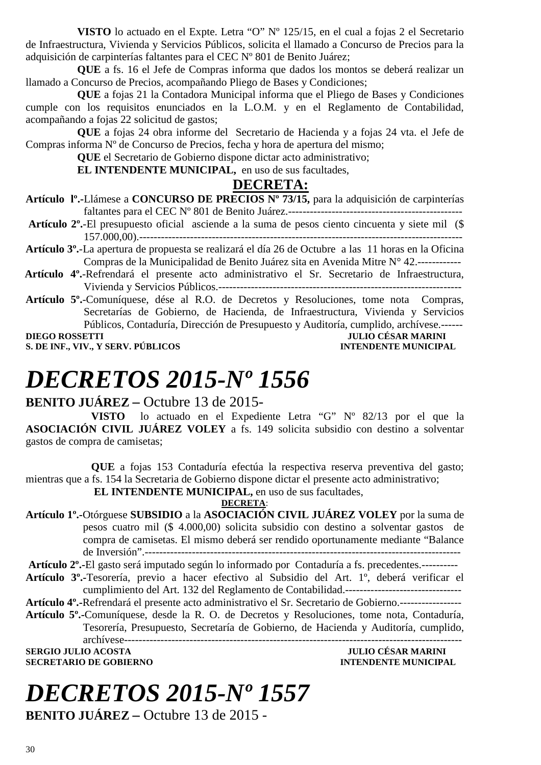**VISTO** lo actuado en el Expte. Letra "O" Nº 125/15, en el cual a fojas 2 el Secretario de Infraestructura, Vivienda y Servicios Públicos, solicita el llamado a Concurso de Precios para la adquisición de carpinterías faltantes para el CEC Nº 801 de Benito Juárez;

**QUE** a fs. 16 el Jefe de Compras informa que dados los montos se deberá realizar un llamado a Concurso de Precios, acompañando Pliego de Bases y Condiciones;

**QUE** a fojas 21 la Contadora Municipal informa que el Pliego de Bases y Condiciones cumple con los requisitos enunciados en la L.O.M. y en el Reglamento de Contabilidad, acompañando a fojas 22 solicitud de gastos;

**QUE** a fojas 24 obra informe del Secretario de Hacienda y a fojas 24 vta. el Jefe de Compras informa Nº de Concurso de Precios, fecha y hora de apertura del mismo;

**QUE** el Secretario de Gobierno dispone dictar acto administrativo;

**EL INTENDENTE MUNICIPAL,** en uso de sus facultades,

#### **DECRETA:**

- **Artículo lº.-**Llámese a **CONCURSO DE PRECIOS Nº 73/15,** para la adquisición de carpinterías faltantes para el CEC Nº 801 de Benito Juárez.------------------------------------------------
- **Artículo 2º.**-El presupuesto oficial asciende a la suma de pesos ciento cincuenta y siete mil (\$ 157.000,00).-----------------------------------------------------------------------------------------
- **Artículo 3º.**-La apertura de propuesta se realizará el día 26 de Octubre a las 11 horas en la Oficina Compras de la Municipalidad de Benito Juárez sita en Avenida Mitre N° 42.------------
- **Artículo 4º.**-Refrendará el presente acto administrativo el Sr. Secretario de Infraestructura, Vivienda y Servicios Públicos.-------------------------------------------------------------------
- **Artículo 5º.**-Comuníquese, dése al R.O. de Decretos y Resoluciones, tome nota Compras, Secretarías de Gobierno, de Hacienda, de Infraestructura, Vivienda y Servicios Públicos, Contaduría, Dirección de Presupuesto y Auditoría, cumplido, archívese.------

**DIEGO ROSSETTI JULIO CÉSAR MARINI S. DE INF., VIV., Y SERV. PÚBLICOS** 

## *DECRETOS 2015-Nº 1556*

#### **BENITO JUÁREZ –** Octubre 13 de 2015-

**VISTO** lo actuado en el Expediente Letra "G" Nº 82/13 por el que la **ASOCIACIÓN CIVIL JUÁREZ VOLEY** a fs. 149 solicita subsidio con destino a solventar gastos de compra de camisetas;

**QUE** a fojas 153 Contaduría efectúa la respectiva reserva preventiva del gasto; mientras que a fs. 154 la Secretaria de Gobierno dispone dictar el presente acto administrativo;

 **EL INTENDENTE MUNICIPAL,** en uso de sus facultades,

**DECRETA**:

**Artículo 1º.-**Otórguese **SUBSIDIO** a la **ASOCIACIÓN CIVIL JUÁREZ VOLEY** por la suma de pesos cuatro mil (\$ 4.000,00) solicita subsidio con destino a solventar gastos de compra de camisetas. El mismo deberá ser rendido oportunamente mediante "Balance de Inversión".---------------------------------------------------------------------------------------

**Artículo 2º.-**El gasto será imputado según lo informado por Contaduría a fs. precedentes.---------- **Artículo 3º.-**Tesorería, previo a hacer efectivo al Subsidio del Art. 1º, deberá verificar el

cumplimiento del Art. 132 del Reglamento de Contabilidad.--------------------------------

**Artículo 4º.-**Refrendará el presente acto administrativo el Sr. Secretario de Gobierno.-----------------

**Artículo 5º.-**Comuníquese, desde la R. O. de Decretos y Resoluciones, tome nota, Contaduría, Tesorería, Presupuesto, Secretaría de Gobierno, de Hacienda y Auditoría, cumplido,

archívese--------------------------------------------------------------------------------------------- **SERGIO JULIO ACOSTA DE CONVERTS DE CONVERTS DE CONVERTS DE CONVERTS DE CONVERTS DE CONVERTS DE CONVERTS DE CO<br>ACONTECTARIO DE GOBIERNO DE CONVERTS DE L'ALGENDE DE CONVERTS DE L'ALGENDE DE L'ALGENDE DE L'ALGENDE DE L'ALGEN SECRETARIO DE GOBIERNO** 

# *DECRETOS 2015-Nº 1557*

**BENITO JUÁREZ –** Octubre 13 de 2015 -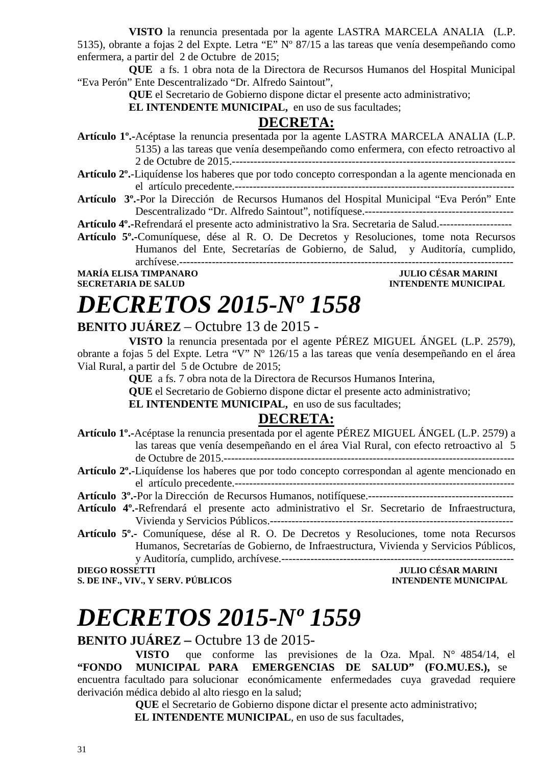**VISTO** la renuncia presentada por la agente LASTRA MARCELA ANALIA (L.P. 5135), obrante a fojas 2 del Expte. Letra "E" Nº 87/15 a las tareas que venía desempeñando como enfermera, a partir del 2 de Octubre de 2015;

**QUE** a fs. 1 obra nota de la Directora de Recursos Humanos del Hospital Municipal "Eva Perón" Ente Descentralizado "Dr. Alfredo Saintout",

**QUE** el Secretario de Gobierno dispone dictar el presente acto administrativo;

**EL INTENDENTE MUNICIPAL,** en uso de sus facultades;

#### **DECRETA:**

**Artículo 1º.-**Acéptase la renuncia presentada por la agente LASTRA MARCELA ANALIA (L.P. 5135) a las tareas que venía desempeñando como enfermera, con efecto retroactivo al

2 de Octubre de 2015.------------------------------------------------------------------------------

- **Artículo 2º.**-Liquídense los haberes que por todo concepto correspondan a la agente mencionada en el artículo precedente.-----------------------------------------------------------------------------
- **Artículo 3º.-**Por la Dirección de Recursos Humanos del Hospital Municipal "Eva Perón" Ente Descentralizado "Dr. Alfredo Saintout", notifíquese.-----------------------------------------

**Artículo 4º.-**Refrendará el presente acto administrativo la Sra. Secretaria de Salud.--------------------

**Artículo 5º.-**Comuníquese, dése al R. O. De Decretos y Resoluciones, tome nota Recursos Humanos del Ente, Secretarías de Gobierno, de Salud, y Auditoría, cumplido, archívese.--------------------------------------------------------------------------------------------

# **MARÍA ELISA TIMPANARO<br>SECRETARIA DE SALUD**

### **INTENDENTE MUNICIPAL**

# *DECRETOS 2015-Nº 1558*

#### **BENITO JUÁREZ** – Octubre 13 de 2015 -

**VISTO** la renuncia presentada por el agente PÉREZ MIGUEL ÁNGEL (L.P. 2579), obrante a fojas 5 del Expte. Letra "V" Nº 126/15 a las tareas que venía desempeñando en el área Vial Rural, a partir del 5 de Octubre de 2015;

**QUE** a fs. 7 obra nota de la Directora de Recursos Humanos Interina,

**QUE** el Secretario de Gobierno dispone dictar el presente acto administrativo;

**EL INTENDENTE MUNICIPAL,** en uso de sus facultades;

#### **DECRETA:**

- **Artículo 1º.-**Acéptase la renuncia presentada por el agente PÉREZ MIGUEL ÁNGEL (L.P. 2579) a las tareas que venía desempeñando en el área Vial Rural, con efecto retroactivo al 5 de Octubre de 2015.--------------------------------------------------------------------------------
- **Artículo 2º.**-Liquídense los haberes que por todo concepto correspondan al agente mencionado en el artículo precedente.-----------------------------------------------------------------------------
- **Artículo 3º.-**Por la Dirección de Recursos Humanos, notifíquese.----------------------------------------
- **Artículo 4º.-**Refrendará el presente acto administrativo el Sr. Secretario de Infraestructura, Vivienda y Servicios Públicos.-------------------------------------------------------------------
- **Artículo 5º.-** Comuníquese, dése al R. O. De Decretos y Resoluciones, tome nota Recursos Humanos, Secretarías de Gobierno, de Infraestructura, Vivienda y Servicios Públicos, y Auditoría, cumplido, archívese.----------------------------------------------------------------

**S. DE INF., VIV., Y SERV. PÚBLICOS** 

### **DIEGO ROSSETTI JULIO CÉSAR MARINI**

# *DECRETOS 2015-Nº 1559*

#### **BENITO JUÁREZ –** Octubre 13 de 2015-

**VISTO** que conforme las previsiones de la Oza. Mpal. N° 4854/14, el **"FONDO MUNICIPAL PARA EMERGENCIAS DE SALUD" (FO.MU.ES.),** se encuentra facultado para solucionar económicamente enfermedades cuya gravedad requiere derivación médica debido al alto riesgo en la salud;

> **QUE** el Secretario de Gobierno dispone dictar el presente acto administrativo;  **EL INTENDENTE MUNICIPAL**, en uso de sus facultades,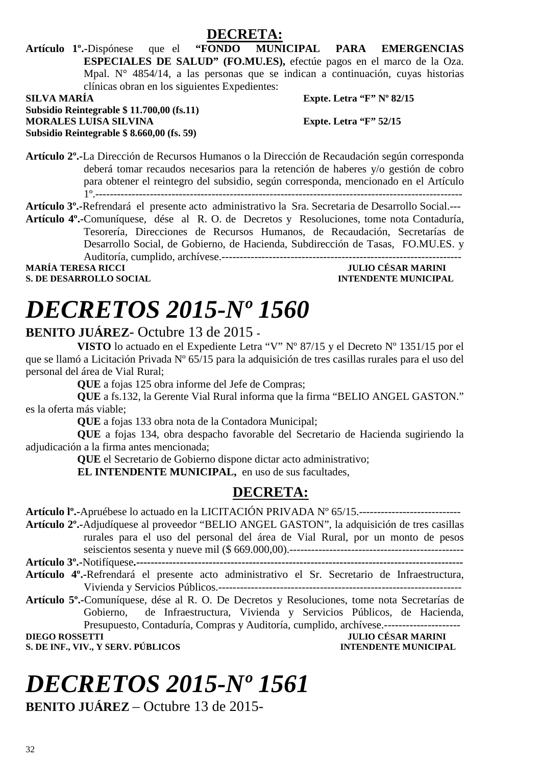

**Artículo 1º.-**Dispónese que el **"FONDO MUNICIPAL PARA EMERGENCIAS ESPECIALES DE SALUD" (FO.MU.ES),** efectúe pagos en el marco de la Oza. Mpal. N° 4854/14, a las personas que se indican a continuación, cuyas historias clínicas obran en los siguientes Expedientes: **SILVA MARÍA Expte. Letra "F" Nº 82/15** 

**Subsidio Reintegrable \$ 11.700,00 (fs.11) MORALES LUISA SILVINA Expte. Letra "F" 52/15 Subsidio Reintegrable \$ 8.660,00 (fs. 59)** 

**Artículo 2º.-**La Dirección de Recursos Humanos o la Dirección de Recaudación según corresponda deberá tomar recaudos necesarios para la retención de haberes y/o gestión de cobro para obtener el reintegro del subsidio, según corresponda, mencionado en el Artículo 1º.-----------------------------------------------------------------------------------------------------

**Artículo 3º.-**Refrendará el presente acto administrativo la Sra. Secretaria de Desarrollo Social.--- **Artículo 4º.-**Comuníquese, dése al R. O. de Decretos y Resoluciones, tome nota Contaduría, Tesorería, Direcciones de Recursos Humanos, de Recaudación, Secretarías de Desarrollo Social, de Gobierno, de Hacienda, Subdirección de Tasas, FO.MU.ES. y Auditoría, cumplido, archívese.------------------------------------------------------------------ **MARÍA TERESA RICCI JULIO CÉSAR MARINI** 

**S. DE DESARROLLO SOCIAL INTENDENTE MUNICIPAL** 

# *DECRETOS 2015-Nº 1560*

#### **BENITO JUÁREZ**- Octubre 13 de 2015 **-**

**VISTO** lo actuado en el Expediente Letra "V" Nº 87/15 y el Decreto Nº 1351/15 por el que se llamó a Licitación Privada Nº 65/15 para la adquisición de tres casillas rurales para el uso del personal del área de Vial Rural;

**QUE** a fojas 125 obra informe del Jefe de Compras;

**QUE** a fs.132, la Gerente Vial Rural informa que la firma "BELIO ANGEL GASTON." es la oferta más viable;

**QUE** a fojas 133 obra nota de la Contadora Municipal;

**QUE** a fojas 134, obra despacho favorable del Secretario de Hacienda sugiriendo la adjudicación a la firma antes mencionada;

**QUE** el Secretario de Gobierno dispone dictar acto administrativo;

**EL INTENDENTE MUNICIPAL,** en uso de sus facultades,

### **DECRETA:**

**Artículo lº.-**Apruébese lo actuado en la LICITACIÓN PRIVADA Nº 65/15.---------------------------- **Artículo 2º.-**Adjudíquese al proveedor "BELIO ANGEL GASTON", la adquisición de tres casillas rurales para el uso del personal del área de Vial Rural, por un monto de pesos seiscientos sesenta y nueve mil (\$ 669.000,00).------------------------------------------------ **Artículo 3º.-**Notifíquese**.------------------------------------------------------------------------------------------** 

**Artículo 4º.-**Refrendará el presente acto administrativo el Sr. Secretario de Infraestructura,

- Vivienda y Servicios Públicos.-------------------------------------------------------------------
- **Artículo 5º.-**Comuníquese, dése al R. O. De Decretos y Resoluciones, tome nota Secretarías de Gobierno, de Infraestructura, Vivienda y Servicios Públicos, de Hacienda, Presupuesto, Contaduría, Compras y Auditoría, cumplido, archívese.---------------------

**JULIO CÉSAR MARINI S. DE INF., VIV., Y SERV. PÚBLICOS INTENDENTE MUNICIPAL** 

# *DECRETOS 2015-Nº 1561*

**BENITO JUÁREZ** – Octubre 13 de 2015-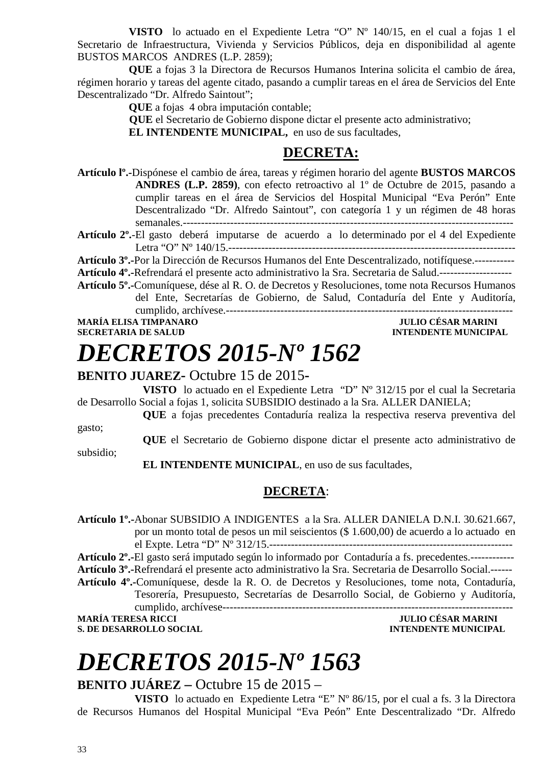**VISTO** lo actuado en el Expediente Letra "O" Nº 140/15, en el cual a fojas 1 el Secretario de Infraestructura, Vivienda y Servicios Públicos, deja en disponibilidad al agente BUSTOS MARCOS ANDRES (L.P. 2859);

**QUE** a fojas 3 la Directora de Recursos Humanos Interina solicita el cambio de área, régimen horario y tareas del agente citado, pasando a cumplir tareas en el área de Servicios del Ente Descentralizado "Dr. Alfredo Saintout";

**QUE** a fojas 4 obra imputación contable;

 **QUE** el Secretario de Gobierno dispone dictar el presente acto administrativo;

**EL INTENDENTE MUNICIPAL,** en uso de sus facultades,

#### **DECRETA:**

**Artículo lº.-**Dispónese el cambio de área, tareas y régimen horario del agente **BUSTOS MARCOS ANDRES (L.P. 2859)**, con efecto retroactivo al 1º de Octubre de 2015, pasando a cumplir tareas en el área de Servicios del Hospital Municipal "Eva Perón" Ente Descentralizado "Dr. Alfredo Saintout", con categoría 1 y un régimen de 48 horas semanales.-------------------------------------------------------------------------------------------

**Artículo 2º.**-El gasto deberá imputarse de acuerdo a lo determinado por el 4 del Expediente Letra "O" Nº 140/15.-------------------------------------------------------------------------------

**Artículo 3º.-**Por la Dirección de Recursos Humanos del Ente Descentralizado, notifíquese.-----------

**Artículo 4º.-**Refrendará el presente acto administrativo la Sra. Secretaria de Salud.--------------------

**Artículo 5º.-**Comuníquese, dése al R. O. de Decretos y Resoluciones, tome nota Recursos Humanos del Ente, Secretarías de Gobierno, de Salud, Contaduría del Ente y Auditoría, cumplido, archívese.-------------------------------------------------------------------------------

## **MARÍA ELISA TIMPANARO JULIO CÉSAR MARINI**

## **INTENDENTE MUNICIPAL**

# *DECRETOS 2015-Nº 1562*

#### **BENITO JUAREZ-** Octubre 15 de 2015**-**

**VISTO** lo actuado en el Expediente Letra "D" Nº 312/15 por el cual la Secretaria de Desarrollo Social a fojas 1, solicita SUBSIDIO destinado a la Sra. ALLER DANIELA;

**QUE** a fojas precedentes Contaduría realiza la respectiva reserva preventiva del

gasto;

subsidio;

**QUE** el Secretario de Gobierno dispone dictar el presente acto administrativo de

 **EL INTENDENTE MUNICIPAL**, en uso de sus facultades,

#### **DECRETA**:

**Artículo 1º.-**Abonar SUBSIDIO A INDIGENTES a la Sra. ALLER DANIELA D.N.I. 30.621.667, por un monto total de pesos un mil seiscientos (\$ 1.600,00) de acuerdo a lo actuado en el Expte. Letra "D" Nº 312/15.-------------------------------------------------------------------

**Artículo 2º.-**El gasto será imputado según lo informado por Contaduría a fs. precedentes.------------

**Artículo 3º.-**Refrendará el presente acto administrativo la Sra. Secretaria de Desarrollo Social.------

**Artículo 4º.-**Comuníquese, desde la R. O. de Decretos y Resoluciones, tome nota, Contaduría, Tesorería, Presupuesto, Secretarías de Desarrollo Social, de Gobierno y Auditoría,

cumplido, archívese-------------------------------------------------------------------------------- **MARÍA TERESA RICCI JULIO CÉSAR MARINI** 

**S. DE DESARROLLO SOCIAL DESARROLLO SOCIAL DESARROLLO SOCIAL DESARROLLO SOCIAL DESARROLLO SOCIAL DE LA PERIODICIPAL DE LA PERIODICIPAL DE LA PERIODICIPAL DE LA PERIODICIPAL DE LA PERIODICIPAL DE LA PERIODICIPAL DE LA PERIO** 

# *DECRETOS 2015-Nº 1563*

#### **BENITO JUÁREZ –** Octubre 15 de 2015 –

 **VISTO** lo actuado en Expediente Letra "E" Nº 86/15, por el cual a fs. 3 la Directora de Recursos Humanos del Hospital Municipal "Eva Peón" Ente Descentralizado "Dr. Alfredo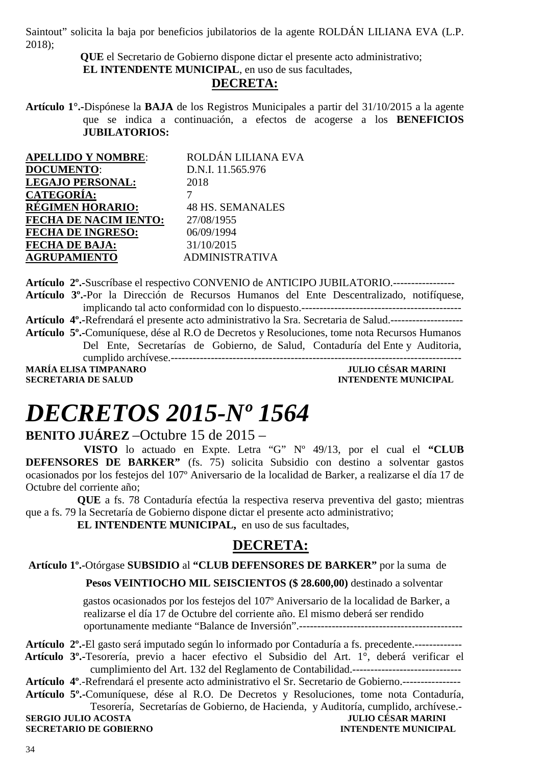Saintout" solicita la baja por beneficios jubilatorios de la agente ROLDÁN LILIANA EVA (L.P. 2018);

> **QUE** el Secretario de Gobierno dispone dictar el presente acto administrativo; **EL INTENDENTE MUNICIPAL**, en uso de sus facultades,

#### **DECRETA:**

**Artículo 1°.-**Dispónese la **BAJA** de los Registros Municipales a partir del 31/10/2015 a la agente que se indica a continuación, a efectos de acogerse a los **BENEFICIOS JUBILATORIOS:**

| <b>APELLIDO Y NOMBRE:</b>    | ROLDÁN LILIANA EVA      |
|------------------------------|-------------------------|
| <b>DOCUMENTO:</b>            | D.N.I. 11.565.976       |
| <b>LEGAJO PERSONAL:</b>      | 2018                    |
| <b>CATEGORÍA:</b>            |                         |
| <b>RÉGIMEN HORARIO:</b>      | <b>48 HS. SEMANALES</b> |
| <b>FECHA DE NACIM IENTO:</b> | 27/08/1955              |
| <b>FECHA DE INGRESO:</b>     | 06/09/1994              |
| <b>FECHA DE BAJA:</b>        | 31/10/2015              |
| <b>AGRUPAMIENTO</b>          | <b>ADMINISTRATIVA</b>   |

**Artículo 2º.-**Suscríbase el respectivo CONVENIO de ANTICIPO JUBILATORIO.----------------- **Artículo 3º.-**Por la Dirección de Recursos Humanos del Ente Descentralizado, notifíquese, implicando tal acto conformidad con lo dispuesto.-------------------------------------------- **Artículo 4º.-**Refrendará el presente acto administrativo la Sra. Secretaria de Salud.-------------------- **Artículo 5º.-**Comuníquese, dése al R.O de Decretos y Resoluciones, tome nota Recursos Humanos Del Ente, Secretarías de Gobierno, de Salud, Contaduría del Ente y Auditoria, cumplido archívese.-------------------------------------------------------------------------------- **MARÍA ELISA TIMPANARO JULIO CÉSAR MARINI SECRETARIA DE SALUD INTENDENTE MUNICIPAL** 

# *DECRETOS 2015-Nº 1564*

#### **BENITO JUÁREZ** –Octubre 15 de 2015 –

**VISTO** lo actuado en Expte. Letra "G" Nº 49/13, por el cual el **"CLUB DEFENSORES DE BARKER"** (fs. 75) solicita Subsidio con destino a solventar gastos ocasionados por los festejos del 107º Aniversario de la localidad de Barker, a realizarse el día 17 de Octubre del corriente año;

**QUE** a fs. 78 Contaduría efectúa la respectiva reserva preventiva del gasto; mientras que a fs. 79 la Secretaría de Gobierno dispone dictar el presente acto administrativo;

**EL INTENDENTE MUNICIPAL,** en uso de sus facultades,

#### **DECRETA:**

 **Artículo 1º.-**Otórgase **SUBSIDIO** al **"CLUB DEFENSORES DE BARKER"** por la suma de

#### **Pesos VEINTIOCHO MIL SEISCIENTOS (\$ 28.600,00)** destinado a solventar

 gastos ocasionados por los festejos del 107º Aniversario de la localidad de Barker, a realizarse el día 17 de Octubre del corriente año. El mismo deberá ser rendido oportunamente mediante "Balance de Inversión".---------------------------------------------

**Artículo 2º.-**El gasto será imputado según lo informado por Contaduría a fs. precedente.-------------  **Artículo 3º.-**Tesorería, previo a hacer efectivo el Subsidio del Art. 1°, deberá verificar el

cumplimiento del Art. 132 del Reglamento de Contabilidad.------------------------------

**Artículo 4º**.-Refrendará el presente acto administrativo el Sr. Secretario de Gobierno.---------------- **Artículo 5º.-**Comuníquese, dése al R.O. De Decretos y Resoluciones, tome nota Contaduría,

Tesorería, Secretarías de Gobierno, de Hacienda, y Auditoría, cumplido, archívese.- **SERGIO JULIO ACOSTA** 

**SECRETARIO DE GOBIERNO INTENDENTE MUNICIPAL**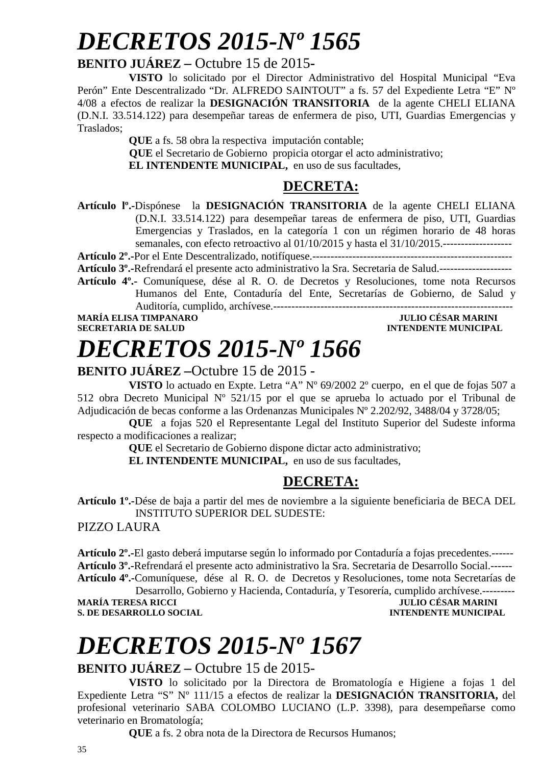# *DECRETOS 2015-Nº 1565*

#### **BENITO JUÁREZ –** Octubre 15 de 2015**-**

**VISTO** lo solicitado por el Director Administrativo del Hospital Municipal "Eva Perón" Ente Descentralizado "Dr. ALFREDO SAINTOUT" a fs. 57 del Expediente Letra "E" Nº 4/08 a efectos de realizar la **DESIGNACIÓN TRANSITORIA** de la agente CHELI ELIANA (D.N.I. 33.514.122) para desempeñar tareas de enfermera de piso, UTI, Guardias Emergencias y Traslados;

**QUE** a fs. 58 obra la respectiva imputación contable;

 **QUE** el Secretario de Gobierno propicia otorgar el acto administrativo;

**EL INTENDENTE MUNICIPAL,** en uso de sus facultades,

### **DECRETA:**

**Artículo lº.-**Dispónese la **DESIGNACIÓN TRANSITORIA** de la agente CHELI ELIANA (D.N.I. 33.514.122) para desempeñar tareas de enfermera de piso, UTI, Guardias Emergencias y Traslados, en la categoría 1 con un régimen horario de 48 horas semanales, con efecto retroactivo al 01/10/2015 y hasta el 31/10/2015.-------------------

**Artículo 2º.-**Por el Ente Descentralizado, notifíquese.-------------------------------------------------------

**Artículo 3º.-**Refrendará el presente acto administrativo la Sra. Secretaria de Salud.--------------------

**Artículo 4º.-** Comuníquese, dése al R. O. de Decretos y Resoluciones, tome nota Recursos Humanos del Ente, Contaduría del Ente, Secretarías de Gobierno, de Salud y Auditoría, cumplido, archívese.------------------------------------------------------------------

#### **MARÍA ELISA TIMPANARO SECRETARIA DE SALUD INTENDENTE MUNICIPAL**

# *DECRETOS 2015-Nº 1566*

### **BENITO JUÁREZ –**Octubre 15 de 2015 -

**VISTO** lo actuado en Expte. Letra "A" Nº 69/2002 2º cuerpo, en el que de fojas 507 a 512 obra Decreto Municipal Nº 521/15 por el que se aprueba lo actuado por el Tribunal de Adjudicación de becas conforme a las Ordenanzas Municipales Nº 2.202/92, 3488/04 y 3728/05;

**QUE** a fojas 520 el Representante Legal del Instituto Superior del Sudeste informa respecto a modificaciones a realizar;

**QUE** el Secretario de Gobierno dispone dictar acto administrativo;

**EL INTENDENTE MUNICIPAL,** en uso de sus facultades,

### **DECRETA:**

**Artículo 1º.-**Dése de baja a partir del mes de noviembre a la siguiente beneficiaria de BECA DEL INSTITUTO SUPERIOR DEL SUDESTE:

PIZZO LAURA

**Artículo 2º.-**El gasto deberá imputarse según lo informado por Contaduría a fojas precedentes.------ **Artículo 3º.-**Refrendará el presente acto administrativo la Sra. Secretaria de Desarrollo Social.------ **Artículo 4º.-**Comuníquese, dése al R. O. de Decretos y Resoluciones, tome nota Secretarías de

Desarrollo, Gobierno y Hacienda, Contaduría, y Tesorería, cumplido archívese.---------<br>MARÍA TERESA RICCI **MARINI** INTENDENTE MUNICIPAL **S. DE DESARROLLO SOCIAL** 

# *DECRETOS 2015-Nº 1567*

#### **BENITO JUÁREZ –** Octubre 15 de 2015-

**VISTO** lo solicitado por la Directora de Bromatología e Higiene a fojas 1 del Expediente Letra "S" Nº 111/15 a efectos de realizar la **DESIGNACIÓN TRANSITORIA,** del profesional veterinario SABA COLOMBO LUCIANO (L.P. 3398), para desempeñarse como veterinario en Bromatología;

**QUE** a fs. 2 obra nota de la Directora de Recursos Humanos;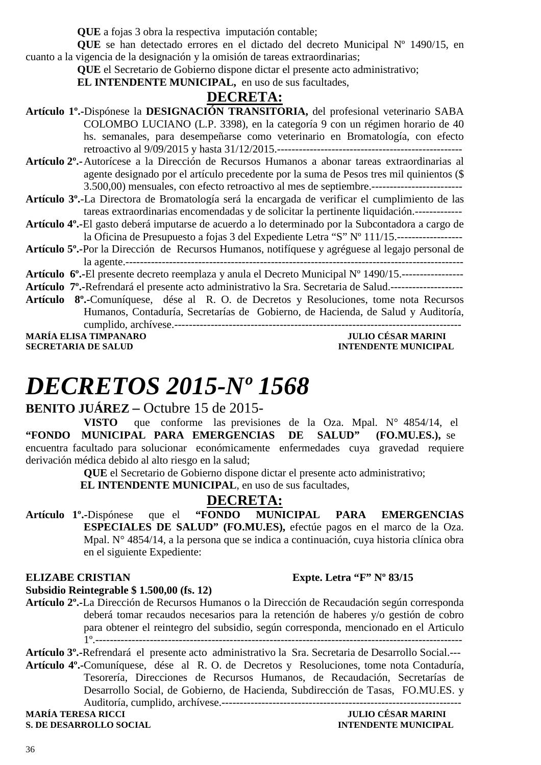**QUE** a fojas 3 obra la respectiva imputación contable;

**QUE** se han detectado errores en el dictado del decreto Municipal Nº 1490/15, en cuanto a la vigencia de la designación y la omisión de tareas extraordinarias;

**QUE** el Secretario de Gobierno dispone dictar el presente acto administrativo;

**EL INTENDENTE MUNICIPAL,** en uso de sus facultades,

#### **DECRETA:**

- **Artículo 1º.-**Dispónese la **DESIGNACIÓN TRANSITORIA,** del profesional veterinario SABA COLOMBO LUCIANO (L.P. 3398), en la categoría 9 con un régimen horario de 40 hs. semanales, para desempeñarse como veterinario en Bromatología, con efecto retroactivo al 9/09/2015 y hasta 31/12/2015.---------------------------------------------------
- **Artículo 2º.-** Autorícese a la Dirección de Recursos Humanos a abonar tareas extraordinarias al agente designado por el artículo precedente por la suma de Pesos tres mil quinientos (\$ 3.500,00) mensuales, con efecto retroactivo al mes de septiembre.-------------------------
- **Artículo 3º.**-La Directora de Bromatología será la encargada de verificar el cumplimiento de las tareas extraordinarias encomendadas y de solicitar la pertinente liquidación.-------------
- **Artículo 4º.-**El gasto deberá imputarse de acuerdo a lo determinado por la Subcontadora a cargo de la Oficina de Presupuesto a fojas 3 del Expediente Letra "S" Nº 111/15.------------------
- **Artículo 5º.-**Por la Dirección de Recursos Humanos, notifíquese y agréguese al legajo personal de la agente.---------------------------------------------------------------------------------------------

**Artículo 6º.-**El presente decreto reemplaza y anula el Decreto Municipal Nº 1490/15.----------------- **Artículo 7º.-**Refrendará el presente acto administrativo la Sra. Secretaria de Salud.--------------------

**Artículo 8º.-**Comuníquese, dése al R. O. de Decretos y Resoluciones, tome nota Recursos Humanos, Contaduría, Secretarías de Gobierno, de Hacienda, de Salud y Auditoría, cumplido, archívese.-------------------------------------------------------------------------------

**MARÍA ELISA TIMPANARO<br>SECRETARIA DE SALUD** 

**INTENDENTE MUNICIPAL** 

# *DECRETOS 2015-Nº 1568*

#### **BENITO JUÁREZ –** Octubre 15 de 2015-

**VISTO** que conforme las previsiones de la Oza. Mpal. N° 4854/14, el **"FONDO MUNICIPAL PARA EMERGENCIAS DE SALUD" (FO.MU.ES.),** se encuentra facultado para solucionar económicamente enfermedades cuya gravedad requiere derivación médica debido al alto riesgo en la salud;

**QUE** el Secretario de Gobierno dispone dictar el presente acto administrativo;

 **EL INTENDENTE MUNICIPAL**, en uso de sus facultades,

**DECRETA:**<br>**<b>FONDO** MUNICIPAL **Artículo 1º.-**Dispónese que el **"FONDO MUNICIPAL PARA EMERGENCIAS ESPECIALES DE SALUD" (FO.MU.ES),** efectúe pagos en el marco de la Oza. Mpal. N° 4854/14, a la persona que se indica a continuación, cuya historia clínica obra en el siguiente Expediente:

#### **ELIZABE CRISTIAN** Expte. Letra "F" Nº 83/15

#### **Subsidio Reintegrable \$ 1.500,00 (fs. 12)**

**Artículo 2º.-**La Dirección de Recursos Humanos o la Dirección de Recaudación según corresponda deberá tomar recaudos necesarios para la retención de haberes y/o gestión de cobro para obtener el reintegro del subsidio, según corresponda, mencionado en el Articulo

1º.-----------------------------------------------------------------------------------------------------

**Artículo 3º.-**Refrendará el presente acto administrativo la Sra. Secretaria de Desarrollo Social.--- **Artículo 4º.-**Comuníquese, dése al R. O. de Decretos y Resoluciones, tome nota Contaduría, Tesorería, Direcciones de Recursos Humanos, de Recaudación, Secretarías de Desarrollo Social, de Gobierno, de Hacienda, Subdirección de Tasas, FO.MU.ES. y

Auditoría, cumplido, archívese.------------------------------------------------------------------

**S. DE DESARROLLO SOCIAL**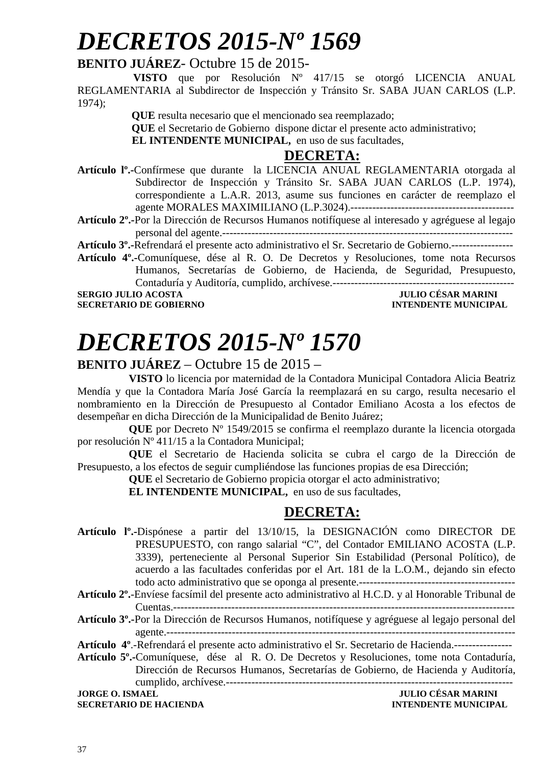# *DECRETOS 2015-Nº 1569*

### **BENITO JUÁREZ**- Octubre 15 de 2015-

 **VISTO** que por Resolución Nº 417/15 se otorgó LICENCIA ANUAL REGLAMENTARIA al Subdirector de Inspección y Tránsito Sr. SABA JUAN CARLOS (L.P. 1974);

 **QUE** resulta necesario que el mencionado sea reemplazado;

 **QUE** el Secretario de Gobierno dispone dictar el presente acto administrativo;

**EL INTENDENTE MUNICIPAL,** en uso de sus facultades,

#### **DECRETA:**

**Artículo lº.-**Confírmese que durante la LICENCIA ANUAL REGLAMENTARIA otorgada al Subdirector de Inspección y Tránsito Sr. SABA JUAN CARLOS (L.P. 1974), correspondiente a L.A.R. 2013, asume sus funciones en carácter de reemplazo el agente MORALES MAXIMILIANO (L.P.3024).---------------------------------------------

**Artículo 2º.-**Por la Dirección de Recursos Humanos notifíquese al interesado y agréguese al legajo personal del agente.--------------------------------------------------------------------------------

**Artículo 3º.-**Refrendará el presente acto administrativo el Sr. Secretario de Gobierno.-----------------

**Artículo 4º.-**Comuníquese, dése al R. O. De Decretos y Resoluciones, tome nota Recursos Humanos, Secretarías de Gobierno, de Hacienda, de Seguridad, Presupuesto, Contaduría y Auditoría, cumplido, archívese.--------------------------------------------------

**SECRETARIO DE GOBIERNO** 

## **SERGIO DE SAR MARINI<br>INTENDENTE MUNICIPAL**

# *DECRETOS 2015-Nº 1570*

#### **BENITO JUÁREZ** – Octubre 15 de 2015 –

**VISTO** lo licencia por maternidad de la Contadora Municipal Contadora Alicia Beatriz Mendía y que la Contadora María José García la reemplazará en su cargo, resulta necesario el nombramiento en la Dirección de Presupuesto al Contador Emiliano Acosta a los efectos de desempeñar en dicha Dirección de la Municipalidad de Benito Juárez;

**QUE** por Decreto Nº 1549/2015 se confirma el reemplazo durante la licencia otorgada por resolución Nº 411/15 a la Contadora Municipal;

**QUE** el Secretario de Hacienda solicita se cubra el cargo de la Dirección de Presupuesto, a los efectos de seguir cumpliéndose las funciones propias de esa Dirección;

**QUE** el Secretario de Gobierno propicia otorgar el acto administrativo;

**EL INTENDENTE MUNICIPAL,** en uso de sus facultades,

### **DECRETA:**

- **Artículo lº.-**Dispónese a partir del 13/10/15, la DESIGNACIÓN como DIRECTOR DE PRESUPUESTO, con rango salarial "C", del Contador EMILIANO ACOSTA (L.P. 3339), perteneciente al Personal Superior Sin Estabilidad (Personal Político), de acuerdo a las facultades conferidas por el Art. 181 de la L.O.M., dejando sin efecto todo acto administrativo que se oponga al presente.-------------------------------------------
- **Artículo 2º.**-Envíese facsímil del presente acto administrativo al H.C.D. y al Honorable Tribunal de Cuentas.----------------------------------------------------------------------------------------------
- **Artículo 3º.-**Por la Dirección de Recursos Humanos, notifíquese y agréguese al legajo personal del agente.------------------------------------------------------------------------------------------------

**Artículo 4º**.-Refrendará el presente acto administrativo el Sr. Secretario de Hacienda.----------------

**Artículo 5º.-**Comuníquese, dése al R. O. De Decretos y Resoluciones, tome nota Contaduría, Dirección de Recursos Humanos, Secretarías de Gobierno, de Hacienda y Auditoría, cumplido, archívese.------------------------------------------------------------------------------- **JORGE O. ISMAEL JULIO CÉSAR MARINI** 

**SECRETARIO DE HACIENDA INTENDENTE MUNICIPAL**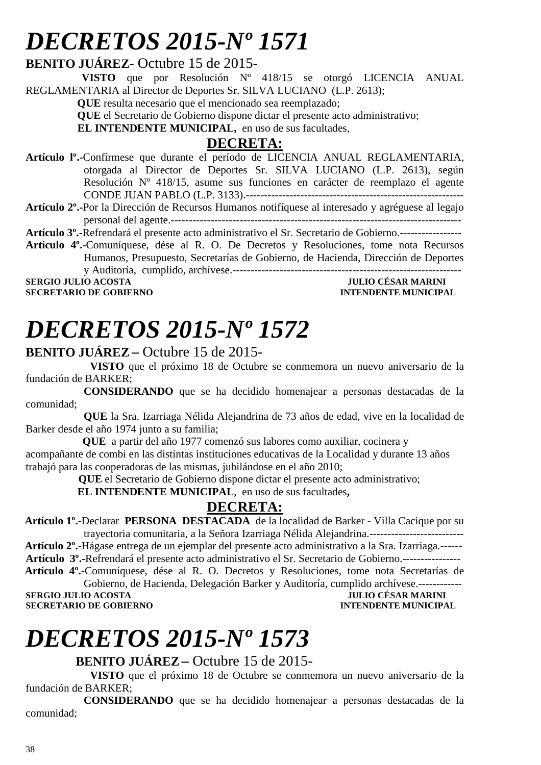# *DECRETOS 2015-Nº 1571*

#### **BENITO JUÁREZ**- Octubre 15 de 2015-

 **VISTO** que por Resolución Nº 418/15 se otorgó LICENCIA ANUAL REGLAMENTARIA al Director de Deportes Sr. SILVA LUCIANO (L.P. 2613);

**QUE** resulta necesario que el mencionado sea reemplazado;

**QUE** el Secretario de Gobierno dispone dictar el presente acto administrativo;

**EL INTENDENTE MUNICIPAL**, en uso de sus facultades,

### **DECRETA:**

- **Artículo lº.-**Confírmese que durante el período de LICENCIA ANUAL REGLAMENTARIA, otorgada al Director de Deportes Sr. SILVA LUCIANO (L.P. 2613), según Resolución Nº 418/15, asume sus funciones en carácter de reemplazo el agente CONDE JUAN PABLO (L.P. 3133).------------------------------------------------------------
- **Artículo 2º.-**Por la Dirección de Recursos Humanos notifíquese al interesado y agréguese al legajo personal del agente.--------------------------------------------------------------------------------

**Artículo 3º.-**Refrendará el presente acto administrativo el Sr. Secretario de Gobierno.-----------------

**Artículo 4º.-**Comuníquese, dése al R. O. De Decretos y Resoluciones, tome nota Recursos Humanos, Presupuesto, Secretarías de Gobierno, de Hacienda, Dirección de Deportes

y Auditoría, cumplido, archívese.--------------------------------------------------------------- **SERGIO JULIO ACOSTA JULIO CÉSAR MARINI** 

**SECRETARIO DE GOBIERNO** 

# *DECRETOS 2015-Nº 1572*

#### **BENITO JUÁREZ –** Octubre 15 de 2015-

 **VISTO** que el próximo 18 de Octubre se conmemora un nuevo aniversario de la fundación de BARKER;

 **CONSIDERANDO** que se ha decidido homenajear a personas destacadas de la comunidad;

 **QUE** la Sra. Izarriaga Nélida Alejandrina de 73 años de edad, vive en la localidad de Barker desde el año 1974 junto a su familia;

 **QUE** a partir del año 1977 comenzó sus labores como auxiliar, cocinera y

acompañante de combi en las distintas instituciones educativas de la Localidad y durante 13 años trabajó para las cooperadoras de las mismas, jubilándose en el año 2010;

 **QUE** el Secretario de Gobierno dispone dictar el presente acto administrativo;

**EL INTENDENTE MUNICIPAL**, en uso de sus facultades**,** 

### **DECRETA:**

 **Artículo 1º.-**Declarar **PERSONA DESTACADA** de la localidad de Barker - Villa Cacique por su trayectoria comunitaria, a la Señora Izarriaga Nélida Alejandrina.--------------------------

 **Artículo 2º.**-Hágase entrega de un ejemplar del presente acto administrativo a la Sra. Izarriaga.------ **Artículo 3º.-**Refrendará el presente acto administrativo el Sr. Secretario de Gobierno.----------------  **Artículo 4º.-**Comuníquese, dése al R. O. Decretos y Resoluciones, tome nota Secretarías de

Gobierno, de Hacienda, Delegación Barker y Auditoría, cumplido archívese.------------ **SERGIO JULIO ACOSTA DE CONSUMIDAD DE CONSUMIDAD DE CONSUMIDAD DE CONSUMIDAD DE CONSUMIDAD DE CONSUMIDAD DE CONSUMIDAD DE CONSUMIDAD DE CONSUMIDAD DE CONSUMIDAD DE CONSUMIDAD DE CONSUMIDAD DE CONSUMIDAD DE CONSUMIDAD DE CO SECRETARIO DE GOBIERNO** 

# *DECRETOS 2015-Nº 1573*

**BENITO JUÁREZ–** Octubre 15 de 2015-

 **VISTO** que el próximo 18 de Octubre se conmemora un nuevo aniversario de la fundación de BARKER;

 **CONSIDERANDO** que se ha decidido homenajear a personas destacadas de la comunidad;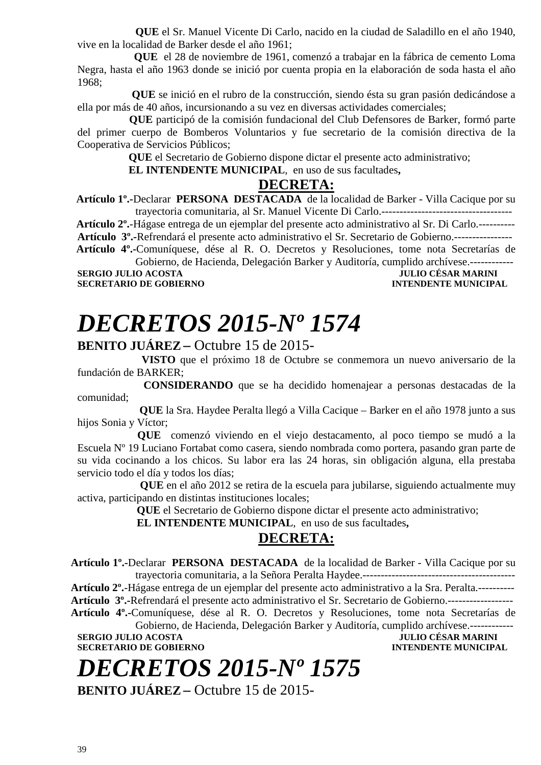**QUE** el Sr. Manuel Vicente Di Carlo, nacido en la ciudad de Saladillo en el año 1940, vive en la localidad de Barker desde el año 1961;

 **QUE** el 28 de noviembre de 1961, comenzó a trabajar en la fábrica de cemento Loma Negra, hasta el año 1963 donde se inició por cuenta propia en la elaboración de soda hasta el año 1968;

 **QUE** se inició en el rubro de la construcción, siendo ésta su gran pasión dedicándose a ella por más de 40 años, incursionando a su vez en diversas actividades comerciales;

 **QUE** participó de la comisión fundacional del Club Defensores de Barker, formó parte del primer cuerpo de Bomberos Voluntarios y fue secretario de la comisión directiva de la Cooperativa de Servicios Públicos;

 **QUE** el Secretario de Gobierno dispone dictar el presente acto administrativo;

 **EL INTENDENTE MUNICIPAL**, en uso de sus facultades**,** 

#### **DECRETA:**

 **Artículo 1º.-**Declarar **PERSONA DESTACADA** de la localidad de Barker - Villa Cacique por su trayectoria comunitaria, al Sr. Manuel Vicente Di Carlo.------------------------------------

 **Artículo 2º.**-Hágase entrega de un ejemplar del presente acto administrativo al Sr. Di Carlo.---------- **Artículo 3º.-**Refrendará el presente acto administrativo el Sr. Secretario de Gobierno.----------------  **Artículo 4º.-**Comuníquese, dése al R. O. Decretos y Resoluciones, tome nota Secretarías de

Gobierno, de Hacienda, Delegación Barker y Auditoría, cumplido archívese.------------ **SERGIO JULIO ACOSTA JULIO CÉSAR MARINI SECRETARIO DE GOBIERNO** 

**SECRETARIO DE GOBIERNO** 

# *DECRETOS 2015-Nº 1574*

**BENITO JUÁREZ –** Octubre 15 de 2015-

 **VISTO** que el próximo 18 de Octubre se conmemora un nuevo aniversario de la fundación de BARKER;

 **CONSIDERANDO** que se ha decidido homenajear a personas destacadas de la comunidad;

 **QUE** la Sra. Haydee Peralta llegó a Villa Cacique – Barker en el año 1978 junto a sus hijos Sonia y Víctor;

 **QUE** comenzó viviendo en el viejo destacamento, al poco tiempo se mudó a la Escuela Nº 19 Luciano Fortabat como casera, siendo nombrada como portera, pasando gran parte de su vida cocinando a los chicos. Su labor era las 24 horas, sin obligación alguna, ella prestaba servicio todo el día y todos los días;

 **QUE** en el año 2012 se retira de la escuela para jubilarse, siguiendo actualmente muy activa, participando en distintas instituciones locales;

 **QUE** el Secretario de Gobierno dispone dictar el presente acto administrativo;

 **EL INTENDENTE MUNICIPAL**, en uso de sus facultades**,** 

### **DECRETA:**

**Artículo 1º.-**Declarar **PERSONA DESTACADA** de la localidad de Barker - Villa Cacique por su trayectoria comunitaria, a la Señora Peralta Haydee.------------------------------------------

**Artículo 2º.**-Hágase entrega de un ejemplar del presente acto administrativo a la Sra. Peralta.----------

**Artículo 3º.-**Refrendará el presente acto administrativo el Sr. Secretario de Gobierno.------------------

**Artículo 4º.-**Comuníquese, dése al R. O. Decretos y Resoluciones, tome nota Secretarías de Gobierno, de Hacienda, Delegación Barker y Auditoría, cumplido archívese.------------

**SERGIO JULIO ACOSTA JULIO CÉSAR MARINI SECRETARIO DE GOBIERNO INTENDENTE MUNICIPAL** 

# *DECRETOS 2015-Nº 1575*

**BENITO JUÁREZ –** Octubre 15 de 2015-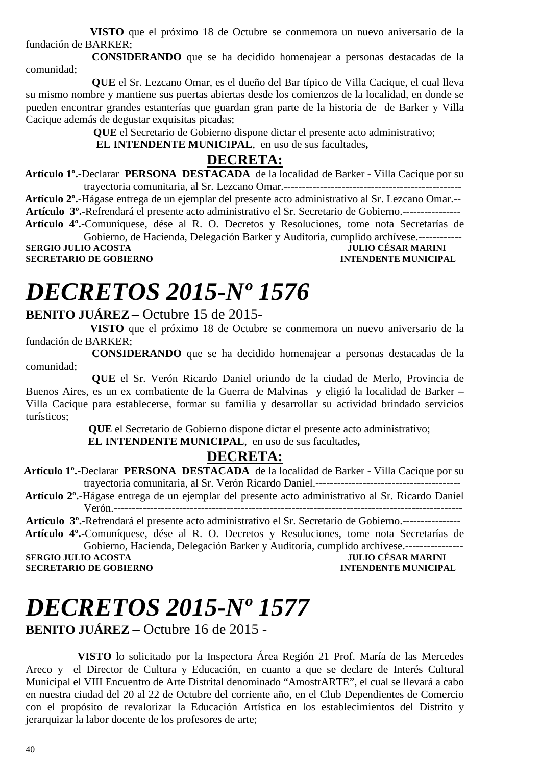**VISTO** que el próximo 18 de Octubre se conmemora un nuevo aniversario de la fundación de BARKER;

 **CONSIDERANDO** que se ha decidido homenajear a personas destacadas de la comunidad;

 **QUE** el Sr. Lezcano Omar, es el dueño del Bar típico de Villa Cacique, el cual lleva su mismo nombre y mantiene sus puertas abiertas desde los comienzos de la localidad, en donde se pueden encontrar grandes estanterías que guardan gran parte de la historia de de Barker y Villa Cacique además de degustar exquisitas picadas;

 **QUE** el Secretario de Gobierno dispone dictar el presente acto administrativo;

 **EL INTENDENTE MUNICIPAL**, en uso de sus facultades**,** 

### **DECRETA:**

 **Artículo 1º.-**Declarar **PERSONA DESTACADA** de la localidad de Barker - Villa Cacique por su trayectoria comunitaria, al Sr. Lezcano Omar.-------------------------------------------------

 **Artículo 2º.**-Hágase entrega de un ejemplar del presente acto administrativo al Sr. Lezcano Omar.-- **Artículo 3º.-**Refrendará el presente acto administrativo el Sr. Secretario de Gobierno.----------------  **Artículo 4º.-**Comuníquese, dése al R. O. Decretos y Resoluciones, tome nota Secretarías de

Gobierno, de Hacienda, Delegación Barker y Auditoría, cumplido archívese.------------ **SERGIO JULIO ACOSTA JULIO CÉSAR MARINI A LORE DE LORE DE LORE DE LORE DE LORE DE LORE DE LORE DE LORE DE LORE D<br>INTENDENTE MUNICIPAL SECRETARIO DE GOBIERNO** 

# *DECRETOS 2015-Nº 1576*

### **BENITO JUÁREZ –** Octubre 15 de 2015-

 **VISTO** que el próximo 18 de Octubre se conmemora un nuevo aniversario de la fundación de BARKER;

 **CONSIDERANDO** que se ha decidido homenajear a personas destacadas de la comunidad;

 **QUE** el Sr. Verón Ricardo Daniel oriundo de la ciudad de Merlo, Provincia de Buenos Aires, es un ex combatiente de la Guerra de Malvinas y eligió la localidad de Barker – Villa Cacique para establecerse, formar su familia y desarrollar su actividad brindado servicios turísticos;

 **QUE** el Secretario de Gobierno dispone dictar el presente acto administrativo;

 **EL INTENDENTE MUNICIPAL**, en uso de sus facultades**,** 

### **DECRETA:**

 **Artículo 1º.-**Declarar **PERSONA DESTACADA** de la localidad de Barker - Villa Cacique por su trayectoria comunitaria, al Sr. Verón Ricardo Daniel.----------------------------------------

 **Artículo 2º.**-Hágase entrega de un ejemplar del presente acto administrativo al Sr. Ricardo Daniel Verón.------------------------------------------------------------------------------------------------

**Artículo 3º.-**Refrendará el presente acto administrativo el Sr. Secretario de Gobierno.----------------  **Artículo 4º.-**Comuníquese, dése al R. O. Decretos y Resoluciones, tome nota Secretarías de

Gobierno, Hacienda, Delegación Barker y Auditoría, cumplido archívese.----------------

**SERGIO JULIO ACOSTA DE CONFERNO DE CORTENO DE CORTENO DE CORTENO DE CORTENO DE CORTENO DE CORTENO DE CORTENO DE CORTENO DE CORTENO DE CORTENO DE CORTENO DE CORTENO DE CORTENO DE CORTENO DE CORTENO DE CORTENO DE CORTENO DE SECRETARIO DE GOBIERNO** 

# *DECRETOS 2015-Nº 1577*

**BENITO JUÁREZ –** Octubre 16 de 2015 -

 **VISTO** lo solicitado por la Inspectora Área Región 21 Prof. María de las Mercedes Areco y el Director de Cultura y Educación, en cuanto a que se declare de Interés Cultural Municipal el VIII Encuentro de Arte Distrital denominado "AmostrARTE", el cual se llevará a cabo en nuestra ciudad del 20 al 22 de Octubre del corriente año, en el Club Dependientes de Comercio con el propósito de revalorizar la Educación Artística en los establecimientos del Distrito y jerarquizar la labor docente de los profesores de arte;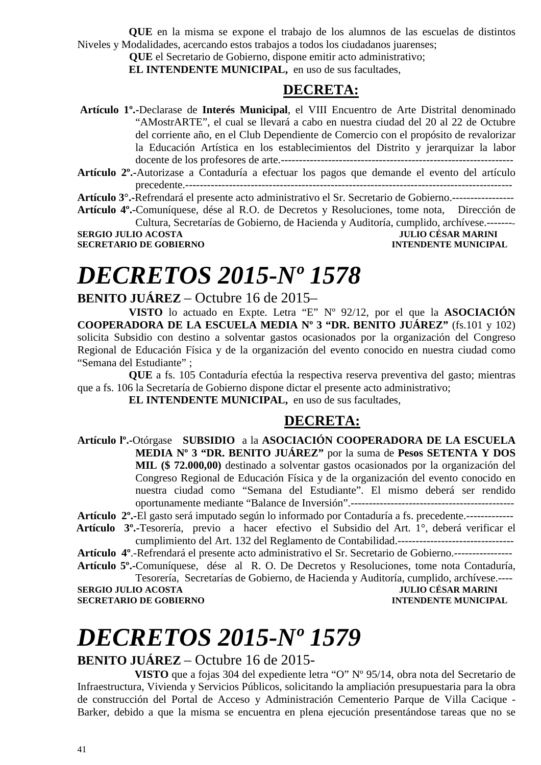**QUE** en la misma se expone el trabajo de los alumnos de las escuelas de distintos Niveles y Modalidades, acercando estos trabajos a todos los ciudadanos juarenses;

**QUE** el Secretario de Gobierno, dispone emitir acto administrativo;

**EL INTENDENTE MUNICIPAL,** en uso de sus facultades,

### **DECRETA:**

 **Artículo 1º.-**Declarase de **Interés Municipal**, el VIII Encuentro de Arte Distrital denominado "AMostrARTE", el cual se llevará a cabo en nuestra ciudad del 20 al 22 de Octubre del corriente año, en el Club Dependiente de Comercio con el propósito de revalorizar la Educación Artística en los establecimientos del Distrito y jerarquizar la labor docente de los profesores de arte.---------------------------------------------------------------- **Artículo 2º.-**Autorizase a Contaduría a efectuar los pagos que demande el evento del artículo

precedente.------------------------------------------------------------------------------------------

**Artículo 3°.-**Refrendará el presente acto administrativo el Sr. Secretario de Gobierno.-----------------

**Artículo 4º.-**Comuníquese, dése al R.O. de Decretos y Resoluciones, tome nota, Dirección de Cultura, Secretarías de Gobierno, de Hacienda y Auditoría, cumplido, archívese.-------- **SERGIO JULIO ACOSTA** 

**SECRETARIO DE GOBIERNO INTENDENTE MUNICIPAL** 

# *DECRETOS 2015-Nº 1578*

#### **BENITO JUÁREZ** – Octubre 16 de 2015–

**VISTO** lo actuado en Expte. Letra "E" Nº 92/12, por el que la **ASOCIACIÓN COOPERADORA DE LA ESCUELA MEDIA Nº 3 "DR. BENITO JUÁREZ"** (fs.101 y 102) solicita Subsidio con destino a solventar gastos ocasionados por la organización del Congreso Regional de Educación Física y de la organización del evento conocido en nuestra ciudad como "Semana del Estudiante" ;

**QUE** a fs. 105 Contaduría efectúa la respectiva reserva preventiva del gasto; mientras que a fs. 106 la Secretaría de Gobierno dispone dictar el presente acto administrativo;

**EL INTENDENTE MUNICIPAL,** en uso de sus facultades,

### **DECRETA:**

**Artículo lº.-**Otórgase **SUBSIDIO** a la **ASOCIACIÓN COOPERADORA DE LA ESCUELA MEDIA Nº 3 "DR. BENITO JUÁREZ"** por la suma de **Pesos SETENTA Y DOS MIL (\$ 72.000,00)** destinado a solventar gastos ocasionados por la organización del Congreso Regional de Educación Física y de la organización del evento conocido en nuestra ciudad como "Semana del Estudiante". El mismo deberá ser rendido oportunamente mediante "Balance de Inversión".---------------------------------------------

**Artículo 2º.-**El gasto será imputado según lo informado por Contaduría a fs. precedente.-------------

 **Artículo 3º.-**Tesorería, previo a hacer efectivo el Subsidio del Art. 1°, deberá verificar el cumplimiento del Art. 132 del Reglamento de Contabilidad.--------------------------------

**Artículo 4º**.-Refrendará el presente acto administrativo el Sr. Secretario de Gobierno.----------------

**Artículo 5º.-**Comuníquese, dése al R. O. De Decretos y Resoluciones, tome nota Contaduría, Tesorería, Secretarías de Gobierno, de Hacienda y Auditoría, cumplido, archívese.----

**SERGIO JULIO ACOSTA** JULIO CÉSAR MARINI **SECRETARIO DE GOBIERNO INTENDENTE MUNICIPAL** 

# *DECRETOS 2015-Nº 1579*

#### **BENITO JUÁREZ** – Octubre 16 de 2015-

 **VISTO** que a fojas 304 del expediente letra "O" Nº 95/14, obra nota del Secretario de Infraestructura, Vivienda y Servicios Públicos, solicitando la ampliación presupuestaria para la obra de construcción del Portal de Acceso y Administración Cementerio Parque de Villa Cacique - Barker, debido a que la misma se encuentra en plena ejecución presentándose tareas que no se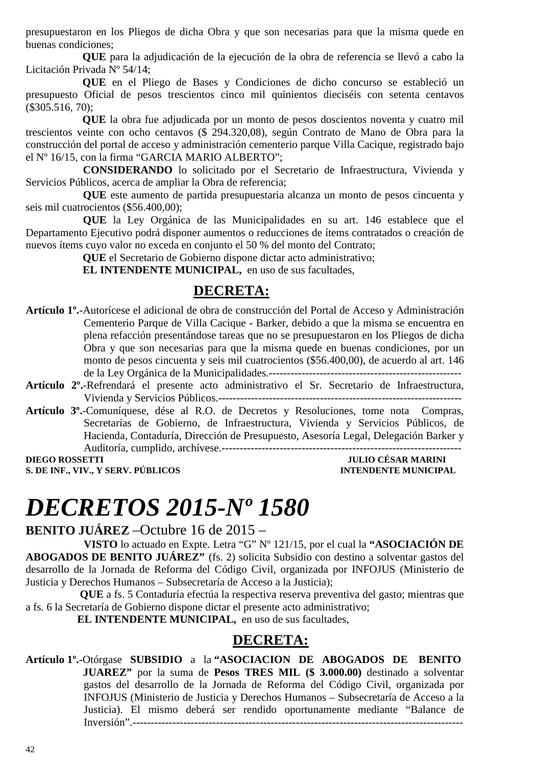presupuestaron en los Pliegos de dicha Obra y que son necesarias para que la misma quede en buenas condiciones;

 **QUE** para la adjudicación de la ejecución de la obra de referencia se llevó a cabo la Licitación Privada Nº 54/14;

 **QUE** en el Pliego de Bases y Condiciones de dicho concurso se estableció un presupuesto Oficial de pesos trescientos cinco mil quinientos dieciséis con setenta centavos (\$305.516, 70);

 **QUE** la obra fue adjudicada por un monto de pesos doscientos noventa y cuatro mil trescientos veinte con ocho centavos (\$ 294.320,08), según Contrato de Mano de Obra para la construcción del portal de acceso y administración cementerio parque Villa Cacique, registrado bajo el Nº 16/15, con la firma "GARCIA MARIO ALBERTO";

 **CONSIDERANDO** lo solicitado por el Secretario de Infraestructura, Vivienda y Servicios Públicos, acerca de ampliar la Obra de referencia;

 **QUE** este aumento de partida presupuestaria alcanza un monto de pesos cincuenta y seis mil cuatrocientos (\$56.400,00);

 **QUE** la Ley Orgánica de las Municipalidades en su art. 146 establece que el Departamento Ejecutivo podrá disponer aumentos o reducciones de ítems contratados o creación de nuevos ítems cuyo valor no exceda en conjunto el 50 % del monto del Contrato;

 **QUE** el Secretario de Gobierno dispone dictar acto administrativo;

 **EL INTENDENTE MUNICIPAL,** en uso de sus facultades,

### **DECRETA:**

- **Artículo 1º.**-Autorícese el adicional de obra de construcción del Portal de Acceso y Administración Cementerio Parque de Villa Cacique - Barker, debido a que la misma se encuentra en plena refacción presentándose tareas que no se presupuestaron en los Pliegos de dicha Obra y que son necesarias para que la misma quede en buenas condiciones, por un monto de pesos cincuenta y seis mil cuatrocientos (\$56.400,00), de acuerdo al art. 146 de la Ley Orgánica de la Municipalidades.-----------------------------------------------------
- **Artículo 2º.**-Refrendará el presente acto administrativo el Sr. Secretario de Infraestructura, Vivienda y Servicios Públicos.-------------------------------------------------------------------
- **Artículo 3º.**-Comuníquese, dése al R.O. de Decretos y Resoluciones, tome nota Compras, Secretarías de Gobierno, de Infraestructura, Vivienda y Servicios Públicos, de Hacienda, Contaduría, Dirección de Presupuesto, Asesoría Legal, Delegación Barker y Auditoría, cumplido, archívese.------------------------------------------------------------------

**DIEGO ROSSETTI JULIO CÉSAR MARINI S. DE INF., VIV., Y SERV. PÚBLICOS INTENDENTE MUNICIPAL** 

## *DECRETOS 2015-Nº 1580*

**BENITO JUÁREZ** –Octubre 16 de 2015 –

**VISTO** lo actuado en Expte. Letra "G" Nº 121/15, por el cual la **"ASOCIACIÓN DE ABOGADOS DE BENITO JUÁREZ"** (fs. 2) solicita Subsidio con destino a solventar gastos del desarrollo de la Jornada de Reforma del Código Civil, organizada por INFOJUS (Ministerio de Justicia y Derechos Humanos – Subsecretaría de Acceso a la Justicia);

 **QUE** a fs. 5 Contaduría efectúa la respectiva reserva preventiva del gasto; mientras que a fs. 6 la Secretaría de Gobierno dispone dictar el presente acto administrativo;

**EL INTENDENTE MUNICIPAL,** en uso de sus facultades,

### **DECRETA:**

**Artículo 1º.-**Otórgase **SUBSIDIO** a la **"ASOCIACION DE ABOGADOS DE BENITO JUAREZ"** por la suma de **Pesos TRES MIL (\$ 3.000.00)** destinado a solventar gastos del desarrollo de la Jornada de Reforma del Código Civil, organizada por INFOJUS (Ministerio de Justicia y Derechos Humanos – Subsecretaría de Acceso a la Justicia). El mismo deberá ser rendido oportunamente mediante "Balance de Inversión".-------------------------------------------------------------------------------------------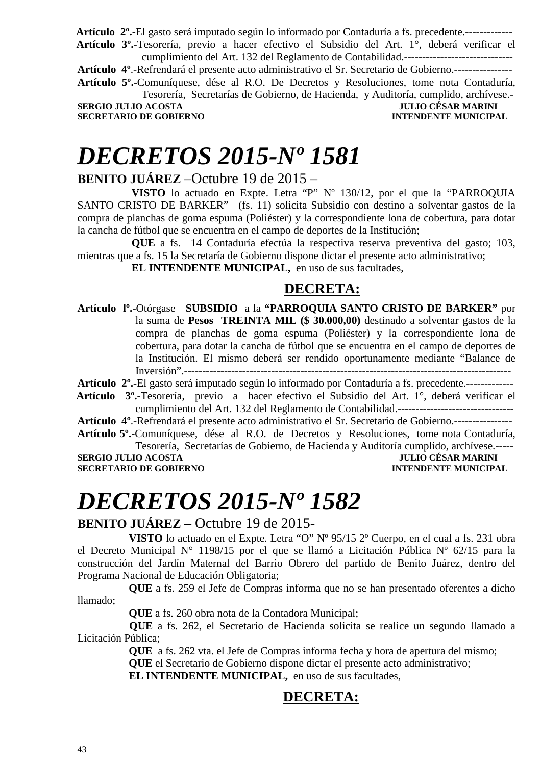**Artículo 2º.-**El gasto será imputado según lo informado por Contaduría a fs. precedente.-------------  **Artículo 3º.-**Tesorería, previo a hacer efectivo el Subsidio del Art. 1°, deberá verificar el

cumplimiento del Art. 132 del Reglamento de Contabilidad.------------------------------ **Artículo 4º**.-Refrendará el presente acto administrativo el Sr. Secretario de Gobierno.---------------- **Artículo 5º.-**Comuníquese, dése al R.O. De Decretos y Resoluciones, tome nota Contaduría,

Tesorería, Secretarías de Gobierno, de Hacienda, y Auditoría, cumplido, archívese.- **SERGIO JULIO ACOSTA JULIO CÉSAR MARINI SECRETARIO DE GOBIERNO INTENDENTE MUNICIPAL** 

# *DECRETOS 2015-Nº 1581*

### **BENITO JUÁREZ** –Octubre 19 de 2015 –

 **VISTO** lo actuado en Expte. Letra "P" Nº 130/12, por el que la "PARROQUIA SANTO CRISTO DE BARKER" (fs. 11) solicita Subsidio con destino a solventar gastos de la compra de planchas de goma espuma (Poliéster) y la correspondiente lona de cobertura, para dotar la cancha de fútbol que se encuentra en el campo de deportes de la Institución;

 **QUE** a fs. 14 Contaduría efectúa la respectiva reserva preventiva del gasto; 103, mientras que a fs. 15 la Secretaría de Gobierno dispone dictar el presente acto administrativo;

 **EL INTENDENTE MUNICIPAL,** en uso de sus facultades,

### **DECRETA:**

**Artículo lº.-**Otórgase **SUBSIDIO** a la **"PARROQUIA SANTO CRISTO DE BARKER"** por la suma de **Pesos TREINTA MIL (\$ 30.000,00)** destinado a solventar gastos de la compra de planchas de goma espuma (Poliéster) y la correspondiente lona de cobertura, para dotar la cancha de fútbol que se encuentra en el campo de deportes de la Institución. El mismo deberá ser rendido oportunamente mediante "Balance de Inversión".------------------------------------------------------------------------------------------

**Artículo 2º.-**El gasto será imputado según lo informado por Contaduría a fs. precedente.-------------

 **Artículo 3º.-**Tesorería, previo a hacer efectivo el Subsidio del Art. 1°, deberá verificar el cumplimiento del Art. 132 del Reglamento de Contabilidad.--------------------------------

**Artículo 4º**.-Refrendará el presente acto administrativo el Sr. Secretario de Gobierno.----------------

**Artículo 5º.-**Comuníquese, dése al R.O. de Decretos y Resoluciones, tome nota Contaduría, Tesorería, Secretarías de Gobierno, de Hacienda y Auditoría cumplido, archívese.-----

**SERGIO JULIO ACOSTA JULIO CÉSAR MARINI SECRETARIO DE GOBIERNO INTENDENTE MUNICIPAL** 

# *DECRETOS 2015-Nº 1582*

### **BENITO JUÁREZ** – Octubre 19 de 2015-

**VISTO** lo actuado en el Expte. Letra "O" Nº 95/15 2º Cuerpo, en el cual a fs. 231 obra el Decreto Municipal N° 1198/15 por el que se llamó a Licitación Pública Nº 62/15 para la construcción del Jardín Maternal del Barrio Obrero del partido de Benito Juárez, dentro del Programa Nacional de Educación Obligatoria;

**QUE** a fs. 259 el Jefe de Compras informa que no se han presentado oferentes a dicho llamado;

**QUE** a fs. 260 obra nota de la Contadora Municipal;

 **QUE** a fs. 262, el Secretario de Hacienda solicita se realice un segundo llamado a Licitación Pública;

> **QUE** a fs. 262 vta. el Jefe de Compras informa fecha y hora de apertura del mismo; **QUE** el Secretario de Gobierno dispone dictar el presente acto administrativo;

**EL INTENDENTE MUNICIPAL,** en uso de sus facultades,

### **DECRETA:**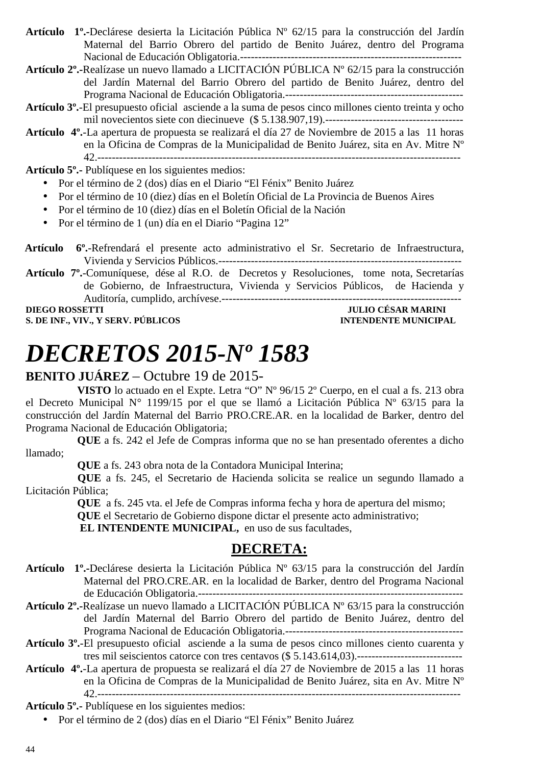- **Artículo 1º.-**Declárese desierta la Licitación Pública Nº 62/15 para la construcción del Jardín Maternal del Barrio Obrero del partido de Benito Juárez, dentro del Programa Nacional de Educación Obligatoria.-------------------------------------------------------------
- **Artículo 2º.-**Realízase un nuevo llamado a LICITACIÓN PÚBLICA Nº 62/15 para la construcción del Jardín Maternal del Barrio Obrero del partido de Benito Juárez, dentro del Programa Nacional de Educación Obligatoria.-------------------------------------------------
- **Artículo 3º.**-El presupuesto oficial asciende a la suma de pesos cinco millones ciento treinta y ocho mil novecientos siete con diecinueve (\$ 5.138.907,19).--------------------------------------
- **Artículo 4º.**-La apertura de propuesta se realizará el día 27 de Noviembre de 2015 a las 11 horas en la Oficina de Compras de la Municipalidad de Benito Juárez, sita en Av. Mitre Nº 42.----------------------------------------------------------------------------------------------------

**Artículo 5º.-** Publíquese en los siguientes medios:

- Por el término de 2 (dos) días en el Diario "El Fénix" Benito Juárez
- Por el término de 10 (diez) días en el Boletín Oficial de La Provincia de Buenos Aires
- Por el término de 10 (diez) días en el Boletín Oficial de la Nación
- Por el término de 1 (un) día en el Diario "Pagina 12"
- **Artículo 6º.**-Refrendará el presente acto administrativo el Sr. Secretario de Infraestructura, Vivienda y Servicios Públicos.-------------------------------------------------------------------

**Artículo 7º.**-Comuníquese, dése al R.O. de Decretos y Resoluciones, tome nota, Secretarías de Gobierno, de Infraestructura, Vivienda y Servicios Públicos, de Hacienda y Auditoría, cumplido, archívese.------------------------------------------------------------------

**S. DE INF., VIV., Y SERV. PÚBLICOS INTENDENTE MUNICIPAL** 

**DIEGO ROSSETTI JULIO CÉSAR MARINI** 

# *DECRETOS 2015-Nº 1583*

#### **BENITO JUÁREZ** – Octubre 19 de 2015-

**VISTO** lo actuado en el Expte. Letra "O" Nº 96/15 2º Cuerpo, en el cual a fs. 213 obra el Decreto Municipal N° 1199/15 por el que se llamó a Licitación Pública Nº 63/15 para la construcción del Jardín Maternal del Barrio PRO.CRE.AR. en la localidad de Barker, dentro del Programa Nacional de Educación Obligatoria;

**QUE** a fs. 242 el Jefe de Compras informa que no se han presentado oferentes a dicho llamado;

**QUE** a fs. 243 obra nota de la Contadora Municipal Interina;

 **QUE** a fs. 245, el Secretario de Hacienda solicita se realice un segundo llamado a Licitación Pública;

**QUE** a fs. 245 vta. el Jefe de Compras informa fecha y hora de apertura del mismo; **QUE** el Secretario de Gobierno dispone dictar el presente acto administrativo;

 **EL INTENDENTE MUNICIPAL,** en uso de sus facultades,

### **DECRETA:**

- **Artículo 1º.-**Declárese desierta la Licitación Pública Nº 63/15 para la construcción del Jardín Maternal del PRO.CRE.AR. en la localidad de Barker, dentro del Programa Nacional de Educación Obligatoria.-------------------------------------------------------------------------
- **Artículo 2º.-**Realízase un nuevo llamado a LICITACIÓN PÚBLICA Nº 63/15 para la construcción del Jardín Maternal del Barrio Obrero del partido de Benito Juárez, dentro del Programa Nacional de Educación Obligatoria.-------------------------------------------------
- **Artículo 3º.**-El presupuesto oficial asciende a la suma de pesos cinco millones ciento cuarenta y tres mil seiscientos catorce con tres centavos (\$ 5.143.614,03).-----------------------------------
- **Artículo 4º.**-La apertura de propuesta se realizará el día 27 de Noviembre de 2015 a las 11 horas en la Oficina de Compras de la Municipalidad de Benito Juárez, sita en Av. Mitre Nº 42.----------------------------------------------------------------------------------------------------

**Artículo 5º.-** Publíquese en los siguientes medios:

• Por el término de 2 (dos) días en el Diario "El Fénix" Benito Juárez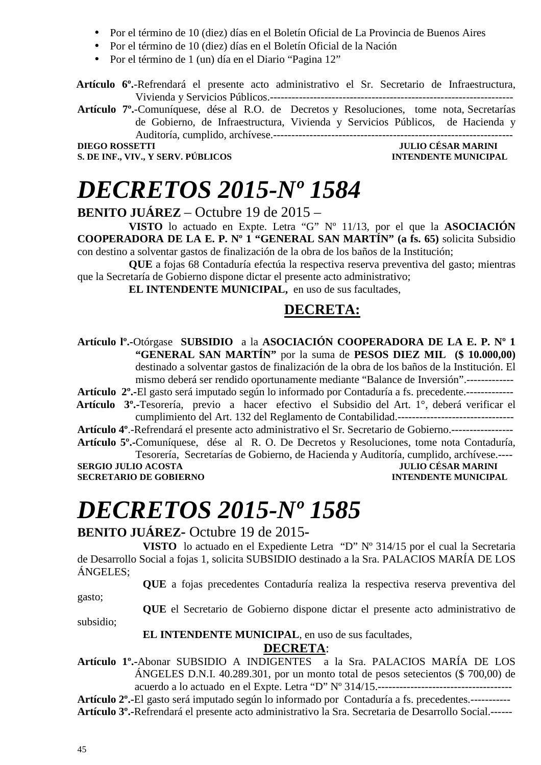- Por el término de 10 (diez) días en el Boletín Oficial de La Provincia de Buenos Aires
- Por el término de 10 (diez) días en el Boletín Oficial de la Nación
- Por el término de 1 (un) día en el Diario "Pagina 12"

 **Artículo 6º.**-Refrendará el presente acto administrativo el Sr. Secretario de Infraestructura, Vivienda y Servicios Públicos.-------------------------------------------------------------------

**Artículo 7º.**-Comuníquese, dése al R.O. de Decretos y Resoluciones, tome nota, Secretarías de Gobierno, de Infraestructura, Vivienda y Servicios Públicos, de Hacienda y Auditoría, cumplido, archívese.------------------------------------------------------------------

**DIEGO ROSSETTI JULIO CÉSAR MARINI S. DE INF., VIV., Y SERV. PÚBLICOS** 

# *DECRETOS 2015-Nº 1584*

**BENITO JUÁREZ** – Octubre 19 de 2015 –

**VISTO** lo actuado en Expte. Letra "G" Nº 11/13, por el que la **ASOCIACIÓN COOPERADORA DE LA E. P. Nº 1 "GENERAL SAN MARTÍN" (a fs. 65)** solicita Subsidio con destino a solventar gastos de finalización de la obra de los baños de la Institución;

**QUE** a fojas 68 Contaduría efectúa la respectiva reserva preventiva del gasto; mientras que la Secretaría de Gobierno dispone dictar el presente acto administrativo;

**EL INTENDENTE MUNICIPAL,** en uso de sus facultades,

#### **DECRETA:**

**Artículo lº.-**Otórgase **SUBSIDIO** a la **ASOCIACIÓN COOPERADORA DE LA E. P. Nº 1 "GENERAL SAN MARTÍN"** por la suma de **PESOS DIEZ MIL (\$ 10.000,00)**  destinado a solventar gastos de finalización de la obra de los baños de la Institución. El mismo deberá ser rendido oportunamente mediante "Balance de Inversión".-------------

**Artículo 2º.-**El gasto será imputado según lo informado por Contaduría a fs. precedente.-------------  **Artículo 3º.-**Tesorería, previo a hacer efectivo el Subsidio del Art. 1°, deberá verificar el cumplimiento del Art. 132 del Reglamento de Contabilidad.--------------------------------

**Artículo 4º**.-Refrendará el presente acto administrativo el Sr. Secretario de Gobierno.-----------------

**Artículo 5º.-**Comuníquese, dése al R. O. De Decretos y Resoluciones, tome nota Contaduría, Tesorería, Secretarías de Gobierno, de Hacienda y Auditoría, cumplido, archívese.----

**SERGIO JULIO ACOSTA JULIO CÉSAR MARINI SECRETARIO DE GOBIERNO INTENDENTE MUNICIPAL** 

# *DECRETOS 2015-Nº 1585*

**BENITO JUÁREZ-** Octubre 19 de 2015**-** 

**VISTO** lo actuado en el Expediente Letra "D" Nº 314/15 por el cual la Secretaria de Desarrollo Social a fojas 1, solicita SUBSIDIO destinado a la Sra. PALACIOS MARÍA DE LOS ÁNGELES;

**QUE** a fojas precedentes Contaduría realiza la respectiva reserva preventiva del

gasto;

**QUE** el Secretario de Gobierno dispone dictar el presente acto administrativo de

subsidio;

 **EL INTENDENTE MUNICIPAL**, en uso de sus facultades,

#### **DECRETA**:

**Artículo 1º.-**Abonar SUBSIDIO A INDIGENTES a la Sra. PALACIOS MARÍA DE LOS ÁNGELES D.N.I. 40.289.301, por un monto total de pesos setecientos (\$ 700,00) de acuerdo a lo actuado en el Expte. Letra "D" Nº 314/15.-------------------------------------

**Artículo 2º.-**El gasto será imputado según lo informado por Contaduría a fs. precedentes.----------- **Artículo 3º.-**Refrendará el presente acto administrativo la Sra. Secretaria de Desarrollo Social.------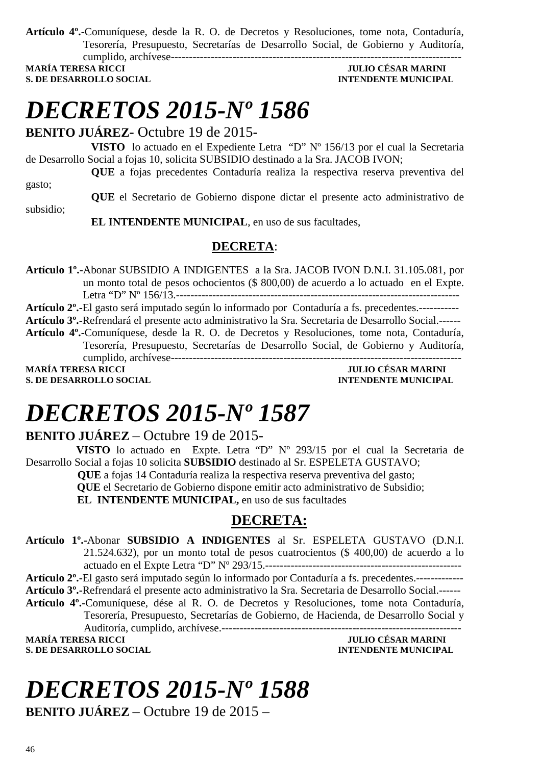**Artículo 4º.-**Comuníquese, desde la R. O. de Decretos y Resoluciones, tome nota, Contaduría, Tesorería, Presupuesto, Secretarías de Desarrollo Social, de Gobierno y Auditoría, cumplido, archívese--------------------------------------------------------------------------------

**S. DE DESARROLLO SOCIAL DESARROLLO SOCIAL DESARROLLO SOCIAL DESARROLLO SOCIAL DESARROLLO SOCIAL DESARROLLO SOCIAL DE SOCIAL DE SOCIAL DE SOCIAL DE SOCIAL DE SOCIAL DE SOCIAL DE SOCIAL DE SOCIAL DE SOCIAL DE SOCIAL DE SOCI** 

## **MARÍA TERESA RICCI JULIO CÉSAR MARINI**

# *DECRETOS 2015-Nº 1586*

#### **BENITO JUÁREZ-** Octubre 19 de 2015**-**

**VISTO** lo actuado en el Expediente Letra "D" Nº 156/13 por el cual la Secretaria de Desarrollo Social a fojas 10, solicita SUBSIDIO destinado a la Sra. JACOB IVON;

**QUE** a fojas precedentes Contaduría realiza la respectiva reserva preventiva del gasto;

**QUE** el Secretario de Gobierno dispone dictar el presente acto administrativo de subsidio;

 **EL INTENDENTE MUNICIPAL**, en uso de sus facultades,

#### **DECRETA**:

**Artículo 1º.-**Abonar SUBSIDIO A INDIGENTES a la Sra. JACOB IVON D.N.I. 31.105.081, por un monto total de pesos ochocientos (\$ 800,00) de acuerdo a lo actuado en el Expte. Letra "D" Nº 156/13.------------------------------------------------------------------------------

**Artículo 2º.-**El gasto será imputado según lo informado por Contaduría a fs. precedentes.----------- **Artículo 3º.-**Refrendará el presente acto administrativo la Sra. Secretaria de Desarrollo Social.------ **Artículo 4º.-**Comuníquese, desde la R. O. de Decretos y Resoluciones, tome nota, Contaduría, Tesorería, Presupuesto, Secretarías de Desarrollo Social, de Gobierno y Auditoría, cumplido, archívese-------------------------------------------------------------------------------- **MARÍA TERESA RICCI JULIO CÉSAR MARINI S. DE DESARROLLO SOCIAL DESARROLLO SOCIAL DESARROLLO SOCIAL DESARROLLO SOCIAL DESARROLLO SOCIAL DE SOCIAL DE SOCIAL DE SOCIAL DE SOCIAL DE SOCIAL DE SOCIAL DE SOCIAL DE SOCIAL DE SOCIAL DE SOCIAL DE SOCIAL DE SOCIAL DE SO** 

# *DECRETOS 2015-Nº 1587*

### **BENITO JUÁREZ** – Octubre 19 de 2015-

 **VISTO** lo actuado en Expte. Letra "D" Nº 293/15 por el cual la Secretaria de Desarrollo Social a fojas 10 solicita **SUBSIDIO** destinado al Sr. ESPELETA GUSTAVO;

 **QUE** a fojas 14 Contaduría realiza la respectiva reserva preventiva del gasto;  **QUE** el Secretario de Gobierno dispone emitir acto administrativo de Subsidio;

**EL INTENDENTE MUNICIPAL,** en uso de sus facultades

### **DECRETA:**

**Artículo 1º.-**Abonar **SUBSIDIO A INDIGENTES** al Sr. ESPELETA GUSTAVO (D.N.I. 21.524.632), por un monto total de pesos cuatrocientos (\$ 400,00) de acuerdo a lo actuado en el Expte Letra "D" Nº 293/15.------------------------------------------------------

**Artículo 2º.-**El gasto será imputado según lo informado por Contaduría a fs. precedentes.------------- **Artículo 3º.-**Refrendará el presente acto administrativo la Sra. Secretaria de Desarrollo Social.------

**Artículo 4º.-**Comuníquese, dése al R. O. de Decretos y Resoluciones, tome nota Contaduría, Tesorería, Presupuesto, Secretarías de Gobierno, de Hacienda, de Desarrollo Social y Auditoría, cumplido, archívese.------------------------------------------------------------------

**S. DE DESARROLLO SOCIAL** 

**MULIO CÉSAR MARINI<br>INTENDENTE MUNICIPAL** 

# *DECRETOS 2015-Nº 1588*

**BENITO JUÁREZ** – Octubre 19 de 2015 –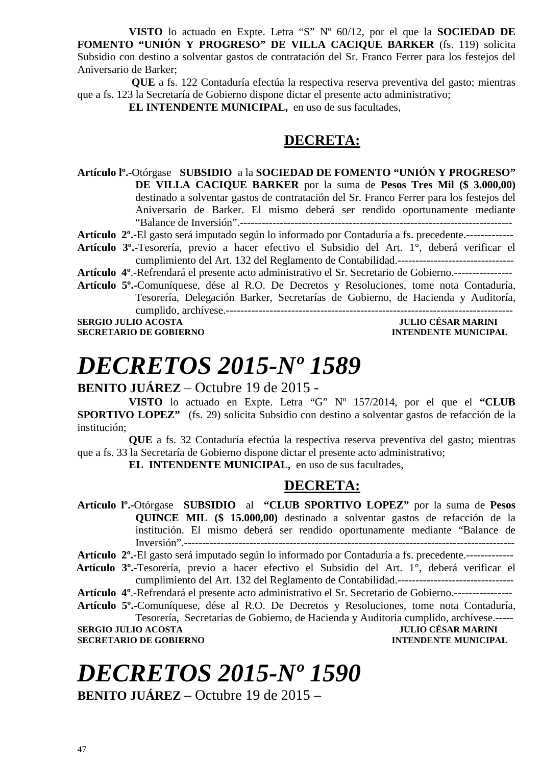**VISTO** lo actuado en Expte. Letra "S" Nº 60/12, por el que la **SOCIEDAD DE FOMENTO "UNIÓN Y PROGRESO" DE VILLA CACIQUE BARKER** (fs. 119) solicita Subsidio con destino a solventar gastos de contratación del Sr. Franco Ferrer para los festejos del Aniversario de Barker;

**QUE** a fs. 122 Contaduría efectúa la respectiva reserva preventiva del gasto; mientras que a fs. 123 la Secretaría de Gobierno dispone dictar el presente acto administrativo;

**EL INTENDENTE MUNICIPAL,** en uso de sus facultades,

### **DECRETA:**

**Artículo lº.-**Otórgase **SUBSIDIO** a la **SOCIEDAD DE FOMENTO "UNIÓN Y PROGRESO" DE VILLA CACIQUE BARKER** por la suma de **Pesos Tres Mil (\$ 3.000,00)**  destinado a solventar gastos de contratación del Sr. Franco Ferrer para los festejos del Aniversario de Barker. El mismo deberá ser rendido oportunamente mediante "Balance de Inversión".--------------------------------------------------------------------------- **Artículo 2º.-**El gasto será imputado según lo informado por Contaduría a fs. precedente.-------------

**Artículo 3º.-**Tesorería, previo a hacer efectivo el Subsidio del Art. 1°, deberá verificar el

cumplimiento del Art. 132 del Reglamento de Contabilidad.--------------------------------

- **Artículo 4º**.-Refrendará el presente acto administrativo el Sr. Secretario de Gobierno.----------------
- **Artículo 5º.-**Comuníquese, dése al R.O. De Decretos y Resoluciones, tome nota Contaduría, Tesorería, Delegación Barker, Secretarías de Gobierno, de Hacienda y Auditoría, cumplido, archívese.------------------------------------------------------------------------------- **SERGIO JULIO ACOSTA JULIO CÉSAR MARINI**

**SECRETARIO DE GOBIERNO** 

# *DECRETOS 2015-Nº 1589*

#### **BENITO JUÁREZ** – Octubre 19 de 2015 -

**VISTO** lo actuado en Expte. Letra "G" Nº 157/2014, por el que el **"CLUB SPORTIVO LOPEZ"** (fs. 29) solicita Subsidio con destino a solventar gastos de refacción de la institución;

**QUE** a fs. 32 Contaduría efectúa la respectiva reserva preventiva del gasto; mientras que a fs. 33 la Secretaría de Gobierno dispone dictar el presente acto administrativo;

**EL INTENDENTE MUNICIPAL,** en uso de sus facultades,

### **DECRETA:**

**Artículo lº.-**Otórgase **SUBSIDIO** al **"CLUB SPORTIVO LOPEZ"** por la suma de **Pesos QUINCE MIL (\$ 15.000,00)** destinado a solventar gastos de refacción de la institución. El mismo deberá ser rendido oportunamente mediante "Balance de Inversión".-------------------------------------------------------------------------------------------

**Artículo 2º.-**El gasto será imputado según lo informado por Contaduría a fs. precedente.-------------

- **Artículo 3º.-**Tesorería, previo a hacer efectivo el Subsidio del Art. 1°, deberá verificar el cumplimiento del Art. 132 del Reglamento de Contabilidad.--------------------------------
- **Artículo 4º**.-Refrendará el presente acto administrativo el Sr. Secretario de Gobierno.----------------

**Artículo 5º.-**Comuníquese, dése al R.O. De Decretos y Resoluciones, tome nota Contaduría, Tesorería, Secretarías de Gobierno, de Hacienda y Auditoria cumplido, archívese.-----

**SERGIO JULIO ACOSTA JULIO CÉSAR MARINI** 

**SECRETARIO DE GOBIERNO INTENDENTE MUNICIPAL** 

# *DECRETOS 2015-Nº 1590*

**BENITO JUÁREZ** – Octubre 19 de 2015 –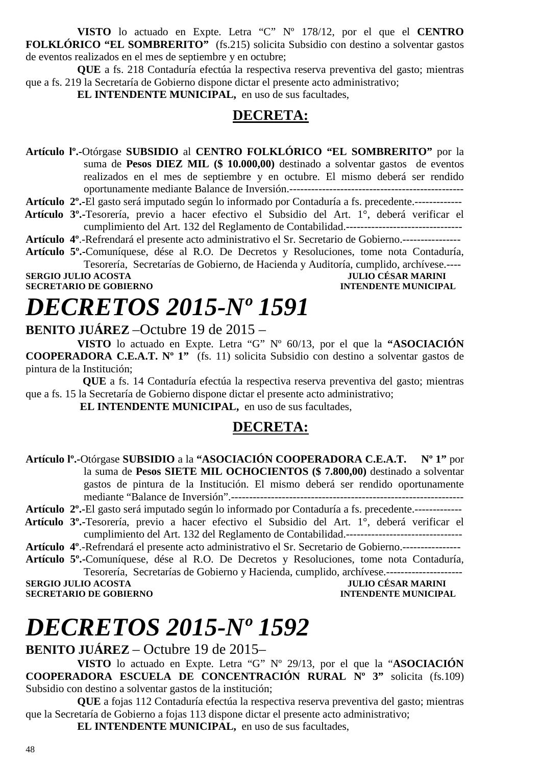**VISTO** lo actuado en Expte. Letra "C" Nº 178/12, por el que el **CENTRO FOLKLÓRICO "EL SOMBRERITO"** (fs.215) solicita Subsidio con destino a solventar gastos de eventos realizados en el mes de septiembre y en octubre;

**QUE** a fs. 218 Contaduría efectúa la respectiva reserva preventiva del gasto; mientras que a fs. 219 la Secretaría de Gobierno dispone dictar el presente acto administrativo;

**EL INTENDENTE MUNICIPAL,** en uso de sus facultades,

#### **DECRETA:**

**Artículo lº.-**Otórgase **SUBSIDIO** al **CENTRO FOLKLÓRICO "EL SOMBRERITO"** por la suma de **Pesos DIEZ MIL (\$ 10.000,00)** destinado a solventar gastos de eventos realizados en el mes de septiembre y en octubre. El mismo deberá ser rendido oportunamente mediante Balance de Inversión.------------------------------------------------

**Artículo 2º.-**El gasto será imputado según lo informado por Contaduría a fs. precedente.-------------

- **Artículo 3º.-**Tesorería, previo a hacer efectivo el Subsidio del Art. 1°, deberá verificar el cumplimiento del Art. 132 del Reglamento de Contabilidad.--------------------------------
- **Artículo 4º**.-Refrendará el presente acto administrativo el Sr. Secretario de Gobierno.----------------
- **Artículo 5º.-**Comuníquese, dése al R.O. De Decretos y Resoluciones, tome nota Contaduría, Tesorería, Secretarías de Gobierno, de Hacienda y Auditoría, cumplido, archívese.---- **SERGIO JULIO ACOSTA DE CONVERTS DE CONVERTS DE CONVERTS DE CONVERTS DE CONVERTS DE CONVERTS DE CONVERTS DE CO<br>SECRETARIO DE GOBIERNO DE CONVERTS DE CONVERTS DE CONVERTS DE CONVERTS DE LA CONVERTS DE LA CONVERTS DE LA CONV**

**SECRETARIO DE GOBIERNO** 

# *DECRETOS 2015-Nº 1591*

**BENITO JUÁREZ** –Octubre 19 de 2015 –

**VISTO** lo actuado en Expte. Letra "G" Nº 60/13, por el que la **"ASOCIACIÓN COOPERADORA C.E.A.T. Nº 1"** (fs. 11) solicita Subsidio con destino a solventar gastos de pintura de la Institución;

 **QUE** a fs. 14 Contaduría efectúa la respectiva reserva preventiva del gasto; mientras que a fs. 15 la Secretaría de Gobierno dispone dictar el presente acto administrativo;

 **EL INTENDENTE MUNICIPAL,** en uso de sus facultades,

#### **DECRETA:**

**Artículo lº.-**Otórgase **SUBSIDIO** a la **"ASOCIACIÓN COOPERADORA C.E.A.T. Nº 1"** por la suma de **Pesos SIETE MIL OCHOCIENTOS (\$ 7.800,00)** destinado a solventar gastos de pintura de la Institución. El mismo deberá ser rendido oportunamente mediante "Balance de Inversión".----------------------------------------------------------------

**Artículo 2º.-**El gasto será imputado según lo informado por Contaduría a fs. precedente.-------------

- **Artículo 3º.-**Tesorería, previo a hacer efectivo el Subsidio del Art. 1°, deberá verificar el cumplimiento del Art. 132 del Reglamento de Contabilidad.--------------------------------
- **Artículo 4º**.-Refrendará el presente acto administrativo el Sr. Secretario de Gobierno.----------------
- **Artículo 5º.-**Comuníquese, dése al R.O. De Decretos y Resoluciones, tome nota Contaduría, Tesorería, Secretarías de Gobierno y Hacienda, cumplido, archívese.---------------------

**SERGIO JULIO ACOSTA** 

**SECRETARIO DE GOBIERNO INTENDENTE MUNICIPAL** 

# *DECRETOS 2015-Nº 1592*

**BENITO JUÁREZ** – Octubre 19 de 2015–

**VISTO** lo actuado en Expte. Letra "G" Nº 29/13, por el que la "**ASOCIACIÓN COOPERADORA ESCUELA DE CONCENTRACIÓN RURAL Nº 3"** solicita (fs.109) Subsidio con destino a solventar gastos de la institución;

**QUE** a fojas 112 Contaduría efectúa la respectiva reserva preventiva del gasto; mientras que la Secretaría de Gobierno a fojas 113 dispone dictar el presente acto administrativo;

**EL INTENDENTE MUNICIPAL,** en uso de sus facultades,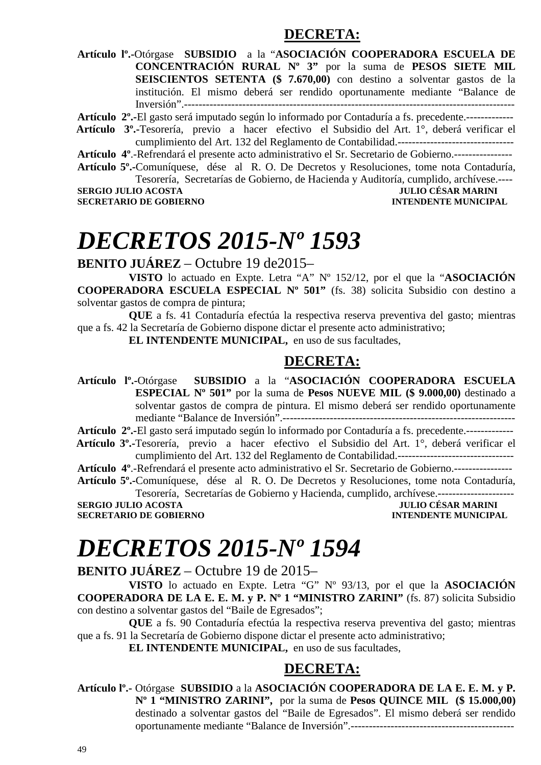#### **DECRETA:**

**Artículo lº.-**Otórgase **SUBSIDIO** a la "**ASOCIACIÓN COOPERADORA ESCUELA DE CONCENTRACIÓN RURAL Nº 3"** por la suma de **PESOS SIETE MIL SEISCIENTOS SETENTA (\$ 7.670,00)** con destino a solventar gastos de la institución. El mismo deberá ser rendido oportunamente mediante "Balance de Inversión".-------------------------------------------------------------------------------------------

**Artículo 2º.-**El gasto será imputado según lo informado por Contaduría a fs. precedente.-------------

 **Artículo 3º.-**Tesorería, previo a hacer efectivo el Subsidio del Art. 1°, deberá verificar el cumplimiento del Art. 132 del Reglamento de Contabilidad.--------------------------------

**Artículo 4º**.-Refrendará el presente acto administrativo el Sr. Secretario de Gobierno.----------------

**Artículo 5º.-**Comuníquese, dése al R. O. De Decretos y Resoluciones, tome nota Contaduría, Tesorería, Secretarías de Gobierno, de Hacienda y Auditoría, cumplido, archívese.----

**JULIO CÉSAR MARINI SECRETARIO DE GOBIERNO INTENDENTE MUNICIPAL** 

# *DECRETOS 2015-Nº 1593*

**BENITO JUÁREZ** – Octubre 19 de2015–

**VISTO** lo actuado en Expte. Letra "A" Nº 152/12, por el que la "**ASOCIACIÓN COOPERADORA ESCUELA ESPECIAL Nº 501"** (fs. 38) solicita Subsidio con destino a solventar gastos de compra de pintura;

**QUE** a fs. 41 Contaduría efectúa la respectiva reserva preventiva del gasto; mientras que a fs. 42 la Secretaría de Gobierno dispone dictar el presente acto administrativo;

**EL INTENDENTE MUNICIPAL,** en uso de sus facultades,

#### **DECRETA:**

**Artículo lº.-**Otórgase **SUBSIDIO** a la "**ASOCIACIÓN COOPERADORA ESCUELA ESPECIAL Nº 501"** por la suma de **Pesos NUEVE MIL (\$ 9.000,00)** destinado a solventar gastos de compra de pintura. El mismo deberá ser rendido oportunamente mediante "Balance de Inversión".----------------------------------------------------------------

**Artículo 2º.-**El gasto será imputado según lo informado por Contaduría a fs. precedente.-------------

 **Artículo 3º.-**Tesorería, previo a hacer efectivo el Subsidio del Art. 1°, deberá verificar el cumplimiento del Art. 132 del Reglamento de Contabilidad.--------------------------------

**Artículo 4º**.-Refrendará el presente acto administrativo el Sr. Secretario de Gobierno.----------------

**Artículo 5º.-**Comuníquese, dése al R. O. De Decretos y Resoluciones, tome nota Contaduría, Tesorería, Secretarías de Gobierno y Hacienda, cumplido, archívese.---------------------

**SERGIO JULIO ACOSTA SECRETARIO DE GOBIERNO INTENDENTE MUNICIPAL** 

# *DECRETOS 2015-Nº 1594*

**BENITO JUÁREZ** – Octubre 19 de 2015–

**VISTO** lo actuado en Expte. Letra "G" Nº 93/13, por el que la **ASOCIACIÓN COOPERADORA DE LA E. E. M. y P. Nº 1 "MINISTRO ZARINI"** (fs. 87) solicita Subsidio con destino a solventar gastos del "Baile de Egresados";

**QUE** a fs. 90 Contaduría efectúa la respectiva reserva preventiva del gasto; mientras que a fs. 91 la Secretaría de Gobierno dispone dictar el presente acto administrativo;

**EL INTENDENTE MUNICIPAL,** en uso de sus facultades,

### **DECRETA:**

**Artículo lº.-** Otórgase **SUBSIDIO** a la **ASOCIACIÓN COOPERADORA DE LA E. E. M. y P. Nº 1 "MINISTRO ZARINI",** por la suma de **Pesos QUINCE MIL (\$ 15.000,00)** destinado a solventar gastos del "Baile de Egresados". El mismo deberá ser rendido oportunamente mediante "Balance de Inversión".---------------------------------------------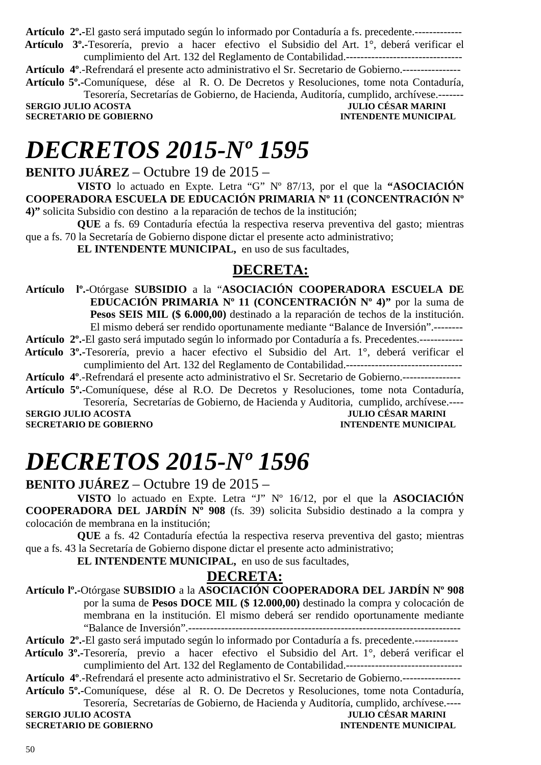**Artículo 2º.-**El gasto será imputado según lo informado por Contaduría a fs. precedente.-------------  **Artículo 3º.-**Tesorería, previo a hacer efectivo el Subsidio del Art. 1°, deberá verificar el

cumplimiento del Art. 132 del Reglamento de Contabilidad.-------------------------------- **Artículo 4º**.-Refrendará el presente acto administrativo el Sr. Secretario de Gobierno.----------------

**Artículo 5º.-**Comuníquese, dése al R. O. De Decretos y Resoluciones, tome nota Contaduría, Tesorería, Secretarías de Gobierno, de Hacienda, Auditoría, cumplido, archívese.-------

**SERGIO JULIO ACOSTA JULIO CÉSAR MARINI SECRETARIO DE GOBIERNO** 

# *DECRETOS 2015-Nº 1595*

**BENITO JUÁREZ** – Octubre 19 de 2015 –

**VISTO** lo actuado en Expte. Letra "G" Nº 87/13, por el que la **"ASOCIACIÓN COOPERADORA ESCUELA DE EDUCACIÓN PRIMARIA Nº 11 (CONCENTRACIÓN Nº 4)"** solicita Subsidio con destino a la reparación de techos de la institución;

**QUE** a fs. 69 Contaduría efectúa la respectiva reserva preventiva del gasto; mientras que a fs. 70 la Secretaría de Gobierno dispone dictar el presente acto administrativo;

**EL INTENDENTE MUNICIPAL,** en uso de sus facultades,

### **DECRETA:**

**Artículo lº.-**Otórgase **SUBSIDIO** a la "**ASOCIACIÓN COOPERADORA ESCUELA DE EDUCACIÓN PRIMARIA Nº 11 (CONCENTRACIÓN Nº 4)"** por la suma de **Pesos SEIS MIL (\$ 6.000,00)** destinado a la reparación de techos de la institución. El mismo deberá ser rendido oportunamente mediante "Balance de Inversión".--------

**Artículo 2º.-**El gasto será imputado según lo informado por Contaduría a fs. Precedentes.------------

 **Artículo 3º.-**Tesorería, previo a hacer efectivo el Subsidio del Art. 1°, deberá verificar el cumplimiento del Art. 132 del Reglamento de Contabilidad.--------------------------------

**Artículo 4º**.-Refrendará el presente acto administrativo el Sr. Secretario de Gobierno.----------------

**Artículo 5º.-**Comuníquese, dése al R.O. De Decretos y Resoluciones, tome nota Contaduría, Tesorería, Secretarías de Gobierno, de Hacienda y Auditoria, cumplido, archívese.----

**SERGIO JULIO ACOSTA DE CONFINITAT DE CONFINITAT DE CONFINITAT DE CONFINITAT DE CONFINITAT DE CONFINITAT DE CONFIN<br>
SECRETARIO DE GOBIERNO DE CONFINITAT DE CONFINITAT DE CONFINITAT DE CONFINITAT DE CONFINITAT DE CONFINITAT SECRETARIO DE GOBIERNO** 

# *DECRETOS 2015-Nº 1596*

**BENITO JUÁREZ** – Octubre 19 de 2015 –

**VISTO** lo actuado en Expte. Letra "J" Nº 16/12, por el que la **ASOCIACIÓN COOPERADORA DEL JARDÍN Nº 908** (fs. 39) solicita Subsidio destinado a la compra y colocación de membrana en la institución;

**QUE** a fs. 42 Contaduría efectúa la respectiva reserva preventiva del gasto; mientras que a fs. 43 la Secretaría de Gobierno dispone dictar el presente acto administrativo;

**EL INTENDENTE MUNICIPAL,** en uso de sus facultades,

### **DECRETA:**

**Artículo lº.-**Otórgase **SUBSIDIO** a la **ASOCIACIÓN COOPERADORA DEL JARDÍN Nº 908**  por la suma de **Pesos DOCE MIL (\$ 12.000,00)** destinado la compra y colocación de membrana en la institución. El mismo deberá ser rendido oportunamente mediante "Balance de Inversión".---------------------------------------------------------------------------

**Artículo 2º.-**El gasto será imputado según lo informado por Contaduría a fs. precedente.------------

 **Artículo 3º.-**Tesorería, previo a hacer efectivo el Subsidio del Art. 1°, deberá verificar el cumplimiento del Art. 132 del Reglamento de Contabilidad.--------------------------------

**Artículo 4º**.-Refrendará el presente acto administrativo el Sr. Secretario de Gobierno.----------------

**Artículo 5º.-**Comuníquese, dése al R. O. De Decretos y Resoluciones, tome nota Contaduría, Tesorería, Secretarías de Gobierno, de Hacienda y Auditoría, cumplido, archívese.----

**SERGIO JULIO ACOSTA JULIO CÉSAR MARINI SECRETARIO DE GOBIERNO DE SOBLEMA DE LA COSTA DE LA CONSTANTIVIA DE LA CONSTANTIVIA DE LA CONSTANTIVIA DE LA CONSTANTIVIA DE LA CONSTANTIVIA DE LA CONSTANTIVIA DE LA CONSTANTIVIA DE SECRETARIO DE GOBIERNO**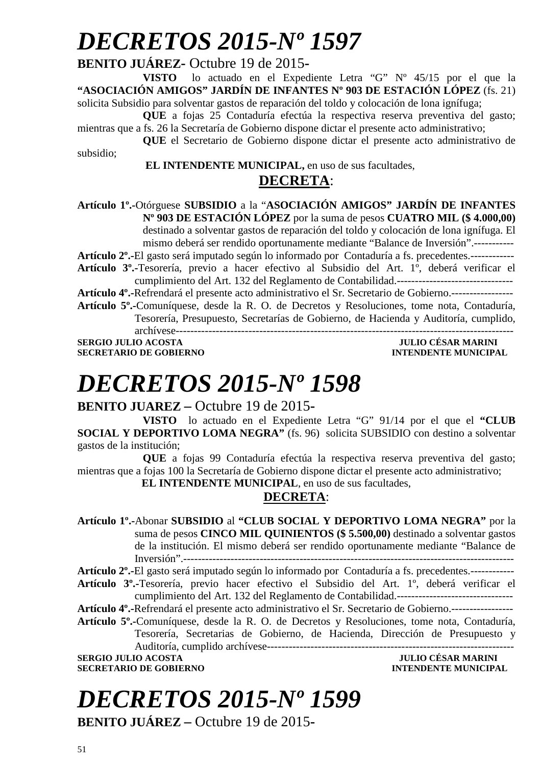# *DECRETOS 2015-Nº 1597*

#### **BENITO JUÁREZ-** Octubre 19 de 2015**-**

**VISTO** lo actuado en el Expediente Letra "G" Nº 45/15 por el que la **"ASOCIACIÓN AMIGOS" JARDÍN DE INFANTES Nº 903 DE ESTACIÓN LÓPEZ** (fs. 21) solicita Subsidio para solventar gastos de reparación del toldo y colocación de lona ignífuga;

**QUE** a fojas 25 Contaduría efectúa la respectiva reserva preventiva del gasto; mientras que a fs. 26 la Secretaría de Gobierno dispone dictar el presente acto administrativo;

**QUE** el Secretario de Gobierno dispone dictar el presente acto administrativo de subsidio;

> **EL INTENDENTE MUNICIPAL,** en uso de sus facultades, **DECRETA**:

**Artículo 1º.-**Otórguese **SUBSIDIO** a la "**ASOCIACIÓN AMIGOS" JARDÍN DE INFANTES Nº 903 DE ESTACIÓN LÓPEZ** por la suma de pesos **CUATRO MIL (\$ 4.000,00)** destinado a solventar gastos de reparación del toldo y colocación de lona ignífuga. El mismo deberá ser rendido oportunamente mediante "Balance de Inversión".----------- **Artículo 2º.-**El gasto será imputado según lo informado por Contaduría a fs. precedentes.------------

**Artículo 3º.-**Tesorería, previo a hacer efectivo al Subsidio del Art. 1º, deberá verificar el cumplimiento del Art. 132 del Reglamento de Contabilidad.--------------------------------

**Artículo 4º.-**Refrendará el presente acto administrativo el Sr. Secretario de Gobierno.-----------------

**Artículo 5º.-**Comuníquese, desde la R. O. de Decretos y Resoluciones, tome nota, Contaduría, Tesorería, Presupuesto, Secretarías de Gobierno, de Hacienda y Auditoría, cumplido, archívese---------------------------------------------------------------------------------------------

**SERGIO JULIO ACOSTA JULIO CÉSAR MARINI SECRETARIO DE GOBIERNO** 

# *DECRETOS 2015-Nº 1598*

**BENITO JUAREZ –** Octubre 19 de 2015**-** 

**VISTO** lo actuado en el Expediente Letra "G" 91/14 por el que el **"CLUB SOCIAL Y DEPORTIVO LOMA NEGRA"** (fs. 96) solicita SUBSIDIO con destino a solventar gastos de la institución;

**QUE** a fojas 99 Contaduría efectúa la respectiva reserva preventiva del gasto; mientras que a fojas 100 la Secretaría de Gobierno dispone dictar el presente acto administrativo;

**EL INTENDENTE MUNICIPAL**, en uso de sus facultades,

### **DECRETA**:

**Artículo 1º.-**Abonar **SUBSIDIO** al **"CLUB SOCIAL Y DEPORTIVO LOMA NEGRA"** por la suma de pesos **CINCO MIL QUINIENTOS (\$ 5.500,00)** destinado a solventar gastos de la institución. El mismo deberá ser rendido oportunamente mediante "Balance de Inversión".-------------------------------------------------------------------------------------------

**Artículo 2º.-**El gasto será imputado según lo informado por Contaduría a fs. precedentes.------------ **Artículo 3º.-**Tesorería, previo hacer efectivo el Subsidio del Art. 1º, deberá verificar el

cumplimiento del Art. 132 del Reglamento de Contabilidad.--------------------------------

**Artículo 4º.-**Refrendará el presente acto administrativo el Sr. Secretario de Gobierno.-----------------

**Artículo 5º.-**Comuníquese, desde la R. O. de Decretos y Resoluciones, tome nota, Contaduría, Tesorería, Secretarias de Gobierno, de Hacienda, Dirección de Presupuesto y Auditoría, cumplido archívese--------------------------------------------------------------------

**SERGIO JULIO ACOSTA** JULIO CÉSAR MARINI **SECRETARIO DE GOBIERNO INTENDENTE MUNICIPAL** 

# *DECRETOS 2015-Nº 1599*

**BENITO JUÁREZ –** Octubre 19 de 2015**-**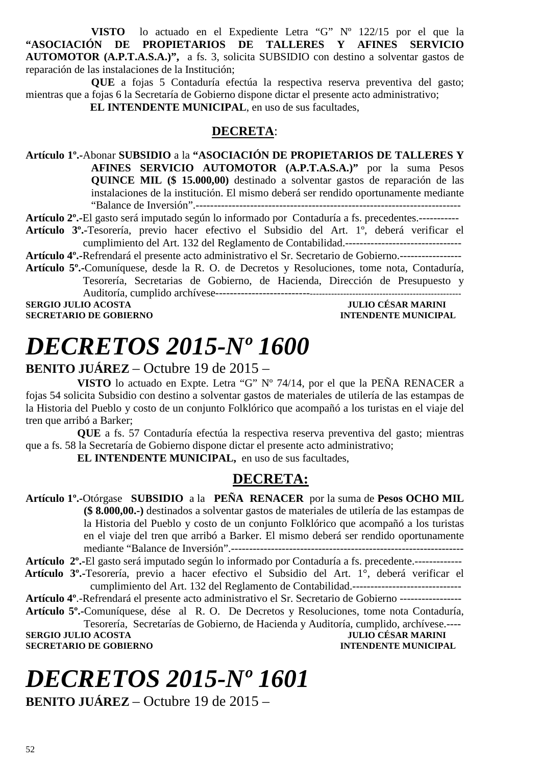**VISTO** lo actuado en el Expediente Letra "G" Nº 122/15 por el que la **"ASOCIACIÓN DE PROPIETARIOS DE TALLERES Y AFINES SERVICIO AUTOMOTOR (A.P.T.A.S.A.)",** a fs. 3, solicita SUBSIDIO con destino a solventar gastos de reparación de las instalaciones de la Institución;

**QUE** a fojas 5 Contaduría efectúa la respectiva reserva preventiva del gasto; mientras que a fojas 6 la Secretaría de Gobierno dispone dictar el presente acto administrativo;

**EL INTENDENTE MUNICIPAL**, en uso de sus facultades,

#### **DECRETA**:

**Artículo 1º.-**Abonar **SUBSIDIO** a la **"ASOCIACIÓN DE PROPIETARIOS DE TALLERES Y AFINES SERVICIO AUTOMOTOR (A.P.T.A.S.A.)"** por la suma Pesos **QUINCE MIL (\$ 15.000,00)** destinado a solventar gastos de reparación de las instalaciones de la institución. El mismo deberá ser rendido oportunamente mediante "Balance de Inversión".-------------------------------------------------------------------------

**Artículo 2º.-**El gasto será imputado según lo informado por Contaduría a fs. precedentes.-----------

**Artículo 3º.-**Tesorería, previo hacer efectivo el Subsidio del Art. 1º, deberá verificar el cumplimiento del Art. 132 del Reglamento de Contabilidad.--------------------------------

**Artículo 4º.-**Refrendará el presente acto administrativo el Sr. Secretario de Gobierno.-----------------

**Artículo 5º.-**Comuníquese, desde la R. O. de Decretos y Resoluciones, tome nota, Contaduría, Tesorería, Secretarias de Gobierno, de Hacienda, Dirección de Presupuesto y Auditoría, cumplido archívese----------------------------------------------------------------------------

**SERGIO JULIO ACOSTA JULIO CÉSAR MARINI A LORE DE LORE DE LORE DE LORE DE LORE DE LORE DE LORE DE LORE DE LORE D<br>INTENDENTE MINICIPAL SECRETARIO DE GOBIERNO** 

# *DECRETOS 2015-Nº 1600*

#### **BENITO JUÁREZ** – Octubre 19 de 2015 –

**VISTO** lo actuado en Expte. Letra "G" Nº 74/14, por el que la PEÑA RENACER a fojas 54 solicita Subsidio con destino a solventar gastos de materiales de utilería de las estampas de la Historia del Pueblo y costo de un conjunto Folklórico que acompañó a los turistas en el viaje del tren que arribó a Barker;

**QUE** a fs. 57 Contaduría efectúa la respectiva reserva preventiva del gasto; mientras que a fs. 58 la Secretaría de Gobierno dispone dictar el presente acto administrativo;

**EL INTENDENTE MUNICIPAL,** en uso de sus facultades,

### **DECRETA:**

**Artículo 1º.-**Otórgase **SUBSIDIO** a la **PEÑA RENACER** por la suma de **Pesos OCHO MIL (\$ 8.000,00.-)** destinados a solventar gastos de materiales de utilería de las estampas de la Historia del Pueblo y costo de un conjunto Folklórico que acompañó a los turistas en el viaje del tren que arribó a Barker. El mismo deberá ser rendido oportunamente mediante "Balance de Inversión".----------------------------------------------------------------

**Artículo 2º.-**El gasto será imputado según lo informado por Contaduría a fs. precedente.-------------  **Artículo 3º.-**Tesorería, previo a hacer efectivo el Subsidio del Art. 1°, deberá verificar el

cumplimiento del Art. 132 del Reglamento de Contabilidad.------------------------------ **Artículo 4º**.-Refrendará el presente acto administrativo el Sr. Secretario de Gobierno -----------------

**Artículo 5º.-**Comuníquese, dése al R. O. De Decretos y Resoluciones, tome nota Contaduría, Tesorería, Secretarías de Gobierno, de Hacienda y Auditoría, cumplido, archívese.----

**SERGIO JULIO ACOSTA SECRETARIO DE GOBIERNO INTENDENTE MUNICIPAL** 

# *DECRETOS 2015-Nº 1601*

**BENITO JUÁREZ** – Octubre 19 de 2015 –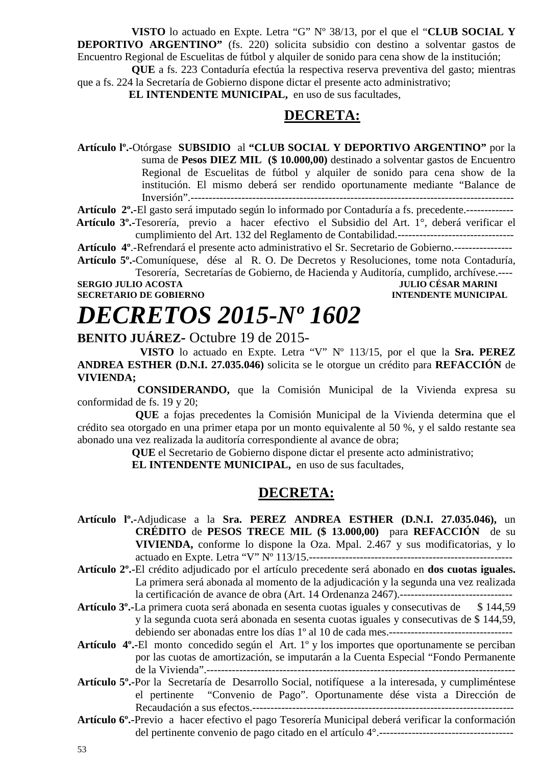**VISTO** lo actuado en Expte. Letra "G" Nº 38/13, por el que el "**CLUB SOCIAL Y DEPORTIVO ARGENTINO"** (fs. 220) solicita subsidio con destino a solventar gastos de Encuentro Regional de Escuelitas de fútbol y alquiler de sonido para cena show de la institución;

**QUE** a fs. 223 Contaduría efectúa la respectiva reserva preventiva del gasto; mientras que a fs. 224 la Secretaría de Gobierno dispone dictar el presente acto administrativo;

**EL INTENDENTE MUNICIPAL,** en uso de sus facultades,

#### **DECRETA:**

**Artículo lº.-**Otórgase **SUBSIDIO** al **"CLUB SOCIAL Y DEPORTIVO ARGENTINO"** por la suma de **Pesos DIEZ MIL (\$ 10.000,00)** destinado a solventar gastos de Encuentro Regional de Escuelitas de fútbol y alquiler de sonido para cena show de la institución. El mismo deberá ser rendido oportunamente mediante "Balance de Inversión".-----------------------------------------------------------------------------------------

**Artículo 2º.-**El gasto será imputado según lo informado por Contaduría a fs. precedente.-------------

 **Artículo 3º.-**Tesorería, previo a hacer efectivo el Subsidio del Art. 1°, deberá verificar el cumplimiento del Art. 132 del Reglamento de Contabilidad.--------------------------------

**Artículo 4º**.-Refrendará el presente acto administrativo el Sr. Secretario de Gobierno.----------------

**Artículo 5º.-**Comuníquese, dése al R. O. De Decretos y Resoluciones, tome nota Contaduría, Tesorería, Secretarías de Gobierno, de Hacienda y Auditoría, cumplido, archívese.----

**SERGIO JULIO ACOSTA JULIO CÉSAR MARINI A LOS DE CORTENTES DE LOS DE LOS DE LOS DE LOS DE LOS DE LOS DE LOS DE<br>ACOSTA DE LOS DE CORTENO DE LOS DE LOS DE LOS DE LOS DE LOS DE LOS DE LOS DE LOS DE LOS DE LOS DE LOS DE LOS D SECRETARIO DE GOBIERNO** 

# *DECRETOS 2015-Nº 1602*

**BENITO JUÁREZ-** Octubre 19 de 2015-

 **VISTO** lo actuado en Expte. Letra "V" Nº 113/15, por el que la **Sra. PEREZ ANDREA ESTHER (D.N.I. 27.035.046)** solicita se le otorgue un crédito para **REFACCIÓN** de **VIVIENDA;**

 **CONSIDERANDO,** que la Comisión Municipal de la Vivienda expresa su conformidad de fs. 19 y 20;

**QUE** a fojas precedentes la Comisión Municipal de la Vivienda determina que el crédito sea otorgado en una primer etapa por un monto equivalente al 50 %, y el saldo restante sea abonado una vez realizada la auditoría correspondiente al avance de obra;

**QUE** el Secretario de Gobierno dispone dictar el presente acto administrativo;

 **EL INTENDENTE MUNICIPAL,** en uso de sus facultades,

### **DECRETA:**

- **Artículo lº.-**Adjudicase a la **Sra. PEREZ ANDREA ESTHER (D.N.I. 27.035.046),** un **CRÉDITO** de **PESOS TRECE MIL (\$ 13.000,00)** para **REFACCIÓN** de su **VIVIENDA,** conforme lo dispone la Oza. Mpal. 2.467 y sus modificatorias, y lo actuado en Expte. Letra "V" Nº 113/15.--------------------------------------------------------
- **Artículo 2º.-**El crédito adjudicado por el artículo precedente será abonado en **dos cuotas iguales.** La primera será abonada al momento de la adjudicación y la segunda una vez realizada la certificación de avance de obra (Art. 14 Ordenanza 2467).-------------------------------
- **Artículo 3º.-**La primera cuota será abonada en sesenta cuotas iguales y consecutivas de \$ 144,59 y la segunda cuota será abonada en sesenta cuotas iguales y consecutivas de \$ 144,59, debiendo ser abonadas entre los días 1º al 10 de cada mes.----------------------------------
- **Artículo 4º.-**El monto concedido según el Art. 1º y los importes que oportunamente se perciban por las cuotas de amortización, se imputarán a la Cuenta Especial "Fondo Permanente de la Vivienda".-------------------------------------------------------------------------------------
- **Artículo 5º.-**Por la Secretaría de Desarrollo Social, notifíquese a la interesada, y cumpliméntese el pertinente "Convenio de Pago". Oportunamente dése vista a Dirección de Recaudación a sus efectos.------------------------------------------------------------------------
- **Artículo 6º.-**Previo a hacer efectivo el pago Tesorería Municipal deberá verificar la conformación del pertinente convenio de pago citado en el artículo 4°.-------------------------------------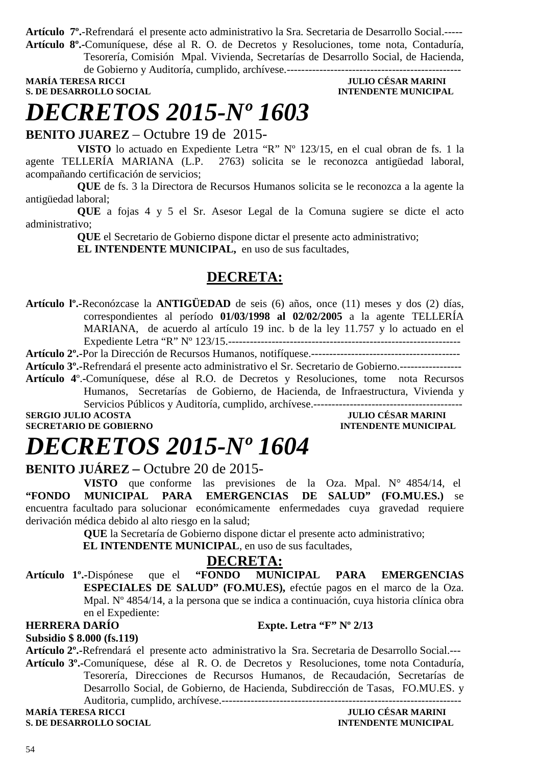**Artículo 7º.**-Refrendará el presente acto administrativo la Sra. Secretaria de Desarrollo Social.----- **Artículo 8º.-**Comuníquese, dése al R. O. de Decretos y Resoluciones, tome nota, Contaduría,

Tesorería, Comisión Mpal. Vivienda, Secretarías de Desarrollo Social, de Hacienda, de Gobierno y Auditoría, cumplido, archívese.------------------------------------------------

**MARÍA TERESA RICCI JULIO CÉSAR MARINI S. DE DESARROLLO SOCIAL DESARROLLO SOCIAL DESARROLLO SOCIAL DESARROLLO SOCIAL DESARROLLO SOCIAL DE SOCIAL DE SOCIAL DE SOCIAL DE SOCIAL DE SOCIAL DE SOCIAL DE SOCIAL DE SOCIAL DE SOCIAL DE SOCIAL DE SOCIAL DE SOCIAL DE SO** 

# *DECRETOS 2015-Nº 1603*

**BENITO JUAREZ** – Octubre 19 de 2015-

**VISTO** lo actuado en Expediente Letra "R" Nº 123/15, en el cual obran de fs. 1 la agente TELLERÍA MARIANA (L.P. 2763) solicita se le reconozca antigüedad laboral, acompañando certificación de servicios;

**QUE** de fs. 3 la Directora de Recursos Humanos solicita se le reconozca a la agente la antigüedad laboral;

**QUE** a fojas 4 y 5 el Sr. Asesor Legal de la Comuna sugiere se dicte el acto administrativo;

**QUE** el Secretario de Gobierno dispone dictar el presente acto administrativo;

**EL INTENDENTE MUNICIPAL,** en uso de sus facultades,

### **DECRETA:**

**Artículo lº.-**Reconózcase la **ANTIGÜEDAD** de seis (6) años, once (11) meses y dos (2) días, correspondientes al período **01/03/1998 al 02/02/2005** a la agente TELLERÍA MARIANA, de acuerdo al artículo 19 inc. b de la ley 11.757 y lo actuado en el Expediente Letra "R" Nº 123/15.----------------------------------------------------------------

**Artículo 2º.-**Por la Dirección de Recursos Humanos, notifíquese.-----------------------------------------

**Artículo 3º.-**Refrendará el presente acto administrativo el Sr. Secretario de Gobierno.-----------------

**Artículo 4**º.**-**Comuníquese, dése al R.O. de Decretos y Resoluciones, tome nota Recursos Humanos, Secretarías de Gobierno, de Hacienda, de Infraestructura, Vivienda y Servicios Públicos y Auditoría, cumplido, archívese.-----------------------------------------

**SERGIO JULIO ACOSTA JULIO CÉSAR MARINI SECRETARIO DE GOBIERNO INTENDENTE MUNICIPAL** 

# *DECRETOS 2015-Nº 1604*

#### **BENITO JUÁREZ –** Octubre 20 de 2015-

**VISTO** que conforme las previsiones de la Oza. Mpal. N° 4854/14, el **"FONDO MUNICIPAL PARA EMERGENCIAS DE SALUD" (FO.MU.ES.)** se encuentra facultado para solucionar económicamente enfermedades cuya gravedad requiere derivación médica debido al alto riesgo en la salud;

**QUE** la Secretaría de Gobierno dispone dictar el presente acto administrativo;

**EL INTENDENTE MUNICIPAL**, en uso de sus facultades,

**DECRETA:**<br>**FONDO** MUNICIPAL **Artículo 1º.-**Dispónese que el **"FONDO MUNICIPAL PARA EMERGENCIAS ESPECIALES DE SALUD" (FO.MU.ES),** efectúe pagos en el marco de la Oza. Mpal. Nº 4854/14, a la persona que se indica a continuación, cuya historia clínica obra en el Expediente:

#### **HERRERA DARÍO Expte. Letra "F" Nº 2/13**

**Subsidio \$ 8.000 (fs.119)** 

**Artículo 2º.-**Refrendará el presente acto administrativo la Sra. Secretaria de Desarrollo Social.---

**Artículo 3º.-**Comuníquese, dése al R. O. de Decretos y Resoluciones, tome nota Contaduría, Tesorería, Direcciones de Recursos Humanos, de Recaudación, Secretarías de Desarrollo Social, de Gobierno, de Hacienda, Subdirección de Tasas, FO.MU.ES. y Auditoria, cumplido, archívese.------------------------------------------------------------------

**S. DE DESARROLLO SOCIAL** 

## **MULIO CÉSAR MARINI<br>INTENDENTE MUNICIPAL**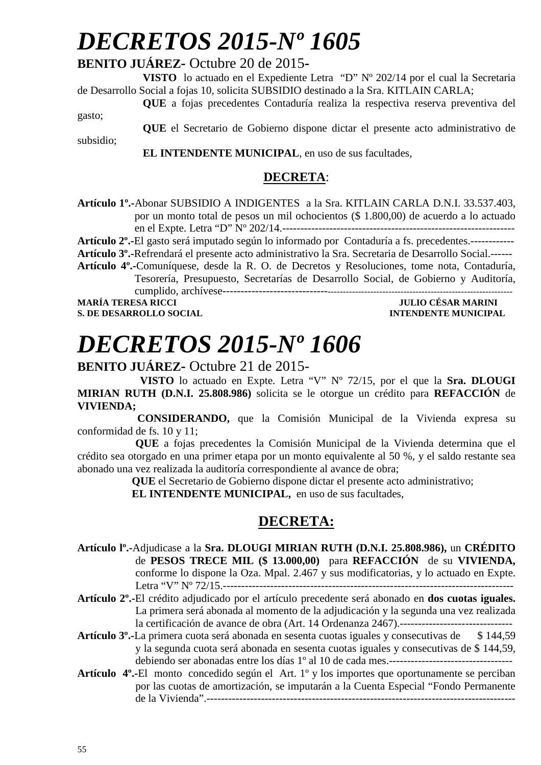# *DECRETOS 2015-Nº 1605*

### **BENITO JUÁREZ-** Octubre 20 de 2015**-**

**VISTO** lo actuado en el Expediente Letra "D" Nº 202/14 por el cual la Secretaria de Desarrollo Social a fojas 10, solicita SUBSIDIO destinado a la Sra. KITLAIN CARLA;

**QUE** a fojas precedentes Contaduría realiza la respectiva reserva preventiva del

gasto;

subsidio;

**QUE** el Secretario de Gobierno dispone dictar el presente acto administrativo de

 **EL INTENDENTE MUNICIPAL**, en uso de sus facultades,

#### **DECRETA**:

**Artículo 1º.-**Abonar SUBSIDIO A INDIGENTES a la Sra. KITLAIN CARLA D.N.I. 33.537.403, por un monto total de pesos un mil ochocientos (\$ 1.800,00) de acuerdo a lo actuado en el Expte. Letra "D" Nº 202/14.----------------------------------------------------------------

**Artículo 2º.-**El gasto será imputado según lo informado por Contaduría a fs. precedentes.------------

**Artículo 3º.-**Refrendará el presente acto administrativo la Sra. Secretaria de Desarrollo Social.------

**Artículo 4º.-**Comuníquese, desde la R. O. de Decretos y Resoluciones, tome nota, Contaduría, Tesorería, Presupuesto, Secretarías de Desarrollo Social, de Gobierno y Auditoría, cumplido, archívese------------------------------------------------------------------------------------------

**S. DE DESARROLLO SOCIAL DESARROLLO SOCIAL DESARROLLO SOCIAL DESARROLLO SOCIAL DESARROLLO SOCIAL DE LA PERSONAL DE LA PERSONAL DE LA PERSONAL DE LA PERSONAL DE LA PERSONAL DE LA PERSONAL DE LA PERSONAL DE LA PERSONAL DE LA** 

**JULIO CÉSAR MARINI** 

# *DECRETOS 2015-Nº 1606*

**BENITO JUÁREZ-** Octubre 21 de 2015-

 **VISTO** lo actuado en Expte. Letra "V" Nº 72/15, por el que la **Sra. DLOUGI MIRIAN RUTH (D.N.I. 25.808.986)** solicita se le otorgue un crédito para **REFACCIÓN** de **VIVIENDA;**

 **CONSIDERANDO,** que la Comisión Municipal de la Vivienda expresa su conformidad de fs. 10 y 11;

**QUE** a fojas precedentes la Comisión Municipal de la Vivienda determina que el crédito sea otorgado en una primer etapa por un monto equivalente al 50 %, y el saldo restante sea abonado una vez realizada la auditoría correspondiente al avance de obra;

**QUE** el Secretario de Gobierno dispone dictar el presente acto administrativo;

 **EL INTENDENTE MUNICIPAL,** en uso de sus facultades,

### **DECRETA:**

- **Artículo lº.-**Adjudicase a la **Sra. DLOUGI MIRIAN RUTH (D.N.I. 25.808.986),** un **CRÉDITO** de **PESOS TRECE MIL (\$ 13.000,00)** para **REFACCIÓN** de su **VIVIENDA,** conforme lo dispone la Oza. Mpal. 2.467 y sus modificatorias, y lo actuado en Expte. Letra "V" Nº 72/15.--------------------------------------------------------------------------------
- **Artículo 2º.-**El crédito adjudicado por el artículo precedente será abonado en **dos cuotas iguales.** La primera será abonada al momento de la adjudicación y la segunda una vez realizada la certificación de avance de obra (Art. 14 Ordenanza 2467).-------------------------------
- **Artículo 3º.-**La primera cuota será abonada en sesenta cuotas iguales y consecutivas de \$ 144,59 y la segunda cuota será abonada en sesenta cuotas iguales y consecutivas de \$ 144,59, debiendo ser abonadas entre los días 1º al 10 de cada mes.----------------------------------
- **Artículo 4º.-**El monto concedido según el Art. 1º y los importes que oportunamente se perciban por las cuotas de amortización, se imputarán a la Cuenta Especial "Fondo Permanente de la Vivienda".-------------------------------------------------------------------------------------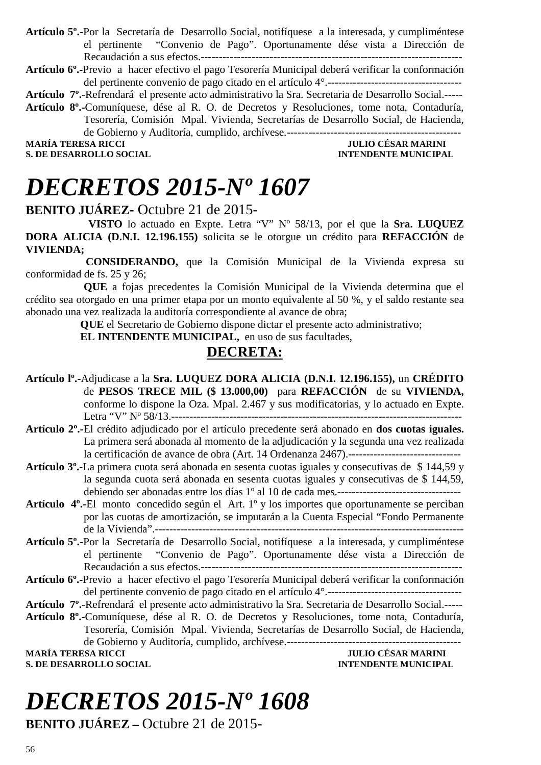**Artículo 5º.-**Por la Secretaría de Desarrollo Social, notifíquese a la interesada, y cumpliméntese el pertinente "Convenio de Pago". Oportunamente dése vista a Dirección de Recaudación a sus efectos.------------------------------------------------------------------------

**Artículo 6º.-**Previo a hacer efectivo el pago Tesorería Municipal deberá verificar la conformación del pertinente convenio de pago citado en el artículo 4°.-------------------------------------

**Artículo 7º.**-Refrendará el presente acto administrativo la Sra. Secretaria de Desarrollo Social.-----

**Artículo 8º.-**Comuníquese, dése al R. O. de Decretos y Resoluciones, tome nota, Contaduría, Tesorería, Comisión Mpal. Vivienda, Secretarías de Desarrollo Social, de Hacienda, de Gobierno y Auditoría, cumplido, archívese.------------------------------------------------

**MARÍA TERESA RICCI DE LOS ENFORMADORES DE LOS ENFORMADORES DE DESAR MARINI S. DE DESAR ROLLO SOCIAL DE LOS ENFORMADORES DE LOS ENFORMADORES DE LOS ENFORMADORES DE LOS ENFORMADORES DE LOS ENFORMADORES DE LOS ENFORMADORES D S. DE DESARROLLO SOCIAL** 

# *DECRETOS 2015-Nº 1607*

**BENITO JUÁREZ-** Octubre 21 de 2015-

 **VISTO** lo actuado en Expte. Letra "V" Nº 58/13, por el que la **Sra. LUQUEZ DORA ALICIA (D.N.I. 12.196.155)** solicita se le otorgue un crédito para **REFACCIÓN** de **VIVIENDA;**

 **CONSIDERANDO,** que la Comisión Municipal de la Vivienda expresa su conformidad de fs. 25 y 26;

**QUE** a fojas precedentes la Comisión Municipal de la Vivienda determina que el crédito sea otorgado en una primer etapa por un monto equivalente al 50 %, y el saldo restante sea abonado una vez realizada la auditoría correspondiente al avance de obra;

**QUE** el Secretario de Gobierno dispone dictar el presente acto administrativo;

 **EL INTENDENTE MUNICIPAL,** en uso de sus facultades,

### **DECRETA:**

- **Artículo lº.-**Adjudicase a la **Sra. LUQUEZ DORA ALICIA (D.N.I. 12.196.155),** un **CRÉDITO** de **PESOS TRECE MIL (\$ 13.000,00)** para **REFACCIÓN** de su **VIVIENDA,** conforme lo dispone la Oza. Mpal. 2.467 y sus modificatorias, y lo actuado en Expte. Letra "V" Nº 58/13.--------------------------------------------------------------------------------
- **Artículo 2º.-**El crédito adjudicado por el artículo precedente será abonado en **dos cuotas iguales.** La primera será abonada al momento de la adjudicación y la segunda una vez realizada la certificación de avance de obra (Art. 14 Ordenanza 2467).-------------------------------
- **Artículo 3º.-**La primera cuota será abonada en sesenta cuotas iguales y consecutivas de \$ 144,59 y la segunda cuota será abonada en sesenta cuotas iguales y consecutivas de \$ 144,59, debiendo ser abonadas entre los días 1º al 10 de cada mes.----------------------------------
- **Artículo 4º.-**El monto concedido según el Art. 1º y los importes que oportunamente se perciban por las cuotas de amortización, se imputarán a la Cuenta Especial "Fondo Permanente de la Vivienda".-------------------------------------------------------------------------------------
- **Artículo 5º.-**Por la Secretaría de Desarrollo Social, notifíquese a la interesada, y cumpliméntese el pertinente "Convenio de Pago". Oportunamente dése vista a Dirección de Recaudación a sus efectos.------------------------------------------------------------------------
- **Artículo 6º.-**Previo a hacer efectivo el pago Tesorería Municipal deberá verificar la conformación del pertinente convenio de pago citado en el artículo 4°.-------------------------------------

**Artículo 7º.**-Refrendará el presente acto administrativo la Sra. Secretaria de Desarrollo Social.-----

**Artículo 8º.-**Comuníquese, dése al R. O. de Decretos y Resoluciones, tome nota, Contaduría, Tesorería, Comisión Mpal. Vivienda, Secretarías de Desarrollo Social, de Hacienda,

de Gobierno y Auditoría, cumplido, archívese.------------------------------------------------ **MARINI** TULIO CÉSAR MARINI **INTENDENTE MINICIPAL S. DE DESARROLLO SOCIAL** 

# *DECRETOS 2015-Nº 1608*

**BENITO JUÁREZ –** Octubre 21 de 2015-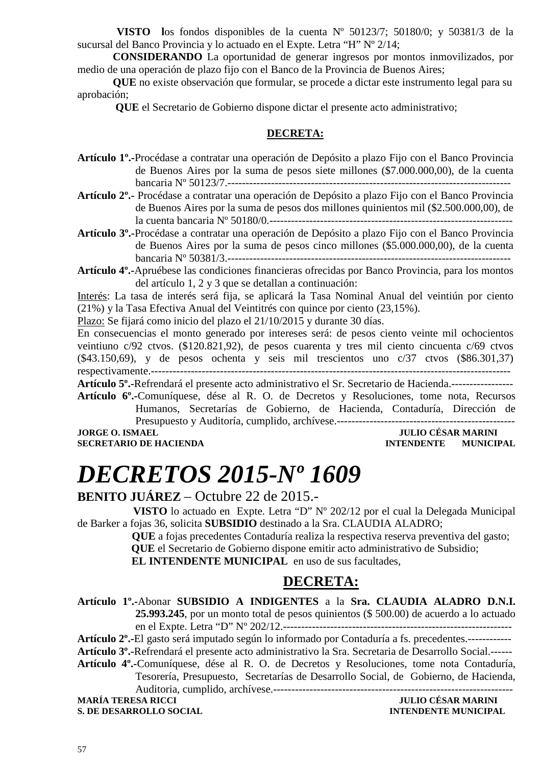**VISTO l**os fondos disponibles de la cuenta Nº 50123/7; 50180/0; y 50381/3 de la sucursal del Banco Provincia y lo actuado en el Expte. Letra "H" Nº 2/14;

 **CONSIDERANDO** La oportunidad de generar ingresos por montos inmovilizados, por medio de una operación de plazo fijo con el Banco de la Provincia de Buenos Aires;

 **QUE** no existe observación que formular, se procede a dictar este instrumento legal para su aprobación;

 **QUE** el Secretario de Gobierno dispone dictar el presente acto administrativo;

#### **DECRETA:**

**Artículo 1º.-**Procédase a contratar una operación de Depósito a plazo Fijo con el Banco Provincia de Buenos Aires por la suma de pesos siete millones (\$7.000.000,00), de la cuenta bancaria Nº 50123/7.------------------------------------------------------------------------------

**Artículo 2º.-** Procédase a contratar una operación de Depósito a plazo Fijo con el Banco Provincia de Buenos Aires por la suma de pesos dos millones quinientos mil (\$2.500.000,00), de la cuenta bancaria Nº 50180/0.-------------------------------------------------------------------

**Artículo 3º.-**Procédase a contratar una operación de Depósito a plazo Fijo con el Banco Provincia de Buenos Aires por la suma de pesos cinco millones (\$5.000.000,00), de la cuenta bancaria Nº 50381/3.------------------------------------------------------------------------------

**Artículo 4º.-**Apruébese las condiciones financieras ofrecidas por Banco Provincia, para los montos del artículo 1, 2 y 3 que se detallan a continuación:

Interés: La tasa de interés será fija, se aplicará la Tasa Nominal Anual del veintiún por ciento (21%) y la Tasa Efectiva Anual del Veintitrés con quince por ciento (23,15%).

Plazo: Se fijará como inicio del plazo el 21/10/2015 y durante 30 días.

En consecuencias el monto generado por intereses será: de pesos ciento veinte mil ochocientos veintiuno c/92 ctvos. (\$120.821,92), de pesos cuarenta y tres mil ciento cincuenta c/69 ctvos (\$43.150,69), y de pesos ochenta y seis mil trescientos uno c/37 ctvos (\$86.301,37) respectivamente.---------------------------------------------------------------------------------------------------

**Artículo 5º.-**Refrendará el presente acto administrativo el Sr. Secretario de Hacienda.-----------------

**Artículo 6º.-**Comuníquese, dése al R. O. de Decretos y Resoluciones, tome nota, Recursos Humanos, Secretarías de Gobierno, de Hacienda, Contaduría, Dirección de Presupuesto y Auditoría, cumplido, archívese.-------------------------------------------------

**JORGE O. ISMAEL JULIO CÉSAR MARINI** 

### **INTENDENTE MUNICIPAL**

# *DECRETOS 2015-Nº 1609*

#### **BENITO JUÁREZ** – Octubre 22 de 2015.-

 **VISTO** lo actuado en Expte. Letra "D" Nº 202/12 por el cual la Delegada Municipal de Barker a fojas 36, solicita **SUBSIDIO** destinado a la Sra. CLAUDIA ALADRO;

> **QUE** a fojas precedentes Contaduría realiza la respectiva reserva preventiva del gasto;  **QUE** el Secretario de Gobierno dispone emitir acto administrativo de Subsidio;  **EL INTENDENTE MUNICIPAL** en uso de sus facultades,

### **DECRETA:**

**Artículo 1º.-**Abonar **SUBSIDIO A INDIGENTES** a la **Sra. CLAUDIA ALADRO D.N.I. 25.993.245**, por un monto total de pesos quinientos (\$ 500.00) de acuerdo a lo actuado en el Expte. Letra "D" Nº 202/12.---------------------------------------------------------------

**Artículo 2º.-**El gasto será imputado según lo informado por Contaduría a fs. precedentes.------------

**Artículo 3º.-**Refrendará el presente acto administrativo la Sra. Secretaria de Desarrollo Social.------

**Artículo 4º.-**Comuníquese, dése al R. O. de Decretos y Resoluciones, tome nota Contaduría,

Tesorería, Presupuesto, Secretarías de Desarrollo Social, de Gobierno, de Hacienda, Auditoria, cumplido, archívese.------------------------------------------------------------------

**S. DE DESARROLLO SOCIAL**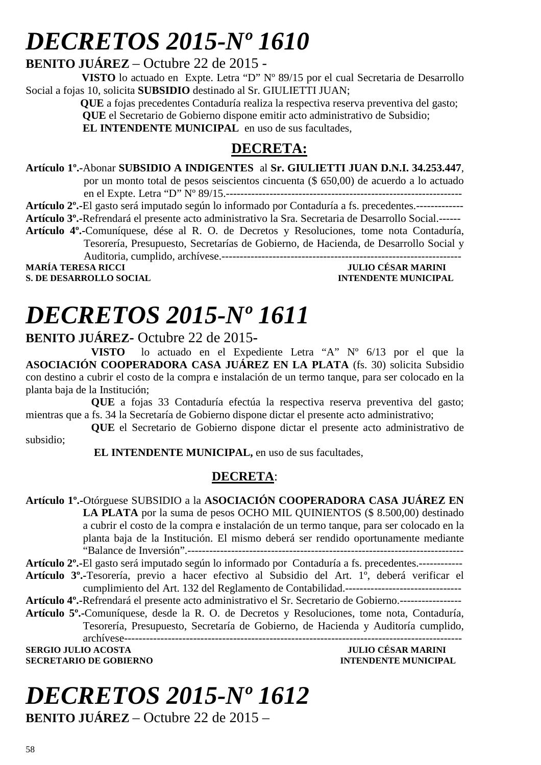# *DECRETOS 2015-Nº 1610*

**BENITO JUÁREZ** – Octubre 22 de 2015 -

**VISTO** lo actuado en Expte. Letra "D" N° 89/15 por el cual Secretaria de Desarrollo Social a fojas 10, solicita **SUBSIDIO** destinado al Sr. GIULIETTI JUAN;

> **QUE** a fojas precedentes Contaduría realiza la respectiva reserva preventiva del gasto;  **QUE** el Secretario de Gobierno dispone emitir acto administrativo de Subsidio; **EL INTENDENTE MUNICIPAL** en uso de sus facultades,

### **DECRETA:**

**Artículo 1º.-**Abonar **SUBSIDIO A INDIGENTES** al **Sr. GIULIETTI JUAN D.N.I. 34.253.447**,

por un monto total de pesos seiscientos cincuenta (\$ 650,00) de acuerdo a lo actuado en el Expte. Letra "D" Nº 89/15.-----------------------------------------------------------------

**Artículo 2º.-**El gasto será imputado según lo informado por Contaduría a fs. precedentes.-------------

**Artículo 3º.-**Refrendará el presente acto administrativo la Sra. Secretaria de Desarrollo Social.------

**Artículo 4º.-**Comuníquese, dése al R. O. de Decretos y Resoluciones, tome nota Contaduría, Tesorería, Presupuesto, Secretarías de Gobierno, de Hacienda, de Desarrollo Social y Auditoria, cumplido, archívese.------------------------------------------------------------------ **MARÍA TERESA RICCI JULIO CÉSAR MARINI** 

**S. DE DESARROLLO SOCIAL DESARROLLO SOCIAL DESARROLLO SOCIAL DESARROLLO SOCIAL DESARROLLO SOCIAL DE LA PERIODICIPAL DE LA PERIODICIPAL DE LA PERIODICIPAL DE LA PERIODICIPAL DE LA PERIODICIPAL DE LA PERIODICIPAL DE LA PERIO** 

# *DECRETOS 2015-Nº 1611*

#### **BENITO JUÁREZ-** Octubre 22 de 2015**-**

**VISTO** lo actuado en el Expediente Letra "A" Nº 6/13 por el que la **ASOCIACIÓN COOPERADORA CASA JUÁREZ EN LA PLATA** (fs. 30) solicita Subsidio con destino a cubrir el costo de la compra e instalación de un termo tanque, para ser colocado en la planta baja de la Institución;

**QUE** a fojas 33 Contaduría efectúa la respectiva reserva preventiva del gasto; mientras que a fs. 34 la Secretaría de Gobierno dispone dictar el presente acto administrativo;

**QUE** el Secretario de Gobierno dispone dictar el presente acto administrativo de subsidio;

 **EL INTENDENTE MUNICIPAL,** en uso de sus facultades,

### **DECRETA**:

**Artículo 1º.-**Otórguese SUBSIDIO a la **ASOCIACIÓN COOPERADORA CASA JUÁREZ EN LA PLATA** por la suma de pesos OCHO MIL QUINIENTOS (\$ 8.500,00) destinado a cubrir el costo de la compra e instalación de un termo tanque, para ser colocado en la planta baja de la Institución. El mismo deberá ser rendido oportunamente mediante "Balance de Inversión".---------------------------------------------------------------------------- **Artículo 2º.-**El gasto será imputado según lo informado por Contaduría a fs. precedentes.------------

**Artículo 3º.-**Tesorería, previo a hacer efectivo al Subsidio del Art. 1º, deberá verificar el cumplimiento del Art. 132 del Reglamento de Contabilidad.--------------------------------

**Artículo 4º.-**Refrendará el presente acto administrativo el Sr. Secretario de Gobierno.-----------------

**Artículo 5º.-**Comuníquese, desde la R. O. de Decretos y Resoluciones, tome nota, Contaduría, Tesorería, Presupuesto, Secretaría de Gobierno, de Hacienda y Auditoría cumplido, archívese---------------------------------------------------------------------------------------------

**SERGIO JULIO ACOSTA JULIO CÉSAR MARINI SECRETARIO DE GOBIERNO INTENDENTE MUNICIPAL** 

# *DECRETOS 2015-Nº 1612*

**BENITO JUÁREZ** – Octubre 22 de 2015 –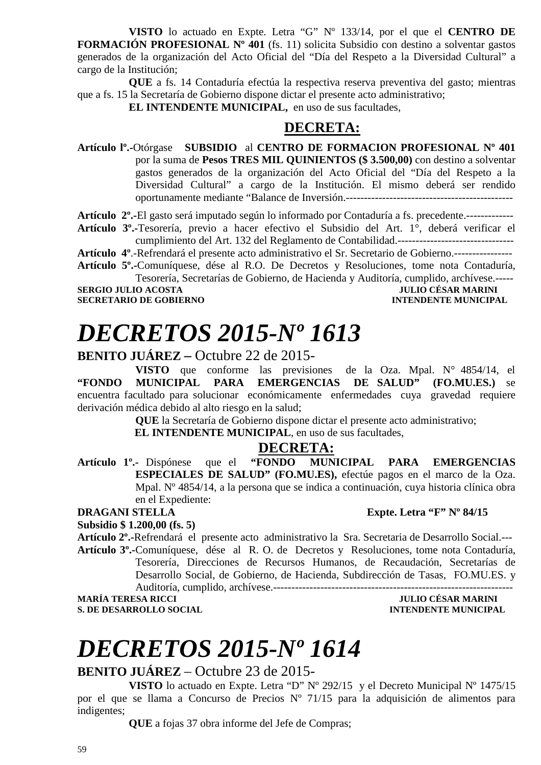**VISTO** lo actuado en Expte. Letra "G" Nº 133/14, por el que el **CENTRO DE FORMACIÓN PROFESIONAL Nº 401** (fs. 11) solicita Subsidio con destino a solventar gastos generados de la organización del Acto Oficial del "Día del Respeto a la Diversidad Cultural" a cargo de la Institución;

**QUE** a fs. 14 Contaduría efectúa la respectiva reserva preventiva del gasto; mientras que a fs. 15 la Secretaría de Gobierno dispone dictar el presente acto administrativo;

**EL INTENDENTE MUNICIPAL,** en uso de sus facultades,

#### **DECRETA:**

**Artículo lº.-**Otórgase **SUBSIDIO** al **CENTRO DE FORMACION PROFESIONAL Nº 401** por la suma de **Pesos TRES MIL QUINIENTOS (\$ 3.500,00)** con destino a solventar gastos generados de la organización del Acto Oficial del "Día del Respeto a la Diversidad Cultural" a cargo de la Institución. El mismo deberá ser rendido oportunamente mediante "Balance de Inversión.----------------------------------------------

**Artículo 2º.-**El gasto será imputado según lo informado por Contaduría a fs. precedente.-------------

**Artículo 3º.-**Tesorería, previo a hacer efectivo el Subsidio del Art. 1°, deberá verificar el cumplimiento del Art. 132 del Reglamento de Contabilidad.--------------------------------

**Artículo 4º**.-Refrendará el presente acto administrativo el Sr. Secretario de Gobierno.---------------- **Artículo 5º.-**Comuníquese, dése al R.O. De Decretos y Resoluciones, tome nota Contaduría,

Tesorería, Secretarías de Gobierno, de Hacienda y Auditoría, cumplido, archívese.-----

**SERGIO JULIO ACOSTA SECRETARIO DE GOBIERNO INTENDENTE MUNICIPAL** 

# *DECRETOS 2015-Nº 1613*

#### **BENITO JUÁREZ –** Octubre 22 de 2015-

**VISTO** que conforme las previsiones de la Oza. Mpal. N° 4854/14, el **"FONDO MUNICIPAL PARA EMERGENCIAS DE SALUD" (FO.MU.ES.)** se encuentra facultado para solucionar económicamente enfermedades cuya gravedad requiere derivación médica debido al alto riesgo en la salud;

**QUE** la Secretaría de Gobierno dispone dictar el presente acto administrativo;

**EL INTENDENTE MUNICIPAL**, en uso de sus facultades,

#### **DECRETA:**

**Artículo 1º.-** Dispónese que el **"FONDO MUNICIPAL PARA EMERGENCIAS ESPECIALES DE SALUD" (FO.MU.ES),** efectúe pagos en el marco de la Oza. Mpal. Nº 4854/14, a la persona que se indica a continuación, cuya historia clínica obra en el Expediente:

#### **DRAGANI STELLA** Expte. Letra "F" Nº 84/15

**Subsidio \$ 1.200,00 (fs. 5)** 

**Artículo 2º.-**Refrendará el presente acto administrativo la Sra. Secretaria de Desarrollo Social.---

**Artículo 3º.-**Comuníquese, dése al R. O. de Decretos y Resoluciones, tome nota Contaduría, Tesorería, Direcciones de Recursos Humanos, de Recaudación, Secretarías de Desarrollo Social, de Gobierno, de Hacienda, Subdirección de Tasas, FO.MU.ES. y Auditoría, cumplido, archívese.------------------------------------------------------------------

**S. DE DESARROLLO SOCIAL DESARROLLO SOCIAL DESARROLLO SOCIAL DESARROLLO SOCIAL DESARROLLO SOCIAL DE LA PERIODICIPAL DE LA PERIODICIPAL DE LA PERIODICIPAL DE LA PERIODICIPAL DE LA PERIODICIPAL DE LA PERIODICIPAL DE LA PERIO** 

# *DECRETOS 2015-Nº 1614*

### **BENITO JUÁREZ** – Octubre 23 de 2015-

**VISTO** lo actuado en Expte. Letra "D" Nº 292/15 y el Decreto Municipal Nº 1475/15 por el que se llama a Concurso de Precios Nº 71/15 para la adquisición de alimentos para indigentes;

**QUE** a fojas 37 obra informe del Jefe de Compras;

**JULIO CÉSAR MARINI**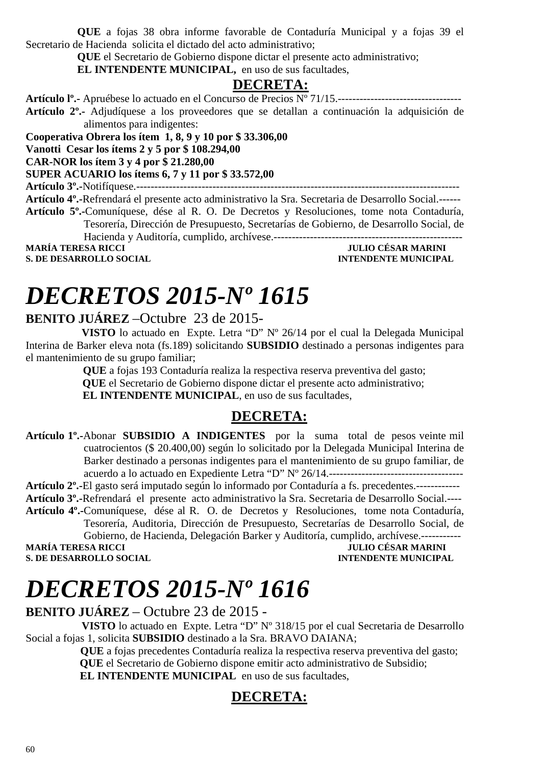**QUE** a fojas 38 obra informe favorable de Contaduría Municipal y a fojas 39 el Secretario de Hacienda solicita el dictado del acto administrativo;

**QUE** el Secretario de Gobierno dispone dictar el presente acto administrativo;

**EL INTENDENTE MUNICIPAL,** en uso de sus facultades,

### **DECRETA:**

**Artículo lº.-** Apruébese lo actuado en el Concurso de Precios Nº 71/15.----------------------------------

**Artículo 2º.-** Adjudíquese a los proveedores que se detallan a continuación la adquisición de alimentos para indigentes:

**Cooperativa Obrera los ítem 1, 8, 9 y 10 por \$ 33.306,00 Vanotti Cesar los ítems 2 y 5 por \$ 108.294,00** 

**CAR-NOR los ítem 3 y 4 por \$ 21.280,00** 

**SUPER ACUARIO los ítems 6, 7 y 11 por \$ 33.572,00** 

**Artículo 3º.-**Notifíquese.-----------------------------------------------------------------------------------------

**Artículo 4º.-**Refrendará el presente acto administrativo la Sra. Secretaria de Desarrollo Social.------ **Artículo 5º.-**Comuníquese, dése al R. O. De Decretos y Resoluciones, tome nota Contaduría, Tesorería, Dirección de Presupuesto, Secretarías de Gobierno, de Desarrollo Social, de

Hacienda y Auditoría, cumplido, archívese.---------------------------------------------------- **MARÍA TERESA RICCI** 

**S. DE DESARROLLO SOCIAL COMPUTE DE LA CONFIDENTE MUNICIPAL AND SOCIAL COMPUTE DE LA CONFIDENCIAL COMPUTE DE LA CONFIDENCIAL COMPUTE DE LA CONFIDENCIAL COMPUTE DE LA CONFIDENCIAL COMPUTE DE LA CONFIDENCIAL COMPUTE DE LA CO** 

# *DECRETOS 2015-Nº 1615*

### **BENITO JUÁREZ** –Octubre 23 de 2015-

 **VISTO** lo actuado en Expte. Letra "D" Nº 26/14 por el cual la Delegada Municipal Interina de Barker eleva nota (fs.189) solicitando **SUBSIDIO** destinado a personas indigentes para el mantenimiento de su grupo familiar;

 **QUE** a fojas 193 Contaduría realiza la respectiva reserva preventiva del gasto;  **QUE** el Secretario de Gobierno dispone dictar el presente acto administrativo;  **EL INTENDENTE MUNICIPAL**, en uso de sus facultades,

### **DECRETA:**

**Artículo 1º.-**Abonar **SUBSIDIO A INDIGENTES** por la suma total de pesos veinte mil cuatrocientos (\$ 20.400,00) según lo solicitado por la Delegada Municipal Interina de Barker destinado a personas indigentes para el mantenimiento de su grupo familiar, de acuerdo a lo actuado en Expediente Letra "D" Nº 26/14.-------------------------------------

**Artículo 2º.-**El gasto será imputado según lo informado por Contaduría a fs. precedentes.------------

**Artículo 3º.-**Refrendará el presente acto administrativo la Sra. Secretaria de Desarrollo Social.----

**Artículo 4º.-**Comuníquese, dése al R. O. de Decretos y Resoluciones, tome nota Contaduría, Tesorería, Auditoria, Dirección de Presupuesto, Secretarías de Desarrollo Social, de Gobierno, de Hacienda, Delegación Barker y Auditoría, cumplido, archívese.-----------

**MARÍA TERESA RICCI JULIO CÉSAR MARINI** 

**S. DE DESARROLLO SOCIAL DESARROLLO SOCIAL DESARROLLO SOCIAL DESARROLLO SOCIAL DESARROLLO SOCIAL DE LA PERSONAL DE LA PERSONAL DE LA PERSONAL DE LA PERSONAL DE LA PERSONAL DE LA PERSONAL DE LA PERSONAL DE LA PERSONAL DE LA** 

# *DECRETOS 2015-Nº 1616*

#### **BENITO JUÁREZ** – Octubre 23 de 2015 -

 **VISTO** lo actuado en Expte. Letra "D" Nº 318/15 por el cual Secretaria de Desarrollo Social a fojas 1, solicita **SUBSIDIO** destinado a la Sra. BRAVO DAIANA;

 **QUE** a fojas precedentes Contaduría realiza la respectiva reserva preventiva del gasto;  **QUE** el Secretario de Gobierno dispone emitir acto administrativo de Subsidio; **EL INTENDENTE MUNICIPAL** en uso de sus facultades,

### **DECRETA:**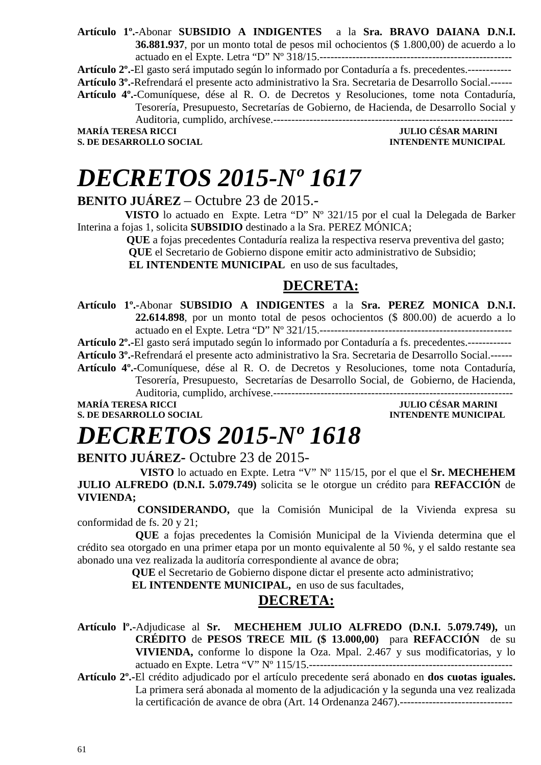**Artículo 1º.-**Abonar **SUBSIDIO A INDIGENTES** a la **Sra. BRAVO DAIANA D.N.I. 36.881.937**, por un monto total de pesos mil ochocientos (\$ 1.800,00) de acuerdo a lo actuado en el Expte. Letra "D" Nº 318/15.-----------------------------------------------------

**Artículo 2º.-**El gasto será imputado según lo informado por Contaduría a fs. precedentes.------------ **Artículo 3º.-**Refrendará el presente acto administrativo la Sra. Secretaria de Desarrollo Social.------ **Artículo 4º.-**Comuníquese, dése al R. O. de Decretos y Resoluciones, tome nota Contaduría, Tesorería, Presupuesto, Secretarías de Gobierno, de Hacienda, de Desarrollo Social y Auditoria, cumplido, archívese.------------------------------------------------------------------

**S. DE DESARROLLO SOCIAL DESARROLLO SOCIAL DESARROLLO SOCIAL DESARROLLO SOCIAL DESARROLLO SOCIAL DE LA PERSONAL DE LA PERSONAL DE LA PERSONAL DE LA PERSONAL DE LA PERSONAL DE LA PERSONAL DE LA PERSONAL DE LA PERSONAL DE LA** 

**JULIO CÉSAR MARINI** 

# *DECRETOS 2015-Nº 1617*

#### **BENITO JUÁREZ** – Octubre 23 de 2015.-

 **VISTO** lo actuado en Expte. Letra "D" Nº 321/15 por el cual la Delegada de Barker Interina a fojas 1, solicita **SUBSIDIO** destinado a la Sra. PEREZ MÓNICA;

 **QUE** a fojas precedentes Contaduría realiza la respectiva reserva preventiva del gasto;  **QUE** el Secretario de Gobierno dispone emitir acto administrativo de Subsidio;

**EL INTENDENTE MUNICIPAL** en uso de sus facultades,

### **DECRETA:**

**Artículo 1º.-**Abonar **SUBSIDIO A INDIGENTES** a la **Sra. PEREZ MONICA D.N.I. 22.614.898**, por un monto total de pesos ochocientos (\$ 800.00) de acuerdo a lo actuado en el Expte. Letra "D" Nº 321/15.-----------------------------------------------------

**Artículo 2º.-**El gasto será imputado según lo informado por Contaduría a fs. precedentes.------------

**Artículo 3º.-**Refrendará el presente acto administrativo la Sra. Secretaria de Desarrollo Social.------

**Artículo 4º.-**Comuníquese, dése al R. O. de Decretos y Resoluciones, tome nota Contaduría, Tesorería, Presupuesto, Secretarías de Desarrollo Social, de Gobierno, de Hacienda, Auditoria, cumplido, archívese.------------------------------------------------------------------

**S. DE DESARROLLO SOCIAL DESARROLLO SOCIAL DESARROLLO SOCIAL DESARROLLO SOCIAL DESARROLLO SOCIAL DE LA PERIODICIPAL DE LA PERIODICIPAL DE LA PERIODICIPAL DE LA PERIODICIPAL DE LA PERIODICIPAL DE LA PERIODICIPAL DE LA PERIO** 

**MULIO CÉSAR MARINI** 

# *DECRETOS 2015-Nº 1618*

**BENITO JUÁREZ-** Octubre 23 de 2015-

 **VISTO** lo actuado en Expte. Letra "V" Nº 115/15, por el que el **Sr. MECHEHEM JULIO ALFREDO (D.N.I. 5.079.749)** solicita se le otorgue un crédito para **REFACCIÓN** de **VIVIENDA;**

 **CONSIDERANDO,** que la Comisión Municipal de la Vivienda expresa su conformidad de fs. 20 y 21;

**QUE** a fojas precedentes la Comisión Municipal de la Vivienda determina que el crédito sea otorgado en una primer etapa por un monto equivalente al 50 %, y el saldo restante sea abonado una vez realizada la auditoría correspondiente al avance de obra;

**QUE** el Secretario de Gobierno dispone dictar el presente acto administrativo;

 **EL INTENDENTE MUNICIPAL,** en uso de sus facultades,

### **DECRETA:**

**Artículo lº.-**Adjudicase al **Sr. MECHEHEM JULIO ALFREDO (D.N.I. 5.079.749),** un **CRÉDITO** de **PESOS TRECE MIL (\$ 13.000,00)** para **REFACCIÓN** de su **VIVIENDA,** conforme lo dispone la Oza. Mpal. 2.467 y sus modificatorias, y lo actuado en Expte. Letra "V" Nº 115/15.--------------------------------------------------------

**Artículo 2º.-**El crédito adjudicado por el artículo precedente será abonado en **dos cuotas iguales.** La primera será abonada al momento de la adjudicación y la segunda una vez realizada la certificación de avance de obra (Art. 14 Ordenanza 2467).-------------------------------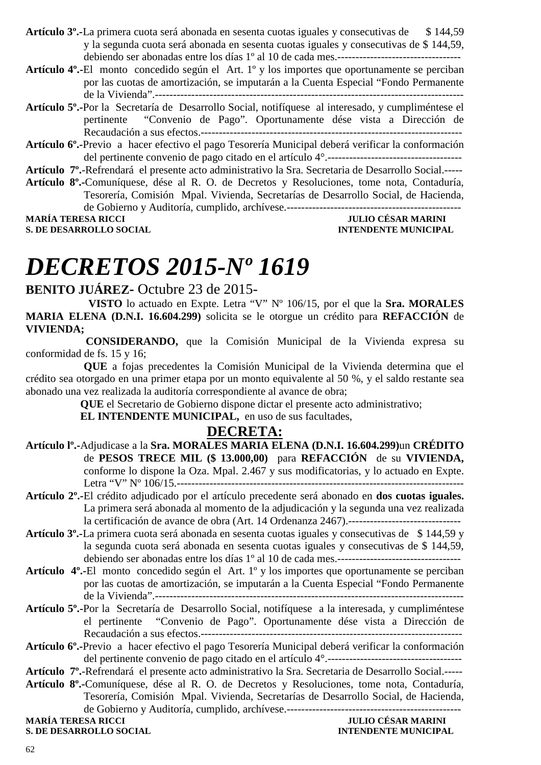- **Artículo 3º.-**La primera cuota será abonada en sesenta cuotas iguales y consecutivas de \$ 144,59 y la segunda cuota será abonada en sesenta cuotas iguales y consecutivas de \$ 144,59, debiendo ser abonadas entre los días 1º al 10 de cada mes.----------------------------------
- **Artículo 4º.-**El monto concedido según el Art. 1º y los importes que oportunamente se perciban por las cuotas de amortización, se imputarán a la Cuenta Especial "Fondo Permanente de la Vivienda".-------------------------------------------------------------------------------------
- **Artículo 5º.-**Por la Secretaría de Desarrollo Social, notifíquese al interesado, y cumpliméntese el pertinente "Convenio de Pago". Oportunamente dése vista a Dirección de Recaudación a sus efectos.------------------------------------------------------------------------
- **Artículo 6º.-**Previo a hacer efectivo el pago Tesorería Municipal deberá verificar la conformación del pertinente convenio de pago citado en el artículo 4°.-------------------------------------
- **Artículo 7º.**-Refrendará el presente acto administrativo la Sra. Secretaria de Desarrollo Social.-----
- **Artículo 8º.-**Comuníquese, dése al R. O. de Decretos y Resoluciones, tome nota, Contaduría, Tesorería, Comisión Mpal. Vivienda, Secretarías de Desarrollo Social, de Hacienda, de Gobierno y Auditoría, cumplido, archívese.------------------------------------------------

**S. DE DESARROLLO SOCIAL DESARROLLO SOCIAL DESARROLLO SOCIAL DESARROLLO SOCIAL DESARROLLO SOCIAL DE SOCIAL DE SOCIAL DE SOCIAL DE SOCIAL DE SOCIAL DE SOCIAL DE SOCIAL DE SOCIAL DE SOCIAL DE SOCIAL DE SOCIAL DE SOCIAL DE SO** 

**MARÍA TERESA RICCI JULIO CÉSAR MARINI** 

# *DECRETOS 2015-Nº 1619*

#### **BENITO JUÁREZ-** Octubre 23 de 2015-

 **VISTO** lo actuado en Expte. Letra "V" Nº 106/15, por el que la **Sra. MORALES MARIA ELENA (D.N.I. 16.604.299)** solicita se le otorgue un crédito para **REFACCIÓN** de **VIVIENDA;**

 **CONSIDERANDO,** que la Comisión Municipal de la Vivienda expresa su conformidad de fs. 15 y 16;

**QUE** a fojas precedentes la Comisión Municipal de la Vivienda determina que el crédito sea otorgado en una primer etapa por un monto equivalente al 50 %, y el saldo restante sea abonado una vez realizada la auditoría correspondiente al avance de obra;

**QUE** el Secretario de Gobierno dispone dictar el presente acto administrativo;

 **EL INTENDENTE MUNICIPAL,** en uso de sus facultades,

### **DECRETA:**

- **Artículo lº.-**Adjudicase a la **Sra. MORALES MARIA ELENA (D.N.I. 16.604.299)**un **CRÉDITO** de **PESOS TRECE MIL (\$ 13.000,00)** para **REFACCIÓN** de su **VIVIENDA,** conforme lo dispone la Oza. Mpal. 2.467 y sus modificatorias, y lo actuado en Expte. Letra "V" Nº 106/15.-------------------------------------------------------------------------------
- **Artículo 2º.-**El crédito adjudicado por el artículo precedente será abonado en **dos cuotas iguales.** La primera será abonada al momento de la adjudicación y la segunda una vez realizada la certificación de avance de obra (Art. 14 Ordenanza 2467).-------------------------------
- **Artículo 3º.-**La primera cuota será abonada en sesenta cuotas iguales y consecutivas de \$ 144,59 y la segunda cuota será abonada en sesenta cuotas iguales y consecutivas de \$ 144,59, debiendo ser abonadas entre los días 1º al 10 de cada mes.----------------------------------
- **Artículo 4º.-**El monto concedido según el Art. 1º y los importes que oportunamente se perciban por las cuotas de amortización, se imputarán a la Cuenta Especial "Fondo Permanente de la Vivienda".-------------------------------------------------------------------------------------
- **Artículo 5º.-**Por la Secretaría de Desarrollo Social, notifíquese a la interesada, y cumpliméntese el pertinente "Convenio de Pago". Oportunamente dése vista a Dirección de Recaudación a sus efectos.------------------------------------------------------------------------
- **Artículo 6º.-**Previo a hacer efectivo el pago Tesorería Municipal deberá verificar la conformación del pertinente convenio de pago citado en el artículo 4°.-------------------------------------
- **Artículo 7º.**-Refrendará el presente acto administrativo la Sra. Secretaria de Desarrollo Social.-----
- **Artículo 8º.-**Comuníquese, dése al R. O. de Decretos y Resoluciones, tome nota, Contaduría, Tesorería, Comisión Mpal. Vivienda, Secretarías de Desarrollo Social, de Hacienda, de Gobierno y Auditoría, cumplido, archívese.------------------------------------------------

**S. DE DESARROLLO SOCIAL**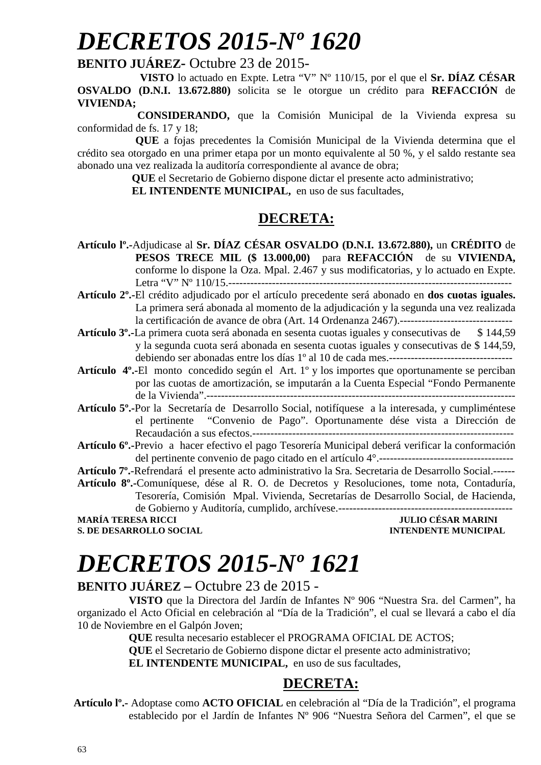# *DECRETOS 2015-Nº 1620*

#### **BENITO JUÁREZ-** Octubre 23 de 2015-

 **VISTO** lo actuado en Expte. Letra "V" Nº 110/15, por el que el **Sr. DÍAZ CÉSAR OSVALDO (D.N.I. 13.672.880)** solicita se le otorgue un crédito para **REFACCIÓN** de **VIVIENDA;**

 **CONSIDERANDO,** que la Comisión Municipal de la Vivienda expresa su conformidad de fs. 17 y 18;

**QUE** a fojas precedentes la Comisión Municipal de la Vivienda determina que el crédito sea otorgado en una primer etapa por un monto equivalente al 50 %, y el saldo restante sea abonado una vez realizada la auditoría correspondiente al avance de obra;

**QUE** el Secretario de Gobierno dispone dictar el presente acto administrativo;

 **EL INTENDENTE MUNICIPAL,** en uso de sus facultades,

### **DECRETA:**

- **Artículo lº.-**Adjudicase al **Sr. DÍAZ CÉSAR OSVALDO (D.N.I. 13.672.880),** un **CRÉDITO** de **PESOS TRECE MIL (\$ 13.000,00)** para **REFACCIÓN** de su **VIVIENDA,** conforme lo dispone la Oza. Mpal. 2.467 y sus modificatorias, y lo actuado en Expte. Letra "V" Nº 110/15.------------------------------------------------------------------------------
- **Artículo 2º.-**El crédito adjudicado por el artículo precedente será abonado en **dos cuotas iguales.** La primera será abonada al momento de la adjudicación y la segunda una vez realizada la certificación de avance de obra (Art. 14 Ordenanza 2467).-------------------------------
- **Artículo 3º.-**La primera cuota será abonada en sesenta cuotas iguales y consecutivas de \$ 144,59 y la segunda cuota será abonada en sesenta cuotas iguales y consecutivas de \$ 144,59, debiendo ser abonadas entre los días 1º al 10 de cada mes.----------------------------------
- **Artículo 4º.-**El monto concedido según el Art. 1º y los importes que oportunamente se perciban por las cuotas de amortización, se imputarán a la Cuenta Especial "Fondo Permanente de la Vivienda".-------------------------------------------------------------------------------------
- **Artículo 5º.-**Por la Secretaría de Desarrollo Social, notifíquese a la interesada, y cumpliméntese el pertinente "Convenio de Pago". Oportunamente dése vista a Dirección de Recaudación a sus efectos.------------------------------------------------------------------------
- **Artículo 6º.-**Previo a hacer efectivo el pago Tesorería Municipal deberá verificar la conformación del pertinente convenio de pago citado en el artículo 4°.-------------------------------------

**Artículo 7º.**-Refrendará el presente acto administrativo la Sra. Secretaria de Desarrollo Social.------

**Artículo 8º.-**Comuníquese, dése al R. O. de Decretos y Resoluciones, tome nota, Contaduría, Tesorería, Comisión Mpal. Vivienda, Secretarías de Desarrollo Social, de Hacienda, de Gobierno y Auditoría, cumplido, archívese.------------------------------------------------

**S. DE DESARROLLO SOCIAL DESARROLLO SOCIAL DESARROLLO SOCIAL DESARROLLO SOCIAL DESARROLLO SOCIAL DE LA PERIODICIPAL DE LA PERIODICIPAL DE LA PERIODICIPAL DE LA PERIODICIPAL DE LA PERIODICIPAL DE LA PERIODICIPAL DE LA PERIO** 

### **MARÍA TERESA RICCI JULIO CÉSAR MARINI**

## *DECRETOS 2015-Nº 1621*

#### **BENITO JUÁREZ –** Octubre 23 de 2015 -

**VISTO** que la Directora del Jardín de Infantes Nº 906 "Nuestra Sra. del Carmen", ha organizado el Acto Oficial en celebración al "Día de la Tradición", el cual se llevará a cabo el día 10 de Noviembre en el Galpón Joven;

**QUE** resulta necesario establecer el PROGRAMA OFICIAL DE ACTOS;

**QUE** el Secretario de Gobierno dispone dictar el presente acto administrativo;

**EL INTENDENTE MUNICIPAL,** en uso de sus facultades,

### **DECRETA:**

 **Artículo lº.-** Adoptase como **ACTO OFICIAL** en celebración al "Día de la Tradición", el programa establecido por el Jardín de Infantes Nº 906 "Nuestra Señora del Carmen", el que se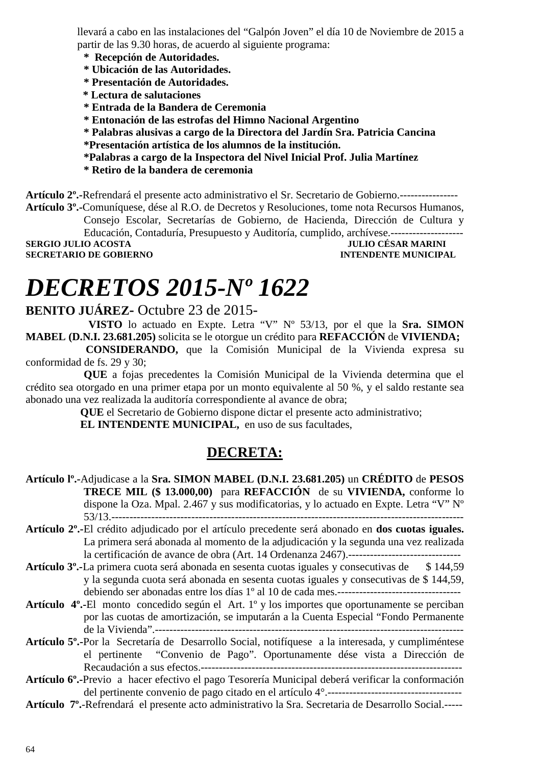llevará a cabo en las instalaciones del "Galpón Joven" el día 10 de Noviembre de 2015 a partir de las 9.30 horas, de acuerdo al siguiente programa:

- **\* Recepción de Autoridades.**
- **\* Ubicación de las Autoridades.**
- **\* Presentación de Autoridades.**
- **\* Lectura de salutaciones**
- **\* Entrada de la Bandera de Ceremonia**
- **\* Entonación de las estrofas del Himno Nacional Argentino**
- **\* Palabras alusivas a cargo de la Directora del Jardín Sra. Patricia Cancina**
- **\*Presentación artística de los alumnos de la institución.**
- **\*Palabras a cargo de la Inspectora del Nivel Inicial Prof. Julia Martínez**
- **\* Retiro de la bandera de ceremonia**

**Artículo 2º.-**Refrendará el presente acto administrativo el Sr. Secretario de Gobierno.---------------- **Artículo 3º.-**Comuníquese, dése al R.O. de Decretos y Resoluciones, tome nota Recursos Humanos,

Consejo Escolar, Secretarías de Gobierno, de Hacienda, Dirección de Cultura y Educación, Contaduría, Presupuesto y Auditoría, cumplido, archívese.--------------------

**SECRETARIO DE GOBIERNO** 

**SERGIO ACCESTA JULIO CÉSAR MARINI INTENDENTE MUNICIPAL** 

# *DECRETOS 2015-Nº 1622*

### **BENITO JUÁREZ-** Octubre 23 de 2015-

 **VISTO** lo actuado en Expte. Letra "V" Nº 53/13, por el que la **Sra. SIMON MABEL (D.N.I. 23.681.205)** solicita se le otorgue un crédito para **REFACCIÓN** de **VIVIENDA;**

 **CONSIDERANDO,** que la Comisión Municipal de la Vivienda expresa su conformidad de fs. 29 y 30;

**QUE** a fojas precedentes la Comisión Municipal de la Vivienda determina que el crédito sea otorgado en una primer etapa por un monto equivalente al 50 %, y el saldo restante sea abonado una vez realizada la auditoría correspondiente al avance de obra;

**QUE** el Secretario de Gobierno dispone dictar el presente acto administrativo;

 **EL INTENDENTE MUNICIPAL,** en uso de sus facultades,

### **DECRETA:**

- **Artículo lº.-**Adjudicase a la **Sra. SIMON MABEL (D.N.I. 23.681.205)** un **CRÉDITO** de **PESOS TRECE MIL (\$ 13.000,00)** para **REFACCIÓN** de su **VIVIENDA,** conforme lo dispone la Oza. Mpal. 2.467 y sus modificatorias, y lo actuado en Expte. Letra "V" Nº 53/13.-------------------------------------------------------------------------------------------------
- **Artículo 2º.-**El crédito adjudicado por el artículo precedente será abonado en **dos cuotas iguales.** La primera será abonada al momento de la adjudicación y la segunda una vez realizada la certificación de avance de obra (Art. 14 Ordenanza 2467).-------------------------------
- **Artículo 3º.-**La primera cuota será abonada en sesenta cuotas iguales y consecutivas de \$ 144,59 y la segunda cuota será abonada en sesenta cuotas iguales y consecutivas de \$ 144,59, debiendo ser abonadas entre los días 1º al 10 de cada mes.----------------------------------
- **Artículo 4º.-**El monto concedido según el Art. 1º y los importes que oportunamente se perciban por las cuotas de amortización, se imputarán a la Cuenta Especial "Fondo Permanente de la Vivienda".-------------------------------------------------------------------------------------
- **Artículo 5º.-**Por la Secretaría de Desarrollo Social, notifíquese a la interesada, y cumpliméntese el pertinente "Convenio de Pago". Oportunamente dése vista a Dirección de Recaudación a sus efectos.------------------------------------------------------------------------
- **Artículo 6º.-**Previo a hacer efectivo el pago Tesorería Municipal deberá verificar la conformación del pertinente convenio de pago citado en el artículo 4°.-------------------------------------
- **Artículo 7º.**-Refrendará el presente acto administrativo la Sra. Secretaria de Desarrollo Social.-----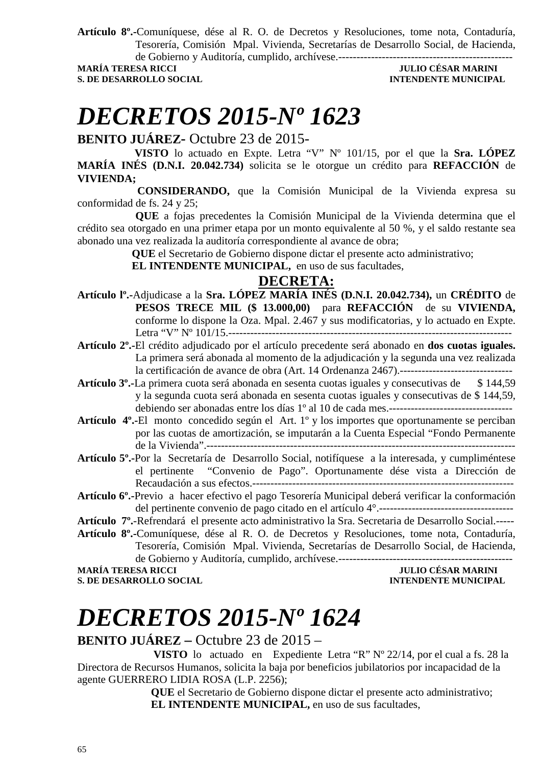**Artículo 8º.-**Comuníquese, dése al R. O. de Decretos y Resoluciones, tome nota, Contaduría, Tesorería, Comisión Mpal. Vivienda, Secretarías de Desarrollo Social, de Hacienda, de Gobierno y Auditoría, cumplido, archívese.------------------------------------------------

#### **JULIO CÉSAR MARINI S. DE DESARROLLO SOCIAL DESARROLLO SOCIAL DESARROLLO SOCIAL DESARROLLO SOCIAL DESARROLLO SOCIAL DE LA PERIODICIPAL DE LA PERIODICIPAL DE LA PERIODICIPAL DE LA PERIODICIPAL DE LA PERIODICIPAL DE LA PERIODICIPAL DE LA PERIO**

# *DECRETOS 2015-Nº 1623*

**BENITO JUÁREZ-** Octubre 23 de 2015-

 **VISTO** lo actuado en Expte. Letra "V" Nº 101/15, por el que la **Sra. LÓPEZ MARÍA INÉS (D.N.I. 20.042.734)** solicita se le otorgue un crédito para **REFACCIÓN** de **VIVIENDA;**

 **CONSIDERANDO,** que la Comisión Municipal de la Vivienda expresa su conformidad de fs. 24 y 25;

**QUE** a fojas precedentes la Comisión Municipal de la Vivienda determina que el crédito sea otorgado en una primer etapa por un monto equivalente al 50 %, y el saldo restante sea abonado una vez realizada la auditoría correspondiente al avance de obra;

**QUE** el Secretario de Gobierno dispone dictar el presente acto administrativo;

 **EL INTENDENTE MUNICIPAL,** en uso de sus facultades,

### **DECRETA:**

- **Artículo lº.-**Adjudicase a la **Sra. LÓPEZ MARÍA INÉS (D.N.I. 20.042.734),** un **CRÉDITO** de **PESOS TRECE MIL (\$ 13.000,00)** para **REFACCIÓN** de su **VIVIENDA,** conforme lo dispone la Oza. Mpal. 2.467 y sus modificatorias, y lo actuado en Expte. Letra "V" Nº 101/15.------------------------------------------------------------------------------
- **Artículo 2º.-**El crédito adjudicado por el artículo precedente será abonado en **dos cuotas iguales.** La primera será abonada al momento de la adjudicación y la segunda una vez realizada la certificación de avance de obra (Art. 14 Ordenanza 2467).-------------------------------
- **Artículo 3º.-**La primera cuota será abonada en sesenta cuotas iguales y consecutivas de \$ 144,59 y la segunda cuota será abonada en sesenta cuotas iguales y consecutivas de \$ 144,59, debiendo ser abonadas entre los días 1º al 10 de cada mes.----------------------------------
- **Artículo 4º.-**El monto concedido según el Art. 1º y los importes que oportunamente se perciban por las cuotas de amortización, se imputarán a la Cuenta Especial "Fondo Permanente de la Vivienda".-------------------------------------------------------------------------------------
- **Artículo 5º.-**Por la Secretaría de Desarrollo Social, notifíquese a la interesada, y cumpliméntese el pertinente "Convenio de Pago". Oportunamente dése vista a Dirección de Recaudación a sus efectos.------------------------------------------------------------------------
- **Artículo 6º.-**Previo a hacer efectivo el pago Tesorería Municipal deberá verificar la conformación del pertinente convenio de pago citado en el artículo 4°.-------------------------------------

**Artículo 7º.**-Refrendará el presente acto administrativo la Sra. Secretaria de Desarrollo Social.----- **Artículo 8º.-**Comuníquese, dése al R. O. de Decretos y Resoluciones, tome nota, Contaduría, Tesorería, Comisión Mpal. Vivienda, Secretarías de Desarrollo Social, de Hacienda,

de Gobierno y Auditoría, cumplido, archívese.------------------------------------------------ **MARÍA TERESA RICCI JULIO CÉSAR MARINI** 

**S. DE DESARROLLO SOCIAL** 

# *DECRETOS 2015-Nº 1624*

### **BENITO JUÁREZ –** Octubre 23 de 2015 –

 **VISTO** lo actuado en Expediente Letra "R" Nº 22/14, por el cual a fs. 28 la Directora de Recursos Humanos, solicita la baja por beneficios jubilatorios por incapacidad de la agente GUERRERO LIDIA ROSA (L.P. 2256);

 **QUE** el Secretario de Gobierno dispone dictar el presente acto administrativo;  **EL INTENDENTE MUNICIPAL,** en uso de sus facultades,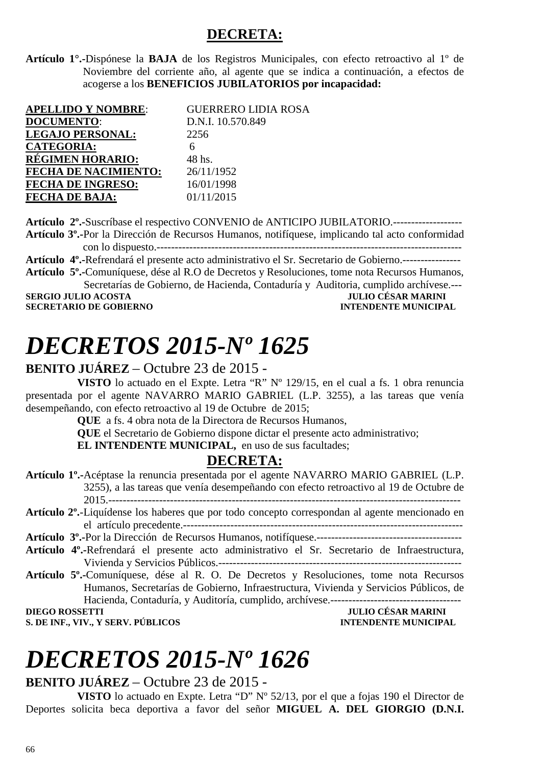### **DECRETA:**

**Artículo 1°.-**Dispónese la **BAJA** de los Registros Municipales, con efecto retroactivo al 1º de Noviembre del corriente año, al agente que se indica a continuación, a efectos de acogerse a los **BENEFICIOS JUBILATORIOS por incapacidad:**

| <b>APELLIDO Y NOMBRE:</b>   | <b>GUERRERO LIDIA ROSA</b> |
|-----------------------------|----------------------------|
| <b>DOCUMENTO:</b>           | D.N.I. 10.570.849          |
| <b>LEGAJO PERSONAL:</b>     | 2256                       |
| <b>CATEGORIA:</b>           |                            |
| RÉGIMEN HORARIO:            | 48 hs.                     |
| <b>FECHA DE NACIMIENTO:</b> | 26/11/1952                 |
| <b>FECHA DE INGRESO:</b>    | 16/01/1998                 |
| <b>FECHA DE BAJA:</b>       | 01/11/2015                 |

**Artículo 2º.-**Suscríbase el respectivo CONVENIO de ANTICIPO JUBILATORIO.------------------- **Artículo 3º.-**Por la Dirección de Recursos Humanos, notifíquese, implicando tal acto conformidad con lo dispuesto.------------------------------------------------------------------------------------ **Artículo 4º.-**Refrendará el presente acto administrativo el Sr. Secretario de Gobierno.---------------- **Artículo 5º.-**Comuníquese, dése al R.O de Decretos y Resoluciones, tome nota Recursos Humanos, Secretarías de Gobierno, de Hacienda, Contaduría y Auditoria, cumplido archívese.---<br>IULIO CÉSAR MARINI **SERGIO JULIO ACOSTA JULIO CÉSAR MARINI A LORE DE LORE DE LORE DE LORE DE LORE DE LORE DE LORE DE LORE DE LORE D<br>INTENDENTE MINICIPAL** 

**SECRETARIO DE GOBIERNO** 

# *DECRETOS 2015-Nº 1625*

#### **BENITO JUÁREZ** – Octubre 23 de 2015 -

**VISTO** lo actuado en el Expte. Letra "R" Nº 129/15, en el cual a fs. 1 obra renuncia presentada por el agente NAVARRO MARIO GABRIEL (L.P. 3255), a las tareas que venía desempeñando, con efecto retroactivo al 19 de Octubre de 2015;

**QUE** a fs. 4 obra nota de la Directora de Recursos Humanos,

**QUE** el Secretario de Gobierno dispone dictar el presente acto administrativo;

**EL INTENDENTE MUNICIPAL**, en uso de sus facultades:

### **DECRETA:**

| Artículo 1º.-Acéptase la renuncia presentada por el agente NAVARRO MARIO GABRIEL (L.P.                      |  |
|-------------------------------------------------------------------------------------------------------------|--|
| 3255), a las tareas que venía desempeñando con efecto retroactivo al 19 de Octubre de                       |  |
|                                                                                                             |  |
| Artículo 2 <sup>o</sup> .-Liquídense los haberes que por todo concepto correspondan al agente mencionado en |  |
|                                                                                                             |  |
|                                                                                                             |  |
| Artículo 4 <sup>°</sup> .-Refrendará el presente acto administrativo el Sr. Secretario de Infraestructura,  |  |
|                                                                                                             |  |
| Artículo 5 <sup>°</sup> . Comuníquese, dése al R. O. De Decretos y Resoluciones, tome nota Recursos         |  |
| Humanos, Secretarías de Gobierno, Infraestructura, Vivienda y Servicios Públicos, de                        |  |
| Hacienda, Contaduría, y Auditoría, cumplido, archívese.---                                                  |  |
| <b>JULIO CÉSAR MARINI</b><br><b>DIEGO ROSSETTI</b>                                                          |  |
| S. DE INF., VIV., Y SERV. PÚBLICOS<br><b>INTENDENTE MUNICIPAL</b>                                           |  |

# *DECRETOS 2015-Nº 1626*

#### **BENITO JUÁREZ** – Octubre 23 de 2015 -

**VISTO** lo actuado en Expte. Letra "D" Nº 52/13, por el que a fojas 190 el Director de Deportes solicita beca deportiva a favor del señor **MIGUEL A. DEL GIORGIO (D.N.I.**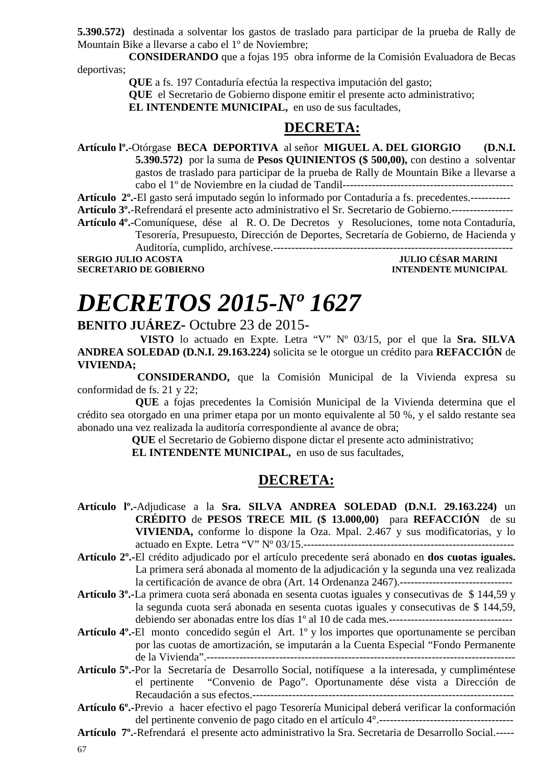**5.390.572)** destinada a solventar los gastos de traslado para participar de la prueba de Rally de Mountain Bike a llevarse a cabo el 1º de Noviembre;

**CONSIDERANDO** que a fojas 195 obra informe de la Comisión Evaluadora de Becas deportivas;

**QUE** a fs. 197 Contaduría efectúa la respectiva imputación del gasto;

**QUE** el Secretario de Gobierno dispone emitir el presente acto administrativo;

**EL INTENDENTE MUNICIPAL,** en uso de sus facultades,

#### **DECRETA:**

**Artículo lº.-**Otórgase **BECA DEPORTIVA** al señor **MIGUEL A. DEL GIORGIO (D.N.I. 5.390.572)** por la suma de **Pesos QUINIENTOS (\$ 500,00),** con destino a solventar gastos de traslado para participar de la prueba de Rally de Mountain Bike a llevarse a cabo el 1º de Noviembre en la ciudad de Tandil-----------------------------------------------

**Artículo 2º.-**El gasto será imputado según lo informado por Contaduría a fs. precedentes.-----------

**Artículo 3º.**-Refrendará el presente acto administrativo el Sr. Secretario de Gobierno.-----------------

**Artículo 4º.-**Comuníquese, dése al R. O. De Decretos y Resoluciones, tome nota Contaduría, Tesorería, Presupuesto, Dirección de Deportes, Secretaría de Gobierno, de Hacienda y

Auditoría, cumplido, archívese.------------------------------------------------------------------

**SERGIO JULIO ACOSTA SECRETARIO DE GOBIERNO INTENDENTE MUNICIPAL** 

# *DECRETOS 2015-Nº 1627*

**BENITO JUÁREZ-** Octubre 23 de 2015-

 **VISTO** lo actuado en Expte. Letra "V" Nº 03/15, por el que la **Sra. SILVA ANDREA SOLEDAD (D.N.I. 29.163.224)** solicita se le otorgue un crédito para **REFACCIÓN** de **VIVIENDA;**

 **CONSIDERANDO,** que la Comisión Municipal de la Vivienda expresa su conformidad de fs. 21 y 22;

**QUE** a fojas precedentes la Comisión Municipal de la Vivienda determina que el crédito sea otorgado en una primer etapa por un monto equivalente al 50 %, y el saldo restante sea abonado una vez realizada la auditoría correspondiente al avance de obra;

**QUE** el Secretario de Gobierno dispone dictar el presente acto administrativo;

 **EL INTENDENTE MUNICIPAL,** en uso de sus facultades,

### **DECRETA:**

- **Artículo lº.-**Adjudicase a la **Sra. SILVA ANDREA SOLEDAD (D.N.I. 29.163.224)** un **CRÉDITO** de **PESOS TRECE MIL (\$ 13.000,00)** para **REFACCIÓN** de su **VIVIENDA,** conforme lo dispone la Oza. Mpal. 2.467 y sus modificatorias, y lo actuado en Expte. Letra "V" Nº 03/15.----------------------------------------------------------
- **Artículo 2º.-**El crédito adjudicado por el artículo precedente será abonado en **dos cuotas iguales.** La primera será abonada al momento de la adjudicación y la segunda una vez realizada la certificación de avance de obra (Art. 14 Ordenanza 2467).-------------------------------
- **Artículo 3º.-**La primera cuota será abonada en sesenta cuotas iguales y consecutivas de \$ 144,59 y la segunda cuota será abonada en sesenta cuotas iguales y consecutivas de \$ 144,59, debiendo ser abonadas entre los días 1º al 10 de cada mes.----------------------------------

**Artículo 4º.-**El monto concedido según el Art. 1º y los importes que oportunamente se perciban por las cuotas de amortización, se imputarán a la Cuenta Especial "Fondo Permanente de la Vivienda".-------------------------------------------------------------------------------------

- **Artículo 5º.-**Por la Secretaría de Desarrollo Social, notifíquese a la interesada, y cumpliméntese el pertinente "Convenio de Pago". Oportunamente dése vista a Dirección de Recaudación a sus efectos.------------------------------------------------------------------------
- **Artículo 6º.-**Previo a hacer efectivo el pago Tesorería Municipal deberá verificar la conformación del pertinente convenio de pago citado en el artículo 4°.-------------------------------------
- **Artículo 7º.**-Refrendará el presente acto administrativo la Sra. Secretaria de Desarrollo Social.-----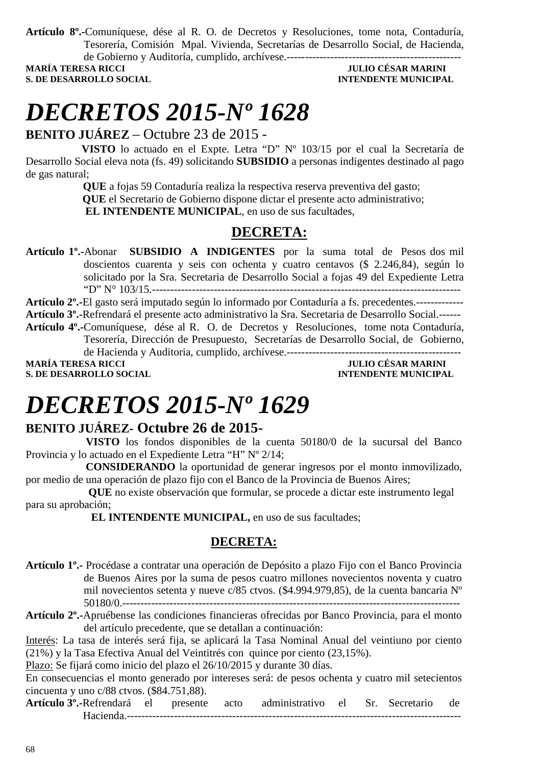**Artículo 8º.-**Comuníquese, dése al R. O. de Decretos y Resoluciones, tome nota, Contaduría, Tesorería, Comisión Mpal. Vivienda, Secretarías de Desarrollo Social, de Hacienda, de Gobierno y Auditoría, cumplido, archívese.------------------------------------------------

**S. DE DESARROLLO SOCIAL DESARROLLO SOCIAL DESARROLLO SOCIAL DESARROLLO SOCIAL DESARROLLO SOCIAL DE SOCIAL DE SOCIAL DE SOCIAL DE SOCIAL DE SOCIAL DE SOCIAL DE SOCIAL DE SOCIAL DE SOCIAL DE SOCIAL DE SOCIAL DE SOCIAL DE SO** 

## **MARÍA TERESA RICCI JULIO CÉSAR MARINI**

# *DECRETOS 2015-Nº 1628*

**BENITO JUÁREZ** – Octubre 23 de 2015 -

 **VISTO** lo actuado en el Expte. Letra "D" Nº 103/15 por el cual la Secretaría de Desarrollo Social eleva nota (fs. 49) solicitando **SUBSIDIO** a personas indigentes destinado al pago de gas natural;

> **QUE** a fojas 59 Contaduría realiza la respectiva reserva preventiva del gasto;  **QUE** el Secretario de Gobierno dispone dictar el presente acto administrativo;

 **EL INTENDENTE MUNICIPAL**, en uso de sus facultades,

### **DECRETA:**

**Artículo 1º.-**Abonar **SUBSIDIO A INDIGENTES** por la suma total de Pesos dos mil doscientos cuarenta y seis con ochenta y cuatro centavos (\$ 2.246,84), según lo solicitado por la Sra. Secretaria de Desarrollo Social a fojas 49 del Expediente Letra "D" N° 103/15.-------------------------------------------------------------------------------------

**Artículo 2º.-**El gasto será imputado según lo informado por Contaduría a fs. precedentes.------------- **Artículo 3º.-**Refrendará el presente acto administrativo la Sra. Secretaria de Desarrollo Social.------ **Artículo 4º.-**Comuníquese, dése al R. O. de Decretos y Resoluciones, tome nota Contaduría, Tesorería, Dirección de Presupuesto, Secretarías de Desarrollo Social, de Gobierno,

de Hacienda y Auditoria, cumplido, archívese.------------------------------------------------ **MARÍA TERESA RICCI DE LA CONSTANTIVIA DE LA CONSTANTIVIA DE LA CONSTANTIVIA DE LA CONSTANTIVIA DE LA CONSTANTIVIA DE LA CONSTANTIVIA DE LA CONSTANTIVIA DE LA CONSTANTIVIA DE LA CONSTANTIVIA DE LA CONSTANTIVIA DE LA CONSTA** 

**S. DE DESARROLLO SOCIAL CONSUMING A LOCAL CONSUMING A LOCAL CONSUMING A LOCAL CONSUMING A LOCAL CONSUMING A LOCAL CONSUMING A LOCAL CONSUMING A LOCAL CONSUMING A LOCAL CONSUMING A LOCAL CONSUMING A LOCAL CONSUMING A LOCAL** 

## *DECRETOS 2015-Nº 1629*

#### **BENITO JUÁREZ- Octubre 26 de 2015-**

 **VISTO** los fondos disponibles de la cuenta 50180/0 de la sucursal del Banco Provincia y lo actuado en el Expediente Letra "H" Nº 2/14;

 **CONSIDERANDO** la oportunidad de generar ingresos por el monto inmovilizado, por medio de una operación de plazo fijo con el Banco de la Provincia de Buenos Aires;

 **QUE** no existe observación que formular, se procede a dictar este instrumento legal para su aprobación;

 **EL INTENDENTE MUNICIPAL,** en uso de sus facultades;

#### **DECRETA:**

- **Artículo 1º.-** Procédase a contratar una operación de Depósito a plazo Fijo con el Banco Provincia de Buenos Aires por la suma de pesos cuatro millones novecientos noventa y cuatro mil novecientos setenta y nueve c/85 ctvos. (\$4.994.979,85), de la cuenta bancaria Nº 50180/0.---------------------------------------------------------------------------------------------
- **Artículo 2º.-**Apruébense las condiciones financieras ofrecidas por Banco Provincia, para el monto del artículo precedente, que se detallan a continuación:
- Interés: La tasa de interés será fija, se aplicará la Tasa Nominal Anual del veintiuno por ciento (21%) y la Tasa Efectiva Anual del Veintitrés con quince por ciento (23,15%).

Plazo: Se fijará como inicio del plazo el 26/10/2015 y durante 30 días.

En consecuencias el monto generado por intereses será: de pesos ochenta y cuatro mil setecientos cincuenta y uno c/88 ctvos. (\$84.751,88).

**Artículo 3º.-**Refrendará el presente acto administrativo el Sr. Secretario de Hacienda.--------------------------------------------------------------------------------------------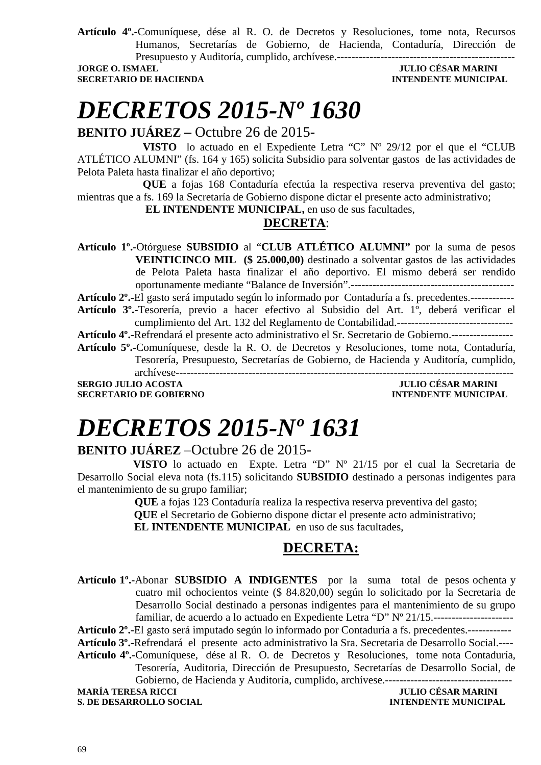**Artículo 4º.-**Comuníquese, dése al R. O. de Decretos y Resoluciones, tome nota, Recursos Humanos, Secretarías de Gobierno, de Hacienda, Contaduría, Dirección de Presupuesto y Auditoría, cumplido, archívese.-------------------------------------------------

**SECRETARIO DE HACIENDA INTENDENTE MUNICIPAL** 

## **JORGE O. ISMAEL JULIO CÉSAR MARINI**

# *DECRETOS 2015-Nº 1630*

#### **BENITO JUÁREZ –** Octubre 26 de 2015**-**

**VISTO** lo actuado en el Expediente Letra "C" Nº 29/12 por el que el "CLUB ATLÉTICO ALUMNI" (fs. 164 y 165) solicita Subsidio para solventar gastos de las actividades de Pelota Paleta hasta finalizar el año deportivo;

**QUE** a fojas 168 Contaduría efectúa la respectiva reserva preventiva del gasto; mientras que a fs. 169 la Secretaría de Gobierno dispone dictar el presente acto administrativo;

 **EL INTENDENTE MUNICIPAL,** en uso de sus facultades,

#### **DECRETA**:

**Artículo 1º.-**Otórguese **SUBSIDIO** al "**CLUB ATLÉTICO ALUMNI"** por la suma de pesos **VEINTICINCO MIL (\$ 25.000,00)** destinado a solventar gastos de las actividades de Pelota Paleta hasta finalizar el año deportivo. El mismo deberá ser rendido oportunamente mediante "Balance de Inversión".---------------------------------------------

**Artículo 2º.-**El gasto será imputado según lo informado por Contaduría a fs. precedentes.------------

**Artículo 3º.-**Tesorería, previo a hacer efectivo al Subsidio del Art. 1º, deberá verificar el cumplimiento del Art. 132 del Reglamento de Contabilidad.--------------------------------

**Artículo 4º.-**Refrendará el presente acto administrativo el Sr. Secretario de Gobierno.-----------------

**Artículo 5º.-**Comuníquese, desde la R. O. de Decretos y Resoluciones, tome nota, Contaduría, Tesorería, Presupuesto, Secretarías de Gobierno, de Hacienda y Auditoría, cumplido, archívese---------------------------------------------------------------------------------------------

**SERGIO JULIO ACOSTA SECRETARIO DE GOBIERNO INTENDENTE MUNICIPAL** 

# *DECRETOS 2015-Nº 1631*

### **BENITO JUÁREZ** –Octubre 26 de 2015-

 **VISTO** lo actuado en Expte. Letra "D" Nº 21/15 por el cual la Secretaria de Desarrollo Social eleva nota (fs.115) solicitando **SUBSIDIO** destinado a personas indigentes para el mantenimiento de su grupo familiar;

> **QUE** a fojas 123 Contaduría realiza la respectiva reserva preventiva del gasto;  **QUE** el Secretario de Gobierno dispone dictar el presente acto administrativo;  **EL INTENDENTE MUNICIPAL** en uso de sus facultades,

### **DECRETA:**

**Artículo 1º.-**Abonar **SUBSIDIO A INDIGENTES** por la suma total de pesos ochenta y cuatro mil ochocientos veinte (\$ 84.820,00) según lo solicitado por la Secretaria de Desarrollo Social destinado a personas indigentes para el mantenimiento de su grupo familiar, de acuerdo a lo actuado en Expediente Letra "D" Nº 21/15.---------------------------------

**Artículo 2º.-**El gasto será imputado según lo informado por Contaduría a fs. precedentes.------------

**Artículo 3º.-**Refrendará el presente acto administrativo la Sra. Secretaria de Desarrollo Social.----

**Artículo 4º.-**Comuníquese, dése al R. O. de Decretos y Resoluciones, tome nota Contaduría, Tesorería, Auditoria, Dirección de Presupuesto, Secretarías de Desarrollo Social, de

Gobierno, de Hacienda y Auditoría, cumplido, archívese.-----------------------------------

**S. DE DESARROLLO SOCIAL** 

**MARINI<br>INTENDENTE MUNICIPAL**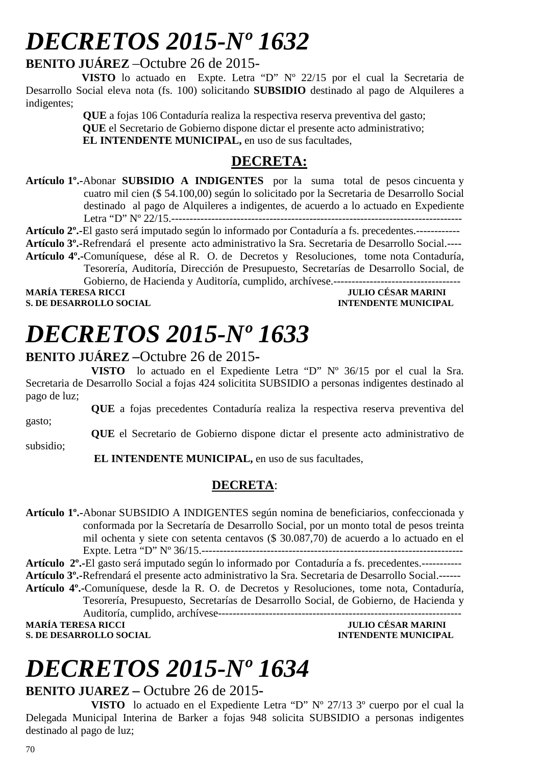# *DECRETOS 2015-Nº 1632*

### **BENITO JUÁREZ** –Octubre 26 de 2015-

 **VISTO** lo actuado en Expte. Letra "D" Nº 22/15 por el cual la Secretaria de Desarrollo Social eleva nota (fs. 100) solicitando **SUBSIDIO** destinado al pago de Alquileres a indigentes;

> **QUE** a fojas 106 Contaduría realiza la respectiva reserva preventiva del gasto;  **QUE** el Secretario de Gobierno dispone dictar el presente acto administrativo;  **EL INTENDENTE MUNICIPAL,** en uso de sus facultades,

### **DECRETA:**

**Artículo 1º.-**Abonar **SUBSIDIO A INDIGENTES** por la suma total de pesos cincuenta y cuatro mil cien (\$ 54.100,00) según lo solicitado por la Secretaria de Desarrollo Social destinado al pago de Alquileres a indigentes, de acuerdo a lo actuado en Expediente Letra "D" Nº 22/15.--------------------------------------------------------------------------------

**Artículo 2º.-**El gasto será imputado según lo informado por Contaduría a fs. precedentes.------------

**Artículo 3º.-**Refrendará el presente acto administrativo la Sra. Secretaria de Desarrollo Social.---- **Artículo 4º.-**Comuníquese, dése al R. O. de Decretos y Resoluciones, tome nota Contaduría, Tesorería, Auditoría, Dirección de Presupuesto, Secretarías de Desarrollo Social, de Gobierno, de Hacienda y Auditoría, cumplido, archívese.-----------------------------------

**S. DE DESARROLLO SOCIAL** 

## **MULIO CÉSAR MARINI<br>INTENDENTE MUNICIPAL**

# *DECRETOS 2015-Nº 1633*

#### **BENITO JUÁREZ –**Octubre 26 de 2015**-**

**VISTO** lo actuado en el Expediente Letra "D" Nº 36/15 por el cual la Sra. Secretaria de Desarrollo Social a fojas 424 solicitita SUBSIDIO a personas indigentes destinado al pago de luz;

**QUE** a fojas precedentes Contaduría realiza la respectiva reserva preventiva del gasto;

**QUE** el Secretario de Gobierno dispone dictar el presente acto administrativo de subsidio;

 **EL INTENDENTE MUNICIPAL,** en uso de sus facultades,

### **DECRETA**:

**Artículo 1º.-**Abonar SUBSIDIO A INDIGENTES según nomina de beneficiarios, confeccionada y conformada por la Secretaría de Desarrollo Social, por un monto total de pesos treinta mil ochenta y siete con setenta centavos (\$ 30.087,70) de acuerdo a lo actuado en el Expte. Letra "D" Nº 36/15.------------------------------------------------------------------------

**Artículo 2º.-**El gasto será imputado según lo informado por Contaduría a fs. precedentes.----------- **Artículo 3º.-**Refrendará el presente acto administrativo la Sra. Secretaria de Desarrollo Social.------ **Artículo 4º.-**Comuníquese, desde la R. O. de Decretos y Resoluciones, tome nota, Contaduría, Tesorería, Presupuesto, Secretarías de Desarrollo Social, de Gobierno, de Hacienda y Auditoría, cumplido, archívese------------------------------------------------------------------- **MARÍA TERESA RICCI JULIO CÉSAR MARINI** 

**S. DE DESARROLLO SOCIAL CONSUMING A LOCAL CONSUMING A LOCAL CONSUMING A LOCAL CONSUMING A LOCAL CONSUMING A LOCAL CONSUMING A LOCAL CONSUMING A LOCAL CONSUMING A LOCAL CONSUMING A LOCAL CONSUMING A LOCAL CONSUMING A LOCAL** 

# *DECRETOS 2015-Nº 1634*

### **BENITO JUAREZ –** Octubre 26 de 2015**-**

**VISTO** lo actuado en el Expediente Letra "D" Nº 27/13 3º cuerpo por el cual la Delegada Municipal Interina de Barker a fojas 948 solicita SUBSIDIO a personas indigentes destinado al pago de luz;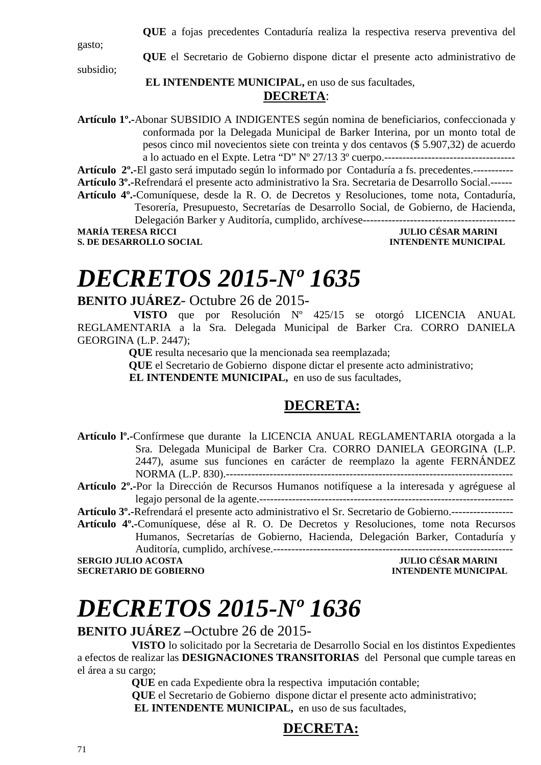**QUE** a fojas precedentes Contaduría realiza la respectiva reserva preventiva del

gasto;

**QUE** el Secretario de Gobierno dispone dictar el presente acto administrativo de

subsidio;

#### **EL INTENDENTE MUNICIPAL,** en uso de sus facultades, **DECRETA**:

**Artículo 1º.-**Abonar SUBSIDIO A INDIGENTES según nomina de beneficiarios, confeccionada y conformada por la Delegada Municipal de Barker Interina, por un monto total de pesos cinco mil novecientos siete con treinta y dos centavos (\$ 5.907,32) de acuerdo a lo actuado en el Expte. Letra "D" Nº 27/13 3º cuerpo.------------------------------------

**Artículo 2º.-**El gasto será imputado según lo informado por Contaduría a fs. precedentes.----------- **Artículo 3º.-**Refrendará el presente acto administrativo la Sra. Secretaria de Desarrollo Social.------

- **Artículo 4º.-**Comuníquese, desde la R. O. de Decretos y Resoluciones, tome nota, Contaduría, Tesorería, Presupuesto, Secretarías de Desarrollo Social, de Gobierno, de Hacienda, Delegación Barker y Auditoría, cumplido, archívese------------------------------------------
- 
- **JULIO CÉSAR MARINI S. DE DESARROLLO SOCIAL DESARROLLO SOCIAL DESARROLLO SOCIAL DESARROLLO SOCIAL DESARROLLO SOCIAL DE LA PERSONAL DE LA PERSONAL DE LA PERSONAL DE LA PERSONAL DE LA PERSONAL DE LA PERSONAL DE LA PERSONAL DE LA PERSONAL DE LA**

# *DECRETOS 2015-Nº 1635*

#### **BENITO JUÁREZ**- Octubre 26 de 2015-

 **VISTO** que por Resolución Nº 425/15 se otorgó LICENCIA ANUAL REGLAMENTARIA a la Sra. Delegada Municipal de Barker Cra. CORRO DANIELA GEORGINA (L.P. 2447);

**QUE** resulta necesario que la mencionada sea reemplazada;

**QUE** el Secretario de Gobierno dispone dictar el presente acto administrativo;

**EL INTENDENTE MUNICIPAL,** en uso de sus facultades,

### **DECRETA:**

**Artículo lº.-**Confírmese que durante la LICENCIA ANUAL REGLAMENTARIA otorgada a la Sra. Delegada Municipal de Barker Cra. CORRO DANIELA GEORGINA (L.P. 2447), asume sus funciones en carácter de reemplazo la agente FERNÁNDEZ NORMA (L.P. 830).-------------------------------------------------------------------------------

**Artículo 2º.-**Por la Dirección de Recursos Humanos notifíquese a la interesada y agréguese al legajo personal de la agente.----------------------------------------------------------------------

**Artículo 3º.-**Refrendará el presente acto administrativo el Sr. Secretario de Gobierno.-----------------

**Artículo 4º.-**Comuníquese, dése al R. O. De Decretos y Resoluciones, tome nota Recursos Humanos, Secretarías de Gobierno, Hacienda, Delegación Barker, Contaduría y Auditoría, cumplido, archívese.------------------------------------------------------------------

**SERGIO JULIO ACOSTA JULIO CÉSAR MARINI SECRETARIO DE GOBIERNO INTENDENTE MUNICIPAL** 

# *DECRETOS 2015-Nº 1636*

**BENITO JUÁREZ –**Octubre 26 de 2015-

 **VISTO** lo solicitado por la Secretaria de Desarrollo Social en los distintos Expedientes a efectos de realizar las **DESIGNACIONES TRANSITORIAS** del Personal que cumple tareas en el área a su cargo;

> **QUE** en cada Expediente obra la respectiva imputación contable;  **QUE** el Secretario de Gobierno dispone dictar el presente acto administrativo;  **EL INTENDENTE MUNICIPAL,** en uso de sus facultades,

### **DECRETA:**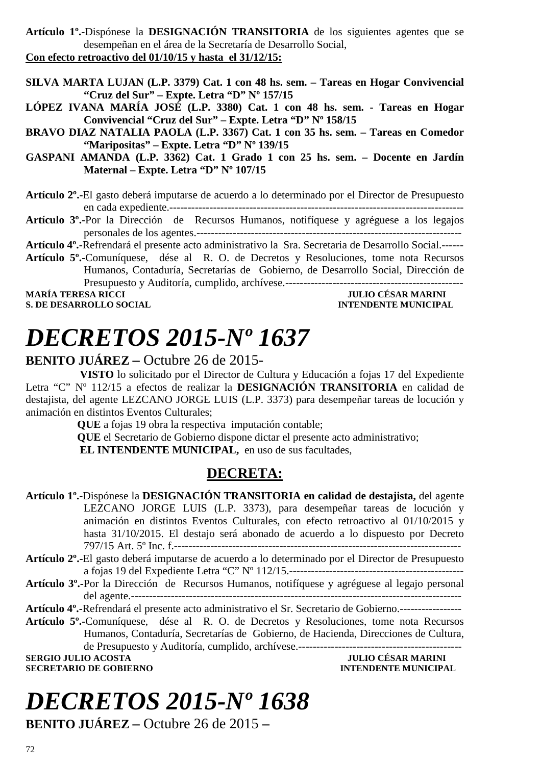**Artículo 1º.-**Dispónese la **DESIGNACIÓN TRANSITORIA** de los siguientes agentes que se desempeñan en el área de la Secretaría de Desarrollo Social, **Con efecto retroactivo del 01/10/15 y hasta el 31/12/15:** 

**SILVA MARTA LUJAN (L.P. 3379) Cat. 1 con 48 hs. sem. – Tareas en Hogar Convivencial "Cruz del Sur" – Expte. Letra "D" Nº 157/15** 

**LÓPEZ IVANA MARÍA JOSÉ (L.P. 3380) Cat. 1 con 48 hs. sem. - Tareas en Hogar Convivencial "Cruz del Sur" – Expte. Letra "D" Nº 158/15** 

**BRAVO DIAZ NATALIA PAOLA (L.P. 3367) Cat. 1 con 35 hs. sem. – Tareas en Comedor "Maripositas" – Expte. Letra "D" Nº 139/15** 

**GASPANI AMANDA (L.P. 3362) Cat. 1 Grado 1 con 25 hs. sem. – Docente en Jardín Maternal – Expte. Letra "D" Nº 107/15** 

**Artículo 2º.-**El gasto deberá imputarse de acuerdo a lo determinado por el Director de Presupuesto en cada expediente.---------------------------------------------------------------------------------

**Artículo 3º.-**Por la Dirección de Recursos Humanos, notifíquese y agréguese a los legajos personales de los agentes.-------------------------------------------------------------------------

**Artículo 4º.-**Refrendará el presente acto administrativo la Sra. Secretaria de Desarrollo Social.------ **Artículo 5º.-**Comuníquese, dése al R. O. de Decretos y Resoluciones, tome nota Recursos Humanos, Contaduría, Secretarías de Gobierno, de Desarrollo Social, Dirección de

Presupuesto y Auditoría, cumplido, archívese.-------------------------------------------------

**S. DE DESARROLLO SOCIAL** 

**MULIO CÉSAR MARINI<br>INTENDENTE MUNICIPAL** 

# *DECRETOS 2015-Nº 1637*

#### **BENITO JUÁREZ –** Octubre 26 de 2015-

 **VISTO** lo solicitado por el Director de Cultura y Educación a fojas 17 del Expediente Letra "C" Nº 112/15 a efectos de realizar la **DESIGNACIÓN TRANSITORIA** en calidad de destajista, del agente LEZCANO JORGE LUIS (L.P. 3373) para desempeñar tareas de locución y animación en distintos Eventos Culturales;

**QUE** a fojas 19 obra la respectiva imputación contable;

**QUE** el Secretario de Gobierno dispone dictar el presente acto administrativo;

 **EL INTENDENTE MUNICIPAL,** en uso de sus facultades,

### **DECRETA:**

**Artículo 1º.-**Dispónese la **DESIGNACIÓN TRANSITORIA en calidad de destajista,** del agente LEZCANO JORGE LUIS (L.P. 3373), para desempeñar tareas de locución y animación en distintos Eventos Culturales, con efecto retroactivo al 01/10/2015 y hasta 31/10/2015. El destajo será abonado de acuerdo a lo dispuesto por Decreto 797/15 Art. 5º Inc. f.-------------------------------------------------------------------------------

- **Artículo 2º.-**El gasto deberá imputarse de acuerdo a lo determinado por el Director de Presupuesto a fojas 19 del Expediente Letra "C" Nº 112/15.------------------------------------------------
- **Artículo 3º.-**Por la Dirección de Recursos Humanos, notifíquese y agréguese al legajo personal del agente.-------------------------------------------------------------------------------------------

**Artículo 4º.-**Refrendará el presente acto administrativo el Sr. Secretario de Gobierno.-----------------

**Artículo 5º.-**Comuníquese, dése al R. O. de Decretos y Resoluciones, tome nota Recursos Humanos, Contaduría, Secretarías de Gobierno, de Hacienda, Direcciones de Cultura,

de Presupuesto y Auditoría, cumplido, archívese.---------------------------------------------

**SECRETARIO DE GOBIERNO INTENDENTE MUNICIPAL** 

**SERGIO JULIO ACOSTA JULIO CÉSAR MARINI** 

# *DECRETOS 2015-Nº 1638*

**BENITO JUÁREZ –** Octubre 26 de 2015 **–**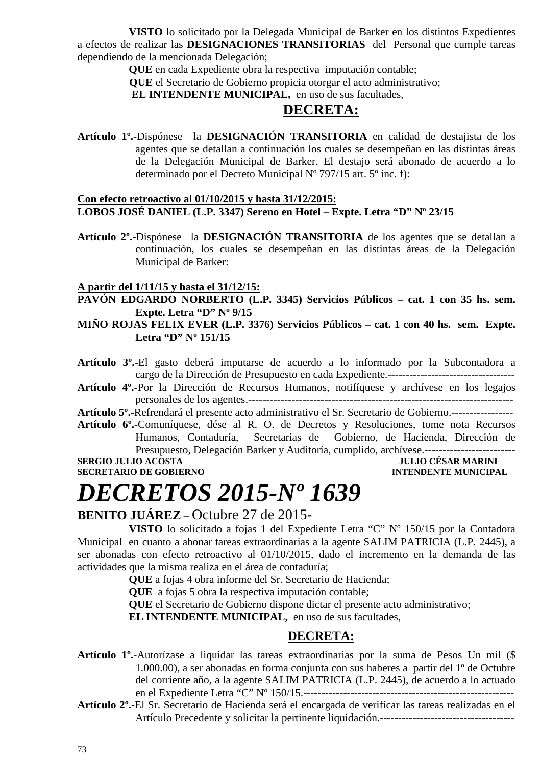**VISTO** lo solicitado por la Delegada Municipal de Barker en los distintos Expedientes a efectos de realizar las **DESIGNACIONES TRANSITORIAS** del Personal que cumple tareas dependiendo de la mencionada Delegación;

**QUE** en cada Expediente obra la respectiva imputación contable;

 **QUE** el Secretario de Gobierno propicia otorgar el acto administrativo;

 **EL INTENDENTE MUNICIPAL,** en uso de sus facultades,

#### **DECRETA:**

**Artículo 1º.-**Dispónese la **DESIGNACIÓN TRANSITORIA** en calidad de destajista de los agentes que se detallan a continuación los cuales se desempeñan en las distintas áreas de la Delegación Municipal de Barker. El destajo será abonado de acuerdo a lo determinado por el Decreto Municipal Nº 797/15 art. 5º inc. f):

#### **Con efecto retroactivo al 01/10/2015 y hasta 31/12/2015: LOBOS JOSÉ DANIEL (L.P. 3347) Sereno en Hotel – Expte. Letra "D" Nº 23/15**

**Artículo 2º.-**Dispónese la **DESIGNACIÓN TRANSITORIA** de los agentes que se detallan a continuación, los cuales se desempeñan en las distintas áreas de la Delegación Municipal de Barker:

#### **A partir del 1/11/15 y hasta el 31/12/15:**

**PAVÓN EDGARDO NORBERTO (L.P. 3345) Servicios Públicos – cat. 1 con 35 hs. sem. Expte. Letra "D" Nº 9/15** 

**MIÑO ROJAS FELIX EVER (L.P. 3376) Servicios Públicos – cat. 1 con 40 hs. sem. Expte. Letra "D" Nº 151/15** 

**Artículo 3º.-**El gasto deberá imputarse de acuerdo a lo informado por la Subcontadora a cargo de la Dirección de Presupuesto en cada Expediente.-----------------------------------

**Artículo 4º.-**Por la Dirección de Recursos Humanos, notifíquese y archívese en los legajos personales de los agentes.-------------------------------------------------------------------------

**Artículo 5º.-**Refrendará el presente acto administrativo el Sr. Secretario de Gobierno.-----------------

**Artículo 6º.-**Comuníquese, dése al R. O. de Decretos y Resoluciones, tome nota Recursos Humanos, Contaduría, Secretarías de Gobierno, de Hacienda, Dirección de Presupuesto, Delegación Barker y Auditoría, cumplido, archívese.-------------------------

**SERGIO JULIO ACOSTA** 

**SECRETARIO DE GOBIERNO INTENDENTE MUNICIPAL** 

### *DECRETOS 2015-Nº 1639*

#### **BENITO JUÁREZ –** Octubre 27 de 2015-

**VISTO** lo solicitado a fojas 1 del Expediente Letra "C" Nº 150/15 por la Contadora Municipal en cuanto a abonar tareas extraordinarias a la agente SALIM PATRICIA (L.P. 2445), a ser abonadas con efecto retroactivo al 01/10/2015, dado el incremento en la demanda de las actividades que la misma realiza en el área de contaduría;

**QUE** a fojas 4 obra informe del Sr. Secretario de Hacienda;

**QUE** a fojas 5 obra la respectiva imputación contable;

**QUE** el Secretario de Gobierno dispone dictar el presente acto administrativo;

**EL INTENDENTE MUNICIPAL,** en uso de sus facultades,

#### **DECRETA:**

- **Artículo 1º.**-Autorízase a liquidar las tareas extraordinarias por la suma de Pesos Un mil (\$ 1.000.00), a ser abonadas en forma conjunta con sus haberes a partir del 1º de Octubre del corriente año, a la agente SALIM PATRICIA (L.P. 2445), de acuerdo a lo actuado en el Expediente Letra "C" Nº 150/15.----------------------------------------------------------
- **Artículo 2º.-**El Sr. Secretario de Hacienda será el encargada de verificar las tareas realizadas en el Artículo Precedente y solicitar la pertinente liquidación.-------------------------------------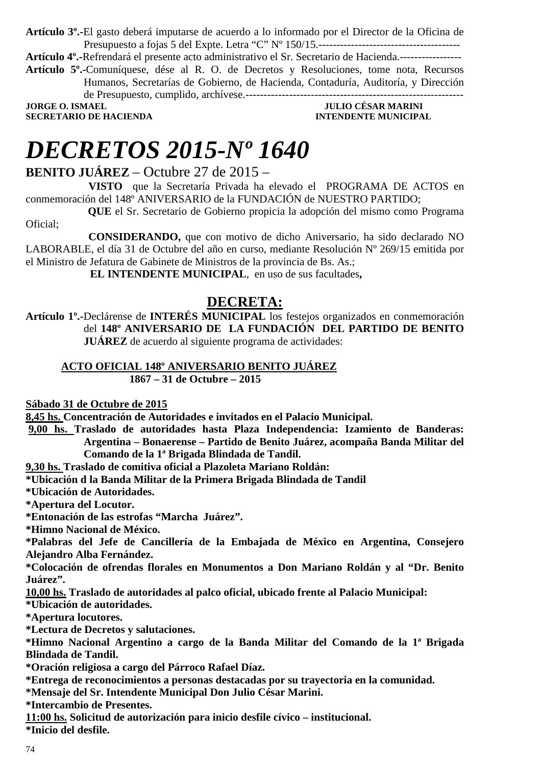**Artículo 3º.-**El gasto deberá imputarse de acuerdo a lo informado por el Director de la Oficina de Presupuesto a fojas 5 del Expte. Letra "C" Nº 150/15.---------------------------------------

**Artículo 4º.-**Refrendará el presente acto administrativo el Sr. Secretario de Hacienda.-----------------

**Artículo 5º.-**Comuníquese, dése al R. O. de Decretos y Resoluciones, tome nota, Recursos Humanos, Secretarías de Gobierno, de Hacienda, Contaduría, Auditoría, y Dirección de Presupuesto, cumplido, archívese.------------------------------------------------------------

**JORGE O. ISMAEL JULIO CÉSAR MARINI SECRETARIO DE HACIENDA INTENDENTE MUNICIPAL** 

### *DECRETOS 2015-Nº 1640*

**BENITO JUÁREZ** – Octubre 27 de 2015 –

 **VISTO** que la Secretaría Privada ha elevado el PROGRAMA DE ACTOS en conmemoración del 148º ANIVERSARIO de la FUNDACIÓN de NUESTRO PARTIDO;

 **QUE** el Sr. Secretario de Gobierno propicia la adopción del mismo como Programa Oficial;

 **CONSIDERANDO,** que con motivo de dicho Aniversario, ha sido declarado NO LABORABLE, el día 31 de Octubre del año en curso, mediante Resolución Nº 269/15 emitida por el Ministro de Jefatura de Gabinete de Ministros de la provincia de Bs. As.;

**EL INTENDENTE MUNICIPAL**, en uso de sus facultades**,** 

#### **DECRETA:**

**Artículo 1º.-**Declárense de **INTERÉS MUNICIPAL** los festejos organizados en conmemoración del **148º ANIVERSARIO DE LA FUNDACIÓN DEL PARTIDO DE BENITO JUÁREZ** de acuerdo al siguiente programa de actividades:

#### **ACTO OFICIAL 148º ANIVERSARIO BENITO JUÁREZ 1867 – 31 de Octubre – 2015**

**Sábado 31 de Octubre de 2015** 

**8,45 hs. Concentración de Autoridades e invitados en el Palacio Municipal.** 

 **9,00 hs. Traslado de autoridades hasta Plaza Independencia: Izamiento de Banderas:** 

**Argentina – Bonaerense – Partido de Benito Juárez, acompaña Banda Militar del Comando de la 1ª Brigada Blindada de Tandil.** 

**9,30 hs. Traslado de comitiva oficial a Plazoleta Mariano Roldán:** 

**\*Ubicación d la Banda Militar de la Primera Brigada Blindada de Tandil** 

**\*Ubicación de Autoridades.** 

**\*Apertura del Locutor.** 

**\*Entonación de las estrofas "Marcha Juárez".** 

**\*Himno Nacional de México.** 

**\*Palabras del Jefe de Cancillería de la Embajada de México en Argentina, Consejero Alejandro Alba Fernández.** 

**\*Colocación de ofrendas florales en Monumentos a Don Mariano Roldán y al "Dr. Benito Juárez".** 

**10,00 hs. Traslado de autoridades al palco oficial, ubicado frente al Palacio Municipal:** 

**\*Ubicación de autoridades.** 

**\*Apertura locutores.** 

**\*Lectura de Decretos y salutaciones.** 

**\*Himno Nacional Argentino a cargo de la Banda Militar del Comando de la 1ª Brigada Blindada de Tandil.** 

**\*Oración religiosa a cargo del Párroco Rafael Díaz.**

**\*Entrega de reconocimientos a personas destacadas por su trayectoria en la comunidad.** 

**\*Mensaje del Sr. Intendente Municipal Don Julio César Marini.** 

**\*Intercambio de Presentes.** 

**11:00 hs. Solicitud de autorización para inicio desfile cívico – institucional.** 

**\*Inicio del desfile.**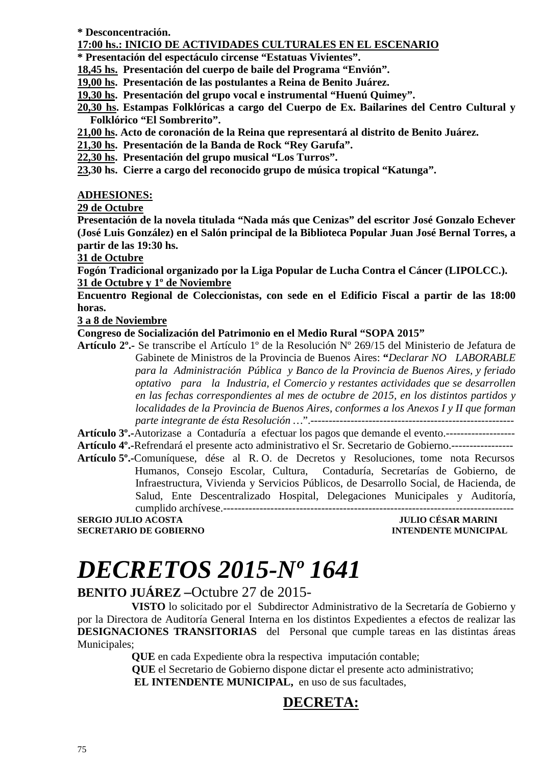**\* Desconcentración.** 

#### **17:00 hs.: INICIO DE ACTIVIDADES CULTURALES EN EL ESCENARIO**

**\* Presentación del espectáculo circense "Estatuas Vivientes".** 

**18,45 hs. Presentación del cuerpo de baile del Programa "Envión".** 

**19,00 hs. Presentación de las postulantes a Reina de Benito Juárez.** 

**19,30 hs. Presentación del grupo vocal e instrumental "Huenú Quimey".** 

- **20,30 hs. Estampas Folklóricas a cargo del Cuerpo de Ex. Bailarines del Centro Cultural y Folklórico "El Sombrerito".**
- **21,00 hs. Acto de coronación de la Reina que representará al distrito de Benito Juárez.**
- **21,30 hs. Presentación de la Banda de Rock "Rey Garufa".**

**22,30 hs. Presentación del grupo musical "Los Turros".** 

**23,30 hs. Cierre a cargo del reconocido grupo de música tropical "Katunga".** 

#### **ADHESIONES:**

#### **29 de Octubre**

**Presentación de la novela titulada "Nada más que Cenizas" del escritor José Gonzalo Echever (José Luis González) en el Salón principal de la Biblioteca Popular Juan José Bernal Torres, a partir de las 19:30 hs.** 

**31 de Octubre** 

**Fogón Tradicional organizado por la Liga Popular de Lucha Contra el Cáncer (LIPOLCC.). 31 de Octubre y 1º de Noviembre** 

**Encuentro Regional de Coleccionistas, con sede en el Edificio Fiscal a partir de las 18:00 horas.** 

**3 a 8 de Noviembre** 

#### **Congreso de Socialización del Patrimonio en el Medio Rural "SOPA 2015"**

**Artículo 2º.-** Se transcribe el Artículo 1º de la Resolución Nº 269/15 del Ministerio de Jefatura de Gabinete de Ministros de la Provincia de Buenos Aires: **"***Declarar NO LABORABLE para la Administración Pública y Banco de la Provincia de Buenos Aires, y feriado optativo para la Industria, el Comercio y restantes actividades que se desarrollen en las fechas correspondientes al mes de octubre de 2015, en los distintos partidos y localidades de la Provincia de Buenos Aires, conformes a los Anexos I y II que forman parte integrante de ésta Resolución …*".--------------------------------------------------------

**Artículo 3º.-**Autorizase a Contaduría a efectuar los pagos que demande el evento.------------------- **Artículo 4º.-**Refrendará el presente acto administrativo el Sr. Secretario de Gobierno.-----------------

**Artículo 5º.-**Comuníquese, dése al R. O. de Decretos y Resoluciones, tome nota Recursos Humanos, Consejo Escolar, Cultura, Contaduría, Secretarías de Gobierno, de Infraestructura, Vivienda y Servicios Públicos, de Desarrollo Social, de Hacienda, de Salud, Ente Descentralizado Hospital, Delegaciones Municipales y Auditoría, cumplido archívese.--------------------------------------------------------------------------------

**SERGIO JULIO ACOSTA JULIO CÉSAR MARINI SECRETARIO DE GOBIERNO INTENDENTE MUNICIPAL** 

# *DECRETOS 2015-Nº 1641*

**BENITO JUÁREZ –**Octubre 27 de 2015-

 **VISTO** lo solicitado por el Subdirector Administrativo de la Secretaría de Gobierno y por la Directora de Auditoría General Interna en los distintos Expedientes a efectos de realizar las **DESIGNACIONES TRANSITORIAS** del Personal que cumple tareas en las distintas áreas Municipales;

 **QUE** en cada Expediente obra la respectiva imputación contable;

 **QUE** el Secretario de Gobierno dispone dictar el presente acto administrativo;

 **EL INTENDENTE MUNICIPAL,** en uso de sus facultades,

#### **DECRETA:**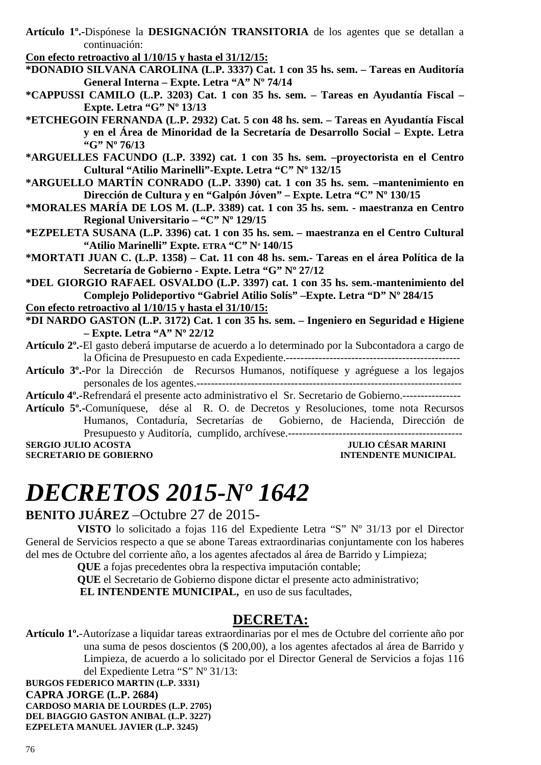**Artículo 1º.-**Dispónese la **DESIGNACIÓN TRANSITORIA** de los agentes que se detallan a continuación:

**Con efecto retroactivo al 1/10/15 y hasta el 31/12/15:** 

- **\*DONADIO SILVANA CAROLINA (L.P. 3337) Cat. 1 con 35 hs. sem. Tareas en Auditoría General Interna – Expte. Letra "A" Nº 74/14**
- **\*CAPPUSSI CAMILO (L.P. 3203) Cat. 1 con 35 hs. sem. Tareas en Ayudantía Fiscal Expte. Letra "G" Nº 13/13**
- **\*ETCHEGOIN FERNANDA (L.P. 2932) Cat. 5 con 48 hs. sem. Tareas en Ayudantía Fiscal y en el Área de Minoridad de la Secretaría de Desarrollo Social – Expte. Letra "G" Nº 76/13**
- **\*ARGUELLES FACUNDO (L.P. 3392) cat. 1 con 35 hs. sem. –proyectorista en el Centro Cultural "Atilio Marinelli"-Expte. Letra "C" Nº 132/15**
- **\*ARGUELLO MARTÍN CONRADO (L.P. 3390) cat. 1 con 35 hs. sem. –mantenimiento en Dirección de Cultura y en "Galpón Jóven" – Expte. Letra "C" Nº 130/15**
- **\*MORALES MARÍA DE LOS M. (L.P. 3389) cat. 1 con 35 hs. sem. maestranza en Centro Regional Universitario – "C" Nº 129/15**
- **\*EZPELETA SUSANA (L.P. 3396) cat. 1 con 35 hs. sem. maestranza en el Centro Cultural "Atilio Marinelli" Expte. ETRA "C" Nº 140/15**
- **\*MORTATI JUAN C. (L.P. 1358) Cat. 11 con 48 hs. sem.- Tareas en el área Política de la Secretaría de Gobierno - Expte. Letra "G" Nº 27/12**

**\*DEL GIORGIO RAFAEL OSVALDO (L.P. 3397) cat. 1 con 35 hs. sem.-mantenimiento del Complejo Polideportivo "Gabriel Atilio Solís" –Expte. Letra "D" Nº 284/15** 

- **Con efecto retroactivo al 1/10/15 y hasta el 31/10/15:**
- **\*DI NARDO GASTON (L.P. 3172) Cat. 1 con 35 hs. sem. Ingeniero en Seguridad e Higiene – Expte. Letra "A" Nº 22/12**
- **Artículo 2º.-**El gasto deberá imputarse de acuerdo a lo determinado por la Subcontadora a cargo de la Oficina de Presupuesto en cada Expediente.------------------------------------------------
- **Artículo 3º.-**Por la Dirección de Recursos Humanos, notifíquese y agréguese a los legajos personales de los agentes.-------------------------------------------------------------------------

**Artículo 4º.-**Refrendará el presente acto administrativo el Sr. Secretario de Gobierno.----------------

**Artículo 5º.-**Comuníquese, dése al R. O. de Decretos y Resoluciones, tome nota Recursos Humanos, Contaduría, Secretarías de Gobierno, de Hacienda, Dirección de Presupuesto y Auditoría, cumplido, archívese.------------------------------------------------ **SERGIO JULIO ACOSTA DE L'ALCENIE DE L'ALCENIE DE L'ALCENIE DE L'ALCENIE DE L'ALCENIE DE L'ALCENIE DE COBIERNO<br>1999 : L'ALCENIE DE L'ALCENIE DE GOBIERNO DE L'ALCENIE DE L'ALCENIE DE L'ALCENIE DE L'ALCENIE DE L'ALCENIE DE<br>2** 

**SECRETARIO DE GOBIERNO** 

### *DECRETOS 2015-Nº 1642*

#### **BENITO JUÁREZ** –Octubre 27 de 2015-

**VISTO** lo solicitado a fojas 116 del Expediente Letra "S" Nº 31/13 por el Director General de Servicios respecto a que se abone Tareas extraordinarias conjuntamente con los haberes del mes de Octubre del corriente año, a los agentes afectados al área de Barrido y Limpieza;

**QUE** a fojas precedentes obra la respectiva imputación contable;

**QUE** el Secretario de Gobierno dispone dictar el presente acto administrativo;  **EL INTENDENTE MUNICIPAL,** en uso de sus facultades,

#### **DECRETA:**

**Artículo 1º.**-Autorízase a liquidar tareas extraordinarias por el mes de Octubre del corriente año por una suma de pesos doscientos (\$ 200,00), a los agentes afectados al área de Barrido y Limpieza, de acuerdo a lo solicitado por el Director General de Servicios a fojas 116 del Expediente Letra "S" Nº 31/13:

**BURGOS FEDERICO MARTIN (L.P. 3331) CAPRA JORGE (L.P. 2684) CARDOSO MARIA DE LOURDES (L.P. 2705) DEL BIAGGIO GASTON ANIBAL (L.P. 3227) EZPELETA MANUEL JAVIER (L.P. 3245)**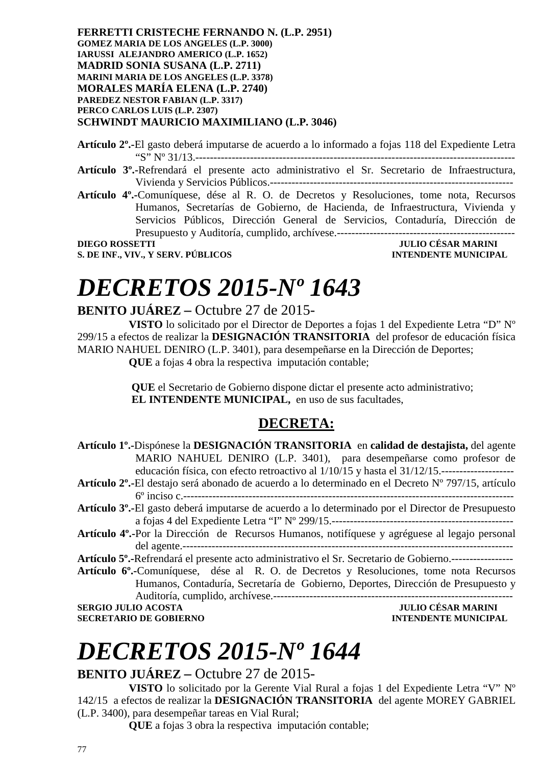**FERRETTI CRISTECHE FERNANDO N. (L.P. 2951) GOMEZ MARIA DE LOS ANGELES (L.P. 3000) IARUSSI ALEJANDRO AMERICO (L.P. 1652) MADRID SONIA SUSANA (L.P. 2711) MARINI MARIA DE LOS ANGELES (L.P. 3378) MORALES MARÍA ELENA (L.P. 2740) PAREDEZ NESTOR FABIAN (L.P. 3317) PERCO CARLOS LUIS (L.P. 2307) SCHWINDT MAURICIO MAXIMILIANO (L.P. 3046)** 

**Artículo 2º.-**El gasto deberá imputarse de acuerdo a lo informado a fojas 118 del Expediente Letra "S" Nº 31/13.----------------------------------------------------------------------------------------

- **Artículo 3º.-**Refrendará el presente acto administrativo el Sr. Secretario de Infraestructura, Vivienda y Servicios Públicos.-------------------------------------------------------------------
- **Artículo 4º.-**Comuníquese, dése al R. O. de Decretos y Resoluciones, tome nota, Recursos Humanos, Secretarías de Gobierno, de Hacienda, de Infraestructura, Vivienda y Servicios Públicos, Dirección General de Servicios, Contaduría, Dirección de Presupuesto y Auditoría, cumplido, archívese.-------------------------------------------------

**DIEGO ROSSETTI JULIO CÉSAR MARINI S. DE INF., VIV., Y SERV. PÚBLICOS** 

# *DECRETOS 2015-Nº 1643*

#### **BENITO JUÁREZ –** Octubre 27 de 2015-

**VISTO** lo solicitado por el Director de Deportes a fojas 1 del Expediente Letra "D" Nº 299/15 a efectos de realizar la **DESIGNACIÓN TRANSITORIA** del profesor de educación física MARIO NAHUEL DENIRO (L.P. 3401), para desempeñarse en la Dirección de Deportes; **QUE** a fojas 4 obra la respectiva imputación contable;

> **QUE** el Secretario de Gobierno dispone dictar el presente acto administrativo;  **EL INTENDENTE MUNICIPAL,** en uso de sus facultades,

### **DECRETA:**

| Artículo 1º.-Dispónese la DESIGNACIÓN TRANSITORIA en calidad de destajista, del agente<br>MARIO NAHUEL DENIRO (L.P. 3401), para desempeñarse como profesor de<br>educación física, con efecto retroactivo al 1/10/15 y hasta el 31/12/15. |
|-------------------------------------------------------------------------------------------------------------------------------------------------------------------------------------------------------------------------------------------|
| Artículo 2 <sup>º</sup> .-El destajo será abonado de acuerdo a lo determinado en el Decreto Nº 797/15, artículo                                                                                                                           |
|                                                                                                                                                                                                                                           |
| <b>Artículo 3<sup>°</sup>.</b> -El gasto deberá imputarse de acuerdo a lo determinado por el Director de Presupuesto                                                                                                                      |
|                                                                                                                                                                                                                                           |
| Artículo 4 <sup>°</sup> .-Por la Dirección de Recursos Humanos, notifíquese y agréguese al legajo personal                                                                                                                                |
|                                                                                                                                                                                                                                           |
| Artículo 5º.-Refrendará el presente acto administrativo el Sr. Secretario de Gobierno.------------------                                                                                                                                  |
| Artículo 6°.-Comuníquese, dése al R. O. de Decretos y Resoluciones, tome nota Recursos                                                                                                                                                    |
| Humanos, Contaduría, Secretaría de Gobierno, Deportes, Dirección de Presupuesto y                                                                                                                                                         |
| Auditoría, cumplido, archívese.--<br>------------------------------                                                                                                                                                                       |
| <b>JULIO CÉSAR MARINI</b><br><b>SERGIO JULIO ACOSTA</b>                                                                                                                                                                                   |
| <b>SECRETARIO DE GOBIERNO</b><br><b>INTENDENTE MUNICIPAL</b>                                                                                                                                                                              |
|                                                                                                                                                                                                                                           |

# *DECRETOS 2015-Nº 1644*

#### **BENITO JUÁREZ –** Octubre 27 de 2015-

**VISTO** lo solicitado por la Gerente Vial Rural a fojas 1 del Expediente Letra "V" Nº 142/15 a efectos de realizar la **DESIGNACIÓN TRANSITORIA** del agente MOREY GABRIEL (L.P. 3400), para desempeñar tareas en Vial Rural;

**QUE** a fojas 3 obra la respectiva imputación contable;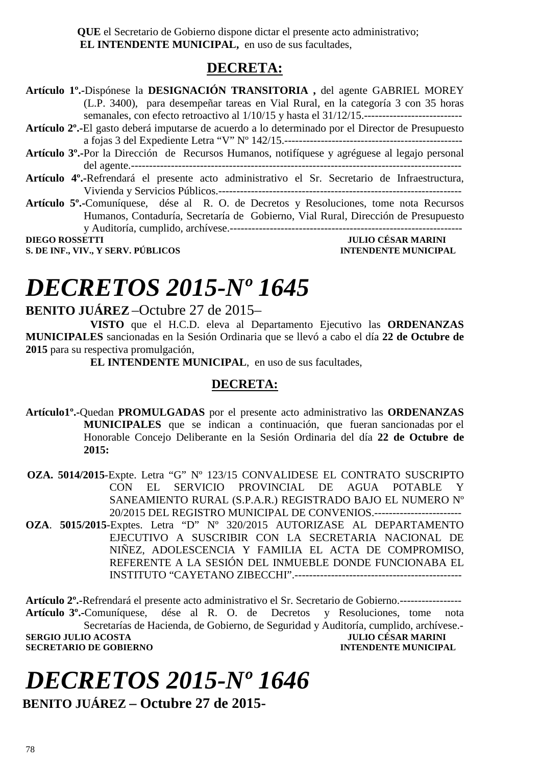**QUE** el Secretario de Gobierno dispone dictar el presente acto administrativo;  **EL INTENDENTE MUNICIPAL,** en uso de sus facultades,

#### **DECRETA:**

**Artículo 1º.-**Dispónese la **DESIGNACIÓN TRANSITORIA ,** del agente GABRIEL MOREY (L.P. 3400), para desempeñar tareas en Vial Rural, en la categoría 3 con 35 horas semanales, con efecto retroactivo al  $1/10/15$  y hasta el  $31/12/15$ . **Artículo 2º.-**El gasto deberá imputarse de acuerdo a lo determinado por el Director de Presupuesto a fojas 3 del Expediente Letra "V" Nº 142/15.------------------------------------------------- **Artículo 3º.-**Por la Dirección de Recursos Humanos, notifíquese y agréguese al legajo personal del agente.------------------------------------------------------------------------------------------- **Artículo 4º.-**Refrendará el presente acto administrativo el Sr. Secretario de Infraestructura, Vivienda y Servicios Públicos.------------------------------------------------------------------- **Artículo 5º.-**Comuníquese, dése al R. O. de Decretos y Resoluciones, tome nota Recursos Humanos, Contaduría, Secretaría de Gobierno, Vial Rural, Dirección de Presupuesto y Auditoría, cumplido, archívese.---------------------------------------------------------------- **DIEGO ROSSETTI JULIO CÉSAR MARINI S. DE INF., VIV., Y SERV. PÚBLICOS INTENDENTE MUNICIPAL** 

### *DECRETOS 2015-Nº 1645*

#### **BENITO JUÁREZ** –Octubre 27 de 2015–

**VISTO** que el H.C.D. eleva al Departamento Ejecutivo las **ORDENANZAS MUNICIPALES** sancionadas en la Sesión Ordinaria que se llevó a cabo el día **22 de Octubre de 2015** para su respectiva promulgación,

**EL INTENDENTE MUNICIPAL**, en uso de sus facultades,

#### **DECRETA:**

**Artículo1º.-**Quedan **PROMULGADAS** por el presente acto administrativo las **ORDENANZAS MUNICIPALES** que se indican a continuación, que fueran sancionadas por el Honorable Concejo Deliberante en la Sesión Ordinaria del día **22 de Octubre de 2015:** 

 **OZA. 5014/2015**-Expte. Letra "G" Nº 123/15 CONVALIDESE EL CONTRATO SUSCRIPTO CON EL SERVICIO PROVINCIAL DE AGUA POTABLE Y SANEAMIENTO RURAL (S.P.A.R.) REGISTRADO BAJO EL NUMERO Nº 20/2015 DEL REGISTRO MUNICIPAL DE CONVENIOS.------------------------

**OZA**. **5015/2015**-Exptes. Letra "D" Nº 320/2015 AUTORIZASE AL DEPARTAMENTO EJECUTIVO A SUSCRIBIR CON LA SECRETARIA NACIONAL DE NIÑEZ, ADOLESCENCIA Y FAMILIA EL ACTA DE COMPROMISO, REFERENTE A LA SESIÓN DEL INMUEBLE DONDE FUNCIONABA EL INSTITUTO "CAYETANO ZIBECCHI".----------------------------------------------

**Artículo 2º.-**Refrendará el presente acto administrativo el Sr. Secretario de Gobierno.----------------- **Artículo 3º.-**Comuníquese, dése al R. O. de Decretos y Resoluciones, tome nota Secretarías de Hacienda, de Gobierno, de Seguridad y Auditoría, cumplido, archívese.- **SERGIO JULIO ACOSTA JULIO CÉSAR MARINI SECRETARIO DE GOBIERNO INTENDENTE MUNICIPAL** 

### *DECRETOS 2015-Nº 1646*   **BENITO JUÁREZ – Octubre 27 de 2015-**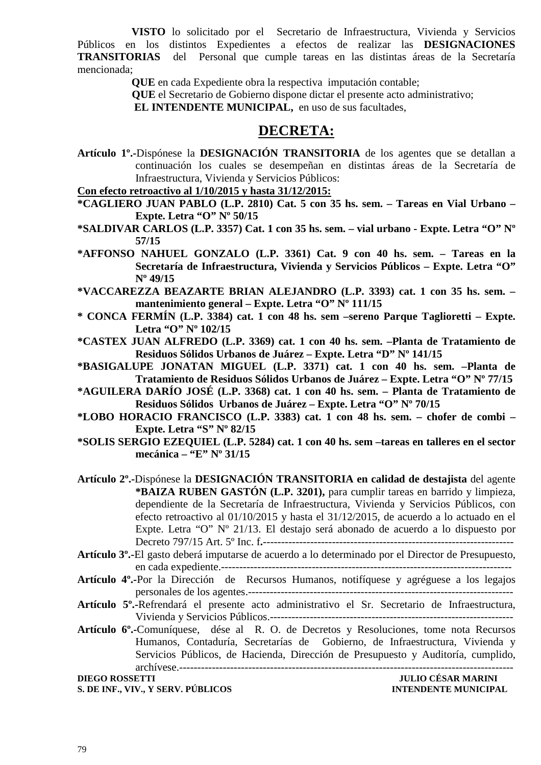**VISTO** lo solicitado por el Secretario de Infraestructura, Vivienda y Servicios Públicos en los distintos Expedientes a efectos de realizar las **DESIGNACIONES TRANSITORIAS** del Personal que cumple tareas en las distintas áreas de la Secretaría mencionada;

 **QUE** en cada Expediente obra la respectiva imputación contable;

 **QUE** el Secretario de Gobierno dispone dictar el presente acto administrativo;

 **EL INTENDENTE MUNICIPAL,** en uso de sus facultades,

#### **DECRETA:**

**Artículo 1º.-**Dispónese la **DESIGNACIÓN TRANSITORIA** de los agentes que se detallan a continuación los cuales se desempeñan en distintas áreas de la Secretaría de Infraestructura, Vivienda y Servicios Públicos:

#### **Con efecto retroactivo al 1/10/2015 y hasta 31/12/2015:**

- **\*CAGLIERO JUAN PABLO (L.P. 2810) Cat. 5 con 35 hs. sem. Tareas en Vial Urbano Expte. Letra "O" Nº 50/15**
- **\*SALDIVAR CARLOS (L.P. 3357) Cat. 1 con 35 hs. sem. vial urbano Expte. Letra "O" Nº 57/15**
- **\*AFFONSO NAHUEL GONZALO (L.P. 3361) Cat. 9 con 40 hs. sem. Tareas en la Secretaría de Infraestructura, Vivienda y Servicios Públicos – Expte. Letra "O" Nº 49/15**
- **\*VACCAREZZA BEAZARTE BRIAN ALEJANDRO (L.P. 3393) cat. 1 con 35 hs. sem. mantenimiento general – Expte. Letra "O" Nº 111/15**
- **\* CONCA FERMÍN (L.P. 3384) cat. 1 con 48 hs. sem –sereno Parque Taglioretti Expte. Letra "O" Nº 102/15**
- **\*CASTEX JUAN ALFREDO (L.P. 3369) cat. 1 con 40 hs. sem. –Planta de Tratamiento de Residuos Sólidos Urbanos de Juárez – Expte. Letra "D" Nº 141/15**
- **\*BASIGALUPE JONATAN MIGUEL (L.P. 3371) cat. 1 con 40 hs. sem. –Planta de Tratamiento de Residuos Sólidos Urbanos de Juárez – Expte. Letra "O" Nº 77/15**
- **\*AGUILERA DARÍO JOSÉ (L.P. 3368) cat. 1 con 40 hs. sem. Planta de Tratamiento de Residuos Sólidos Urbanos de Juárez – Expte. Letra "O" Nº 70/15**
- **\*LOBO HORACIO FRANCISCO (L.P. 3383) cat. 1 con 48 hs. sem. chofer de combi Expte. Letra "S" Nº 82/15**
- **\*SOLIS SERGIO EZEQUIEL (L.P. 5284) cat. 1 con 40 hs. sem –tareas en talleres en el sector mecánica – "E" Nº 31/15**

**Artículo 2º.-**Dispónese la **DESIGNACIÓN TRANSITORIA en calidad de destajista** del agente **\*BAIZA RUBEN GASTÓN (L.P. 3201),** para cumplir tareas en barrido y limpieza, dependiente de la Secretaría de Infraestructura, Vivienda y Servicios Públicos, con efecto retroactivo al 01/10/2015 y hasta el 31/12/2015, de acuerdo a lo actuado en el Expte. Letra "O" Nº 21/13. El destajo será abonado de acuerdo a lo dispuesto por Decreto 797/15 Art. 5º Inc. f**.**---------------------------------------------------------------------

- **Artículo 3º.-**El gasto deberá imputarse de acuerdo a lo determinado por el Director de Presupuesto, en cada expediente.--------------------------------------------------------------------------------
- **Artículo 4º.-**Por la Dirección de Recursos Humanos, notifíquese y agréguese a los legajos personales de los agentes.-------------------------------------------------------------------------
- **Artículo 5º.-**Refrendará el presente acto administrativo el Sr. Secretario de Infraestructura, Vivienda y Servicios Públicos.-------------------------------------------------------------------

**Artículo 6º.-**Comuníquese, dése al R. O. de Decretos y Resoluciones, tome nota Recursos Humanos, Contaduría, Secretarías de Gobierno, de Infraestructura, Vivienda y Servicios Públicos, de Hacienda, Dirección de Presupuesto y Auditoría, cumplido, archívese.--------------------------------------------------------------------------------------------

**S. DE INF., VIV., Y SERV. PÚBLICOS INTENDENTE MUNICIPAL** 

**DIEGO ROSSETTI JULIO CÉSAR MARINI**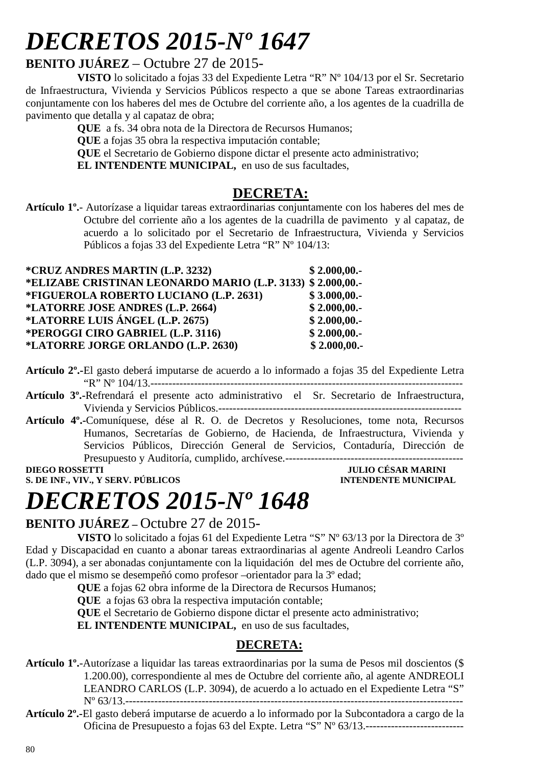# *DECRETOS 2015-Nº 1647*

#### **BENITO JUÁREZ** – Octubre 27 de 2015-

**VISTO** lo solicitado a fojas 33 del Expediente Letra "R" Nº 104/13 por el Sr. Secretario de Infraestructura, Vivienda y Servicios Públicos respecto a que se abone Tareas extraordinarias conjuntamente con los haberes del mes de Octubre del corriente año, a los agentes de la cuadrilla de pavimento que detalla y al capataz de obra;

**QUE** a fs. 34 obra nota de la Directora de Recursos Humanos;

**QUE** a fojas 35 obra la respectiva imputación contable;

**QUE** el Secretario de Gobierno dispone dictar el presente acto administrativo;

**EL INTENDENTE MUNICIPAL,** en uso de sus facultades,

#### **DECRETA:**

**Artículo 1º.**- Autorízase a liquidar tareas extraordinarias conjuntamente con los haberes del mes de Octubre del corriente año a los agentes de la cuadrilla de pavimento y al capataz, de acuerdo a lo solicitado por el Secretario de Infraestructura, Vivienda y Servicios Públicos a fojas 33 del Expediente Letra "R" Nº 104/13:

| *CRUZ ANDRES MARTIN (L.P. 3232)                            | \$2.000,00. |
|------------------------------------------------------------|-------------|
| *ELIZABE CRISTINAN LEONARDO MARIO (L.P. 3133) \$2.000,00.- |             |
| *FIGUEROLA ROBERTO LUCIANO (L.P. 2631)                     | \$3.000,00. |
| *LATORRE JOSE ANDRES (L.P. 2664)                           | \$2.000,00. |
| *LATORRE LUIS ÁNGEL (L.P. 2675)                            | \$2.000,00. |
| *PEROGGI CIRO GABRIEL (L.P. 3116)                          | \$2.000,00. |
| *LATORRE JORGE ORLANDO (L.P. 2630)                         | \$2.000,00. |

- **Artículo 2º.-**El gasto deberá imputarse de acuerdo a lo informado a fojas 35 del Expediente Letra "R" Nº 104/13.--------------------------------------------------------------------------------------
- **Artículo 3º.-**Refrendará el presente acto administrativo el Sr. Secretario de Infraestructura, Vivienda y Servicios Públicos.-------------------------------------------------------------------
- **Artículo 4º.-**Comuníquese, dése al R. O. de Decretos y Resoluciones, tome nota, Recursos Humanos, Secretarías de Gobierno, de Hacienda, de Infraestructura, Vivienda y Servicios Públicos, Dirección General de Servicios, Contaduría, Dirección de Presupuesto y Auditoría, cumplido, archívese.-------------------------------------------------

**S. DE INF., VIV., Y SERV. PÚBLICOS INTENDENTE MUNICIPAL** 

**DIEGO ROSSETTI JULIO CÉSAR MARINI** 

# *DECRETOS 2015-Nº 1648*

#### **BENITO JUÁREZ –** Octubre 27 de 2015-

**VISTO** lo solicitado a fojas 61 del Expediente Letra "S" Nº 63/13 por la Directora de 3º Edad y Discapacidad en cuanto a abonar tareas extraordinarias al agente Andreoli Leandro Carlos (L.P. 3094), a ser abonadas conjuntamente con la liquidación del mes de Octubre del corriente año, dado que el mismo se desempeñó como profesor –orientador para la 3º edad;

**QUE** a fojas 62 obra informe de la Directora de Recursos Humanos;

**QUE** a fojas 63 obra la respectiva imputación contable;

**QUE** el Secretario de Gobierno dispone dictar el presente acto administrativo;

**EL INTENDENTE MUNICIPAL,** en uso de sus facultades,

#### **DECRETA:**

**Artículo 1º.**-Autorízase a liquidar las tareas extraordinarias por la suma de Pesos mil doscientos (\$ 1.200.00), correspondiente al mes de Octubre del corriente año, al agente ANDREOLI LEANDRO CARLOS (L.P. 3094), de acuerdo a lo actuado en el Expediente Letra "S" Nº 63/13.---------------------------------------------------------------------------------------------

**Artículo 2º.-**El gasto deberá imputarse de acuerdo a lo informado por la Subcontadora a cargo de la Oficina de Presupuesto a fojas 63 del Expte. Letra "S" Nº 63/13.---------------------------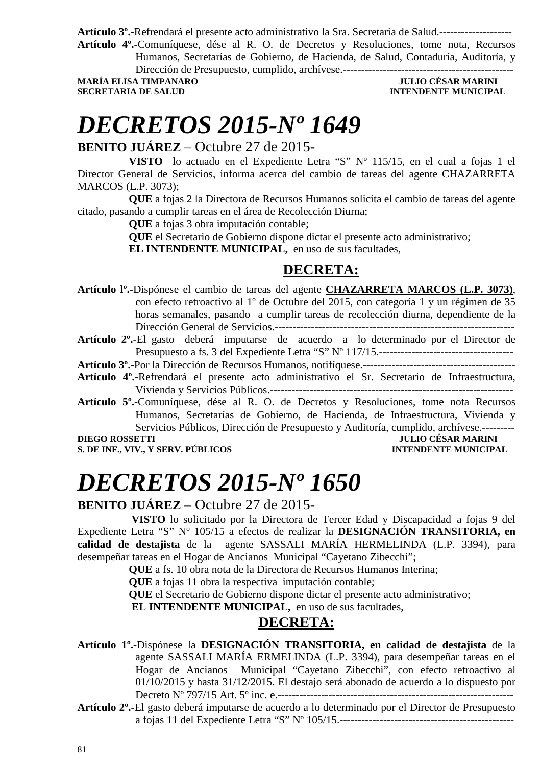**Artículo 3º.-**Refrendará el presente acto administrativo la Sra. Secretaria de Salud.--------------------

**Artículo 4º.-**Comuníquese, dése al R. O. de Decretos y Resoluciones, tome nota, Recursos Humanos, Secretarías de Gobierno, de Hacienda, de Salud, Contaduría, Auditoría, y

Dirección de Presupuesto, cumplido, archívese.-----------------------------------------------

**MARÍA ELISA TIMPANARO JULIO CÉSAR MARINI SECRETARIA DE SALUD INTENDENTE MUNICIPAL** 

### *DECRETOS 2015-Nº 1649*

#### **BENITO JUÁREZ** – Octubre 27 de 2015-

**VISTO** lo actuado en el Expediente Letra "S" Nº 115/15, en el cual a fojas 1 el Director General de Servicios, informa acerca del cambio de tareas del agente CHAZARRETA MARCOS (L.P. 3073);

**QUE** a fojas 2 la Directora de Recursos Humanos solicita el cambio de tareas del agente citado, pasando a cumplir tareas en el área de Recolección Diurna;

**QUE** a fojas 3 obra imputación contable;

**QUE** el Secretario de Gobierno dispone dictar el presente acto administrativo;

**EL INTENDENTE MUNICIPAL,** en uso de sus facultades,

### **DECRETA:**

**Artículo lº.-**Dispónese el cambio de tareas del agente **CHAZARRETA MARCOS (L.P. 3073)**, con efecto retroactivo al 1º de Octubre del 2015, con categoría 1 y un régimen de 35 horas semanales, pasando a cumplir tareas de recolección diurna, dependiente de la Dirección General de Servicios.------------------------------------------------------------------

**Artículo 2º.**-El gasto deberá imputarse de acuerdo a lo determinado por el Director de Presupuesto a fs. 3 del Expediente Letra "S" Nº 117/15.-------------------------------------

**Artículo 3º.-**Por la Dirección de Recursos Humanos, notifíquese.------------------------------------------

- **Artículo 4º.-**Refrendará el presente acto administrativo el Sr. Secretario de Infraestructura, Vivienda y Servicios Públicos.-------------------------------------------------------------------
- **Artículo 5º.-**Comuníquese, dése al R. O. de Decretos y Resoluciones, tome nota Recursos Humanos, Secretarías de Gobierno, de Hacienda, de Infraestructura, Vivienda y Servicios Públicos, Dirección de Presupuesto y Auditoría, cumplido, archívese.---------

### **DIEGO ROSSETTI JULIO CÉSAR MARINI**

#### **S. DE INF., VIV., Y SERV. PÚBLICOS INTENDENTE MUNICIPAL**

# *DECRETOS 2015-Nº 1650*

#### **BENITO JUÁREZ –** Octubre 27 de 2015-

 **VISTO** lo solicitado por la Directora de Tercer Edad y Discapacidad a fojas 9 del Expediente Letra "S" Nº 105/15 a efectos de realizar la **DESIGNACIÓN TRANSITORIA, en calidad de destajista** de la agente SASSALI MARÍA HERMELINDA (L.P. 3394), para desempeñar tareas en el Hogar de Ancianos Municipal "Cayetano Zibecchi";

**QUE** a fs. 10 obra nota de la Directora de Recursos Humanos Interina;

**QUE** a fojas 11 obra la respectiva imputación contable;

**QUE** el Secretario de Gobierno dispone dictar el presente acto administrativo;

**EL INTENDENTE MUNICIPAL,** en uso de sus facultades,

#### **DECRETA:**

**Artículo 1º.-**Dispónese la **DESIGNACIÓN TRANSITORIA, en calidad de destajista** de la agente SASSALI MARÍA ERMELINDA (L.P. 3394), para desempeñar tareas en el Hogar de Ancianos Municipal "Cayetano Zibecchi", con efecto retroactivo al 01/10/2015 y hasta 31/12/2015. El destajo será abonado de acuerdo a lo dispuesto por Decreto Nº 797/15 Art. 5º inc. e.-----------------------------------------------------------------

**Artículo 2º.-**El gasto deberá imputarse de acuerdo a lo determinado por el Director de Presupuesto a fojas 11 del Expediente Letra "S" Nº 105/15.------------------------------------------------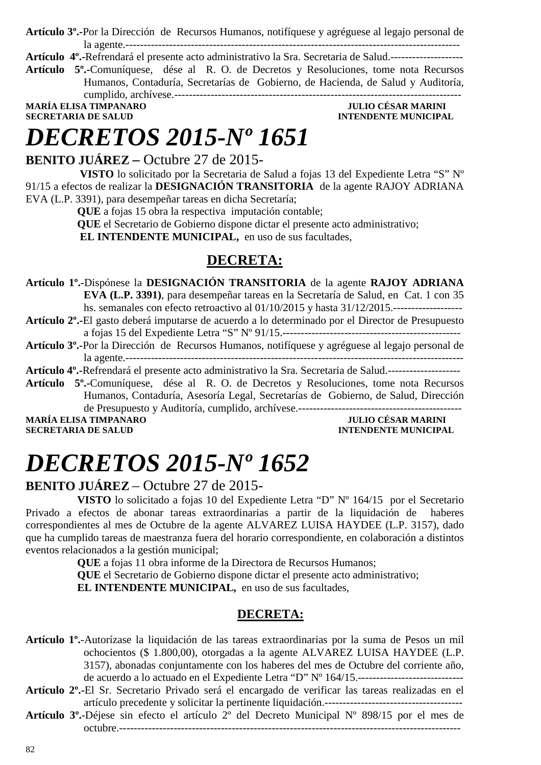**Artículo 3º.-**Por la Dirección de Recursos Humanos, notifíquese y agréguese al legajo personal de la agente.--------------------------------------------------------------------------------------------

**Artículo 4º.-**Refrendará el presente acto administrativo la Sra. Secretaria de Salud.--------------------

**Artículo 5º.-**Comuníquese, dése al R. O. de Decretos y Resoluciones, tome nota Recursos Humanos, Contaduría, Secretarías de Gobierno, de Hacienda, de Salud y Auditoría, cumplido, archívese.-------------------------------------------------------------------------------

**MARÍA ELISA TIMPANARO UN ELISA DE SALUD DE SALUD DE SALUD DE SALUD DE SALUD DE SALUD DE SALUD DE SALUD DE SALUD SECRETARIA DE SALUD** 

## *DECRETOS 2015-Nº 1651*

**BENITO JUÁREZ –** Octubre 27 de 2015-

 **VISTO** lo solicitado por la Secretaria de Salud a fojas 13 del Expediente Letra "S" Nº 91/15 a efectos de realizar la **DESIGNACIÓN TRANSITORIA** de la agente RAJOY ADRIANA EVA (L.P. 3391), para desempeñar tareas en dicha Secretaría;

**QUE** a fojas 15 obra la respectiva imputación contable;

**QUE** el Secretario de Gobierno dispone dictar el presente acto administrativo;

 **EL INTENDENTE MUNICIPAL,** en uso de sus facultades,

### **DECRETA:**

**Artículo 1º.-**Dispónese la **DESIGNACIÓN TRANSITORIA** de la agente **RAJOY ADRIANA EVA (L.P. 3391)**, para desempeñar tareas en la Secretaría de Salud, en Cat. 1 con 35 hs. semanales con efecto retroactivo al 01/10/2015 y hasta 31/12/2015.-------------------

**Artículo 2º.-**El gasto deberá imputarse de acuerdo a lo determinado por el Director de Presupuesto a fojas 15 del Expediente Letra "S" Nº 91/15.-------------------------------------------------

**Artículo 3º.-**Por la Dirección de Recursos Humanos, notifíquese y agréguese al legajo personal de la agente.---------------------------------------------------------------------------------------------

**Artículo 4º.-**Refrendará el presente acto administrativo la Sra. Secretaria de Salud.--------------------

**Artículo 5º.-**Comuníquese, dése al R. O. de Decretos y Resoluciones, tome nota Recursos Humanos, Contaduría, Asesoría Legal, Secretarías de Gobierno, de Salud, Dirección de Presupuesto y Auditoría, cumplido, archívese.---------------------------------------------

**SECRETARIA DE SALUD INTENDENTE MUNICIPAL** 

### **MARÍA ELISA TIMPANARO JULIO CÉSAR MARINI**

# *DECRETOS 2015-Nº 1652*

#### **BENITO JUÁREZ** – Octubre 27 de 2015-

**VISTO** lo solicitado a fojas 10 del Expediente Letra "D" Nº 164/15 por el Secretario Privado a efectos de abonar tareas extraordinarias a partir de la liquidación de haberes correspondientes al mes de Octubre de la agente ALVAREZ LUISA HAYDEE (L.P. 3157), dado que ha cumplido tareas de maestranza fuera del horario correspondiente, en colaboración a distintos eventos relacionados a la gestión municipal;

**QUE** a fojas 11 obra informe de la Directora de Recursos Humanos;

**QUE** el Secretario de Gobierno dispone dictar el presente acto administrativo; **EL INTENDENTE MUNICIPAL,** en uso de sus facultades,

#### **DECRETA:**

**Artículo 1º.**-Autorízase la liquidación de las tareas extraordinarias por la suma de Pesos un mil ochocientos (\$ 1.800,00), otorgadas a la agente ALVAREZ LUISA HAYDEE (L.P. 3157), abonadas conjuntamente con los haberes del mes de Octubre del corriente año, de acuerdo a lo actuado en el Expediente Letra "D" Nº 164/15.--------------------------------

- **Artículo 2º.-**El Sr. Secretario Privado será el encargado de verificar las tareas realizadas en el artículo precedente y solicitar la pertinente liquidación.--------------------------------------
- **Artículo 3º.**-Déjese sin efecto el artículo 2º del Decreto Municipal Nº 898/15 por el mes de octubre.----------------------------------------------------------------------------------------------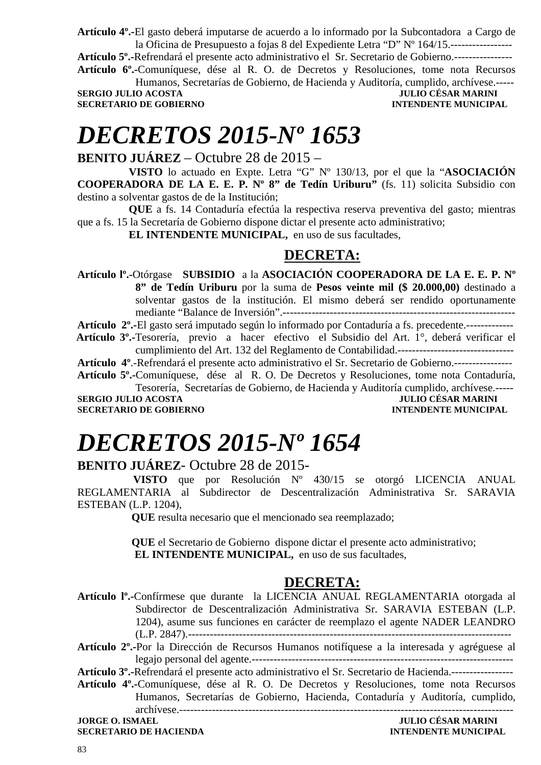**Artículo 4º.-**El gasto deberá imputarse de acuerdo a lo informado por la Subcontadora a Cargo de la Oficina de Presupuesto a fojas 8 del Expediente Letra "D" Nº 164/15.-----------------

**Artículo 5º.-**Refrendará el presente acto administrativo el Sr. Secretario de Gobierno.----------------

**Artículo 6º.-**Comuníquese, dése al R. O. de Decretos y Resoluciones, tome nota Recursos Humanos, Secretarías de Gobierno, de Hacienda y Auditoría, cumplido, archívese.------<br>JULIO CÉSAR MARINI

**SERGIO JULIO ACOSTA JULIO CÉSAR MARINI SECRETARIO DE GOBIERNO DE SOBIERNO DE SOBIERNO DE SOBIERNO DE SOBIERNO SECRETARIO DE GOBIERNO** 

### *DECRETOS 2015-Nº 1653*

**BENITO JUÁREZ** – Octubre 28 de 2015 –

**VISTO** lo actuado en Expte. Letra "G" Nº 130/13, por el que la "**ASOCIACIÓN COOPERADORA DE LA E. E. P. Nº 8" de Tedín Uriburu"** (fs. 11) solicita Subsidio con destino a solventar gastos de de la Institución;

**QUE** a fs. 14 Contaduría efectúa la respectiva reserva preventiva del gasto; mientras que a fs. 15 la Secretaría de Gobierno dispone dictar el presente acto administrativo;

**EL INTENDENTE MUNICIPAL,** en uso de sus facultades,

#### **DECRETA:**

**Artículo lº.-**Otórgase **SUBSIDIO** a la **ASOCIACIÓN COOPERADORA DE LA E. E. P. Nº 8" de Tedín Uriburu** por la suma de **Pesos veinte mil (\$ 20.000,00)** destinado a solventar gastos de la institución. El mismo deberá ser rendido oportunamente mediante "Balance de Inversión".----------------------------------------------------------------

**Artículo 2º.-**El gasto será imputado según lo informado por Contaduría a fs. precedente.-------------

 **Artículo 3º.-**Tesorería, previo a hacer efectivo el Subsidio del Art. 1°, deberá verificar el cumplimiento del Art. 132 del Reglamento de Contabilidad.--------------------------------

**Artículo 4º**.-Refrendará el presente acto administrativo el Sr. Secretario de Gobierno.----------------

**Artículo 5º.-**Comuníquese, dése al R. O. De Decretos y Resoluciones, tome nota Contaduría, Tesorería, Secretarías de Gobierno, de Hacienda y Auditoría cumplido, archívese.-----

**SERGIO JULIO ACOSTA JULIO CÉSAR MARINI SECRETARIO DE GOBIERNO INTENDENTE MUNICIPAL** 

# *DECRETOS 2015-Nº 1654*

#### **BENITO JUÁREZ**- Octubre 28 de 2015-

 **VISTO** que por Resolución Nº 430/15 se otorgó LICENCIA ANUAL REGLAMENTARIA al Subdirector de Descentralización Administrativa Sr. SARAVIA ESTEBAN (L.P. 1204),

 **QUE** resulta necesario que el mencionado sea reemplazado;

**OUE** el Secretario de Gobierno dispone dictar el presente acto administrativo: **EL INTENDENTE MUNICIPAL,** en uso de sus facultades,

#### **DECRETA:**

**Artículo lº.-**Confírmese que durante la LICENCIA ANUAL REGLAMENTARIA otorgada al Subdirector de Descentralización Administrativa Sr. SARAVIA ESTEBAN (L.P. 1204), asume sus funciones en carácter de reemplazo el agente NADER LEANDRO (L.P. 2847).-----------------------------------------------------------------------------------------

**Artículo 3º.-**Refrendará el presente acto administrativo el Sr. Secretario de Hacienda.-----------------

**Artículo 4º.-**Comuníquese, dése al R. O. De Decretos y Resoluciones, tome nota Recursos Humanos, Secretarías de Gobierno, Hacienda, Contaduría y Auditoría, cumplido,

archívese.--------------------------------------------------------------------------------------------

**Artículo 2º.-**Por la Dirección de Recursos Humanos notifíquese a la interesada y agréguese al legajo personal del agente.------------------------------------------------------------------------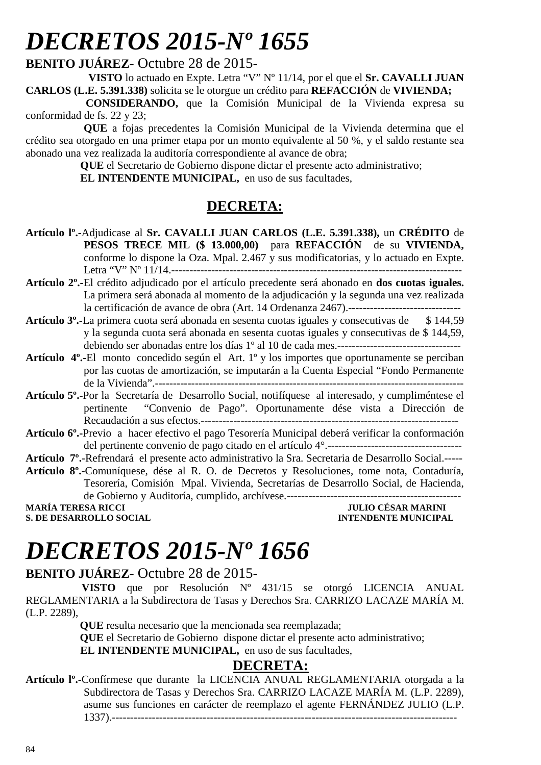# *DECRETOS 2015-Nº 1655*

**BENITO JUÁREZ-** Octubre 28 de 2015-

 **VISTO** lo actuado en Expte. Letra "V" Nº 11/14, por el que el **Sr. CAVALLI JUAN CARLOS (L.E. 5.391.338)** solicita se le otorgue un crédito para **REFACCIÓN** de **VIVIENDA;**

 **CONSIDERANDO,** que la Comisión Municipal de la Vivienda expresa su conformidad de fs. 22 y 23;

**QUE** a fojas precedentes la Comisión Municipal de la Vivienda determina que el crédito sea otorgado en una primer etapa por un monto equivalente al 50 %, y el saldo restante sea abonado una vez realizada la auditoría correspondiente al avance de obra;

 **QUE** el Secretario de Gobierno dispone dictar el presente acto administrativo;  **EL INTENDENTE MUNICIPAL,** en uso de sus facultades,

### **DECRETA:**

- **Artículo lº.-**Adjudicase al **Sr. CAVALLI JUAN CARLOS (L.E. 5.391.338),** un **CRÉDITO** de **PESOS TRECE MIL (\$ 13.000,00)** para **REFACCIÓN** de su **VIVIENDA,** conforme lo dispone la Oza. Mpal. 2.467 y sus modificatorias, y lo actuado en Expte. Letra "V" Nº 11/14.--------------------------------------------------------------------------------
- **Artículo 2º.-**El crédito adjudicado por el artículo precedente será abonado en **dos cuotas iguales.** La primera será abonada al momento de la adjudicación y la segunda una vez realizada la certificación de avance de obra (Art. 14 Ordenanza 2467).-------------------------------
- **Artículo 3º.-**La primera cuota será abonada en sesenta cuotas iguales y consecutivas de \$ 144,59 y la segunda cuota será abonada en sesenta cuotas iguales y consecutivas de \$ 144,59, debiendo ser abonadas entre los días 1º al 10 de cada mes.----------------------------------
- **Artículo 4º.-**El monto concedido según el Art. 1º y los importes que oportunamente se perciban por las cuotas de amortización, se imputarán a la Cuenta Especial "Fondo Permanente de la Vivienda".-------------------------------------------------------------------------------------
- **Artículo 5º.-**Por la Secretaría de Desarrollo Social, notifíquese al interesado, y cumpliméntese el pertinente "Convenio de Pago". Oportunamente dése vista a Dirección de Recaudación a sus efectos.-----------------------------------------------------------------------
- **Artículo 6º.-**Previo a hacer efectivo el pago Tesorería Municipal deberá verificar la conformación del pertinente convenio de pago citado en el artículo 4°.-------------------------------------

**Artículo 7º.**-Refrendará el presente acto administrativo la Sra. Secretaria de Desarrollo Social.-----

**Artículo 8º.-**Comuníquese, dése al R. O. de Decretos y Resoluciones, tome nota, Contaduría, Tesorería, Comisión Mpal. Vivienda, Secretarías de Desarrollo Social, de Hacienda, de Gobierno y Auditoría, cumplido, archívese.------------------------------------------------ **MARÍA TERESA RICCI JULIO CÉSAR MARINI** 

**S. DE DESARROLLO SOCIAL CONSUMING A LOCAL CONSUMING A LOCAL CONSUMING A LOCAL CONSUMING A LOCAL CONSUMING A LOCAL CONSUMING A LOCAL CONSUMING A LOCAL CONSUMING A LOCAL CONSUMING A LOCAL CONSUMING A LOCAL CONSUMING A LOCAL** 

# *DECRETOS 2015-Nº 1656*

#### **BENITO JUÁREZ**- Octubre 28 de 2015-

 **VISTO** que por Resolución Nº 431/15 se otorgó LICENCIA ANUAL REGLAMENTARIA a la Subdirectora de Tasas y Derechos Sra. CARRIZO LACAZE MARÍA M. (L.P. 2289),

 **QUE** resulta necesario que la mencionada sea reemplazada;

 **QUE** el Secretario de Gobierno dispone dictar el presente acto administrativo;

**EL INTENDENTE MUNICIPAL,** en uso de sus facultades,

#### **DECRETA:**

**Artículo lº.-**Confírmese que durante la LICENCIA ANUAL REGLAMENTARIA otorgada a la Subdirectora de Tasas y Derechos Sra. CARRIZO LACAZE MARÍA M. (L.P. 2289), asume sus funciones en carácter de reemplazo el agente FERNÁNDEZ JULIO (L.P. 1337).-----------------------------------------------------------------------------------------------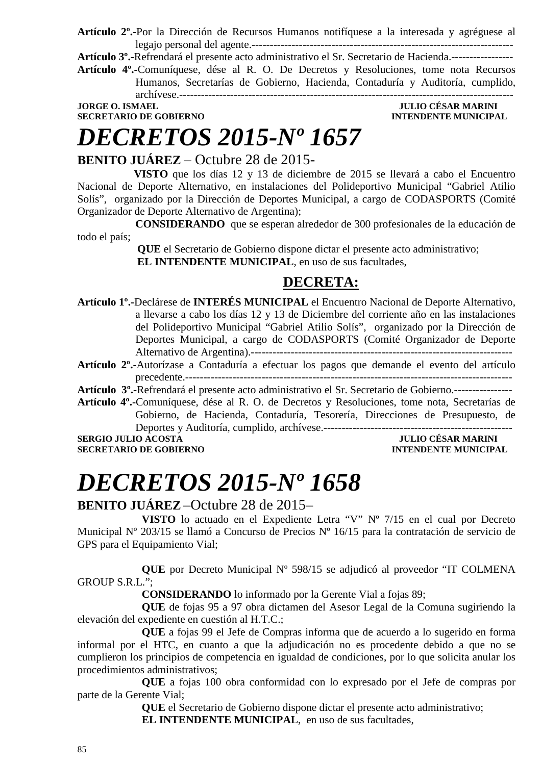**Artículo 2º.-**Por la Dirección de Recursos Humanos notifíquese a la interesada y agréguese al legajo personal del agente.------------------------------------------------------------------------

**Artículo 3º.-**Refrendará el presente acto administrativo el Sr. Secretario de Hacienda.-----------------

**Artículo 4º.-**Comuníquese, dése al R. O. De Decretos y Resoluciones, tome nota Recursos Humanos, Secretarías de Gobierno, Hacienda, Contaduría y Auditoría, cumplido,

archívese.--------------------------------------------------------------------------------------------

**SECRETARIO DE GOBIERNO INTENDENTE MUNICIPAL** 

# *DECRETOS 2015-Nº 1657*

### **JORGE O. ISMAEL JULIO CÉSAR MARINI**

### **BENITO JUÁREZ** – Octubre 28 de 2015-

 **VISTO** que los días 12 y 13 de diciembre de 2015 se llevará a cabo el Encuentro Nacional de Deporte Alternativo, en instalaciones del Polideportivo Municipal "Gabriel Atilio Solís", organizado por la Dirección de Deportes Municipal, a cargo de CODASPORTS (Comité Organizador de Deporte Alternativo de Argentina);

 **CONSIDERANDO** que se esperan alrededor de 300 profesionales de la educación de todo el país;

> **QUE** el Secretario de Gobierno dispone dictar el presente acto administrativo;  **EL INTENDENTE MUNICIPAL**, en uso de sus facultades,

### **DECRETA:**

- **Artículo 1º.-**Declárese de **INTERÉS MUNICIPAL** el Encuentro Nacional de Deporte Alternativo, a llevarse a cabo los días 12 y 13 de Diciembre del corriente año en las instalaciones del Polideportivo Municipal "Gabriel Atilio Solís", organizado por la Dirección de Deportes Municipal, a cargo de CODASPORTS (Comité Organizador de Deporte Alternativo de Argentina).------------------------------------------------------------------------
- **Artículo 2º.-**Autorízase a Contaduría a efectuar los pagos que demande el evento del artículo precedente.------------------------------------------------------------------------------------------
- **Artículo 3º.-**Refrendará el presente acto administrativo el Sr. Secretario de Gobierno.----------------
- **Artículo 4º.-**Comuníquese, dése al R. O. de Decretos y Resoluciones, tome nota, Secretarías de Gobierno, de Hacienda, Contaduría, Tesorería, Direcciones de Presupuesto, de Deportes y Auditoría, cumplido, archívese.----------------------------------------------------

**SERGIO JULIO ACOSTA JULIO CÉSAR MARINI SECRETARIO DE GOBIERNO INTENDENTE MUNICIPAL** 

# *DECRETOS 2015-Nº 1658*

#### **BENITO JUÁREZ** –Octubre 28 de 2015–

**VISTO** lo actuado en el Expediente Letra "V" Nº 7/15 en el cual por Decreto Municipal Nº 203/15 se llamó a Concurso de Precios Nº 16/15 para la contratación de servicio de GPS para el Equipamiento Vial;

 **QUE** por Decreto Municipal Nº 598/15 se adjudicó al proveedor "IT COLMENA GROUP S.R.L.";

 **CONSIDERANDO** lo informado por la Gerente Vial a fojas 89;

 **QUE** de fojas 95 a 97 obra dictamen del Asesor Legal de la Comuna sugiriendo la elevación del expediente en cuestión al H.T.C.;

 **QUE** a fojas 99 el Jefe de Compras informa que de acuerdo a lo sugerido en forma informal por el HTC, en cuanto a que la adjudicación no es procedente debido a que no se cumplieron los principios de competencia en igualdad de condiciones, por lo que solicita anular los procedimientos administrativos;

 **QUE** a fojas 100 obra conformidad con lo expresado por el Jefe de compras por parte de la Gerente Vial;

 **QUE** el Secretario de Gobierno dispone dictar el presente acto administrativo;

**EL INTENDENTE MUNICIPAL**, en uso de sus facultades,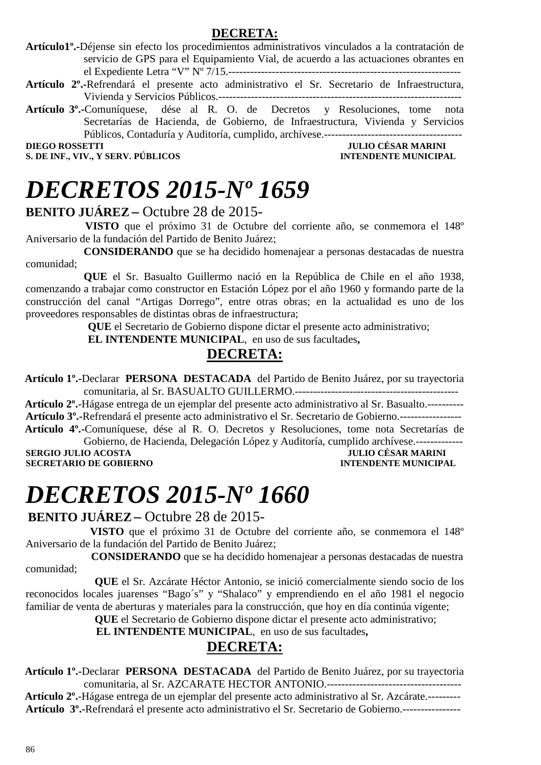#### **DECRETA:**

**Artículo1º.-**Déjense sin efecto los procedimientos administrativos vinculados a la contratación de servicio de GPS para el Equipamiento Vial, de acuerdo a las actuaciones obrantes en el Expediente Letra "V" Nº 7/15.----------------------------------------------------------------

- **Artículo 2º.-**Refrendará el presente acto administrativo el Sr. Secretario de Infraestructura, Vivienda y Servicios Públicos.-------------------------------------------------------------------
- **Artículo 3º.-**Comuníquese, dése al R. O. de Decretos y Resoluciones, tome nota Secretarías de Hacienda, de Gobierno, de Infraestructura, Vivienda y Servicios Públicos, Contaduría y Auditoría, cumplido, archívese.---------------------------

**DIEGO ROSSETTI DIEGO ROSSETTI DIEGO POSSETTI DIEGO POSSETTI DIEGO POSSETTI DIEGO POSSETTI DIEGO POSSETTI DIEGO POSSETTI DIEGO POSSETTI DIEGO POSSETTI DIEGO POSSETTI DIEGO POSSETTI DIEGO POSSETTI DIE GO POSSETTI DIE GO POS** 

**S. DE INF., VIV., Y SERV. PÚBLICOS INTENDENTE MUNICIPAL** 

## *DECRETOS 2015-Nº 1659*

#### **BENITO JUÁREZ –** Octubre 28 de 2015-

 **VISTO** que el próximo 31 de Octubre del corriente año, se conmemora el 148º Aniversario de la fundación del Partido de Benito Juárez;

 **CONSIDERANDO** que se ha decidido homenajear a personas destacadas de nuestra comunidad;

 **QUE** el Sr. Basualto Guillermo nació en la República de Chile en el año 1938, comenzando a trabajar como constructor en Estación López por el año 1960 y formando parte de la construcción del canal "Artigas Dorrego", entre otras obras; en la actualidad es uno de los proveedores responsables de distintas obras de infraestructura;

 **QUE** el Secretario de Gobierno dispone dictar el presente acto administrativo;

 **EL INTENDENTE MUNICIPAL**, en uso de sus facultades**,** 

### **DECRETA:**

 **Artículo 1º.-**Declarar **PERSONA DESTACADA** del Partido de Benito Juárez, por su trayectoria comunitaria, al Sr. BASUALTO GUILLERMO.---------------------------------------------

 **Artículo 2º.**-Hágase entrega de un ejemplar del presente acto administrativo al Sr. Basualto.---------- **Artículo 3º.-**Refrendará el presente acto administrativo el Sr. Secretario de Gobierno.-----------------  **Artículo 4º.-**Comuníquese, dése al R. O. Decretos y Resoluciones, tome nota Secretarías de

Gobierno, de Hacienda, Delegación López y Auditoría, cumplido archívese.------------- **SERGIO JULIO ACOSTA DE CONFINITAT DE CONFINITAT DE CONFINITAT DE CONFINITAT DE CONFINITAT DE CONFINITAT DE CONFIN<br>
SECRETARIO DE GOBIERNO DE CONFINITAT DE CONFINITAT DE CONFINITAT DE CONFINITAT DE CONFINITAT DE CONFINITAT SECRETARIO DE GOBIERNO** 

# *DECRETOS 2015-Nº 1660*

**BENITO JUÁREZ–** Octubre 28 de 2015-

 **VISTO** que el próximo 31 de Octubre del corriente año, se conmemora el 148º Aniversario de la fundación del Partido de Benito Juárez;

 **CONSIDERANDO** que se ha decidido homenajear a personas destacadas de nuestra comunidad;

 **QUE** el Sr. Azcárate Héctor Antonio, se inició comercialmente siendo socio de los reconocidos locales juarenses "Bago´s" y "Shalaco" y emprendiendo en el año 1981 el negocio familiar de venta de aberturas y materiales para la construcción, que hoy en día continúa vigente;

 **QUE** el Secretario de Gobierno dispone dictar el presente acto administrativo;

 **EL INTENDENTE MUNICIPAL**, en uso de sus facultades**,** 

#### **DECRETA:**

 **Artículo 1º.-**Declarar **PERSONA DESTACADA** del Partido de Benito Juárez, por su trayectoria comunitaria, al Sr. AZCARATE HECTOR ANTONIO.-------------------------------------

 **Artículo 2º.**-Hágase entrega de un ejemplar del presente acto administrativo al Sr. Azcárate.--------- **Artículo 3º.-**Refrendará el presente acto administrativo el Sr. Secretario de Gobierno.----------------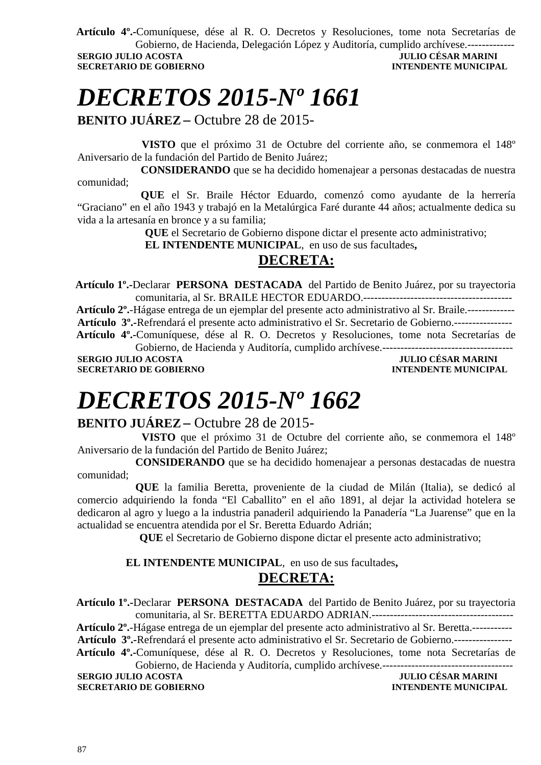**Artículo 4º.-**Comuníquese, dése al R. O. Decretos y Resoluciones, tome nota Secretarías de Gobierno, de Hacienda, Delegación López y Auditoría, cumplido archívese.------------- **SERGIO JULIO ACOSTA JULIO CÉSAR MARINI** 

**SECRETARIO DE GOBIERNO INTENDENTE MUNICIPAL** 

# *DECRETOS 2015-Nº 1661*

**BENITO JUÁREZ –** Octubre 28 de 2015-

 **VISTO** que el próximo 31 de Octubre del corriente año, se conmemora el 148º Aniversario de la fundación del Partido de Benito Juárez;

 **CONSIDERANDO** que se ha decidido homenajear a personas destacadas de nuestra comunidad;

 **QUE** el Sr. Braile Héctor Eduardo, comenzó como ayudante de la herrería "Graciano" en el año 1943 y trabajó en la Metalúrgica Faré durante 44 años; actualmente dedica su vida a la artesanía en bronce y a su familia;

 **QUE** el Secretario de Gobierno dispone dictar el presente acto administrativo;

 **EL INTENDENTE MUNICIPAL**, en uso de sus facultades**,** 

### **DECRETA:**

 **Artículo 1º.-**Declarar **PERSONA DESTACADA** del Partido de Benito Juárez, por su trayectoria comunitaria, al Sr. BRAILE HECTOR EDUARDO.-----------------------------------------

 **Artículo 2º.**-Hágase entrega de un ejemplar del presente acto administrativo al Sr. Braile.------------- **Artículo 3º.-**Refrendará el presente acto administrativo el Sr. Secretario de Gobierno.----------------  **Artículo 4º.-**Comuníquese, dése al R. O. Decretos y Resoluciones, tome nota Secretarías de Gobierno, de Hacienda y Auditoría, cumplido archívese.------------------------------------

**SERGIO JULIO ACOSTA JULIO CÉSAR MARINI SECRETARIO DE GOBIERNO INTENDENTE MUNICIPAL** 

# *DECRETOS 2015-Nº 1662*

#### **BENITO JUÁREZ –** Octubre 28 de 2015-

 **VISTO** que el próximo 31 de Octubre del corriente año, se conmemora el 148º Aniversario de la fundación del Partido de Benito Juárez;

 **CONSIDERANDO** que se ha decidido homenajear a personas destacadas de nuestra comunidad;

 **QUE** la familia Beretta, proveniente de la ciudad de Milán (Italia), se dedicó al comercio adquiriendo la fonda "El Caballito" en el año 1891, al dejar la actividad hotelera se dedicaron al agro y luego a la industria panaderil adquiriendo la Panadería "La Juarense" que en la actualidad se encuentra atendida por el Sr. Beretta Eduardo Adrián;

 **QUE** el Secretario de Gobierno dispone dictar el presente acto administrativo;

### **EL INTENDENTE MUNICIPAL**, en uso de sus facultades**,**

### **DECRETA:**

 **Artículo 1º.-**Declarar **PERSONA DESTACADA** del Partido de Benito Juárez, por su trayectoria comunitaria, al Sr. BERETTA EDUARDO ADRIAN.---------------------------------------  **Artículo 2º.**-Hágase entrega de un ejemplar del presente acto administrativo al Sr. Beretta.----------- **Artículo 3º.-**Refrendará el presente acto administrativo el Sr. Secretario de Gobierno.----------------  **Artículo 4º.-**Comuníquese, dése al R. O. Decretos y Resoluciones, tome nota Secretarías de Gobierno, de Hacienda y Auditoría, cumplido archívese.------------------------------------ **SERGIO JULIO ACOSTA JULIO CÉSAR MARINI** 

**SECRETARIO DE GOBIERNO INTENDENTE MUNICIPAL**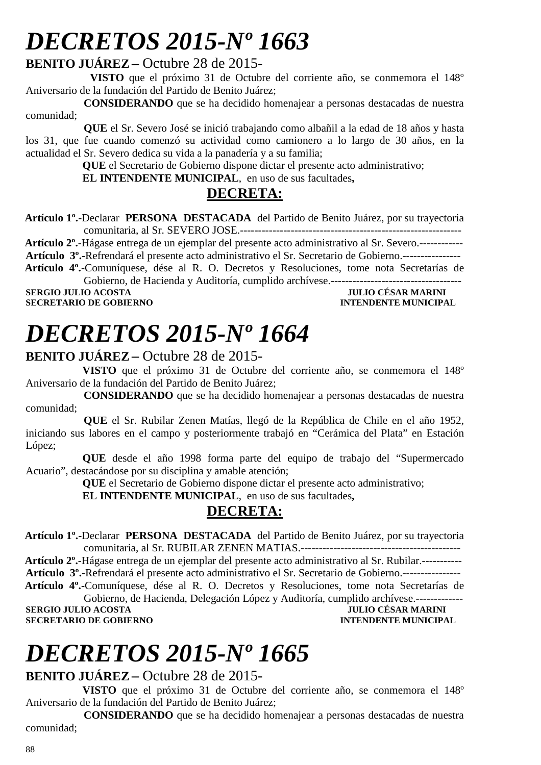# *DECRETOS 2015-Nº 1663*

#### **BENITO JUÁREZ –** Octubre 28 de 2015-

 **VISTO** que el próximo 31 de Octubre del corriente año, se conmemora el 148º Aniversario de la fundación del Partido de Benito Juárez;

 **CONSIDERANDO** que se ha decidido homenajear a personas destacadas de nuestra comunidad;

 **QUE** el Sr. Severo José se inició trabajando como albañil a la edad de 18 años y hasta los 31, que fue cuando comenzó su actividad como camionero a lo largo de 30 años, en la actualidad el Sr. Severo dedica su vida a la panadería y a su familia;

 **QUE** el Secretario de Gobierno dispone dictar el presente acto administrativo;

 **EL INTENDENTE MUNICIPAL**, en uso de sus facultades**,** 

#### **DECRETA:**

 **Artículo 1º.-**Declarar **PERSONA DESTACADA** del Partido de Benito Juárez, por su trayectoria comunitaria, al Sr. SEVERO JOSE.-------------------------------------------------------------

 **Artículo 2º.**-Hágase entrega de un ejemplar del presente acto administrativo al Sr. Severo.------------ **Artículo 3º.-**Refrendará el presente acto administrativo el Sr. Secretario de Gobierno.----------------

 **Artículo 4º.-**Comuníquese, dése al R. O. Decretos y Resoluciones, tome nota Secretarías de Gobierno, de Hacienda y Auditoría, cumplido archívese.------------------------------------

**SERGIO JULIO ACOSTA JULIO CÉSAR MARINI SECRETARIO DE GOBIERNO INTENDENTE MUNICIPAL** 

## *DECRETOS 2015-Nº 1664*

#### **BENITO JUÁREZ –** Octubre 28 de 2015-

 **VISTO** que el próximo 31 de Octubre del corriente año, se conmemora el 148º Aniversario de la fundación del Partido de Benito Juárez;

 **CONSIDERANDO** que se ha decidido homenajear a personas destacadas de nuestra comunidad;

 **QUE** el Sr. Rubilar Zenen Matías, llegó de la República de Chile en el año 1952, iniciando sus labores en el campo y posteriormente trabajó en "Cerámica del Plata" en Estación López;

 **QUE** desde el año 1998 forma parte del equipo de trabajo del "Supermercado Acuario", destacándose por su disciplina y amable atención;

 **QUE** el Secretario de Gobierno dispone dictar el presente acto administrativo;

 **EL INTENDENTE MUNICIPAL**, en uso de sus facultades**,** 

### **DECRETA:**

 **Artículo 1º.-**Declarar **PERSONA DESTACADA** del Partido de Benito Juárez, por su trayectoria comunitaria, al Sr. RUBILAR ZENEN MATIAS.--------------------------------------------

 **Artículo 2º.**-Hágase entrega de un ejemplar del presente acto administrativo al Sr. Rubilar.----------- **Artículo 3º.-**Refrendará el presente acto administrativo el Sr. Secretario de Gobierno.----------------

 **Artículo 4º.-**Comuníquese, dése al R. O. Decretos y Resoluciones, tome nota Secretarías de Gobierno, de Hacienda, Delegación López y Auditoría, cumplido archívese.------------- **SERGIO JULIO ACOSTA JULIO CÉSAR MARINI** 

**SECRETARIO DE GOBIERNO INTENDENTE MUNICIPAL** 

# *DECRETOS 2015-Nº 1665*

#### **BENITO JUÁREZ –** Octubre 28 de 2015-

 **VISTO** que el próximo 31 de Octubre del corriente año, se conmemora el 148º Aniversario de la fundación del Partido de Benito Juárez;

 **CONSIDERANDO** que se ha decidido homenajear a personas destacadas de nuestra comunidad;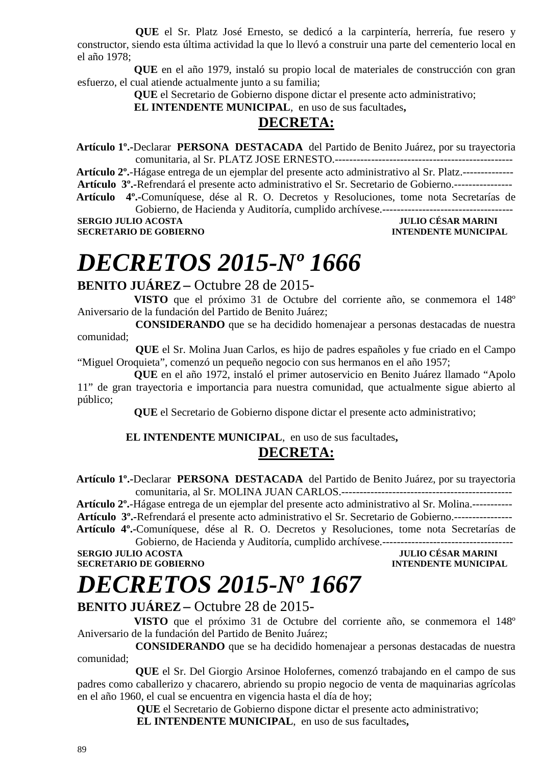**QUE** el Sr. Platz José Ernesto, se dedicó a la carpintería, herrería, fue resero y constructor, siendo esta última actividad la que lo llevó a construir una parte del cementerio local en el año 1978;

 **QUE** en el año 1979, instaló su propio local de materiales de construcción con gran esfuerzo, el cual atiende actualmente junto a su familia;

 **QUE** el Secretario de Gobierno dispone dictar el presente acto administrativo;

 **EL INTENDENTE MUNICIPAL**, en uso de sus facultades**,** 

#### **DECRETA:**

 **Artículo 1º.-**Declarar **PERSONA DESTACADA** del Partido de Benito Juárez, por su trayectoria comunitaria, al Sr. PLATZ JOSE ERNESTO.-------------------------------------------------

 **Artículo 2º.**-Hágase entrega de un ejemplar del presente acto administrativo al Sr. Platz.-------------- **Artículo 3º.-**Refrendará el presente acto administrativo el Sr. Secretario de Gobierno.----------------  **Artículo 4º.-**Comuníquese, dése al R. O. Decretos y Resoluciones, tome nota Secretarías de

Gobierno, de Hacienda y Auditoría, cumplido archívese.------------------------------------

**SERGIO JULIO ACOSTA SECRETARIO DE GOBIERNO INTENDENTE MUNICIPAL** 

## *DECRETOS 2015-Nº 1666*

#### **BENITO JUÁREZ –** Octubre 28 de 2015-

 **VISTO** que el próximo 31 de Octubre del corriente año, se conmemora el 148º Aniversario de la fundación del Partido de Benito Juárez;

 **CONSIDERANDO** que se ha decidido homenajear a personas destacadas de nuestra comunidad;

 **QUE** el Sr. Molina Juan Carlos, es hijo de padres españoles y fue criado en el Campo "Miguel Oroquieta", comenzó un pequeño negocio con sus hermanos en el año 1957;

 **QUE** en el año 1972, instaló el primer autoservicio en Benito Juárez llamado "Apolo 11" de gran trayectoria e importancia para nuestra comunidad, que actualmente sigue abierto al público;

 **QUE** el Secretario de Gobierno dispone dictar el presente acto administrativo;

#### **EL INTENDENTE MUNICIPAL**, en uso de sus facultades**,**

#### **DECRETA:**

 **Artículo 1º.-**Declarar **PERSONA DESTACADA** del Partido de Benito Juárez, por su trayectoria comunitaria, al Sr. MOLINA JUAN CARLOS.-----------------------------------------------

 **Artículo 2º.**-Hágase entrega de un ejemplar del presente acto administrativo al Sr. Molina.-----------

**Artículo 3º.-**Refrendará el presente acto administrativo el Sr. Secretario de Gobierno.----------------  **Artículo 4º.-**Comuníquese, dése al R. O. Decretos y Resoluciones, tome nota Secretarías de

Gobierno, de Hacienda y Auditoría, cumplido archívese.------------------------------------ **SERGIO JULIO ACOSTA JULIO CÉSAR MARINI SECRETARIO DE GOBIERNO INTENDENTE MUNICIPAL** 

# *DECRETOS 2015-Nº 1667*

#### **BENITO JUÁREZ –** Octubre 28 de 2015-

 **VISTO** que el próximo 31 de Octubre del corriente año, se conmemora el 148º Aniversario de la fundación del Partido de Benito Juárez;

 **CONSIDERANDO** que se ha decidido homenajear a personas destacadas de nuestra comunidad;

 **QUE** el Sr. Del Giorgio Arsinoe Holofernes, comenzó trabajando en el campo de sus padres como caballerizo y chacarero, abriendo su propio negocio de venta de maquinarias agrícolas en el año 1960, el cual se encuentra en vigencia hasta el día de hoy;

 **QUE** el Secretario de Gobierno dispone dictar el presente acto administrativo;

 **EL INTENDENTE MUNICIPAL**, en uso de sus facultades**,**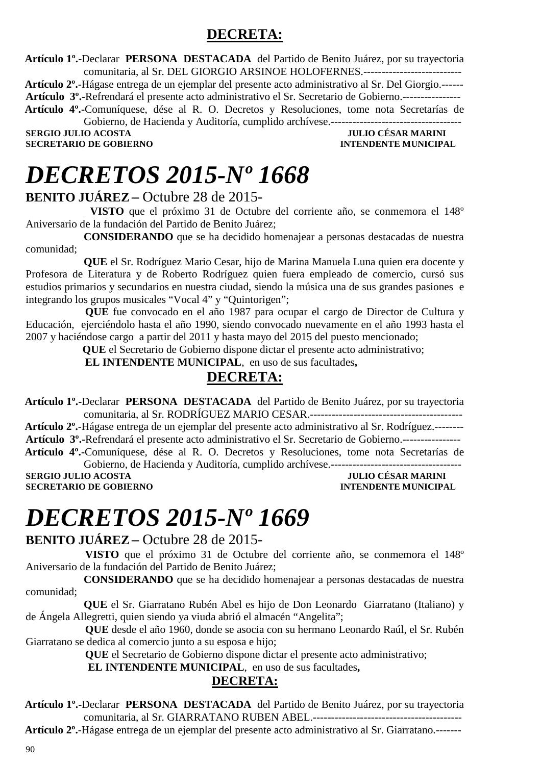### **DECRETA:**

 **Artículo 1º.-**Declarar **PERSONA DESTACADA** del Partido de Benito Juárez, por su trayectoria comunitaria, al Sr. DEL GIORGIO ARSINOE HOLOFERNES.---------------------------

 **Artículo 2º.**-Hágase entrega de un ejemplar del presente acto administrativo al Sr. Del Giorgio.------

**Artículo 3º.-**Refrendará el presente acto administrativo el Sr. Secretario de Gobierno.----------------

 **Artículo 4º.-**Comuníquese, dése al R. O. Decretos y Resoluciones, tome nota Secretarías de Gobierno, de Hacienda y Auditoría, cumplido archívese.------------------------------------

**SECRETARIO DE GOBIERNO** 

**SERGIO JULIO ACOSTA DE CONVERTS DE L'ALGENER DE L'ALGENER DE L'ALGENER DE L'ALGENER DE L'ALGENER DE L'ALGENER<br>1999 : L'ALGENER DE L'ALGENER DE L'ALGENER DE L'ALGENER DE L'ALGENER DE L'ALGENER DE L'ALGENER DE L'ALGENER DE<br>** 

## *DECRETOS 2015-Nº 1668*

#### **BENITO JUÁREZ –** Octubre 28 de 2015-

 **VISTO** que el próximo 31 de Octubre del corriente año, se conmemora el 148º Aniversario de la fundación del Partido de Benito Juárez;

 **CONSIDERANDO** que se ha decidido homenajear a personas destacadas de nuestra comunidad;

 **QUE** el Sr. Rodríguez Mario Cesar, hijo de Marina Manuela Luna quien era docente y Profesora de Literatura y de Roberto Rodríguez quien fuera empleado de comercio, cursó sus estudios primarios y secundarios en nuestra ciudad, siendo la música una de sus grandes pasiones e integrando los grupos musicales "Vocal 4" y "Quintorigen";

 **QUE** fue convocado en el año 1987 para ocupar el cargo de Director de Cultura y Educación, ejerciéndolo hasta el año 1990, siendo convocado nuevamente en el año 1993 hasta el 2007 y haciéndose cargo a partir del 2011 y hasta mayo del 2015 del puesto mencionado;

 **QUE** el Secretario de Gobierno dispone dictar el presente acto administrativo;

 **EL INTENDENTE MUNICIPAL**, en uso de sus facultades**,** 

### **DECRETA:**

 **Artículo 1º.-**Declarar **PERSONA DESTACADA** del Partido de Benito Juárez, por su trayectoria comunitaria, al Sr. RODRÍGUEZ MARIO CESAR.------------------------------------------

 **Artículo 2º.**-Hágase entrega de un ejemplar del presente acto administrativo al Sr. Rodríguez.-------- **Artículo 3º.-**Refrendará el presente acto administrativo el Sr. Secretario de Gobierno.----------------

 **Artículo 4º.-**Comuníquese, dése al R. O. Decretos y Resoluciones, tome nota Secretarías de Gobierno, de Hacienda y Auditoría, cumplido archívese.------------------------------------

**SECRETARIO DE GOBIERNO INTENDENTE MUNICIPAL** 

**JULIO CÉSAR MARINI** 

## *DECRETOS 2015-Nº 1669*

#### **BENITO JUÁREZ –** Octubre 28 de 2015-

 **VISTO** que el próximo 31 de Octubre del corriente año, se conmemora el 148º Aniversario de la fundación del Partido de Benito Juárez;

 **CONSIDERANDO** que se ha decidido homenajear a personas destacadas de nuestra comunidad;

 **QUE** el Sr. Giarratano Rubén Abel es hijo de Don Leonardo Giarratano (Italiano) y de Ángela Allegretti, quien siendo ya viuda abrió el almacén "Angelita";

 **QUE** desde el año 1960, donde se asocia con su hermano Leonardo Raúl, el Sr. Rubén Giarratano se dedica al comercio junto a su esposa e hijo;

 **QUE** el Secretario de Gobierno dispone dictar el presente acto administrativo;

 **EL INTENDENTE MUNICIPAL**, en uso de sus facultades**,** 

#### **DECRETA:**

 **Artículo 1º.-**Declarar **PERSONA DESTACADA** del Partido de Benito Juárez, por su trayectoria comunitaria, al Sr. GIARRATANO RUBEN ABEL.-----------------------------------------

 **Artículo 2º.**-Hágase entrega de un ejemplar del presente acto administrativo al Sr. Giarratano.-------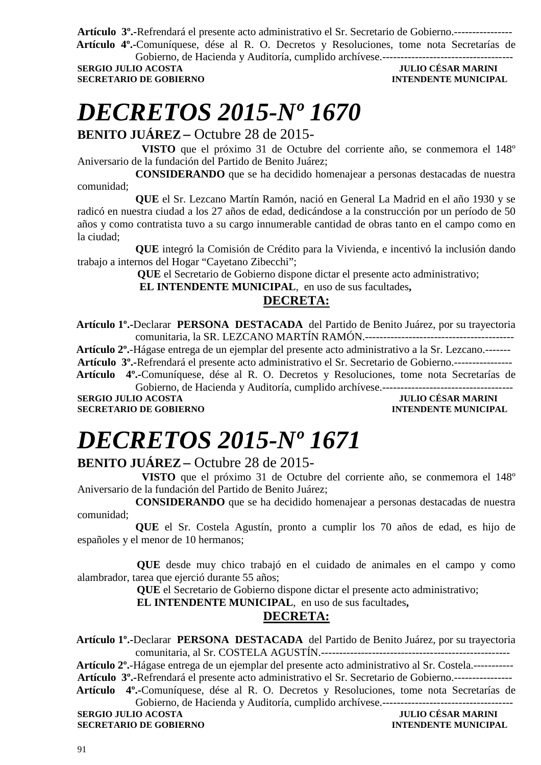**Artículo 3º.-**Refrendará el presente acto administrativo el Sr. Secretario de Gobierno.----------------  **Artículo 4º.-**Comuníquese, dése al R. O. Decretos y Resoluciones, tome nota Secretarías de

Gobierno, de Hacienda y Auditoría, cumplido archívese.------------------------------------ **SECRETARIO DE GOBIERNO INTENDENTE MUNICIPAL** 

### **JULIO CÉSAR MARINI**

# *DECRETOS 2015-Nº 1670*

**BENITO JUÁREZ –** Octubre 28 de 2015-

 **VISTO** que el próximo 31 de Octubre del corriente año, se conmemora el 148º Aniversario de la fundación del Partido de Benito Juárez;

 **CONSIDERANDO** que se ha decidido homenajear a personas destacadas de nuestra comunidad;

 **QUE** el Sr. Lezcano Martín Ramón, nació en General La Madrid en el año 1930 y se radicó en nuestra ciudad a los 27 años de edad, dedicándose a la construcción por un período de 50 años y como contratista tuvo a su cargo innumerable cantidad de obras tanto en el campo como en la ciudad;

 **QUE** integró la Comisión de Crédito para la Vivienda, e incentivó la inclusión dando trabajo a internos del Hogar "Cayetano Zibecchi";

**QUE** el Secretario de Gobierno dispone dictar el presente acto administrativo;

 **EL INTENDENTE MUNICIPAL**, en uso de sus facultades**,** 

#### **DECRETA:**

 **Artículo 1º.-**Declarar **PERSONA DESTACADA** del Partido de Benito Juárez, por su trayectoria comunitaria, la SR. LEZCANO MARTÍN RAMÓN.-----------------------------------------

 **Artículo 2º.**-Hágase entrega de un ejemplar del presente acto administrativo a la Sr. Lezcano.-------

**Artículo 3º.-**Refrendará el presente acto administrativo el Sr. Secretario de Gobierno.----------------

 **Artículo 4º.-**Comuníquese, dése al R. O. Decretos y Resoluciones, tome nota Secretarías de Gobierno, de Hacienda y Auditoría, cumplido archívese.-----

**SERGIO JULIO ACOSTA JULIO CÉSAR MARINI SECRETARIO DE GOBIERNO INTENDENTE MUNICIPAL** 

# *DECRETOS 2015-Nº 1671*

#### **BENITO JUÁREZ –** Octubre 28 de 2015-

 **VISTO** que el próximo 31 de Octubre del corriente año, se conmemora el 148º Aniversario de la fundación del Partido de Benito Juárez;

 **CONSIDERANDO** que se ha decidido homenajear a personas destacadas de nuestra comunidad;

 **QUE** el Sr. Costela Agustín, pronto a cumplir los 70 años de edad, es hijo de españoles y el menor de 10 hermanos;

 **QUE** desde muy chico trabajó en el cuidado de animales en el campo y como alambrador, tarea que ejerció durante 55 años;

 **QUE** el Secretario de Gobierno dispone dictar el presente acto administrativo;

 **EL INTENDENTE MUNICIPAL**, en uso de sus facultades**,** 

#### **DECRETA:**

 **Artículo 1º.-**Declarar **PERSONA DESTACADA** del Partido de Benito Juárez, por su trayectoria comunitaria, al Sr. COSTELA AGUSTÍN.----------------------------------------------------

 **Artículo 2º.**-Hágase entrega de un ejemplar del presente acto administrativo al Sr. Costela.-----------

**Artículo 3º.-**Refrendará el presente acto administrativo el Sr. Secretario de Gobierno.----------------

 **Artículo 4º.-**Comuníquese, dése al R. O. Decretos y Resoluciones, tome nota Secretarías de Gobierno, de Hacienda y Auditoría, cumplido archívese.------------------------------------

**SERGIO JULIO ACOSTA DE L'ALCENIER DE L'ALCENIER DE L'ALCENIER DE L'ALCENIER DE L'ALCENIER DE L'ALCENIER DE L'A<br>19 INTENDENTE MUNICIPAL DE GOBIERNO SECRETARIO DE GOBIERNO**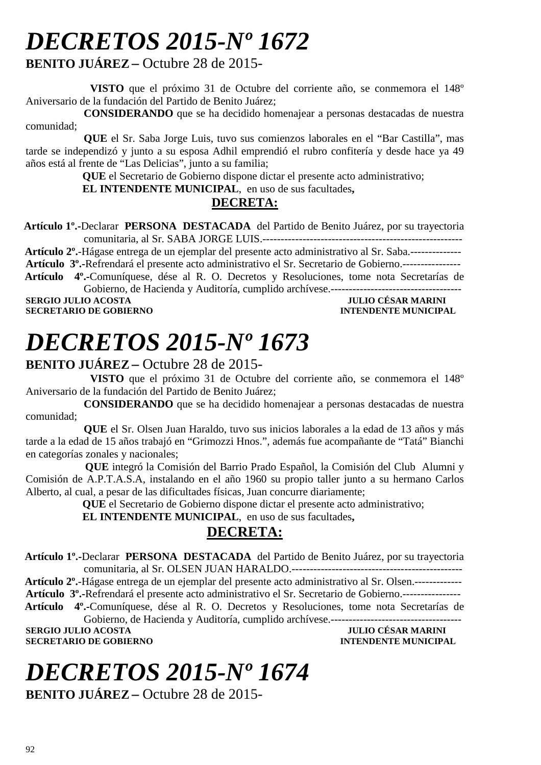# *DECRETOS 2015-Nº 1672*

#### **BENITO JUÁREZ –** Octubre 28 de 2015-

 **VISTO** que el próximo 31 de Octubre del corriente año, se conmemora el 148º Aniversario de la fundación del Partido de Benito Juárez;

 **CONSIDERANDO** que se ha decidido homenajear a personas destacadas de nuestra comunidad;

 **QUE** el Sr. Saba Jorge Luis, tuvo sus comienzos laborales en el "Bar Castilla", mas tarde se independizó y junto a su esposa Adhil emprendió el rubro confitería y desde hace ya 49 años está al frente de "Las Delicias", junto a su familia;

 **QUE** el Secretario de Gobierno dispone dictar el presente acto administrativo;

 **EL INTENDENTE MUNICIPAL**, en uso de sus facultades**,** 

#### **DECRETA:**

 **Artículo 1º.-**Declarar **PERSONA DESTACADA** del Partido de Benito Juárez, por su trayectoria comunitaria, al Sr. SABA JORGE LUIS.-------------------------------------------------------

 **Artículo 2º.**-Hágase entrega de un ejemplar del presente acto administrativo al Sr. Saba.--------------

**Artículo 3º.-**Refrendará el presente acto administrativo el Sr. Secretario de Gobierno.----------------

 **Artículo 4º.-**Comuníquese, dése al R. O. Decretos y Resoluciones, tome nota Secretarías de Gobierno, de Hacienda y Auditoría, cumplido archívese.------------------------------------

**SERGIO JULIO ACOSTA JULIO CÉSAR MARINI SECRETARIO DE GOBIERNO INTENDENTE MUNICIPAL** 

# *DECRETOS 2015-Nº 1673*

#### **BENITO JUÁREZ –** Octubre 28 de 2015-

 **VISTO** que el próximo 31 de Octubre del corriente año, se conmemora el 148º Aniversario de la fundación del Partido de Benito Juárez;

 **CONSIDERANDO** que se ha decidido homenajear a personas destacadas de nuestra comunidad;

 **QUE** el Sr. Olsen Juan Haraldo, tuvo sus inicios laborales a la edad de 13 años y más tarde a la edad de 15 años trabajó en "Grimozzi Hnos.", además fue acompañante de "Tatá" Bianchi en categorías zonales y nacionales;

 **QUE** integró la Comisión del Barrio Prado Español, la Comisión del Club Alumni y Comisión de A.P.T.A.S.A, instalando en el año 1960 su propio taller junto a su hermano Carlos Alberto, al cual, a pesar de las dificultades físicas, Juan concurre diariamente;

 **QUE** el Secretario de Gobierno dispone dictar el presente acto administrativo;

 **EL INTENDENTE MUNICIPAL**, en uso de sus facultades**,** 

#### **DECRETA:**

 **Artículo 1º.-**Declarar **PERSONA DESTACADA** del Partido de Benito Juárez, por su trayectoria comunitaria, al Sr. OLSEN JUAN HARALDO.-----------------------------------------------

 **Artículo 2º.**-Hágase entrega de un ejemplar del presente acto administrativo al Sr. Olsen.------------- **Artículo 3º.-**Refrendará el presente acto administrativo el Sr. Secretario de Gobierno.----------------  **Artículo 4º.-**Comuníquese, dése al R. O. Decretos y Resoluciones, tome nota Secretarías de

Gobierno, de Hacienda y Auditoría, cumplido archívese.------------------------------------ **SERGIO JULIO ACOSTA JULIO CÉSAR MARINI** 

### **SECRETARIO DE GOBIERNO**

# *DECRETOS 2015-Nº 1674*

**BENITO JUÁREZ –** Octubre 28 de 2015-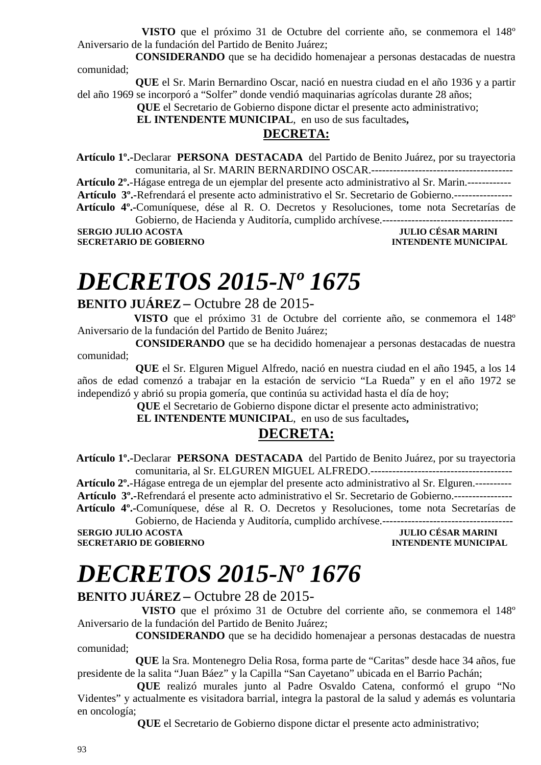**VISTO** que el próximo 31 de Octubre del corriente año, se conmemora el 148º Aniversario de la fundación del Partido de Benito Juárez;

 **CONSIDERANDO** que se ha decidido homenajear a personas destacadas de nuestra comunidad;

 **QUE** el Sr. Marin Bernardino Oscar, nació en nuestra ciudad en el año 1936 y a partir del año 1969 se incorporó a "Solfer" donde vendió maquinarias agrícolas durante 28 años;

**QUE** el Secretario de Gobierno dispone dictar el presente acto administrativo;

 **EL INTENDENTE MUNICIPAL**, en uso de sus facultades**,** 

#### **DECRETA:**

 **Artículo 1º.-**Declarar **PERSONA DESTACADA** del Partido de Benito Juárez, por su trayectoria comunitaria, al Sr. MARIN BERNARDINO OSCAR.---------------------------------------

 **Artículo 2º.**-Hágase entrega de un ejemplar del presente acto administrativo al Sr. Marin.------------ **Artículo 3º.-**Refrendará el presente acto administrativo el Sr. Secretario de Gobierno.----------------  **Artículo 4º.-**Comuníquese, dése al R. O. Decretos y Resoluciones, tome nota Secretarías de

Gobierno, de Hacienda y Auditoría, cumplido archívese.------------------------------------ **SERGIO JULIO ACOSTA JULIO CÉSAR MARINI SECRETARIO DE GOBIERNO INTENDENTE MUNICIPAL** 

# *DECRETOS 2015-Nº 1675*

#### **BENITO JUÁREZ –** Octubre 28 de 2015-

 **VISTO** que el próximo 31 de Octubre del corriente año, se conmemora el 148º Aniversario de la fundación del Partido de Benito Juárez;

 **CONSIDERANDO** que se ha decidido homenajear a personas destacadas de nuestra comunidad;

 **QUE** el Sr. Elguren Miguel Alfredo, nació en nuestra ciudad en el año 1945, a los 14 años de edad comenzó a trabajar en la estación de servicio "La Rueda" y en el año 1972 se independizó y abrió su propia gomería, que continúa su actividad hasta el día de hoy;

**QUE** el Secretario de Gobierno dispone dictar el presente acto administrativo;

 **EL INTENDENTE MUNICIPAL**, en uso de sus facultades**,** 

#### **DECRETA:**

 **Artículo 1º.-**Declarar **PERSONA DESTACADA** del Partido de Benito Juárez, por su trayectoria comunitaria, al Sr. ELGUREN MIGUEL ALFREDO.---------------------------------------

 **Artículo 2º.**-Hágase entrega de un ejemplar del presente acto administrativo al Sr. Elguren.---------- **Artículo 3º.-**Refrendará el presente acto administrativo el Sr. Secretario de Gobierno.----------------  **Artículo 4º.-**Comuníquese, dése al R. O. Decretos y Resoluciones, tome nota Secretarías de

Gobierno, de Hacienda y Auditoría, cumplido archívese.------------------------------------ **SERGIO JULIO ACOSTA JULIO CÉSAR MARINI SECRETARIO DE GOBIERNO INTENDENTE MUNICIPAL** 

# *DECRETOS 2015-Nº 1676*

#### **BENITO JUÁREZ –** Octubre 28 de 2015-

 **VISTO** que el próximo 31 de Octubre del corriente año, se conmemora el 148º Aniversario de la fundación del Partido de Benito Juárez;

 **CONSIDERANDO** que se ha decidido homenajear a personas destacadas de nuestra comunidad;

 **QUE** la Sra. Montenegro Delia Rosa, forma parte de "Caritas" desde hace 34 años, fue presidente de la salita "Juan Báez" y la Capilla "San Cayetano" ubicada en el Barrio Pachán;

 **QUE** realizó murales junto al Padre Osvaldo Catena, conformó el grupo "No Videntes" y actualmente es visitadora barrial, integra la pastoral de la salud y además es voluntaria en oncología;

**QUE** el Secretario de Gobierno dispone dictar el presente acto administrativo;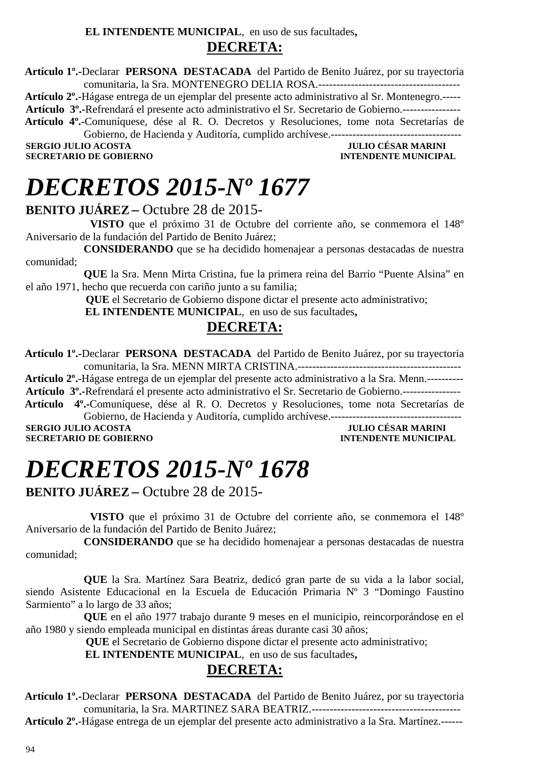#### **EL INTENDENTE MUNICIPAL**, en uso de sus facultades**, DECRETA:**

 **Artículo 1º.-**Declarar **PERSONA DESTACADA** del Partido de Benito Juárez, por su trayectoria comunitaria, la Sra. MONTENEGRO DELIA ROSA.---------------------------------------

 **Artículo 2º.**-Hágase entrega de un ejemplar del presente acto administrativo al Sr. Montenegro.-----

**Artículo 3º.-**Refrendará el presente acto administrativo el Sr. Secretario de Gobierno.----------------

 **Artículo 4º.-**Comuníquese, dése al R. O. Decretos y Resoluciones, tome nota Secretarías de

Gobierno, de Hacienda y Auditoría, cumplido archívese.------------------------------------ **SERGIO JULIO ACOSTA JULIO ACOSTA JULIO CÉSAR MARINI** 

**SECRETARIO DE GOBIERNO INTENDENTE MUNICIPAL** 

## *DECRETOS 2015-Nº 1677*

#### **BENITO JUÁREZ –** Octubre 28 de 2015-

 **VISTO** que el próximo 31 de Octubre del corriente año, se conmemora el 148º Aniversario de la fundación del Partido de Benito Juárez;

 **CONSIDERANDO** que se ha decidido homenajear a personas destacadas de nuestra comunidad;

 **QUE** la Sra. Menn Mirta Cristina, fue la primera reina del Barrio "Puente Alsina" en el año 1971, hecho que recuerda con cariño junto a su familia;

**QUE** el Secretario de Gobierno dispone dictar el presente acto administrativo;

 **EL INTENDENTE MUNICIPAL**, en uso de sus facultades**,** 

#### **DECRETA:**

 **Artículo 1º.-**Declarar **PERSONA DESTACADA** del Partido de Benito Juárez, por su trayectoria comunitaria, la Sra. MENN MIRTA CRISTINA.---------------------------------------------

 **Artículo 2º.**-Hágase entrega de un ejemplar del presente acto administrativo a la Sra. Menn.----------

**Artículo 3º.-**Refrendará el presente acto administrativo el Sr. Secretario de Gobierno.----------------

 **Artículo 4º.-**Comuníquese, dése al R. O. Decretos y Resoluciones, tome nota Secretarías de Gobierno, de Hacienda y Auditoría, cumplido archívese.------------------------------------

**SERGIO JULIO ACOSTA JULIO CÉSAR MARINI SECRETARIO DE GOBIERNO** 

# *DECRETOS 2015-Nº 1678*

**BENITO JUÁREZ –** Octubre 28 de 2015-

 **VISTO** que el próximo 31 de Octubre del corriente año, se conmemora el 148º Aniversario de la fundación del Partido de Benito Juárez;

 **CONSIDERANDO** que se ha decidido homenajear a personas destacadas de nuestra comunidad;

 **QUE** la Sra. Martínez Sara Beatriz, dedicó gran parte de su vida a la labor social, siendo Asistente Educacional en la Escuela de Educación Primaria Nº 3 "Domingo Faustino Sarmiento" a lo largo de 33 años;

 **QUE** en el año 1977 trabajo durante 9 meses en el municipio, reincorporándose en el año 1980 y siendo empleada municipal en distintas áreas durante casi 30 años;

**QUE** el Secretario de Gobierno dispone dictar el presente acto administrativo;

 **EL INTENDENTE MUNICIPAL**, en uso de sus facultades**,** 

#### **DECRETA:**

 **Artículo 1º.-**Declarar **PERSONA DESTACADA** del Partido de Benito Juárez, por su trayectoria comunitaria, la Sra. MARTINEZ SARA BEATRIZ.-----------------------------------------

 **Artículo 2º.**-Hágase entrega de un ejemplar del presente acto administrativo a la Sra. Martínez.------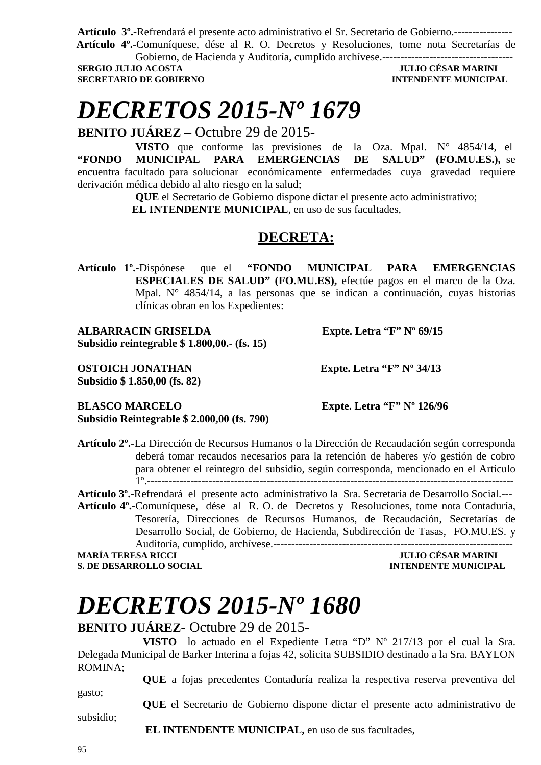**Artículo 3º.-**Refrendará el presente acto administrativo el Sr. Secretario de Gobierno.----------------  **Artículo 4º.-**Comuníquese, dése al R. O. Decretos y Resoluciones, tome nota Secretarías de

Gobierno, de Hacienda y Auditoría, cumplido archívese.------------------------------------ **SECRETARIO DE GOBIERNO INTENDENTE MUNICIPAL** 

**JULIO CÉSAR MARINI** 

## *DECRETOS 2015-Nº 1679*

**BENITO JUÁREZ –** Octubre 29 de 2015-

**VISTO** que conforme las previsiones de la Oza. Mpal. N° 4854/14, el **"FONDO MUNICIPAL PARA EMERGENCIAS DE SALUD" (FO.MU.ES.),** se encuentra facultado para solucionar económicamente enfermedades cuya gravedad requiere derivación médica debido al alto riesgo en la salud;

**QUE** el Secretario de Gobierno dispone dictar el presente acto administrativo;

 **EL INTENDENTE MUNICIPAL**, en uso de sus facultades,

### **DECRETA:**

**Artículo 1º.-**Dispónese que el **"FONDO MUNICIPAL PARA EMERGENCIAS ESPECIALES DE SALUD" (FO.MU.ES),** efectúe pagos en el marco de la Oza. Mpal. N° 4854/14, a las personas que se indican a continuación, cuyas historias clínicas obran en los Expedientes:

**ALBARRACIN GRISELDA Expte. Letra "F" Nº 69/15 Subsidio reintegrable \$ 1.800,00.- (fs. 15)** 

**OSTOICH JONATHAN** Expte. Letra "F" Nº 34/13 **Subsidio \$ 1.850,00 (fs. 82)** 

**BLASCO MARCELO Expte. Letra "F" Nº 126/96 Subsidio Reintegrable \$ 2.000,00 (fs. 790)** 

**Artículo 2º.-**La Dirección de Recursos Humanos o la Dirección de Recaudación según corresponda deberá tomar recaudos necesarios para la retención de haberes y/o gestión de cobro para obtener el reintegro del subsidio, según corresponda, mencionado en el Articulo 1º.-----------------------------------------------------------------------------------------------------

**Artículo 3º.-**Refrendará el presente acto administrativo la Sra. Secretaria de Desarrollo Social.---

**Artículo 4º.-**Comuníquese, dése al R. O. de Decretos y Resoluciones, tome nota Contaduría, Tesorería, Direcciones de Recursos Humanos, de Recaudación, Secretarías de Desarrollo Social, de Gobierno, de Hacienda, Subdirección de Tasas, FO.MU.ES. y Auditoría, cumplido, archívese.------------------------------------------------------------------

#### **MARÍA TERESA RICCI JULIO CÉSAR MARINI INTENDENTE MUNICIPAL**

# *DECRETOS 2015-Nº 1680*

#### **BENITO JUÁREZ-** Octubre 29 de 2015**-**

**VISTO** lo actuado en el Expediente Letra "D" Nº 217/13 por el cual la Sra. Delegada Municipal de Barker Interina a fojas 42, solicita SUBSIDIO destinado a la Sra. BAYLON ROMINA;

**QUE** a fojas precedentes Contaduría realiza la respectiva reserva preventiva del gasto;

**QUE** el Secretario de Gobierno dispone dictar el presente acto administrativo de

 **EL INTENDENTE MUNICIPAL,** en uso de sus facultades,

subsidio;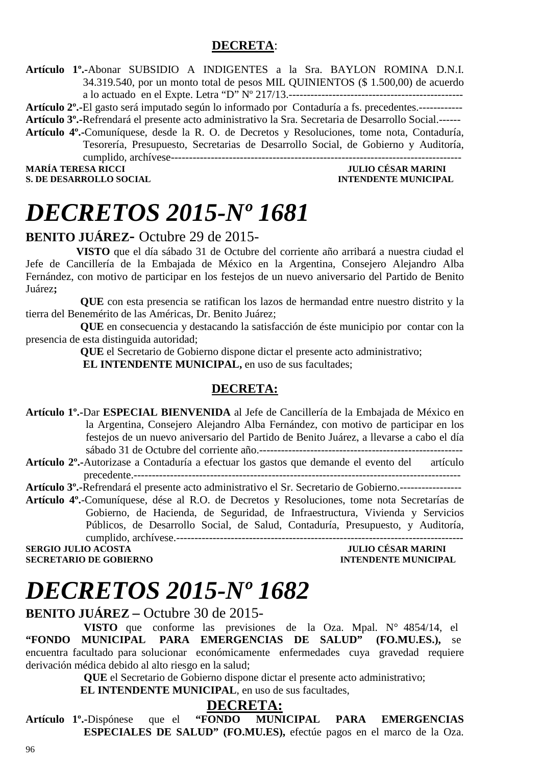#### **DECRETA**:

**Artículo 1º.-**Abonar SUBSIDIO A INDIGENTES a la Sra. BAYLON ROMINA D.N.I. 34.319.540, por un monto total de pesos MIL QUINIENTOS (\$ 1.500,00) de acuerdo a lo actuado en el Expte. Letra "D" Nº 217/13.------------------------------------------------

**Artículo 2º.-**El gasto será imputado según lo informado por Contaduría a fs. precedentes.------------

**Artículo 3º.-**Refrendará el presente acto administrativo la Sra. Secretaria de Desarrollo Social.------

**Artículo 4º.-**Comuníquese, desde la R. O. de Decretos y Resoluciones, tome nota, Contaduría, Tesorería, Presupuesto, Secretarias de Desarrollo Social, de Gobierno y Auditoría, cumplido, archívese-------------------------------------------------------------------------------- **MARÍA TERESA RICCI JULIO CÉSAR MARINI** 

**S. DE DESARROLLO SOCIAL CONSUMING A LOCAL CONSUMING A LOCAL CONSUMING A LOCAL CONSUMING A LOCAL CONSUMING A LOCAL CONSUMING A LOCAL CONSUMING A LOCAL CONSUMING A LOCAL CONSUMING A LOCAL CONSUMING A LOCAL CONSUMING A LOCAL** 

### *DECRETOS 2015-Nº 1681*

#### **BENITO JUÁREZ-** Octubre 29 de 2015-

 **VISTO** que el día sábado 31 de Octubre del corriente año arribará a nuestra ciudad el Jefe de Cancillería de la Embajada de México en la Argentina, Consejero Alejandro Alba Fernández, con motivo de participar en los festejos de un nuevo aniversario del Partido de Benito Juárez**;** 

 **QUE** con esta presencia se ratifican los lazos de hermandad entre nuestro distrito y la tierra del Benemérito de las Américas, Dr. Benito Juárez;

 **QUE** en consecuencia y destacando la satisfacción de éste municipio por contar con la presencia de esta distinguida autoridad;

 **QUE** el Secretario de Gobierno dispone dictar el presente acto administrativo;

**EL INTENDENTE MUNICIPAL, en uso de sus facultades;** 

#### **DECRETA:**

- **Artículo 1º.-**Dar **ESPECIAL BIENVENIDA** al Jefe de Cancillería de la Embajada de México en la Argentina, Consejero Alejandro Alba Fernández, con motivo de participar en los festejos de un nuevo aniversario del Partido de Benito Juárez, a llevarse a cabo el día sábado 31 de Octubre del corriente año.--------------------------------------------------------
- **Artículo 2º.-**Autorizase a Contaduría a efectuar los gastos que demande el evento del artículo precedente.------------------------------------------------------------------------------------------

**Artículo 3º.-**Refrendará el presente acto administrativo el Sr. Secretario de Gobierno.-----------------

**Artículo 4º.**-Comuníquese, dése al R.O. de Decretos y Resoluciones, tome nota Secretarías de Gobierno, de Hacienda, de Seguridad, de Infraestructura, Vivienda y Servicios Públicos, de Desarrollo Social, de Salud, Contaduría, Presupuesto, y Auditoría, cumplido, archívese.-------------------------------------------------------------------------------

**SERGIO JULIO ACOSTA SECRETARIO DE GOBIERNO INTENDENTE MUNICIPAL** 

### *DECRETOS 2015-Nº 1682*

#### **BENITO JUÁREZ –** Octubre 30 de 2015-

**VISTO** que conforme las previsiones de la Oza. Mpal. N° 4854/14, el **"FONDO MUNICIPAL PARA EMERGENCIAS DE SALUD" (FO.MU.ES.),** se encuentra facultado para solucionar económicamente enfermedades cuya gravedad requiere derivación médica debido al alto riesgo en la salud;

**QUE** el Secretario de Gobierno dispone dictar el presente acto administrativo;

 **EL INTENDENTE MUNICIPAL**, en uso de sus facultades,

#### **DECRETA:**

**Artículo 1º.-**Dispónese que el **"FONDO MUNICIPAL PARA EMERGENCIAS ESPECIALES DE SALUD" (FO.MU.ES),** efectúe pagos en el marco de la Oza.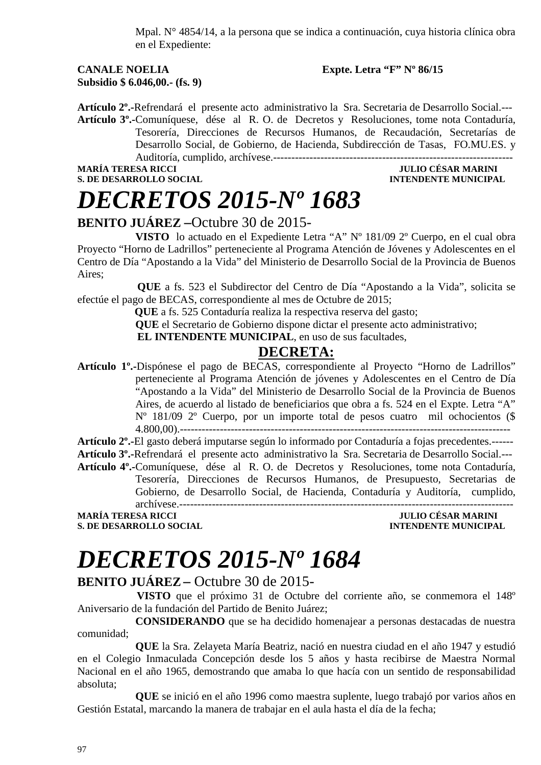Mpal. N° 4854/14, a la persona que se indica a continuación, cuya historia clínica obra en el Expediente:

#### **CANALE NOELIA Expte. Letra "F" Nº 86/15 Subsidio \$ 6.046,00.- (fs. 9)**

**Artículo 2º.-**Refrendará el presente acto administrativo la Sra. Secretaria de Desarrollo Social.--- **Artículo 3º.-**Comuníquese, dése al R. O. de Decretos y Resoluciones, tome nota Contaduría, Tesorería, Direcciones de Recursos Humanos, de Recaudación, Secretarías de Desarrollo Social, de Gobierno, de Hacienda, Subdirección de Tasas, FO.MU.ES. y Auditoría, cumplido, archívese.------------------------------------------------------------------

**S. DE DESARROLLO SOCIAL CONSUMING A LOCAL CONSUMING A LOCAL CONSUMING A LOCAL CONSUMING A LOCAL CONSUMING A LOCAL CONSUMING A LOCAL CONSUMING A LOCAL CONSUMING A LOCAL CONSUMING A LOCAL CONSUMING A LOCAL CONSUMING A LOCAL** 

**MARÍA TERESA RICCI JULIO CÉSAR MARINI** 

## *DECRETOS 2015-Nº 1683*

#### **BENITO JUÁREZ –**Octubre 30 de 2015-

**VISTO** lo actuado en el Expediente Letra "A" Nº 181/09 2º Cuerpo, en el cual obra Proyecto "Horno de Ladrillos" perteneciente al Programa Atención de Jóvenes y Adolescentes en el Centro de Día "Apostando a la Vida" del Ministerio de Desarrollo Social de la Provincia de Buenos Aires;

 **QUE** a fs. 523 el Subdirector del Centro de Día "Apostando a la Vida", solicita se efectúe el pago de BECAS, correspondiente al mes de Octubre de 2015;

 **QUE** a fs. 525 Contaduría realiza la respectiva reserva del gasto;

**QUE** el Secretario de Gobierno dispone dictar el presente acto administrativo;

**EL INTENDENTE MUNICIPAL**, en uso de sus facultades,

#### **DECRETA:**

**Artículo 1º.-**Dispónese el pago de BECAS, correspondiente al Proyecto "Horno de Ladrillos" perteneciente al Programa Atención de jóvenes y Adolescentes en el Centro de Día "Apostando a la Vida" del Ministerio de Desarrollo Social de la Provincia de Buenos Aires, de acuerdo al listado de beneficiarios que obra a fs. 524 en el Expte. Letra "A" Nº 181/09 2º Cuerpo, por un importe total de pesos cuatro mil ochocientos (\$ 4.800,00).-------------------------------------------------------------------------------------------

**Artículo 2º.-**El gasto deberá imputarse según lo informado por Contaduría a fojas precedentes.------ **Artículo 3º.-**Refrendará el presente acto administrativo la Sra. Secretaria de Desarrollo Social.---

**Artículo 4º.-**Comuníquese, dése al R. O. de Decretos y Resoluciones, tome nota Contaduría, Tesorería, Direcciones de Recursos Humanos, de Presupuesto, Secretarias de Gobierno, de Desarrollo Social, de Hacienda, Contaduría y Auditoría, cumplido,

archívese.--------------------------------------------------------------------------------------------

**S. DE DESARROLLO SOCIAL CONSUMING A LOCAL CONSUMING A LOCAL CONSUMING A LOCAL CONSUMING A LOCAL CONSUMING A LOCAL CONSUMING A LOCAL CONSUMING A LOCAL CONSUMING A LOCAL CONSUMING A LOCAL CONSUMING A LOCAL CONSUMING A LOCAL** 

**MULIO CÉSAR MARINI** 

# *DECRETOS 2015-Nº 1684*

#### **BENITO JUÁREZ –** Octubre 30 de 2015-

 **VISTO** que el próximo 31 de Octubre del corriente año, se conmemora el 148º Aniversario de la fundación del Partido de Benito Juárez;

 **CONSIDERANDO** que se ha decidido homenajear a personas destacadas de nuestra comunidad;

 **QUE** la Sra. Zelayeta María Beatriz, nació en nuestra ciudad en el año 1947 y estudió en el Colegio Inmaculada Concepción desde los 5 años y hasta recibirse de Maestra Normal Nacional en el año 1965, demostrando que amaba lo que hacía con un sentido de responsabilidad absoluta;

 **QUE** se inició en el año 1996 como maestra suplente, luego trabajó por varios años en Gestión Estatal, marcando la manera de trabajar en el aula hasta el día de la fecha;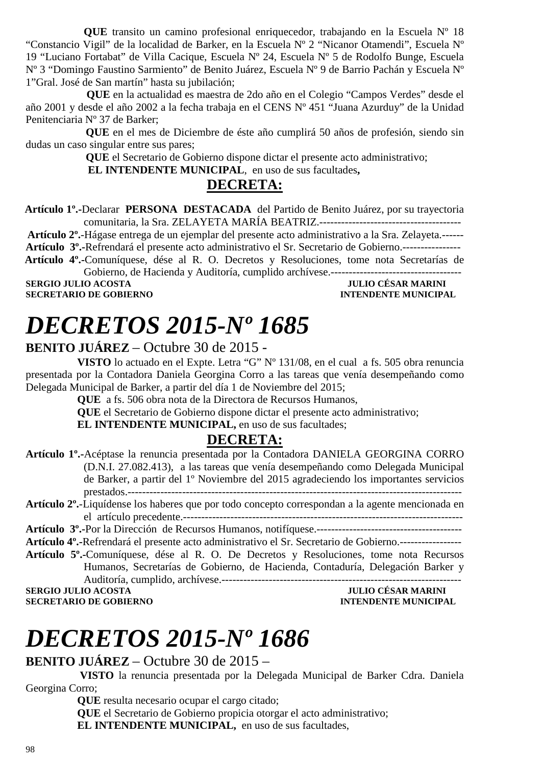**QUE** transito un camino profesional enriquecedor, trabajando en la Escuela Nº 18 "Constancio Vigil" de la localidad de Barker, en la Escuela Nº 2 "Nicanor Otamendi", Escuela Nº 19 "Luciano Fortabat" de Villa Cacique, Escuela Nº 24, Escuela Nº 5 de Rodolfo Bunge, Escuela Nº 3 "Domingo Faustino Sarmiento" de Benito Juárez, Escuela Nº 9 de Barrio Pachán y Escuela Nº 1"Gral. José de San martín" hasta su jubilación;

 **QUE** en la actualidad es maestra de 2do año en el Colegio "Campos Verdes" desde el año 2001 y desde el año 2002 a la fecha trabaja en el CENS Nº 451 "Juana Azurduy" de la Unidad Penitenciaria Nº 37 de Barker;

 **QUE** en el mes de Diciembre de éste año cumplirá 50 años de profesión, siendo sin dudas un caso singular entre sus pares;

**QUE** el Secretario de Gobierno dispone dictar el presente acto administrativo;

 **EL INTENDENTE MUNICIPAL**, en uso de sus facultades**,** 

#### **DECRETA:**

 **Artículo 1º.-**Declarar **PERSONA DESTACADA** del Partido de Benito Juárez, por su trayectoria comunitaria, la Sra. ZELAYETA MARÍA BEATRIZ.---------------------------------------

 **Artículo 2º.**-Hágase entrega de un ejemplar del presente acto administrativo a la Sra. Zelayeta.------

**Artículo 3º.-**Refrendará el presente acto administrativo el Sr. Secretario de Gobierno.----------------

 **Artículo 4º.-**Comuníquese, dése al R. O. Decretos y Resoluciones, tome nota Secretarías de Gobierno, de Hacienda y Auditoría, cumplido archívese.------------------------------------

**SERGIO JULIO ACOSTA DE CONVERTS DE CONVERTS DE CONVERTS DE CONVERTS DE CONVERTS DE CONVERTS DE CONVERTS DE CO<br>
SECRETARIO DE GOBIERNO DE CONVERTS DE CONVERTS DE CONVERTS DE CONVERTS DE CONVERTS DE CONVERTS DE CONVERTS DE SECRETARIO DE GOBIERNO** 

## *DECRETOS 2015-Nº 1685*

#### **BENITO JUÁREZ** – Octubre 30 de 2015 -

**VISTO** lo actuado en el Expte. Letra "G" Nº 131/08, en el cual a fs. 505 obra renuncia presentada por la Contadora Daniela Georgina Corro a las tareas que venía desempeñando como Delegada Municipal de Barker, a partir del día 1 de Noviembre del 2015;

**QUE** a fs. 506 obra nota de la Directora de Recursos Humanos,

**QUE** el Secretario de Gobierno dispone dictar el presente acto administrativo;

**EL INTENDENTE MUNICIPAL,** en uso de sus facultades;

#### **DECRETA:**

- **Artículo 1º.-**Acéptase la renuncia presentada por la Contadora DANIELA GEORGINA CORRO (D.N.I. 27.082.413), a las tareas que venía desempeñando como Delegada Municipal de Barker, a partir del 1º Noviembre del 2015 agradeciendo los importantes servicios prestados.--------------------------------------------------------------------------------------------
- **Artículo 2º.**-Liquídense los haberes que por todo concepto correspondan a la agente mencionada en el artículo precedente.-----------------------------------------------------------------------------

**Artículo 3º.-**Por la Dirección de Recursos Humanos, notifíquese.----------------------------------------

**Artículo 4º.-**Refrendará el presente acto administrativo el Sr. Secretario de Gobierno.-----------------

**Artículo 5º.-**Comuníquese, dése al R. O. De Decretos y Resoluciones, tome nota Recursos Humanos, Secretarías de Gobierno, de Hacienda, Contaduría, Delegación Barker y Auditoría, cumplido, archívese.------------------------------------------------------------------

**SERGIO JULIO ACOSTA JULIO CÉSAR MARINI SECRETARIO DE GOBIERNO DE SOBLEMA DE MENORE DE LO SECRETARIO DE GOBIERNO SECRETARIO DE GOBIERNO** 

# *DECRETOS 2015-Nº 1686*

#### **BENITO JUÁREZ** – Octubre 30 de 2015 –

 **VISTO** la renuncia presentada por la Delegada Municipal de Barker Cdra. Daniela Georgina Corro;

**QUE** resulta necesario ocupar el cargo citado;

**QUE** el Secretario de Gobierno propicia otorgar el acto administrativo;

**EL INTENDENTE MUNICIPAL,** en uso de sus facultades,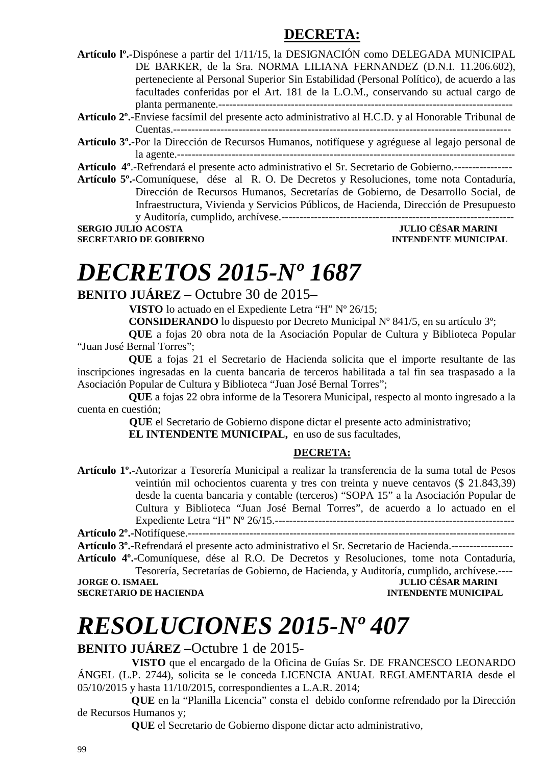### **DECRETA:**

| Artículo lº.-Dispónese a partir del 1/11/15, la DESIGNACIÓN como DELEGADA MUNICIPAL |                                                                                          |  |  |
|-------------------------------------------------------------------------------------|------------------------------------------------------------------------------------------|--|--|
|                                                                                     | DE BARKER, de la Sra. NORMA LILIANA FERNANDEZ (D.N.I. 11.206.602),                       |  |  |
|                                                                                     | perteneciente al Personal Superior Sin Estabilidad (Personal Político), de acuerdo a las |  |  |
|                                                                                     | facultades conferidas por el Art. 181 de la L.O.M., conservando su actual cargo de       |  |  |
|                                                                                     |                                                                                          |  |  |

**Artículo 2º.**-Envíese facsímil del presente acto administrativo al H.C.D. y al Honorable Tribunal de Cuentas.---------------------------------------------------------------------------------------------

**Artículo 3º.-**Por la Dirección de Recursos Humanos, notifíquese y agréguese al legajo personal de la agente.---------------------------------------------------------------------------------------------

**Artículo 4º**.-Refrendará el presente acto administrativo el Sr. Secretario de Gobierno.----------------

**Artículo 5º.-**Comuníquese, dése al R. O. De Decretos y Resoluciones, tome nota Contaduría, Dirección de Recursos Humanos, Secretarías de Gobierno, de Desarrollo Social, de Infraestructura, Vivienda y Servicios Públicos, de Hacienda, Dirección de Presupuesto y Auditoría, cumplido, archívese.----------------------------------------------------------------

**SERGIO JULIO ACOSTA** 

**SECRETARIO DE GOBIERNO INTENDENTE MUNICIPAL** 

# *DECRETOS 2015-Nº 1687*

#### **BENITO JUÁREZ** – Octubre 30 de 2015–

 **VISTO** lo actuado en el Expediente Letra "H" Nº 26/15;

**CONSIDERANDO** lo dispuesto por Decreto Municipal Nº 841/5, en su artículo 3º;

 **QUE** a fojas 20 obra nota de la Asociación Popular de Cultura y Biblioteca Popular "Juan José Bernal Torres";

 **QUE** a fojas 21 el Secretario de Hacienda solicita que el importe resultante de las inscripciones ingresadas en la cuenta bancaria de terceros habilitada a tal fin sea traspasado a la Asociación Popular de Cultura y Biblioteca "Juan José Bernal Torres";

 **QUE** a fojas 22 obra informe de la Tesorera Municipal, respecto al monto ingresado a la cuenta en cuestión;

 **QUE** el Secretario de Gobierno dispone dictar el presente acto administrativo;

**EL INTENDENTE MUNICIPAL,** en uso de sus facultades,

#### **DECRETA:**

**Artículo 1º.-**Autorizar a Tesorería Municipal a realizar la transferencia de la suma total de Pesos veintiún mil ochocientos cuarenta y tres con treinta y nueve centavos (\$ 21.843,39) desde la cuenta bancaria y contable (terceros) "SOPA 15" a la Asociación Popular de Cultura y Biblioteca "Juan José Bernal Torres", de acuerdo a lo actuado en el Expediente Letra "H" Nº 26/15.------------------------------------------------------------------

**Artículo 2º.-**Notifíquese.------------------------------------------------------------------------------------------ **Artículo 3º.-**Refrendará el presente acto administrativo el Sr. Secretario de Hacienda.----------------- **Artículo 4º.-**Comuníquese, dése al R.O. De Decretos y Resoluciones, tome nota Contaduría,

Tesorería, Secretarías de Gobierno, de Hacienda, y Auditoría, cumplido, archívese.---- **JULIO CÉSAR MARINI<br>INTENDENTE MUNICIPAL SECRETARIO DE HACIENDA** 

# *RESOLUCIONES 2015-Nº 407*

**BENITO JUÁREZ** –Octubre 1 de 2015-

 **VISTO** que el encargado de la Oficina de Guías Sr. DE FRANCESCO LEONARDO ÁNGEL (L.P. 2744), solicita se le conceda LICENCIA ANUAL REGLAMENTARIA desde el 05/10/2015 y hasta 11/10/2015, correspondientes a L.A.R. 2014;

 **QUE** en la "Planilla Licencia" consta el debido conforme refrendado por la Dirección de Recursos Humanos y;

 **QUE** el Secretario de Gobierno dispone dictar acto administrativo,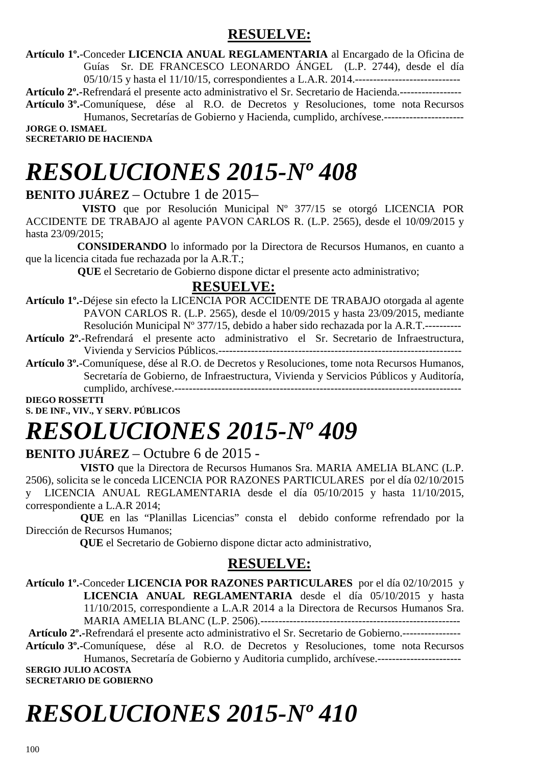### **RESUELVE:**

**Artículo 1º.**-Conceder **LICENCIA ANUAL REGLAMENTARIA** al Encargado de la Oficina de Guías Sr. DE FRANCESCO LEONARDO ÁNGEL (L.P. 2744), desde el día 05/10/15 y hasta el 11/10/15, correspondientes a L.A.R. 2014.-----------------------------

**Artículo 2º.-**Refrendará el presente acto administrativo el Sr. Secretario de Hacienda.-----------------

**Artículo 3º.-**Comuníquese, dése al R.O. de Decretos y Resoluciones, tome nota Recursos Humanos, Secretarías de Gobierno y Hacienda, cumplido, archívese.---------------------- **JORGE O. ISMAEL** 

**SECRETARIO DE HACIENDA** 

# *RESOLUCIONES 2015-Nº 408*

#### **BENITO JUÁREZ** – Octubre 1 de 2015–

 **VISTO** que por Resolución Municipal Nº 377/15 se otorgó LICENCIA POR ACCIDENTE DE TRABAJO al agente PAVON CARLOS R. (L.P. 2565), desde el 10/09/2015 y hasta 23/09/2015;

 **CONSIDERANDO** lo informado por la Directora de Recursos Humanos, en cuanto a que la licencia citada fue rechazada por la A.R.T.;

 **QUE** el Secretario de Gobierno dispone dictar el presente acto administrativo;

#### **RESUELVE:**

**Artículo 1º.**-Déjese sin efecto la LICENCIA POR ACCIDENTE DE TRABAJO otorgada al agente PAVON CARLOS R. (L.P. 2565), desde el 10/09/2015 y hasta 23/09/2015, mediante Resolución Municipal Nº 377/15, debido a haber sido rechazada por la A.R.T.----------

- **Artículo 2º.**-Refrendará el presente acto administrativo el Sr. Secretario de Infraestructura, Vivienda y Servicios Públicos.-------------------------------------------------------------------
- **Artículo 3º.**-Comuníquese, dése al R.O. de Decretos y Resoluciones, tome nota Recursos Humanos, Secretaría de Gobierno, de Infraestructura, Vivienda y Servicios Públicos y Auditoría, cumplido, archívese.-------------------------------------------------------------------------------

**DIEGO ROSSETTI** 

**S. DE INF., VIV., Y SERV. PÚBLICOS** 

# *RESOLUCIONES 2015-Nº 409*

#### **BENITO JUÁREZ** – Octubre 6 de 2015 -

 **VISTO** que la Directora de Recursos Humanos Sra. MARIA AMELIA BLANC (L.P. 2506), solicita se le conceda LICENCIA POR RAZONES PARTICULARES por el día 02/10/2015 y LICENCIA ANUAL REGLAMENTARIA desde el día 05/10/2015 y hasta 11/10/2015, correspondiente a L.A.R 2014;

**QUE** en las "Planillas Licencias" consta el debido conforme refrendado por la Dirección de Recursos Humanos;

 **QUE** el Secretario de Gobierno dispone dictar acto administrativo,

#### **RESUELVE:**

**Artículo 1º.**-Conceder **LICENCIA POR RAZONES PARTICULARES** por el día 02/10/2015 y **LICENCIA ANUAL REGLAMENTARIA** desde el día 05/10/2015 y hasta 11/10/2015, correspondiente a L.A.R 2014 a la Directora de Recursos Humanos Sra. MARIA AMELIA BLANC (L.P. 2506).-------------------------------------------------------

**Artículo 2º.-**Refrendará el presente acto administrativo el Sr. Secretario de Gobierno.---------------- **Artículo 3º.-**Comuníquese, dése al R.O. de Decretos y Resoluciones, tome nota Recursos Humanos, Secretaría de Gobierno y Auditoria cumplido, archívese.-----------------------

**SERGIO JULIO ACOSTA SECRETARIO DE GOBIERNO** 

# *RESOLUCIONES 2015-Nº 410*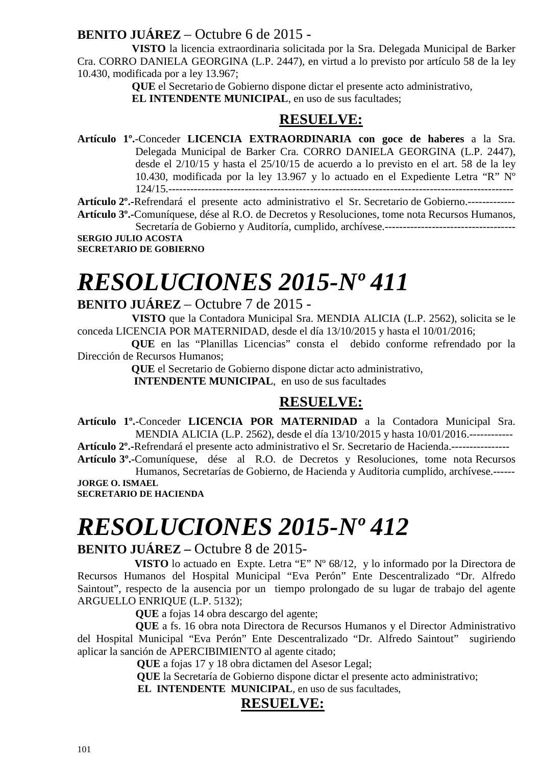#### **BENITO JUÁREZ** – Octubre 6 de 2015 -

 **VISTO** la licencia extraordinaria solicitada por la Sra. Delegada Municipal de Barker Cra. CORRO DANIELA GEORGINA (L.P. 2447), en virtud a lo previsto por artículo 58 de la ley 10.430, modificada por a ley 13.967;

 **QUE** el Secretario de Gobierno dispone dictar el presente acto administrativo,

 **EL INTENDENTE MUNICIPAL**, en uso de sus facultades;

#### **RESUELVE:**

**Artículo 1º.**-Conceder **LICENCIA EXTRAORDINARIA con goce de haberes** a la Sra. Delegada Municipal de Barker Cra. CORRO DANIELA GEORGINA (L.P. 2447), desde el 2/10/15 y hasta el 25/10/15 de acuerdo a lo previsto en el art. 58 de la ley 10.430, modificada por la ley 13.967 y lo actuado en el Expediente Letra "R" Nº 124/15.-----------------------------------------------------------------------------------------------

**Artículo 2º.-**Refrendará el presente acto administrativo el Sr. Secretario de Gobierno.-------------

**Artículo 3º.-**Comuníquese, dése al R.O. de Decretos y Resoluciones, tome nota Recursos Humanos, Secretaría de Gobierno y Auditoría, cumplido, archívese.------------------------------------ **SERGIO JULIO ACOSTA** 

**SECRETARIO DE GOBIERNO** 

# *RESOLUCIONES 2015-Nº 411*

#### **BENITO JUÁREZ** – Octubre 7 de 2015 -

 **VISTO** que la Contadora Municipal Sra. MENDIA ALICIA (L.P. 2562), solicita se le conceda LICENCIA POR MATERNIDAD, desde el día 13/10/2015 y hasta el 10/01/2016;

 **QUE** en las "Planillas Licencias" consta el debido conforme refrendado por la Dirección de Recursos Humanos;

> **QUE** el Secretario de Gobierno dispone dictar acto administrativo, **INTENDENTE MUNICIPAL**, en uso de sus facultades

#### **RESUELVE:**

**Artículo 1º.**-Conceder **LICENCIA POR MATERNIDAD** a la Contadora Municipal Sra. MENDIA ALICIA (L.P. 2562), desde el día 13/10/2015 y hasta 10/01/2016.------------

**Artículo 2º.-**Refrendará el presente acto administrativo el Sr. Secretario de Hacienda.---------------- **Artículo 3º.-**Comuníquese, dése al R.O. de Decretos y Resoluciones, tome nota Recursos

Humanos, Secretarías de Gobierno, de Hacienda y Auditoria cumplido, archívese.------ **JORGE O. ISMAEL SECRETARIO DE HACIENDA** 

# *RESOLUCIONES 2015-Nº 412*

#### **BENITO JUÁREZ –** Octubre 8 de 2015-

 **VISTO** lo actuado en Expte. Letra "E" Nº 68/12, y lo informado por la Directora de Recursos Humanos del Hospital Municipal "Eva Perón" Ente Descentralizado "Dr. Alfredo Saintout", respecto de la ausencia por un tiempo prolongado de su lugar de trabajo del agente ARGUELLO ENRIQUE (L.P. 5132);

**QUE** a fojas 14 obra descargo del agente;

**QUE** a fs. 16 obra nota Directora de Recursos Humanos y el Director Administrativo del Hospital Municipal "Eva Perón" Ente Descentralizado "Dr. Alfredo Saintout" sugiriendo aplicar la sanción de APERCIBIMIENTO al agente citado;

 **QUE** a fojas 17 y 18 obra dictamen del Asesor Legal;

 **QUE** la Secretaría de Gobierno dispone dictar el presente acto administrativo;

 **EL INTENDENTE MUNICIPAL**, en uso de sus facultades,

#### **RESUELVE:**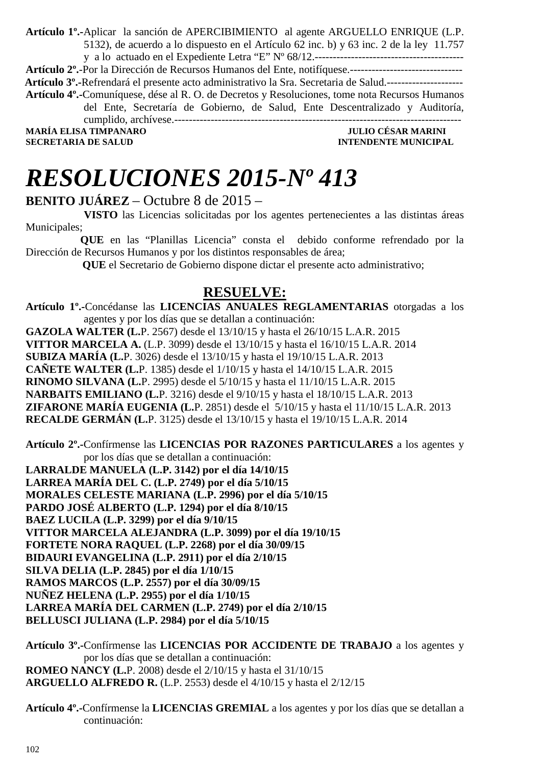**Artículo 1º.-**Aplicar la sanción de APERCIBIMIENTO al agente ARGUELLO ENRIQUE (L.P. 5132), de acuerdo a lo dispuesto en el Artículo 62 inc. b) y 63 inc. 2 de la ley 11.757 y a lo actuado en el Expediente Letra "E" Nº 68/12.----------------------------------------- **Artículo 2º.**-Por la Dirección de Recursos Humanos del Ente, notifíquese.-------------------------------  **Artículo 3º.-**Refrendará el presente acto administrativo la Sra. Secretaria de Salud.--------------------- **Artículo 4º.-**Comuníquese, dése al R. O. de Decretos y Resoluciones, tome nota Recursos Humanos del Ente, Secretaría de Gobierno, de Salud, Ente Descentralizado y Auditoría, cumplido, archívese.------------------------------------------------------------------------------- **MARÍA ELISA TIMPANARO JULIO CÉSAR MARINI SECRETARIA DE SALUD INTENDENTE MUNICIPAL** 

*RESOLUCIONES 2015-Nº 413* 

**BENITO JUÁREZ** – Octubre 8 de 2015 –

 **VISTO** las Licencias solicitadas por los agentes pertenecientes a las distintas áreas Municipales;

 **QUE** en las "Planillas Licencia" consta el debido conforme refrendado por la Dirección de Recursos Humanos y por los distintos responsables de área;

 **QUE** el Secretario de Gobierno dispone dictar el presente acto administrativo;

#### **RESUELVE:**

**Artículo 1º.-**Concédanse las **LICENCIAS ANUALES REGLAMENTARIAS** otorgadas a los agentes y por los días que se detallan a continuación:

**GAZOLA WALTER (L.**P. 2567) desde el 13/10/15 y hasta el 26/10/15 L.A.R. 2015 **VITTOR MARCELA A.** (L.P. 3099) desde el 13/10/15 y hasta el 16/10/15 L.A.R. 2014 **SUBIZA MARÍA (L.**P. 3026) desde el 13/10/15 y hasta el 19/10/15 L.A.R. 2013 **CAÑETE WALTER (L.**P. 1385) desde el 1/10/15 y hasta el 14/10/15 L.A.R. 2015 **RINOMO SILVANA (L.**P. 2995) desde el 5/10/15 y hasta el 11/10/15 L.A.R. 2015 **NARBAITS EMILIANO (L.**P. 3216) desde el 9/10/15 y hasta el 18/10/15 L.A.R. 2013 **ZIFARONE MARÍA EUGENIA (L.**P. 2851) desde el 5/10/15 y hasta el 11/10/15 L.A.R. 2013 **RECALDE GERMÁN (L.**P. 3125) desde el 13/10/15 y hasta el 19/10/15 L.A.R. 2014

**Artículo 2º.-**Confírmense las **LICENCIAS POR RAZONES PARTICULARES** a los agentes y por los días que se detallan a continuación:

**LARRALDE MANUELA (L.P. 3142) por el día 14/10/15 LARREA MARÍA DEL C. (L.P. 2749) por el día 5/10/15 MORALES CELESTE MARIANA (L.P. 2996) por el día 5/10/15 PARDO JOSÉ ALBERTO (L.P. 1294) por el día 8/10/15 BAEZ LUCILA (L.P. 3299) por el día 9/10/15 VITTOR MARCELA ALEJANDRA (L.P. 3099) por el día 19/10/15 FORTETE NORA RAQUEL (L.P. 2268) por el día 30/09/15 BIDAURI EVANGELINA (L.P. 2911) por el día 2/10/15 SILVA DELIA (L.P. 2845) por el día 1/10/15 RAMOS MARCOS (L.P. 2557) por el día 30/09/15 NUÑEZ HELENA (L.P. 2955) por el día 1/10/15 LARREA MARÍA DEL CARMEN (L.P. 2749) por el día 2/10/15 BELLUSCI JULIANA (L.P. 2984) por el día 5/10/15** 

**Artículo 3º.-**Confírmense las **LICENCIAS POR ACCIDENTE DE TRABAJO** a los agentes y por los días que se detallan a continuación: **ROMEO NANCY (L.**P. 2008) desde el 2/10/15 y hasta el 31/10/15 **ARGUELLO ALFREDO R.** (L.P. 2553) desde el 4/10/15 y hasta el 2/12/15

**Artículo 4º.-**Confírmense la **LICENCIAS GREMIAL** a los agentes y por los días que se detallan a continuación: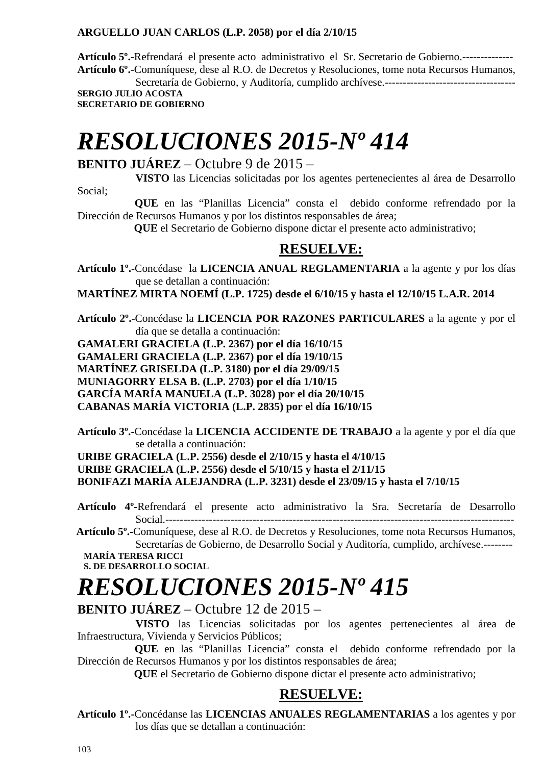#### **ARGUELLO JUAN CARLOS (L.P. 2058) por el día 2/10/15**

**Artículo 5º.**-Refrendará el presente acto administrativo el Sr. Secretario de Gobierno.-------------- **Artículo 6º.**-Comuníquese, dese al R.O. de Decretos y Resoluciones, tome nota Recursos Humanos, Secretaría de Gobierno, y Auditoría, cumplido archívese.------------------------------------

**SERGIO JULIO ACOSTA SECRETARIO DE GOBIERNO** 

# *RESOLUCIONES 2015-Nº 414*

#### **BENITO JUÁREZ** – Octubre 9 de 2015 –

 **VISTO** las Licencias solicitadas por los agentes pertenecientes al área de Desarrollo Social;

 **QUE** en las "Planillas Licencia" consta el debido conforme refrendado por la Dirección de Recursos Humanos y por los distintos responsables de área;

 **QUE** el Secretario de Gobierno dispone dictar el presente acto administrativo;

#### **RESUELVE:**

**Artículo 1º.-**Concédase la **LICENCIA ANUAL REGLAMENTARIA** a la agente y por los días que se detallan a continuación:

**MARTÍNEZ MIRTA NOEMÍ (L.P. 1725) desde el 6/10/15 y hasta el 12/10/15 L.A.R. 2014** 

**Artículo 2º.-**Concédase la **LICENCIA POR RAZONES PARTICULARES** a la agente y por el día que se detalla a continuación:

**GAMALERI GRACIELA (L.P. 2367) por el día 16/10/15 GAMALERI GRACIELA (L.P. 2367) por el día 19/10/15 MARTÍNEZ GRISELDA (L.P. 3180) por el día 29/09/15 MUNIAGORRY ELSA B. (L.P. 2703) por el día 1/10/15 GARCÍA MARÍA MANUELA (L.P. 3028) por el día 20/10/15 CABANAS MARÍA VICTORIA (L.P. 2835) por el día 16/10/15** 

**Artículo 3º.-**Concédase la **LICENCIA ACCIDENTE DE TRABAJO** a la agente y por el día que se detalla a continuación:

**URIBE GRACIELA (L.P. 2556) desde el 2/10/15 y hasta el 4/10/15 URIBE GRACIELA (L.P. 2556) desde el 5/10/15 y hasta el 2/11/15 BONIFAZI MARÍA ALEJANDRA (L.P. 3231) desde el 23/09/15 y hasta el 7/10/15** 

**Artículo 4º-**Refrendará el presente acto administrativo la Sra. Secretaría de Desarrollo Social.------------------------------------------------------------------------------------------------

 **Artículo 5º.-**Comuníquese, dese al R.O. de Decretos y Resoluciones, tome nota Recursos Humanos, Secretarías de Gobierno, de Desarrollo Social y Auditoría, cumplido, archívese.--------

**MARÍA TERESA RICCI S. DE DESARROLLO SOCIAL** 

# *RESOLUCIONES 2015-Nº 415*

#### **BENITO JUÁREZ** – Octubre 12 de 2015 –

 **VISTO** las Licencias solicitadas por los agentes pertenecientes al área de Infraestructura, Vivienda y Servicios Públicos;

 **QUE** en las "Planillas Licencia" consta el debido conforme refrendado por la Dirección de Recursos Humanos y por los distintos responsables de área;

 **QUE** el Secretario de Gobierno dispone dictar el presente acto administrativo;

#### **RESUELVE:**

**Artículo 1º.-**Concédanse las **LICENCIAS ANUALES REGLAMENTARIAS** a los agentes y por los días que se detallan a continuación: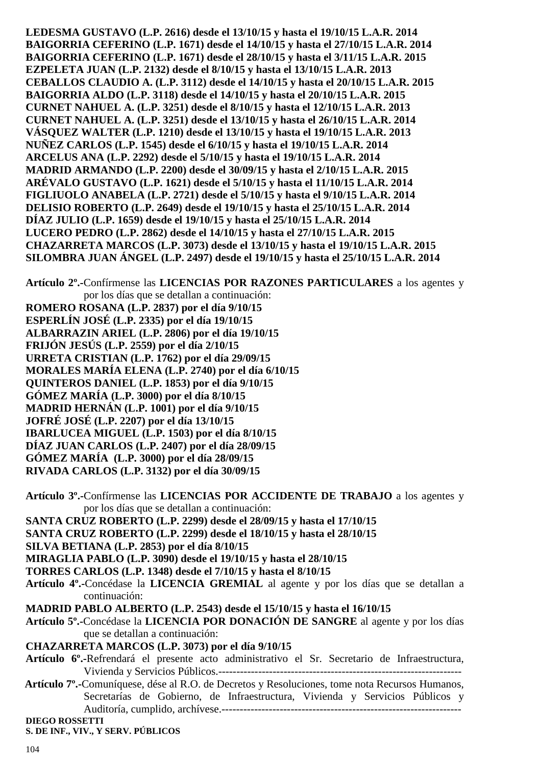**LEDESMA GUSTAVO (L.P. 2616) desde el 13/10/15 y hasta el 19/10/15 L.A.R. 2014 BAIGORRIA CEFERINO (L.P. 1671) desde el 14/10/15 y hasta el 27/10/15 L.A.R. 2014 BAIGORRIA CEFERINO (L.P. 1671) desde el 28/10/15 y hasta el 3/11/15 L.A.R. 2015 EZPELETA JUAN (L.P. 2132) desde el 8/10/15 y hasta el 13/10/15 L.A.R. 2013 CEBALLOS CLAUDIO A. (L.P. 3112) desde el 14/10/15 y hasta el 20/10/15 L.A.R. 2015 BAIGORRIA ALDO (L.P. 3118) desde el 14/10/15 y hasta el 20/10/15 L.A.R. 2015 CURNET NAHUEL A. (L.P. 3251) desde el 8/10/15 y hasta el 12/10/15 L.A.R. 2013 CURNET NAHUEL A. (L.P. 3251) desde el 13/10/15 y hasta el 26/10/15 L.A.R. 2014 VÁSQUEZ WALTER (L.P. 1210) desde el 13/10/15 y hasta el 19/10/15 L.A.R. 2013 NUÑEZ CARLOS (L.P. 1545) desde el 6/10/15 y hasta el 19/10/15 L.A.R. 2014 ARCELUS ANA (L.P. 2292) desde el 5/10/15 y hasta el 19/10/15 L.A.R. 2014 MADRID ARMANDO (L.P. 2200) desde el 30/09/15 y hasta el 2/10/15 L.A.R. 2015 ARÉVALO GUSTAVO (L.P. 1621) desde el 5/10/15 y hasta el 11/10/15 L.A.R. 2014 FIGLIUOLO ANABELA (L.P. 2721) desde el 5/10/15 y hasta el 9/10/15 L.A.R. 2014 DELISIO ROBERTO (L.P. 2649) desde el 19/10/15 y hasta el 25/10/15 L.A.R. 2014 DÍAZ JULIO (L.P. 1659) desde el 19/10/15 y hasta el 25/10/15 L.A.R. 2014 LUCERO PEDRO (L.P. 2862) desde el 14/10/15 y hasta el 27/10/15 L.A.R. 2015 CHAZARRETA MARCOS (L.P. 3073) desde el 13/10/15 y hasta el 19/10/15 L.A.R. 2015 SILOMBRA JUAN ÁNGEL (L.P. 2497) desde el 19/10/15 y hasta el 25/10/15 L.A.R. 2014** 

**Artículo 2º.-**Confírmense las **LICENCIAS POR RAZONES PARTICULARES** a los agentes y por los días que se detallan a continuación: **ROMERO ROSANA (L.P. 2837) por el día 9/10/15 ESPERLÍN JOSÉ (L.P. 2335) por el día 19/10/15 ALBARRAZIN ARIEL (L.P. 2806) por el día 19/10/15 FRIJÓN JESÚS (L.P. 2559) por el día 2/10/15 URRETA CRISTIAN (L.P. 1762) por el día 29/09/15 MORALES MARÍA ELENA (L.P. 2740) por el día 6/10/15 QUINTEROS DANIEL (L.P. 1853) por el día 9/10/15 GÓMEZ MARÍA (L.P. 3000) por el día 8/10/15 MADRID HERNÁN (L.P. 1001) por el día 9/10/15 JOFRÉ JOSÉ (L.P. 2207) por el día 13/10/15 IBARLUCEA MIGUEL (L.P. 1503) por el día 8/10/15 DÍAZ JUAN CARLOS (L.P. 2407) por el día 28/09/15 GÓMEZ MARÍA (L.P. 3000) por el día 28/09/15** 

- 
- **RIVADA CARLOS (L.P. 3132) por el día 30/09/15**
- **Artículo 3º.-**Confírmense las **LICENCIAS POR ACCIDENTE DE TRABAJO** a los agentes y por los días que se detallan a continuación:
- **SANTA CRUZ ROBERTO (L.P. 2299) desde el 28/09/15 y hasta el 17/10/15**
- **SANTA CRUZ ROBERTO (L.P. 2299) desde el 18/10/15 y hasta el 28/10/15**
- **SILVA BETIANA (L.P. 2853) por el día 8/10/15**
- **MIRAGLIA PABLO (L.P. 3090) desde el 19/10/15 y hasta el 28/10/15**
- **TORRES CARLOS (L.P. 1348) desde el 7/10/15 y hasta el 8/10/15**
- **Artículo 4º.-**Concédase la **LICENCIA GREMIAL** al agente y por los días que se detallan a continuación:
- **MADRID PABLO ALBERTO (L.P. 2543) desde el 15/10/15 y hasta el 16/10/15**
- **Artículo 5º.-**Concédase la **LICENCIA POR DONACIÓN DE SANGRE** al agente y por los días que se detallan a continuación:
- **CHAZARRETA MARCOS (L.P. 3073) por el día 9/10/15**
- **Artículo 6º.-**Refrendará el presente acto administrativo el Sr. Secretario de Infraestructura, Vivienda y Servicios Públicos.-------------------------------------------------------------------
- **Artículo 7º.-**Comuníquese, dése al R.O. de Decretos y Resoluciones, tome nota Recursos Humanos, Secretarías de Gobierno, de Infraestructura, Vivienda y Servicios Públicos y Auditoría, cumplido, archívese.------------------------------------------------------------------

**DIEGO ROSSETTI** 

**S. DE INF., VIV., Y SERV. PÚBLICOS**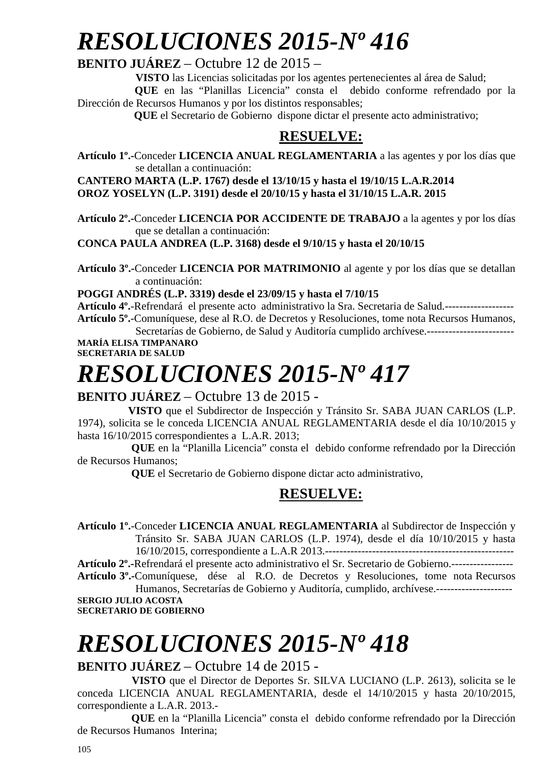# *RESOLUCIONES 2015-Nº 416*

#### **BENITO JUÁREZ** – Octubre 12 de 2015 –

**VISTO** las Licencias solicitadas por los agentes pertenecientes al área de Salud;

 **QUE** en las "Planillas Licencia" consta el debido conforme refrendado por la Dirección de Recursos Humanos y por los distintos responsables;

 **QUE** el Secretario de Gobierno dispone dictar el presente acto administrativo;

### **RESUELVE:**

**Artículo 1º.-**Conceder **LICENCIA ANUAL REGLAMENTARIA** a las agentes y por los días que se detallan a continuación:

**CANTERO MARTA (L.P. 1767) desde el 13/10/15 y hasta el 19/10/15 L.A.R.2014 OROZ YOSELYN (L.P. 3191) desde el 20/10/15 y hasta el 31/10/15 L.A.R. 2015** 

**Artículo 2º.-**Conceder **LICENCIA POR ACCIDENTE DE TRABAJO** a la agentes y por los días que se detallan a continuación:

**CONCA PAULA ANDREA (L.P. 3168) desde el 9/10/15 y hasta el 20/10/15** 

**Artículo 3º.-**Conceder **LICENCIA POR MATRIMONIO** al agente y por los días que se detallan a continuación:

#### **POGGI ANDRÉS (L.P. 3319) desde el 23/09/15 y hasta el 7/10/15**

**Artículo 4º.**-Refrendará el presente acto administrativo la Sra. Secretaria de Salud.------------------- **Artículo 5º.**-Comuníquese, dese al R.O. de Decretos y Resoluciones, tome nota Recursos Humanos, Secretarías de Gobierno, de Salud y Auditoría cumplido archívese.------------------------

**MARÍA ELISA TIMPANARO SECRETARIA DE SALUD** 

# *RESOLUCIONES 2015-Nº 417*

#### **BENITO JUÁREZ** – Octubre 13 de 2015 -

 **VISTO** que el Subdirector de Inspección y Tránsito Sr. SABA JUAN CARLOS (L.P. 1974), solicita se le conceda LICENCIA ANUAL REGLAMENTARIA desde el día 10/10/2015 y hasta 16/10/2015 correspondientes a L.A.R. 2013;

 **QUE** en la "Planilla Licencia" consta el debido conforme refrendado por la Dirección de Recursos Humanos;

 **QUE** el Secretario de Gobierno dispone dictar acto administrativo,

#### **RESUELVE:**

**Artículo 1º.**-Conceder **LICENCIA ANUAL REGLAMENTARIA** al Subdirector de Inspección y Tránsito Sr. SABA JUAN CARLOS (L.P. 1974), desde el día 10/10/2015 y hasta 16/10/2015, correspondiente a L.A.R 2013.----------------------------------------------------

**Artículo 2º.-**Refrendará el presente acto administrativo el Sr. Secretario de Gobierno.----------------- **Artículo 3º.-**Comuníquese, dése al R.O. de Decretos y Resoluciones, tome nota Recursos

Humanos, Secretarías de Gobierno y Auditoría, cumplido, archívese.--------------------- **SERGIO JULIO ACOSTA SECRETARIO DE GOBIERNO** 

# *RESOLUCIONES 2015-Nº 418*

#### **BENITO JUÁREZ** – Octubre 14 de 2015 -

 **VISTO** que el Director de Deportes Sr. SILVA LUCIANO (L.P. 2613), solicita se le conceda LICENCIA ANUAL REGLAMENTARIA, desde el 14/10/2015 y hasta 20/10/2015, correspondiente a L.A.R. 2013.-

 **QUE** en la "Planilla Licencia" consta el debido conforme refrendado por la Dirección de Recursos Humanos Interina;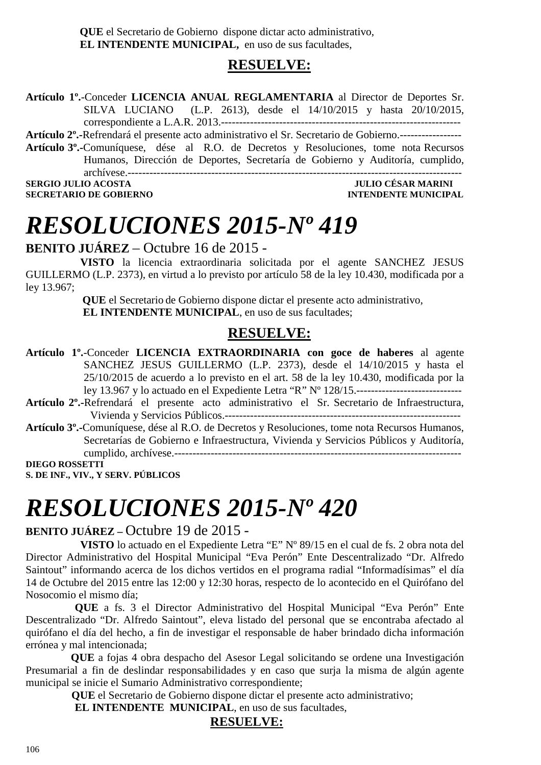**QUE** el Secretario de Gobierno dispone dictar acto administrativo, **EL INTENDENTE MUNICIPAL,** en uso de sus facultades,

#### **RESUELVE:**

**Artículo 1º.**-Conceder **LICENCIA ANUAL REGLAMENTARIA** al Director de Deportes Sr. SILVA LUCIANO (L.P. 2613), desde el 14/10/2015 y hasta 20/10/2015, correspondiente a L.A.R. 2013.------------------------------------------------------------------

**Artículo 2º.-**Refrendará el presente acto administrativo el Sr. Secretario de Gobierno.-----------------

**Artículo 3º.-**Comuníquese, dése al R.O. de Decretos y Resoluciones, tome nota Recursos Humanos, Dirección de Deportes, Secretaría de Gobierno y Auditoría, cumplido, archívese.--------------------------------------------------------------------------------------------

**SERGIO JULIO ACOSTA JULIO CÉSAR MARINI DE COBIERNO DE COBIERNO DE SECRETARIO DE COBIERNO DE SOBRETARIO DE SOBRETARIO DE SOBRETARIO DE SOBRETARIO DE SOBRETARIO DE SOBRETARIO DE SOBRETARIO DE SOBRETARIO DE SOBRETARIO DE SOB SECRETARIO DE GOBIERNO** 

# *RESOLUCIONES 2015-Nº 419*

**BENITO JUÁREZ** – Octubre 16 de 2015 -

 **VISTO** la licencia extraordinaria solicitada por el agente SANCHEZ JESUS GUILLERMO (L.P. 2373), en virtud a lo previsto por artículo 58 de la ley 10.430, modificada por a ley 13.967;

> **QUE** el Secretario de Gobierno dispone dictar el presente acto administrativo,  **EL INTENDENTE MUNICIPAL**, en uso de sus facultades;

### **RESUELVE:**

- **Artículo 1º.**-Conceder **LICENCIA EXTRAORDINARIA con goce de haberes** al agente SANCHEZ JESUS GUILLERMO (L.P. 2373), desde el 14/10/2015 y hasta el 25/10/2015 de acuerdo a lo previsto en el art. 58 de la ley 10.430, modificada por la ley 13.967 y lo actuado en el Expediente Letra "R" Nº 128/15.-----------------------------
- **Artículo 2º.-**Refrendará el presente acto administrativo el Sr. Secretario de Infraestructura, Vivienda y Servicios Públicos.-----------------------------------------------------------------
- **Artículo 3º.-**Comuníquese, dése al R.O. de Decretos y Resoluciones, tome nota Recursos Humanos, Secretarías de Gobierno e Infraestructura, Vivienda y Servicios Públicos y Auditoría, cumplido, archívese.-------------------------------------------------------------------------------

**DIEGO ROSSETTI S. DE INF., VIV., Y SERV. PÚBLICOS** 

# *RESOLUCIONES 2015-Nº 420*

#### **BENITO JUÁREZ –** Octubre 19 de 2015 -

 **VISTO** lo actuado en el Expediente Letra "E" Nº 89/15 en el cual de fs. 2 obra nota del Director Administrativo del Hospital Municipal "Eva Perón" Ente Descentralizado "Dr. Alfredo Saintout" informando acerca de los dichos vertidos en el programa radial "Informadísimas" el día 14 de Octubre del 2015 entre las 12:00 y 12:30 horas, respecto de lo acontecido en el Quirófano del Nosocomio el mismo día;

 **QUE** a fs. 3 el Director Administrativo del Hospital Municipal "Eva Perón" Ente Descentralizado "Dr. Alfredo Saintout", eleva listado del personal que se encontraba afectado al quirófano el día del hecho, a fin de investigar el responsable de haber brindado dicha información errónea y mal intencionada;

 **QUE** a fojas 4 obra despacho del Asesor Legal solicitando se ordene una Investigación Presumarial a fin de deslindar responsabilidades y en caso que surja la misma de algún agente municipal se inicie el Sumario Administrativo correspondiente;

 **QUE** el Secretario de Gobierno dispone dictar el presente acto administrativo;

**EL INTENDENTE MUNICIPAL**, en uso de sus facultades,

#### **RESUELVE:**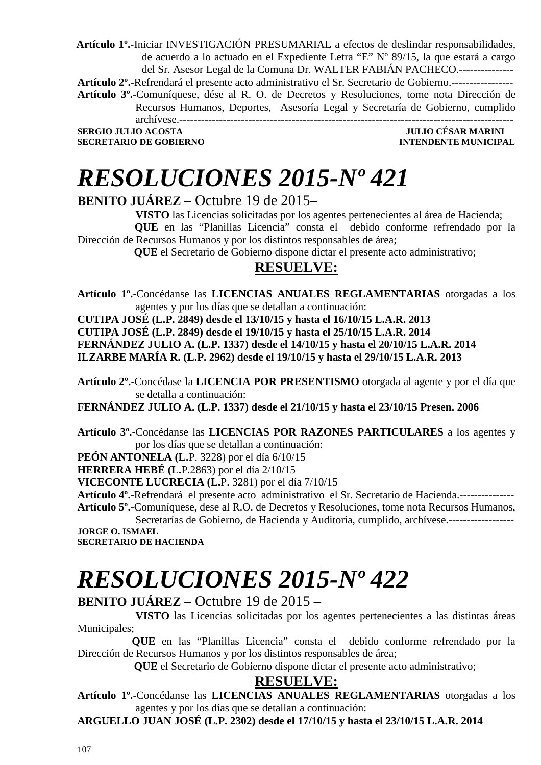**Artículo 1º.-**Iniciar INVESTIGACIÓN PRESUMARIAL a efectos de deslindar responsabilidades, de acuerdo a lo actuado en el Expediente Letra "E" Nº 89/15, la que estará a cargo del Sr. Asesor Legal de la Comuna Dr. WALTER FABIÁN PACHECO.--------------- **Artículo 2º.-**Refrendará el presente acto administrativo el Sr. Secretario de Gobierno.----------------- **Artículo 3º.-**Comuníquese, dése al R. O. de Decretos y Resoluciones, tome nota Dirección de Recursos Humanos, Deportes, Asesoría Legal y Secretaría de Gobierno, cumplido archívese.--------------------------------------------------------------------------------------------

**SERGIO JULIO ACOSTA JULIO CÉSAR MARINI SECRETARIO DE GOBIERNO INTENDENTE MUNICIPAL** 

## *RESOLUCIONES 2015-Nº 421*

#### **BENITO JUÁREZ** – Octubre 19 de 2015–

**VISTO** las Licencias solicitadas por los agentes pertenecientes al área de Hacienda;

 **QUE** en las "Planillas Licencia" consta el debido conforme refrendado por la Dirección de Recursos Humanos y por los distintos responsables de área;

 **QUE** el Secretario de Gobierno dispone dictar el presente acto administrativo;

#### **RESUELVE:**

**Artículo 1º.-**Concédanse las **LICENCIAS ANUALES REGLAMENTARIAS** otorgadas a los agentes y por los días que se detallan a continuación:

**CUTIPA JOSÉ (L.P. 2849) desde el 13/10/15 y hasta el 16/10/15 L.A.R. 2013 CUTIPA JOSÉ (L.P. 2849) desde el 19/10/15 y hasta el 25/10/15 L.A.R. 2014 FERNÁNDEZ JULIO A. (L.P. 1337) desde el 14/10/15 y hasta el 20/10/15 L.A.R. 2014 ILZARBE MARÍA R. (L.P. 2962) desde el 19/10/15 y hasta el 29/10/15 L.A.R. 2013** 

**Artículo 2º.-**Concédase la **LICENCIA POR PRESENTISMO** otorgada al agente y por el día que se detalla a continuación:

**FERNÁNDEZ JULIO A. (L.P. 1337) desde el 21/10/15 y hasta el 23/10/15 Presen. 2006** 

**Artículo 3º.-**Concédanse las **LICENCIAS POR RAZONES PARTICULARES** a los agentes y por los días que se detallan a continuación:

**PEÓN ANTONELA (L.**P. 3228) por el día 6/10/15

**HERRERA HEBÉ (L.**P.2863) por el día 2/10/15

**VICECONTE LUCRECIA (L.**P. 3281) por el día 7/10/15

**Artículo 4º.-**Refrendará el presente acto administrativo el Sr. Secretario de Hacienda.--------------- **Artículo 5º.**-Comuníquese, dese al R.O. de Decretos y Resoluciones, tome nota Recursos Humanos,

Secretarías de Gobierno, de Hacienda y Auditoría, cumplido, archívese.------------------**JORGE O. ISMAEL** 

**SECRETARIO DE HACIENDA** 

# *RESOLUCIONES 2015-Nº 422*

#### **BENITO JUÁREZ** – Octubre 19 de 2015 –

 **VISTO** las Licencias solicitadas por los agentes pertenecientes a las distintas áreas Municipales;

 **QUE** en las "Planillas Licencia" consta el debido conforme refrendado por la Dirección de Recursos Humanos y por los distintos responsables de área;

 **QUE** el Secretario de Gobierno dispone dictar el presente acto administrativo;

#### **RESUELVE:**

**Artículo 1º.-**Concédanse las **LICENCIAS ANUALES REGLAMENTARIAS** otorgadas a los agentes y por los días que se detallan a continuación:

**ARGUELLO JUAN JOSÉ (L.P. 2302) desde el 17/10/15 y hasta el 23/10/15 L.A.R. 2014**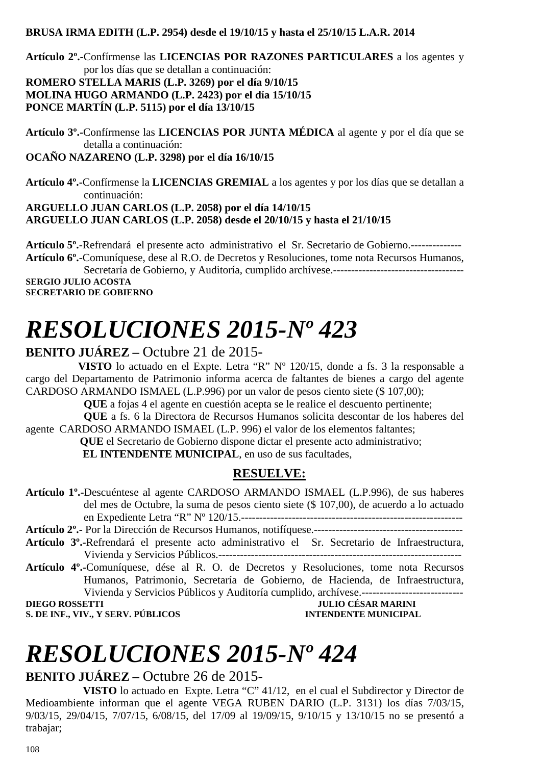#### **BRUSA IRMA EDITH (L.P. 2954) desde el 19/10/15 y hasta el 25/10/15 L.A.R. 2014**

**Artículo 2º.-**Confírmense las **LICENCIAS POR RAZONES PARTICULARES** a los agentes y por los días que se detallan a continuación: **ROMERO STELLA MARIS (L.P. 3269) por el día 9/10/15 MOLINA HUGO ARMANDO (L.P. 2423) por el día 15/10/15 PONCE MARTÍN (L.P. 5115) por el día 13/10/15** 

**Artículo 3º.-**Confírmense las **LICENCIAS POR JUNTA MÉDICA** al agente y por el día que se detalla a continuación:

**OCAÑO NAZARENO (L.P. 3298) por el día 16/10/15** 

**Artículo 4º.-**Confírmense la **LICENCIAS GREMIAL** a los agentes y por los días que se detallan a continuación:

**ARGUELLO JUAN CARLOS (L.P. 2058) por el día 14/10/15** 

**ARGUELLO JUAN CARLOS (L.P. 2058) desde el 20/10/15 y hasta el 21/10/15** 

**Artículo 5º.**-Refrendará el presente acto administrativo el Sr. Secretario de Gobierno.-------------- **Artículo 6º.**-Comuníquese, dese al R.O. de Decretos y Resoluciones, tome nota Recursos Humanos,

Secretaría de Gobierno, y Auditoría, cumplido archívese.------------------------------------ **SERGIO JULIO ACOSTA** 

**SECRETARIO DE GOBIERNO** 

## *RESOLUCIONES 2015-Nº 423*

#### **BENITO JUÁREZ –** Octubre 21 de 2015-

 **VISTO** lo actuado en el Expte. Letra "R" Nº 120/15, donde a fs. 3 la responsable a cargo del Departamento de Patrimonio informa acerca de faltantes de bienes a cargo del agente CARDOSO ARMANDO ISMAEL (L.P.996) por un valor de pesos ciento siete (\$ 107,00);

**QUE** a fojas 4 el agente en cuestión acepta se le realice el descuento pertinente;

 **QUE** a fs. 6 la Directora de Recursos Humanos solicita descontar de los haberes del agente CARDOSO ARMANDO ISMAEL (L.P. 996) el valor de los elementos faltantes;

 **QUE** el Secretario de Gobierno dispone dictar el presente acto administrativo;

**EL INTENDENTE MUNICIPAL**, en uso de sus facultades,

#### **RESUELVE:**

**Artículo 1º.-**Descuéntese al agente CARDOSO ARMANDO ISMAEL (L.P.996), de sus haberes del mes de Octubre, la suma de pesos ciento siete (\$ 107,00), de acuerdo a lo actuado en Expediente Letra "R" Nº 120/15.-------------------------------------------------------------

**Artículo 2º.-** Por la Dirección de Recursos Humanos, notifíquese.----------------------------------------- **Artículo 3º.-**Refrendará el presente acto administrativo el Sr. Secretario de Infraestructura, Vivienda y Servicios Públicos.-------------------------------------------------------------------

**Artículo 4º.-**Comuníquese, dése al R. O. de Decretos y Resoluciones, tome nota Recursos Humanos, Patrimonio, Secretaría de Gobierno, de Hacienda, de Infraestructura, Vivienda y Servicios Públicos y Auditoría cumplido, archívese.---------------------------- **DIEGO ROSSETTI JULIO CÉSAR MARINI** 

**S. DE INF., VIV., Y SERV. PÚBLICOS INTENDENTE MUNICIPAL** 

# *RESOLUCIONES 2015-Nº 424*

#### **BENITO JUÁREZ –** Octubre 26 de 2015-

 **VISTO** lo actuado en Expte. Letra "C" 41/12, en el cual el Subdirector y Director de Medioambiente informan que el agente VEGA RUBEN DARIO (L.P. 3131) los días 7/03/15, 9/03/15, 29/04/15, 7/07/15, 6/08/15, del 17/09 al 19/09/15, 9/10/15 y 13/10/15 no se presentó a trabajar;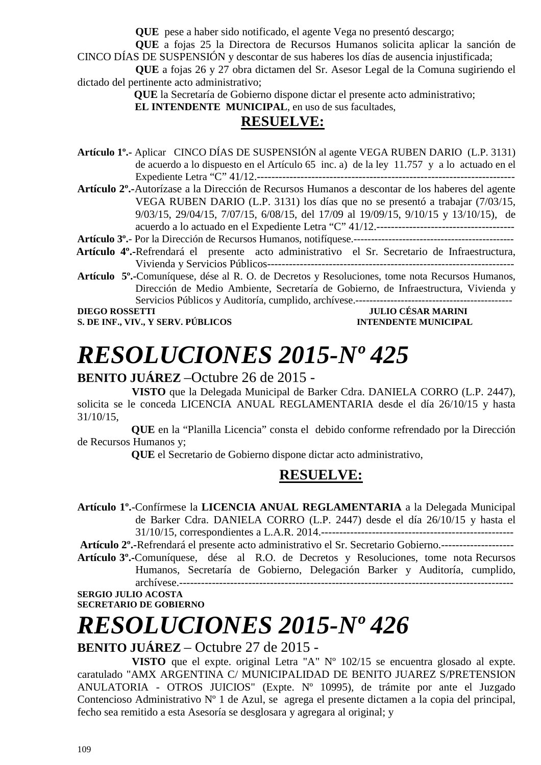**QUE** pese a haber sido notificado, el agente Vega no presentó descargo;

**QUE** a fojas 25 la Directora de Recursos Humanos solicita aplicar la sanción de CINCO DÍAS DE SUSPENSIÓN y descontar de sus haberes los días de ausencia injustificada;

**QUE** a fojas 26 y 27 obra dictamen del Sr. Asesor Legal de la Comuna sugiriendo el dictado del pertinente acto administrativo;

 **QUE** la Secretaría de Gobierno dispone dictar el presente acto administrativo;

 **EL INTENDENTE MUNICIPAL**, en uso de sus facultades,

### **RESUELVE:**

- **Artículo 1º.-** Aplicar CINCO DÍAS DE SUSPENSIÓN al agente VEGA RUBEN DARIO (L.P. 3131) de acuerdo a lo dispuesto en el Artículo 65 inc. a) de la ley 11.757 y a lo actuado en el Expediente Letra "C" 41/12.-----------------------------------------------------------------------
- **Artículo 2º.-**Autorízase a la Dirección de Recursos Humanos a descontar de los haberes del agente VEGA RUBEN DARIO (L.P. 3131) los días que no se presentó a trabajar (7/03/15, 9/03/15, 29/04/15, 7/07/15, 6/08/15, del 17/09 al 19/09/15, 9/10/15 y 13/10/15), de acuerdo a lo actuado en el Expediente Letra "C" 41/12.--------------------------------------

**Artículo 3º.**- Por la Dirección de Recursos Humanos, notifíquese.----------------------------------------------

- **Artículo 4º.-**Refrendará el presente acto administrativo el Sr. Secretario de Infraestructura, Vivienda y Servicios Públicos--------------------------------------------------------------------
- **Artículo 5º.-**Comuníquese, dése al R. O. de Decretos y Resoluciones, tome nota Recursos Humanos, Dirección de Medio Ambiente, Secretaría de Gobierno, de Infraestructura, Vivienda y Servicios Públicos y Auditoría, cumplido, archívese.---------------------------------------------

**S. DE INF., VIV., Y SERV. PÚBLICOS INTENDENTE MUNICIPAL** 

## **DIEGO ROSSETTI DIEGO ROSSETTI DIEGO POSSETTI DIEGO ROSSETTI DIEGO POSSETTI DIEGO POSSETTI DIEGO POSSETTI DIEGO POSSETTI DIEGO POSSETTI DIEGO POSSETTI DIEGO POSSETTI DIEGO POSSETTI DIEGO POSSETTI DIEGO POSSETTI DIEGO POSSE**

# *RESOLUCIONES 2015-Nº 425*

#### **BENITO JUÁREZ** –Octubre 26 de 2015 -

 **VISTO** que la Delegada Municipal de Barker Cdra. DANIELA CORRO (L.P. 2447), solicita se le conceda LICENCIA ANUAL REGLAMENTARIA desde el día 26/10/15 y hasta 31/10/15,

 **QUE** en la "Planilla Licencia" consta el debido conforme refrendado por la Dirección de Recursos Humanos y;

 **QUE** el Secretario de Gobierno dispone dictar acto administrativo,

## **RESUELVE:**

**Artículo 1º.**-Confírmese la **LICENCIA ANUAL REGLAMENTARIA** a la Delegada Municipal de Barker Cdra. DANIELA CORRO (L.P. 2447) desde el día 26/10/15 y hasta el 31/10/15, correspondientes a L.A.R. 2014.----------------------------------------------------- **Artículo 2º.-**Refrendará el presente acto administrativo el Sr. Secretario Gobierno.--------------------

**Artículo 3º.-**Comuníquese, dése al R.O. de Decretos y Resoluciones, tome nota Recursos Humanos, Secretaría de Gobierno, Delegación Barker y Auditoría, cumplido, archívese.--------------------------------------------------------------------------------------------

**SERGIO JULIO ACOSTA SECRETARIO DE GOBIERNO** 

# *RESOLUCIONES 2015-Nº 426*

### **BENITO JUÁREZ** – Octubre 27 de 2015 -

 **VISTO** que el expte. original Letra "A" Nº 102/15 se encuentra glosado al expte. caratulado "AMX ARGENTINA C/ MUNICIPALIDAD DE BENITO JUAREZ S/PRETENSION ANULATORIA - OTROS JUICIOS" (Expte. Nº 10995), de trámite por ante el Juzgado Contencioso Administrativo Nº 1 de Azul, se agrega el presente dictamen a la copia del principal, fecho sea remitido a esta Asesoría se desglosara y agregara al original; y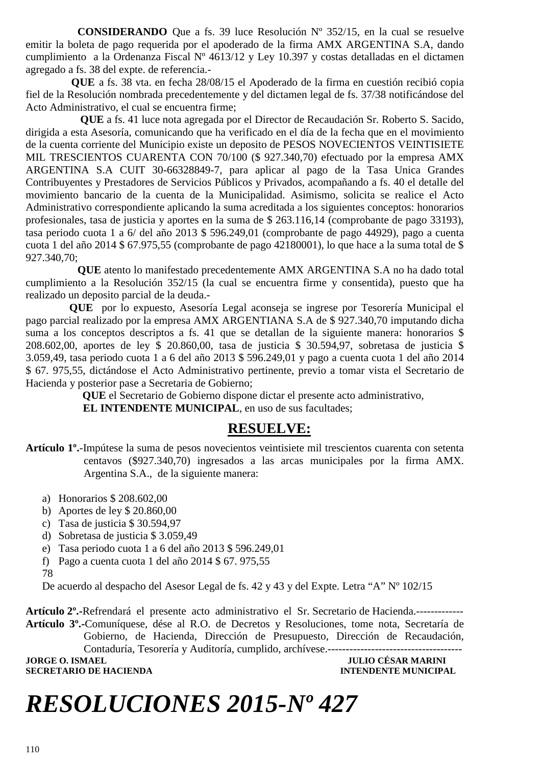**CONSIDERANDO** Que a fs. 39 luce Resolución Nº 352/15, en la cual se resuelve emitir la boleta de pago requerida por el apoderado de la firma AMX ARGENTINA S.A, dando cumplimiento a la Ordenanza Fiscal Nº 4613/12 y Ley 10.397 y costas detalladas en el dictamen agregado a fs. 38 del expte. de referencia.-

 **QUE** a fs. 38 vta. en fecha 28/08/15 el Apoderado de la firma en cuestión recibió copia fiel de la Resolución nombrada precedentemente y del dictamen legal de fs. 37/38 notificándose del Acto Administrativo, el cual se encuentra firme;

 **QUE** a fs. 41 luce nota agregada por el Director de Recaudación Sr. Roberto S. Sacido, dirigida a esta Asesoría, comunicando que ha verificado en el día de la fecha que en el movimiento de la cuenta corriente del Municipio existe un deposito de PESOS NOVECIENTOS VEINTISIETE MIL TRESCIENTOS CUARENTA CON 70/100 (\$ 927.340,70) efectuado por la empresa AMX ARGENTINA S.A CUIT 30-66328849-7, para aplicar al pago de la Tasa Unica Grandes Contribuyentes y Prestadores de Servicios Públicos y Privados, acompañando a fs. 40 el detalle del movimiento bancario de la cuenta de la Municipalidad. Asimismo, solicita se realice el Acto Administrativo correspondiente aplicando la suma acreditada a los siguientes conceptos: honorarios profesionales, tasa de justicia y aportes en la suma de \$ 263.116,14 (comprobante de pago 33193), tasa periodo cuota 1 a 6/ del año 2013 \$ 596.249,01 (comprobante de pago 44929), pago a cuenta cuota 1 del año 2014 \$ 67.975,55 (comprobante de pago 42180001), lo que hace a la suma total de \$ 927.340,70;

 **QUE** atento lo manifestado precedentemente AMX ARGENTINA S.A no ha dado total cumplimiento a la Resolución 352/15 (la cual se encuentra firme y consentida), puesto que ha realizado un deposito parcial de la deuda.-

 **QUE** por lo expuesto, Asesoría Legal aconseja se ingrese por Tesorería Municipal el pago parcial realizado por la empresa AMX ARGENTIANA S.A de \$ 927.340,70 imputando dicha suma a los conceptos descriptos a fs. 41 que se detallan de la siguiente manera: honorarios \$ 208.602,00, aportes de ley \$ 20.860,00, tasa de justicia \$ 30.594,97, sobretasa de justicia \$ 3.059,49, tasa periodo cuota 1 a 6 del año 2013 \$ 596.249,01 y pago a cuenta cuota 1 del año 2014 \$ 67. 975,55, dictándose el Acto Administrativo pertinente, previo a tomar vista el Secretario de Hacienda y posterior pase a Secretaria de Gobierno;

 **QUE** el Secretario de Gobierno dispone dictar el presente acto administrativo,

 **EL INTENDENTE MUNICIPAL**, en uso de sus facultades;

## **RESUELVE:**

**Artículo 1º.**-Impútese la suma de pesos novecientos veintisiete mil trescientos cuarenta con setenta centavos (\$927.340,70) ingresados a las arcas municipales por la firma AMX. Argentina S.A., de la siguiente manera:

- a) Honorarios \$ 208.602,00
- b) Aportes de ley \$ 20.860,00
- c) Tasa de justicia \$ 30.594,97
- d) Sobretasa de justicia \$ 3.059,49
- e) Tasa periodo cuota 1 a 6 del año 2013 \$ 596.249,01
- f) Pago a cuenta cuota 1 del año 2014 \$ 67. 975,55
- 78

De acuerdo al despacho del Asesor Legal de fs. 42 y 43 y del Expte. Letra "A" Nº 102/15

**Artículo 2º.-**Refrendará el presente acto administrativo el Sr. Secretario de Hacienda.------------- **Artículo 3º.-**Comuníquese, dése al R.O. de Decretos y Resoluciones, tome nota, Secretaría de Gobierno, de Hacienda, Dirección de Presupuesto, Dirección de Recaudación, Contaduría, Tesorería y Auditoría, cumplido, archívese.------------------------------------- **JULIO CÉSAR MARINI SECRETARIO DE HACIENDA INTENDENTE MUNICIPAL** 

# *RESOLUCIONES 2015-Nº 427*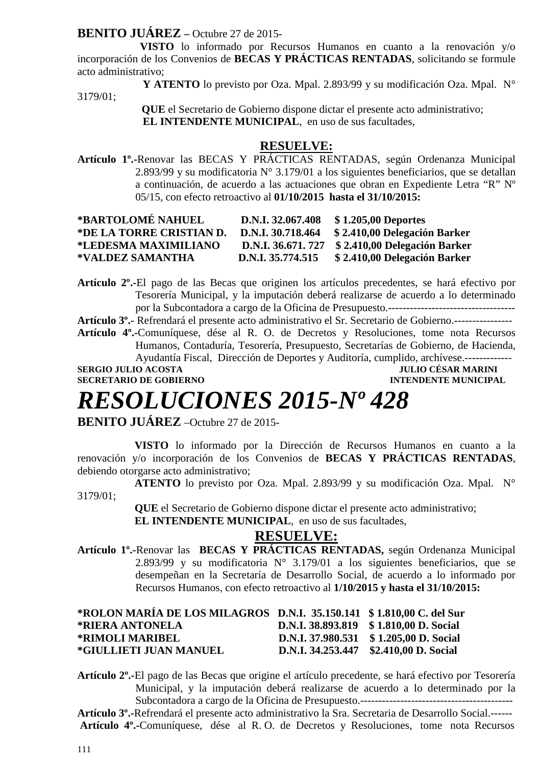#### **BENITO JUÁREZ –** Octubre 27 de 2015-

 **VISTO** lo informado por Recursos Humanos en cuanto a la renovación y/o incorporación de los Convenios de **BECAS Y PRÁCTICAS RENTADAS**, solicitando se formule acto administrativo;

 **Y ATENTO** lo previsto por Oza. Mpal. 2.893/99 y su modificación Oza. Mpal. N° 3179/01;

> **QUE** el Secretario de Gobierno dispone dictar el presente acto administrativo;  **EL INTENDENTE MUNICIPAL**, en uso de sus facultades,

#### **RESUELVE:**

**Artículo 1º.-**Renovar las BECAS Y PRÁCTICAS RENTADAS, según Ordenanza Municipal 2.893/99 y su modificatoria N° 3.179/01 a los siguientes beneficiarios, que se detallan a continuación, de acuerdo a las actuaciones que obran en Expediente Letra "R" Nº 05/15, con efecto retroactivo al **01/10/2015 hasta el 31/10/2015:** 

| *BARTOLOMÉ NAHUEL        | D.N.I. 32.067.408 | \$1.205,00 Deportes                              |
|--------------------------|-------------------|--------------------------------------------------|
| *DE LA TORRE CRISTIAN D. | D.N.I. 30.718.464 | \$2.410,00 Delegación Barker                     |
| *LEDESMA MAXIMILIANO     |                   | D.N.I. 36.671. 727 \$ 2.410,00 Delegación Barker |
| *VALDEZ SAMANTHA         | D.N.I. 35.774.515 | \$2.410,00 Delegación Barker                     |

**Artículo 2º.-**El pago de las Becas que originen los artículos precedentes, se hará efectivo por Tesorería Municipal, y la imputación deberá realizarse de acuerdo a lo determinado por la Subcontadora a cargo de la Oficina de Presupuesto.-----------------------------------

**Artículo 3º.-** Refrendará el presente acto administrativo el Sr. Secretario de Gobierno.----------------

**Artículo 4º.-**Comuníquese, dése al R. O. de Decretos y Resoluciones, tome nota Recursos Humanos, Contaduría, Tesorería, Presupuesto, Secretarías de Gobierno, de Hacienda, Ayudantía Fiscal, Dirección de Deportes y Auditoría, cumplido, archívese.-------------

**SERGIO JULIO ACOSTA JULIO CÉSAR MARINI** 

**SECRETARIO DE GOBIERNO INTENDENTE MUNICIPAL** 

# *RESOLUCIONES 2015-Nº 428*

**BENITO JUÁREZ** –Octubre 27 de 2015-

 **VISTO** lo informado por la Dirección de Recursos Humanos en cuanto a la renovación y/o incorporación de los Convenios de **BECAS Y PRÁCTICAS RENTADAS**, debiendo otorgarse acto administrativo;

 **ATENTO** lo previsto por Oza. Mpal. 2.893/99 y su modificación Oza. Mpal. N° 3179/01;

> **QUE** el Secretario de Gobierno dispone dictar el presente acto administrativo;  **EL INTENDENTE MUNICIPAL**, en uso de sus facultades,

#### **RESUELVE:**

**Artículo 1º.-**Renovar las **BECAS Y PRÁCTICAS RENTADAS,** según Ordenanza Municipal 2.893/99 y su modificatoria  $N^{\circ}$  3.179/01 a los siguientes beneficiarios, que se desempeñan en la Secretaría de Desarrollo Social, de acuerdo a lo informado por Recursos Humanos, con efecto retroactivo al **1/10/2015 y hasta el 31/10/2015:** 

| *ROLON MARÍA DE LOS MILAGROS D.N.I. 35.150.141 \$1.810,00 C. del Sur |                                        |
|----------------------------------------------------------------------|----------------------------------------|
| *RIERA ANTONELA                                                      | D.N.I. 38.893.819 \$1.810,00 D. Social |
| *RIMOLI MARIBEL                                                      | D.N.I. 37.980.531 \$1.205,00 D. Social |
| *GIULLIETI JUAN MANUEL                                               | D.N.I. 34.253.447 \$2.410,00 D. Social |

**Artículo 2º.-**El pago de las Becas que origine el artículo precedente, se hará efectivo por Tesorería Municipal, y la imputación deberá realizarse de acuerdo a lo determinado por la Subcontadora a cargo de la Oficina de Presupuesto.------------------------------------------

**Artículo 3º.-**Refrendará el presente acto administrativo la Sra. Secretaria de Desarrollo Social.------ **Artículo 4º.-**Comuníquese, dése al R. O. de Decretos y Resoluciones, tome nota Recursos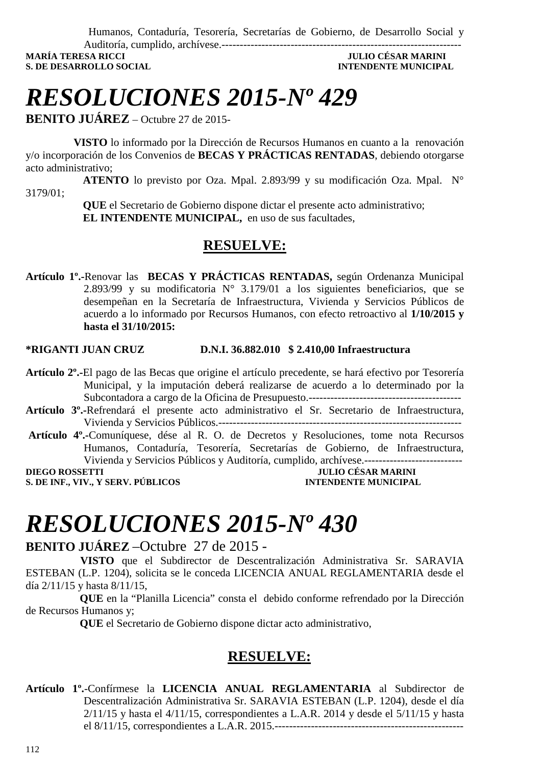Humanos, Contaduría, Tesorería, Secretarías de Gobierno, de Desarrollo Social y

Auditoría, cumplido, archívese.------------------------------------------------------------------ **S. DE DESARROLLO SOCIAL CONSUMING AND SOCIAL CONSUMING A LOCAL CONSUMING A LOCAL CONSUMING A LOCAL CONSUMING A LOCAL CONSUMING A LOCAL CONSUMING A LOCAL CONSUMING A LOCAL CONSUMING A LOCAL CONSUMING A LOCAL CONSUMING A LO** 

**MARÍA TERESA RICCI JULIO CÉSAR MARINI** 

## *RESOLUCIONES 2015-Nº 429*

**BENITO JUÁREZ** – Octubre 27 de 2015-

 **VISTO** lo informado por la Dirección de Recursos Humanos en cuanto a la renovación y/o incorporación de los Convenios de **BECAS Y PRÁCTICAS RENTADAS**, debiendo otorgarse acto administrativo;

 **ATENTO** lo previsto por Oza. Mpal. 2.893/99 y su modificación Oza. Mpal. N° 3179/01;

> **QUE** el Secretario de Gobierno dispone dictar el presente acto administrativo;  **EL INTENDENTE MUNICIPAL,** en uso de sus facultades,

### **RESUELVE:**

**Artículo 1º.-**Renovar las **BECAS Y PRÁCTICAS RENTADAS,** según Ordenanza Municipal 2.893/99 y su modificatoria  $N^{\circ}$  3.179/01 a los siguientes beneficiarios, que se desempeñan en la Secretaría de Infraestructura, Vivienda y Servicios Públicos de acuerdo a lo informado por Recursos Humanos, con efecto retroactivo al **1/10/2015 y hasta el 31/10/2015:** 

#### **\*RIGANTI JUAN CRUZ D.N.I. 36.882.010 \$ 2.410,00 Infraestructura**

- **Artículo 2º.-**El pago de las Becas que origine el artículo precedente, se hará efectivo por Tesorería Municipal, y la imputación deberá realizarse de acuerdo a lo determinado por la Subcontadora a cargo de la Oficina de Presupuesto.------------------------------------------
- **Artículo 3º.-**Refrendará el presente acto administrativo el Sr. Secretario de Infraestructura, Vivienda y Servicios Públicos.-------------------------------------------------------------------
- **Artículo 4º.-**Comuníquese, dése al R. O. de Decretos y Resoluciones, tome nota Recursos Humanos, Contaduría, Tesorería, Secretarías de Gobierno, de Infraestructura, Vivienda y Servicios Públicos y Auditoría, cumplido, archívese.---------------------------

**S. DE INF., VIV., Y SERV. PÚBLICOS INTENDENTE MUNICIPAL** 

**DIEGO ROSSETTI DIEGO POSSETTI DIEGO POSSETTI DIEGO POSSETTI DIEGO POSSETTI DIEGO POSSETTI DIEGO POSSETTI DIEGO POSSETTI DIEGO POSSETTI DIEGO POSSETTI DIEGO POSSETTI DIEGO POSSETTI DIEGO POSSETTI DIEGO POSSETTI DIEGO POSSE** 

## *RESOLUCIONES 2015-Nº 430*

#### **BENITO JUÁREZ** –Octubre 27 de 2015 -

 **VISTO** que el Subdirector de Descentralización Administrativa Sr. SARAVIA ESTEBAN (L.P. 1204), solicita se le conceda LICENCIA ANUAL REGLAMENTARIA desde el día 2/11/15 y hasta 8/11/15,

 **QUE** en la "Planilla Licencia" consta el debido conforme refrendado por la Dirección de Recursos Humanos y;

 **QUE** el Secretario de Gobierno dispone dictar acto administrativo,

## **RESUELVE:**

**Artículo 1º.**-Confírmese la **LICENCIA ANUAL REGLAMENTARIA** al Subdirector de Descentralización Administrativa Sr. SARAVIA ESTEBAN (L.P. 1204), desde el día 2/11/15 y hasta el 4/11/15, correspondientes a L.A.R. 2014 y desde el 5/11/15 y hasta el 8/11/15, correspondientes a L.A.R. 2015.----------------------------------------------------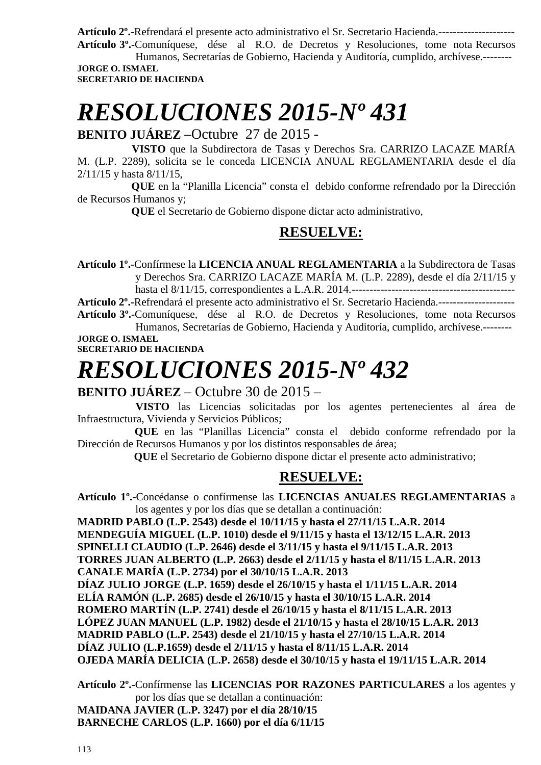**Artículo 2º.-**Refrendará el presente acto administrativo el Sr. Secretario Hacienda.---------------------

**Artículo 3º.-**Comuníquese, dése al R.O. de Decretos y Resoluciones, tome nota Recursos Humanos, Secretarías de Gobierno, Hacienda y Auditoría, cumplido, archívese.-------- **JORGE O. ISMAEL** 

**SECRETARIO DE HACIENDA** 

# *RESOLUCIONES 2015-Nº 431*

**BENITO JUÁREZ** –Octubre 27 de 2015 -

 **VISTO** que la Subdirectora de Tasas y Derechos Sra. CARRIZO LACAZE MARÍA M. (L.P. 2289), solicita se le conceda LICENCIA ANUAL REGLAMENTARIA desde el día 2/11/15 y hasta 8/11/15,

 **QUE** en la "Planilla Licencia" consta el debido conforme refrendado por la Dirección de Recursos Humanos y;

 **QUE** el Secretario de Gobierno dispone dictar acto administrativo,

## **RESUELVE:**

**Artículo 1º.**-Confírmese la **LICENCIA ANUAL REGLAMENTARIA** a la Subdirectora de Tasas y Derechos Sra. CARRIZO LACAZE MARÍA M. (L.P. 2289), desde el día 2/11/15 y hasta el 8/11/15, correspondientes a L.A.R. 2014.---------------------------------------------

**Artículo 2º.-**Refrendará el presente acto administrativo el Sr. Secretario Hacienda.--------------------- **Artículo 3º.-**Comuníquese, dése al R.O. de Decretos y Resoluciones, tome nota Recursos Humanos, Secretarías de Gobierno, Hacienda y Auditoría, cumplido, archívese.--------

**JORGE O. ISMAEL SECRETARIO DE HACIENDA** 

# *RESOLUCIONES 2015-Nº 432*

### **BENITO JUÁREZ** – Octubre 30 de 2015 –

 **VISTO** las Licencias solicitadas por los agentes pertenecientes al área de Infraestructura, Vivienda y Servicios Públicos;

 **QUE** en las "Planillas Licencia" consta el debido conforme refrendado por la Dirección de Recursos Humanos y por los distintos responsables de área;

 **QUE** el Secretario de Gobierno dispone dictar el presente acto administrativo;

## **RESUELVE:**

**Artículo 1º.-**Concédanse o confírmense las **LICENCIAS ANUALES REGLAMENTARIAS** a los agentes y por los días que se detallan a continuación:

**MADRID PABLO (L.P. 2543) desde el 10/11/15 y hasta el 27/11/15 L.A.R. 2014 MENDEGUÍA MIGUEL (L.P. 1010) desde el 9/11/15 y hasta el 13/12/15 L.A.R. 2013 SPINELLI CLAUDIO (L.P. 2646) desde el 3/11/15 y hasta el 9/11/15 L.A.R. 2013 TORRES JUAN ALBERTO (L.P. 2663) desde el 2/11/15 y hasta el 8/11/15 L.A.R. 2013 CANALE MARÍA (L.P. 2734) por el 30/10/15 L.A.R. 2013 DÍAZ JULIO JORGE (L.P. 1659) desde el 26/10/15 y hasta el 1/11/15 L.A.R. 2014 ELÍA RAMÓN (L.P. 2685) desde el 26/10/15 y hasta el 30/10/15 L.A.R. 2014 ROMERO MARTÍN (L.P. 2741) desde el 26/10/15 y hasta el 8/11/15 L.A.R. 2013 LÓPEZ JUAN MANUEL (L.P. 1982) desde el 21/10/15 y hasta el 28/10/15 L.A.R. 2013 MADRID PABLO (L.P. 2543) desde el 21/10/15 y hasta el 27/10/15 L.A.R. 2014 DÍAZ JULIO (L.P.1659) desde el 2/11/15 y hasta el 8/11/15 L.A.R. 2014 OJEDA MARÍA DELICIA (L.P. 2658) desde el 30/10/15 y hasta el 19/11/15 L.A.R. 2014** 

**Artículo 2º.-**Confírmense las **LICENCIAS POR RAZONES PARTICULARES** a los agentes y por los días que se detallan a continuación:

**MAIDANA JAVIER (L.P. 3247) por el día 28/10/15 BARNECHE CARLOS (L.P. 1660) por el día 6/11/15**